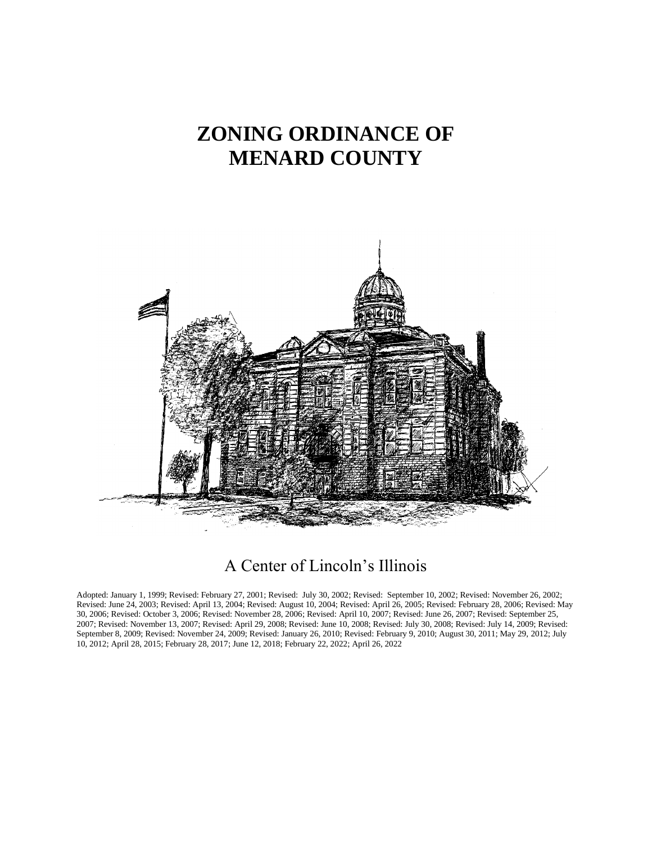## **ZONING ORDINANCE OF MENARD COUNTY**



## A Center of Lincoln's Illinois

Adopted: January 1, 1999; Revised: February 27, 2001; Revised: July 30, 2002; Revised: September 10, 2002; Revised: November 26, 2002; Revised: June 24, 2003; Revised: April 13, 2004; Revised: August 10, 2004; Revised: April 26, 2005; Revised: February 28, 2006; Revised: May 30, 2006; Revised: October 3, 2006; Revised: November 28, 2006; Revised: April 10, 2007; Revised: June 26, 2007; Revised: September 25, 2007; Revised: November 13, 2007; Revised: April 29, 2008; Revised: June 10, 2008; Revised: July 30, 2008; Revised: July 14, 2009; Revised: September 8, 2009; Revised: November 24, 2009; Revised: January 26, 2010; Revised: February 9, 2010; August 30, 2011; May 29, 2012; July 10, 2012; April 28, 2015; February 28, 2017; June 12, 2018; February 22, 2022; April 26, 2022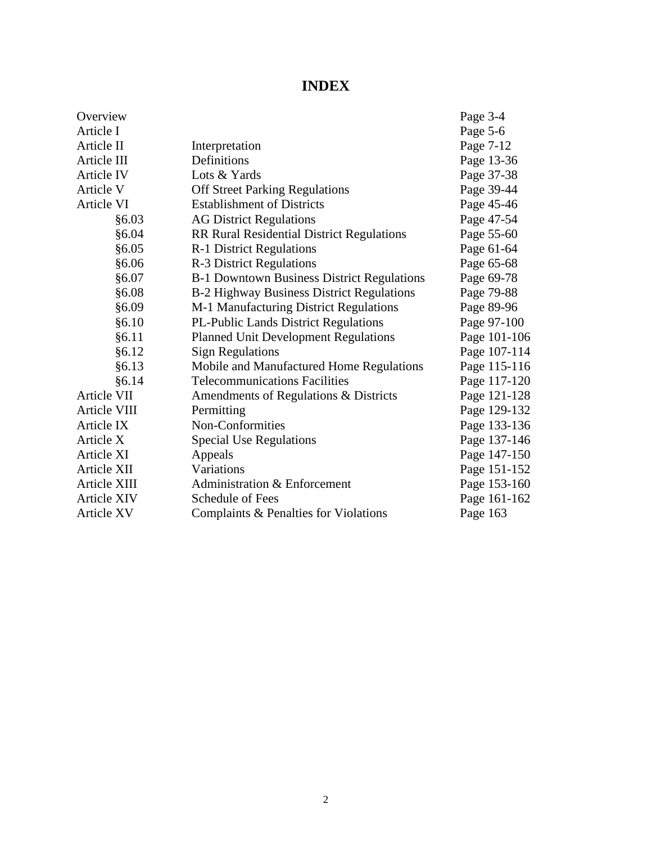### **INDEX**

| Overview          |                                                   | Page 3-4     |
|-------------------|---------------------------------------------------|--------------|
| Article I         |                                                   | Page 5-6     |
| Article II        | Interpretation                                    | Page 7-12    |
| Article III       | Definitions                                       | Page 13-36   |
| Article IV        | Lots & Yards                                      | Page 37-38   |
| Article V         | <b>Off Street Parking Regulations</b>             | Page 39-44   |
| Article VI        | <b>Establishment of Districts</b>                 | Page 45-46   |
| §6.03             | <b>AG District Regulations</b>                    | Page 47-54   |
| §6.04             | <b>RR Rural Residential District Regulations</b>  | Page 55-60   |
| §6.05             | <b>R-1 District Regulations</b>                   | Page 61-64   |
| §6.06             | <b>R-3 District Regulations</b>                   | Page 65-68   |
| §6.07             | <b>B-1 Downtown Business District Regulations</b> | Page 69-78   |
| §6.08             | B-2 Highway Business District Regulations         | Page 79-88   |
| §6.09             | M-1 Manufacturing District Regulations            | Page 89-96   |
| §6.10             | PL-Public Lands District Regulations              | Page 97-100  |
| §6.11             | <b>Planned Unit Development Regulations</b>       | Page 101-106 |
| §6.12             | <b>Sign Regulations</b>                           | Page 107-114 |
| §6.13             | Mobile and Manufactured Home Regulations          | Page 115-116 |
| §6.14             | <b>Telecommunications Facilities</b>              | Page 117-120 |
| Article VII       | Amendments of Regulations & Districts             | Page 121-128 |
| Article VIII      | Permitting                                        | Page 129-132 |
| Article IX        | Non-Conformities                                  | Page 133-136 |
| Article X         | <b>Special Use Regulations</b>                    | Page 137-146 |
| Article XI        | Appeals                                           | Page 147-150 |
| Article XII       | Variations                                        | Page 151-152 |
| Article XIII      | Administration & Enforcement                      | Page 153-160 |
| Article XIV       | <b>Schedule of Fees</b>                           | Page 161-162 |
| <b>Article XV</b> | Complaints & Penalties for Violations             | Page 163     |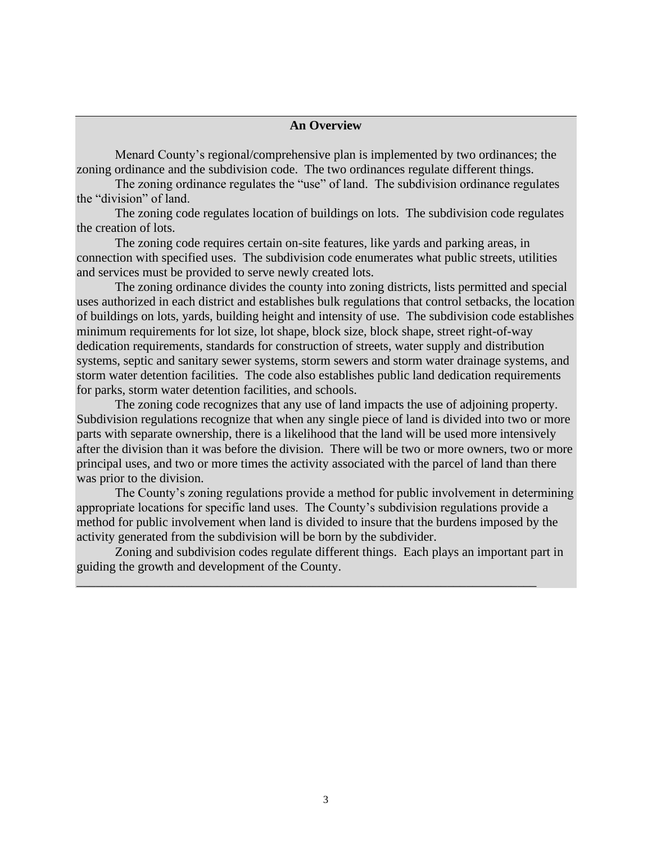### **An Overview**

Menard County's regional/comprehensive plan is implemented by two ordinances; the zoning ordinance and the subdivision code. The two ordinances regulate different things.

The zoning ordinance regulates the "use" of land. The subdivision ordinance regulates the "division" of land.

The zoning code regulates location of buildings on lots. The subdivision code regulates the creation of lots.

The zoning code requires certain on-site features, like yards and parking areas, in connection with specified uses. The subdivision code enumerates what public streets, utilities and services must be provided to serve newly created lots.

The zoning ordinance divides the county into zoning districts, lists permitted and special uses authorized in each district and establishes bulk regulations that control setbacks, the location of buildings on lots, yards, building height and intensity of use. The subdivision code establishes minimum requirements for lot size, lot shape, block size, block shape, street right-of-way dedication requirements, standards for construction of streets, water supply and distribution systems, septic and sanitary sewer systems, storm sewers and storm water drainage systems, and storm water detention facilities. The code also establishes public land dedication requirements for parks, storm water detention facilities, and schools.

The zoning code recognizes that any use of land impacts the use of adjoining property. Subdivision regulations recognize that when any single piece of land is divided into two or more parts with separate ownership, there is a likelihood that the land will be used more intensively after the division than it was before the division. There will be two or more owners, two or more principal uses, and two or more times the activity associated with the parcel of land than there was prior to the division.

The County's zoning regulations provide a method for public involvement in determining appropriate locations for specific land uses. The County's subdivision regulations provide a method for public involvement when land is divided to insure that the burdens imposed by the activity generated from the subdivision will be born by the subdivider.

Zoning and subdivision codes regulate different things. Each plays an important part in guiding the growth and development of the County.

\_\_\_\_\_\_\_\_\_\_\_\_\_\_\_\_\_\_\_\_\_\_\_\_\_\_\_\_\_\_\_\_\_\_\_\_\_\_\_\_\_\_\_\_\_\_\_\_\_\_\_\_\_\_\_\_\_\_\_\_\_\_\_\_\_\_\_\_\_\_\_\_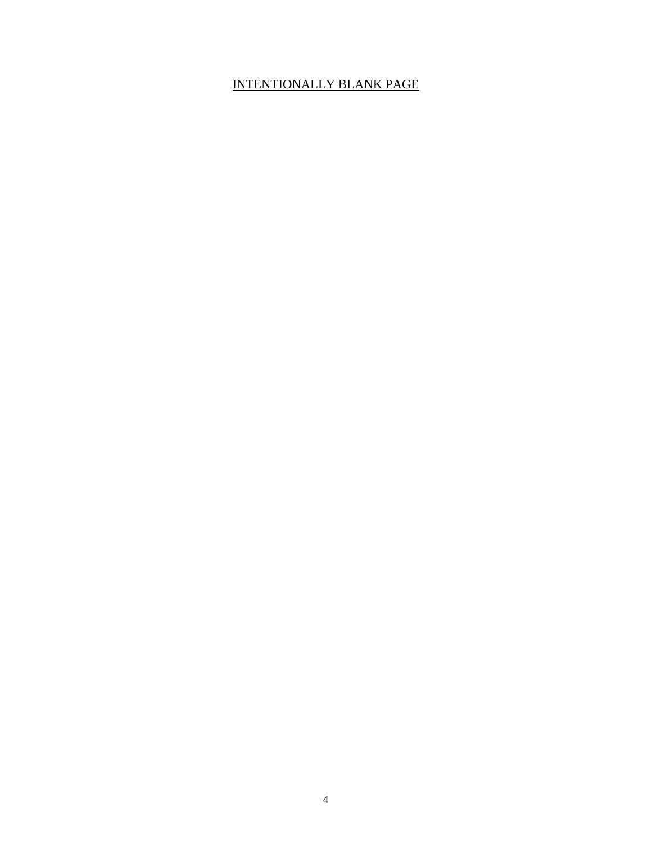### INTENTIONALLY BLANK PAGE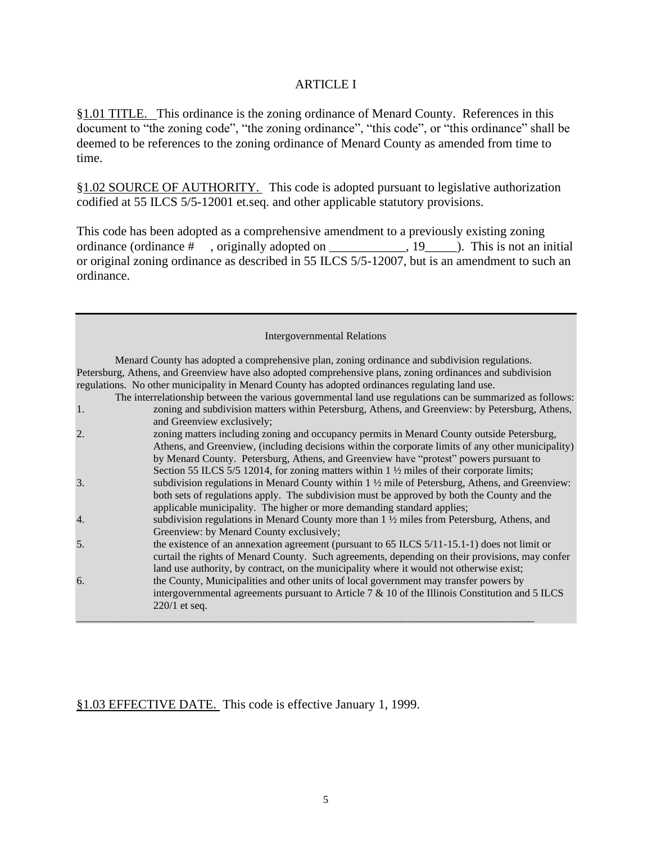### ARTICLE I

§1.01 TITLE. This ordinance is the zoning ordinance of Menard County. References in this document to "the zoning code", "the zoning ordinance", "this code", or "this ordinance" shall be deemed to be references to the zoning ordinance of Menard County as amended from time to time.

§1.02 SOURCE OF AUTHORITY. This code is adopted pursuant to legislative authorization codified at 55 ILCS 5/5-12001 et.seq. and other applicable statutory provisions.

This code has been adopted as a comprehensive amendment to a previously existing zoning ordinance (ordinance # , originally adopted on \_\_\_\_\_\_\_\_\_\_\_\_, 19 \_\_\_\_\_\_). This is not an initial or original zoning ordinance as described in 55 ILCS 5/5-12007, but is an amendment to such an ordinance.

Intergovernmental Relations

Menard County has adopted a comprehensive plan, zoning ordinance and subdivision regulations. Petersburg, Athens, and Greenview have also adopted comprehensive plans, zoning ordinances and subdivision regulations. No other municipality in Menard County has adopted ordinances regulating land use.

|    | The interrelationship between the various governmental land use regulations can be summarized as follows: |
|----|-----------------------------------------------------------------------------------------------------------|
| 1. | zoning and subdivision matters within Petersburg, Athens, and Greenview: by Petersburg, Athens,           |
|    | and Greenview exclusively;                                                                                |
| 2. | zoning matters including zoning and occupancy permits in Menard County outside Petersburg,                |
|    | Athens, and Greenview, (including decisions within the corporate limits of any other municipality)        |
|    | by Menard County. Petersburg, Athens, and Greenview have "protest" powers pursuant to                     |
|    | Section 55 ILCS 5/5 12014, for zoning matters within 1 $\frac{1}{2}$ miles of their corporate limits;     |
| 3. | subdivision regulations in Menard County within $1\frac{1}{2}$ mile of Petersburg, Athens, and Greenview: |
|    | both sets of regulations apply. The subdivision must be approved by both the County and the               |
|    | applicable municipality. The higher or more demanding standard applies;                                   |
| 4. | subdivision regulations in Menard County more than $1\frac{1}{2}$ miles from Petersburg, Athens, and      |
|    | Greenview: by Menard County exclusively;                                                                  |
| 5. | the existence of an annexation agreement (pursuant to 65 ILCS $5/11-15.1-1$ ) does not limit or           |
|    | curtail the rights of Menard County. Such agreements, depending on their provisions, may confer           |
|    | land use authority, by contract, on the municipality where it would not otherwise exist;                  |
| 6. | the County, Municipalities and other units of local government may transfer powers by                     |
|    | intergovernmental agreements pursuant to Article 7 $\&$ 10 of the Illinois Constitution and 5 ILCS        |
|    | $220/1$ et seq.                                                                                           |
|    |                                                                                                           |

### §1.03 EFFECTIVE DATE. This code is effective January 1, 1999.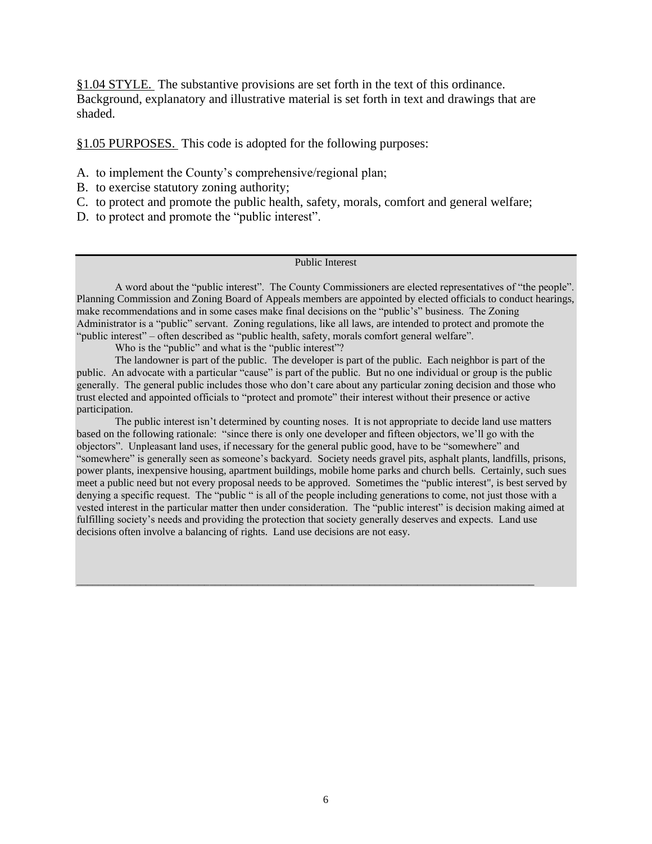§1.04 STYLE. The substantive provisions are set forth in the text of this ordinance. Background, explanatory and illustrative material is set forth in text and drawings that are shaded.

§1.05 PURPOSES. This code is adopted for the following purposes:

- A. to implement the County's comprehensive/regional plan;
- B. to exercise statutory zoning authority;
- C. to protect and promote the public health, safety, morals, comfort and general welfare;
- D. to protect and promote the "public interest".

### Public Interest

A word about the "public interest". The County Commissioners are elected representatives of "the people". Planning Commission and Zoning Board of Appeals members are appointed by elected officials to conduct hearings, make recommendations and in some cases make final decisions on the "public's" business. The Zoning Administrator is a "public" servant. Zoning regulations, like all laws, are intended to protect and promote the "public interest" – often described as "public health, safety, morals comfort general welfare".

Who is the "public" and what is the "public interest"?

The landowner is part of the public. The developer is part of the public. Each neighbor is part of the public. An advocate with a particular "cause" is part of the public. But no one individual or group is the public generally. The general public includes those who don't care about any particular zoning decision and those who trust elected and appointed officials to "protect and promote" their interest without their presence or active participation.

The public interest isn't determined by counting noses. It is not appropriate to decide land use matters based on the following rationale: "since there is only one developer and fifteen objectors, we'll go with the objectors". Unpleasant land uses, if necessary for the general public good, have to be "somewhere" and "somewhere" is generally seen as someone's backyard. Society needs gravel pits, asphalt plants, landfills, prisons, power plants, inexpensive housing, apartment buildings, mobile home parks and church bells. Certainly, such sues meet a public need but not every proposal needs to be approved. Sometimes the "public interest", is best served by denying a specific request. The "public " is all of the people including generations to come, not just those with a vested interest in the particular matter then under consideration. The "public interest" is decision making aimed at fulfilling society's needs and providing the protection that society generally deserves and expects. Land use decisions often involve a balancing of rights. Land use decisions are not easy.

\_\_\_\_\_\_\_\_\_\_\_\_\_\_\_\_\_\_\_\_\_\_\_\_\_\_\_\_\_\_\_\_\_\_\_\_\_\_\_\_\_\_\_\_\_\_\_\_\_\_\_\_\_\_\_\_\_\_\_\_\_\_\_\_\_\_\_\_\_\_\_\_\_\_\_\_\_\_\_\_\_\_\_\_\_\_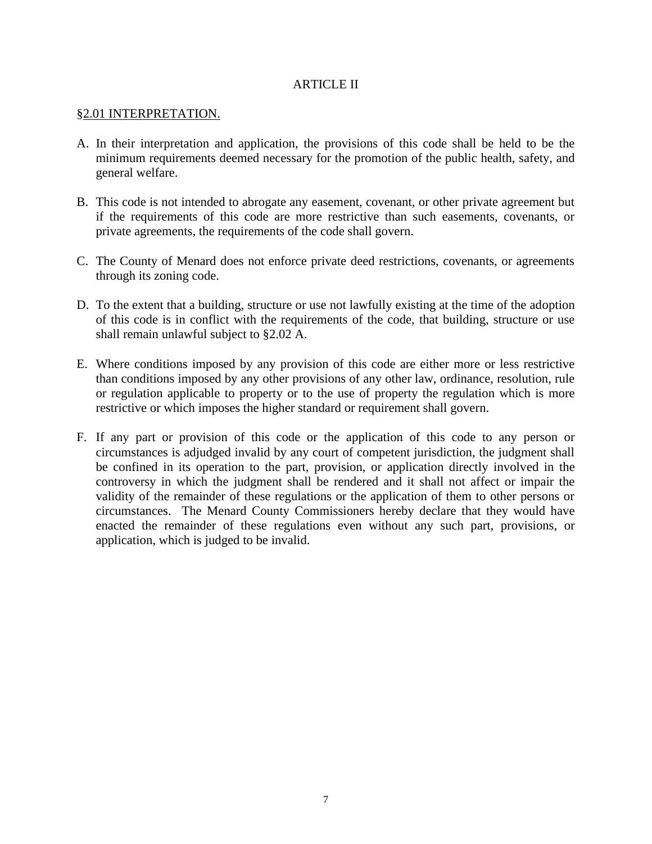### ARTICLE II

### §2.01 INTERPRETATION.

- A. In their interpretation and application, the provisions of this code shall be held to be the minimum requirements deemed necessary for the promotion of the public health, safety, and general welfare.
- B. This code is not intended to abrogate any easement, covenant, or other private agreement but if the requirements of this code are more restrictive than such easements, covenants, or private agreements, the requirements of the code shall govern.
- C. The County of Menard does not enforce private deed restrictions, covenants, or agreements through its zoning code.
- D. To the extent that a building, structure or use not lawfully existing at the time of the adoption of this code is in conflict with the requirements of the code, that building, structure or use shall remain unlawful subject to §2.02 A.
- E. Where conditions imposed by any provision of this code are either more or less restrictive than conditions imposed by any other provisions of any other law, ordinance, resolution, rule or regulation applicable to property or to the use of property the regulation which is more restrictive or which imposes the higher standard or requirement shall govern.
- F. If any part or provision of this code or the application of this code to any person or circumstances is adjudged invalid by any court of competent jurisdiction, the judgment shall be confined in its operation to the part, provision, or application directly involved in the controversy in which the judgment shall be rendered and it shall not affect or impair the validity of the remainder of these regulations or the application of them to other persons or circumstances. The Menard County Commissioners hereby declare that they would have enacted the remainder of these regulations even without any such part, provisions, or application, which is judged to be invalid.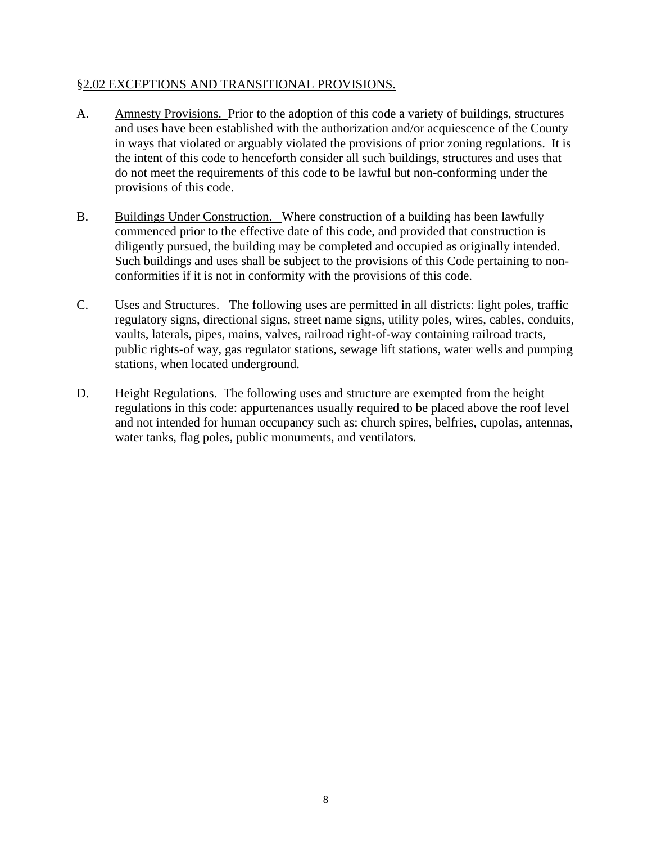### §2.02 EXCEPTIONS AND TRANSITIONAL PROVISIONS.

- A. Amnesty Provisions. Prior to the adoption of this code a variety of buildings, structures and uses have been established with the authorization and/or acquiescence of the County in ways that violated or arguably violated the provisions of prior zoning regulations. It is the intent of this code to henceforth consider all such buildings, structures and uses that do not meet the requirements of this code to be lawful but non-conforming under the provisions of this code.
- B. Buildings Under Construction. Where construction of a building has been lawfully commenced prior to the effective date of this code, and provided that construction is diligently pursued, the building may be completed and occupied as originally intended. Such buildings and uses shall be subject to the provisions of this Code pertaining to nonconformities if it is not in conformity with the provisions of this code.
- C. Uses and Structures. The following uses are permitted in all districts: light poles, traffic regulatory signs, directional signs, street name signs, utility poles, wires, cables, conduits, vaults, laterals, pipes, mains, valves, railroad right-of-way containing railroad tracts, public rights-of way, gas regulator stations, sewage lift stations, water wells and pumping stations, when located underground.
- D. Height Regulations. The following uses and structure are exempted from the height regulations in this code: appurtenances usually required to be placed above the roof level and not intended for human occupancy such as: church spires, belfries, cupolas, antennas, water tanks, flag poles, public monuments, and ventilators.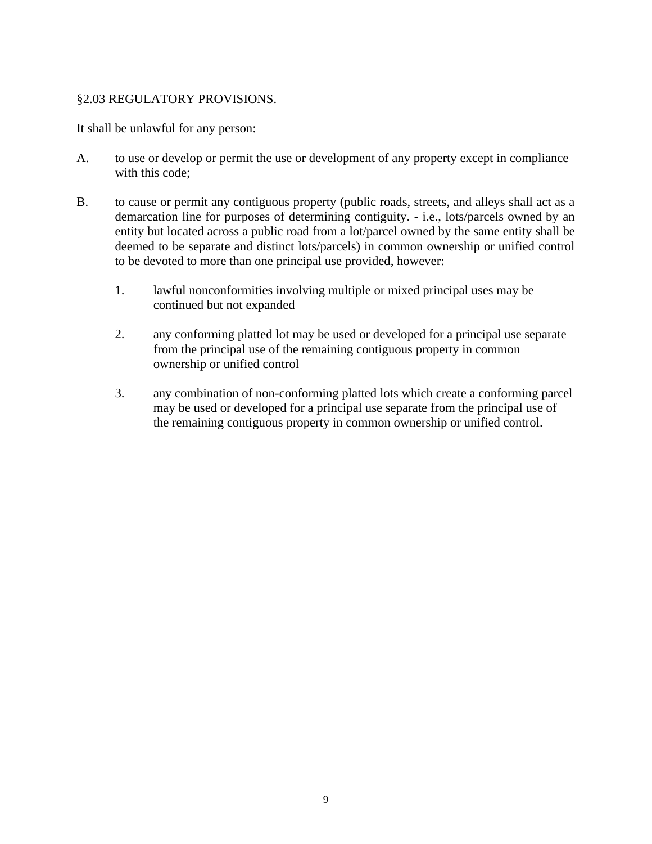### §2.03 REGULATORY PROVISIONS.

It shall be unlawful for any person:

- A. to use or develop or permit the use or development of any property except in compliance with this code:
- B. to cause or permit any contiguous property (public roads, streets, and alleys shall act as a demarcation line for purposes of determining contiguity. - i.e., lots/parcels owned by an entity but located across a public road from a lot/parcel owned by the same entity shall be deemed to be separate and distinct lots/parcels) in common ownership or unified control to be devoted to more than one principal use provided, however:
	- 1. lawful nonconformities involving multiple or mixed principal uses may be continued but not expanded
	- 2. any conforming platted lot may be used or developed for a principal use separate from the principal use of the remaining contiguous property in common ownership or unified control
	- 3. any combination of non-conforming platted lots which create a conforming parcel may be used or developed for a principal use separate from the principal use of the remaining contiguous property in common ownership or unified control.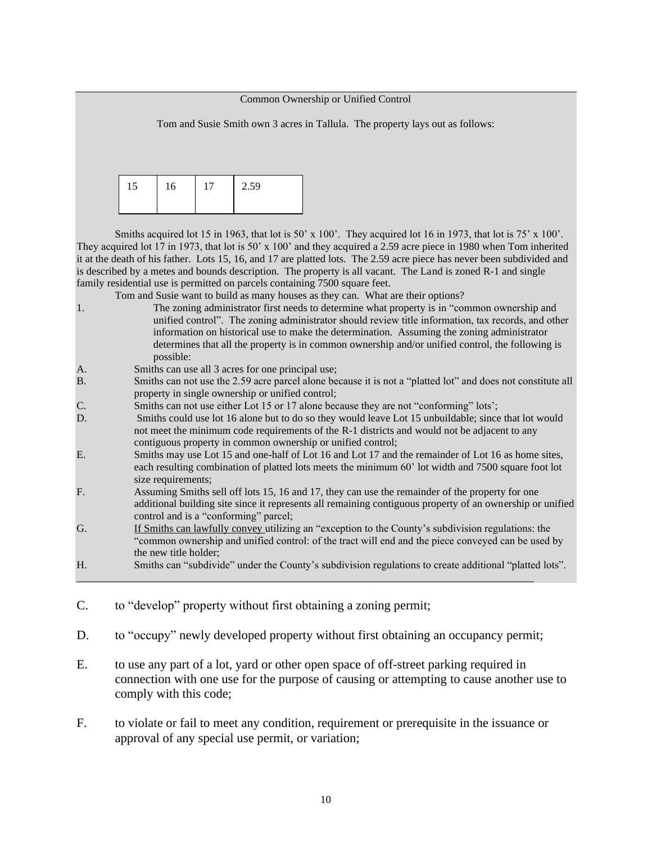# Common Ownership or Unified Control Tom and Susie Smith own 3 acres in Tallula. The property lays out as follows: 15 16 17 2.59

Smiths acquired lot 15 in 1963, that lot is  $50' \times 100'$ . They acquired lot 16 in 1973, that lot is  $75' \times 100'$ . They acquired lot 17 in 1973, that lot is 50' x 100' and they acquired a 2.59 acre piece in 1980 when Tom inherited it at the death of his father. Lots 15, 16, and 17 are platted lots. The 2.59 acre piece has never been subdivided and is described by a metes and bounds description. The property is all vacant. The Land is zoned R-1 and single family residential use is permitted on parcels containing 7500 square feet.

Tom and Susie want to build as many houses as they can. What are their options?

1. The zoning administrator first needs to determine what property is in "common ownership and unified control". The zoning administrator should review title information, tax records, and other information on historical use to make the determination. Assuming the zoning administrator determines that all the property is in common ownership and/or unified control, the following is possible:

- B. Smiths can not use the 2.59 acre parcel alone because it is not a "platted lot" and does not constitute all property in single ownership or unified control;
- C. Smiths can not use either Lot 15 or 17 alone because they are not "conforming" lots';
- D. Smiths could use lot 16 alone but to do so they would leave Lot 15 unbuildable; since that lot would not meet the minimum code requirements of the R-1 districts and would not be adjacent to any contiguous property in common ownership or unified control;
- E. Smiths may use Lot 15 and one-half of Lot 16 and Lot 17 and the remainder of Lot 16 as home sites, each resulting combination of platted lots meets the minimum 60' lot width and 7500 square foot lot size requirements;
- F. Assuming Smiths sell off lots 15, 16 and 17, they can use the remainder of the property for one additional building site since it represents all remaining contiguous property of an ownership or unified control and is a "conforming" parcel;
- G. If Smiths can lawfully convey utilizing an "exception to the County's subdivision regulations: the "common ownership and unified control: of the tract will end and the piece conveyed can be used by the new title holder;
- H. Smiths can "subdivide" under the County's subdivision regulations to create additional "platted lots". \_\_\_\_\_\_\_\_\_\_\_\_\_\_\_\_\_\_\_\_\_\_\_\_\_\_\_\_\_\_\_\_\_\_\_\_\_\_\_\_\_\_\_\_\_\_\_\_\_\_\_\_\_\_\_\_\_\_\_\_\_\_\_\_\_\_\_\_\_\_\_\_\_\_\_\_\_\_\_\_\_\_\_\_\_\_
- C. to "develop" property without first obtaining a zoning permit;
- D. to "occupy" newly developed property without first obtaining an occupancy permit;
- E. to use any part of a lot, yard or other open space of off-street parking required in connection with one use for the purpose of causing or attempting to cause another use to comply with this code;
- F. to violate or fail to meet any condition, requirement or prerequisite in the issuance or approval of any special use permit, or variation;

A. Smiths can use all 3 acres for one principal use;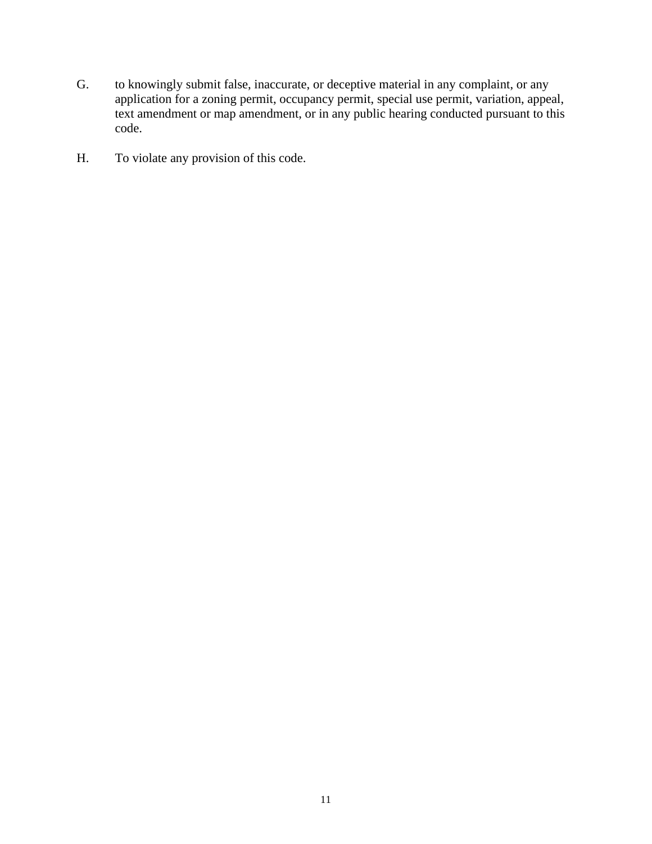- G. to knowingly submit false, inaccurate, or deceptive material in any complaint, or any application for a zoning permit, occupancy permit, special use permit, variation, appeal, text amendment or map amendment, or in any public hearing conducted pursuant to this code.
- H. To violate any provision of this code.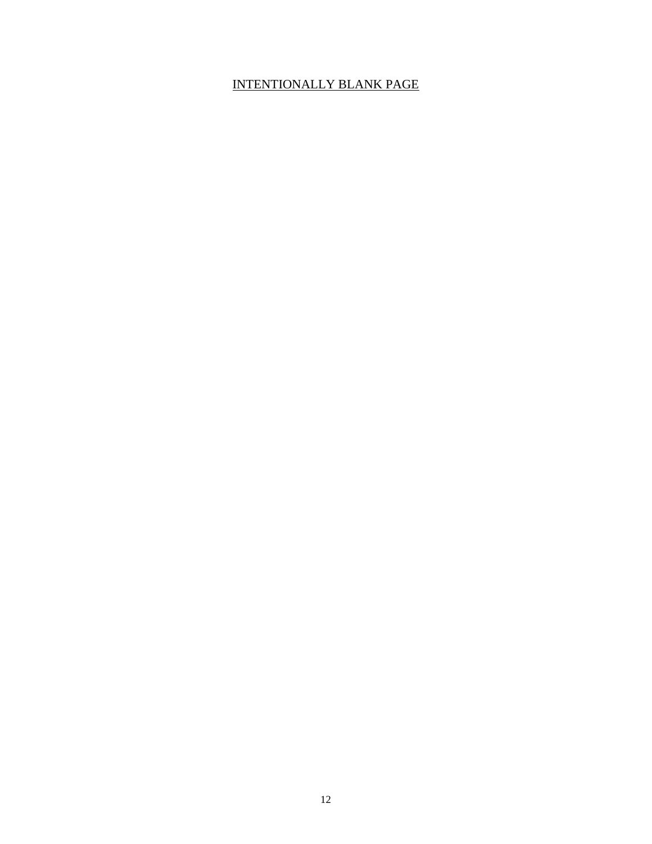### INTENTIONALLY BLANK PAGE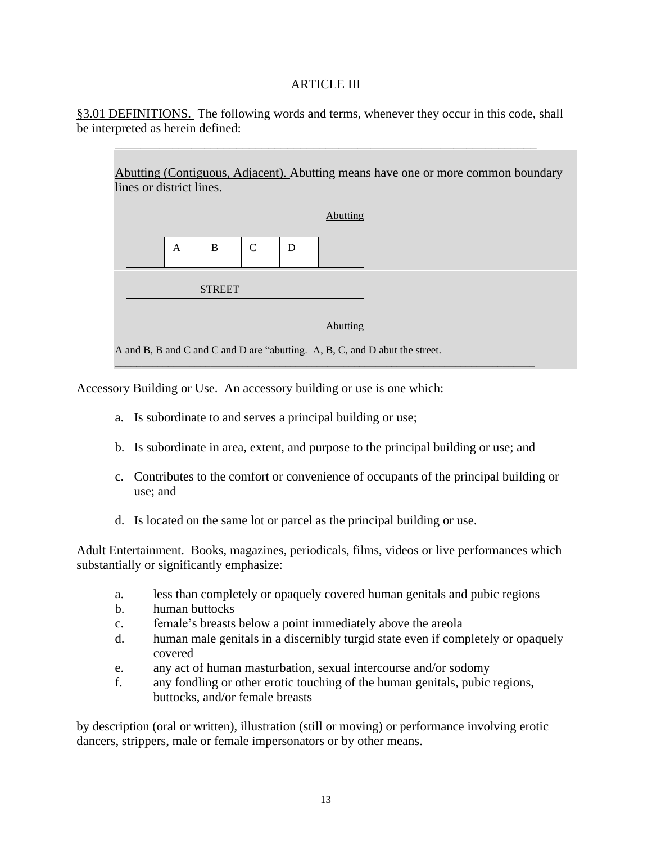### ARTICLE III

§3.01 DEFINITIONS. The following words and terms, whenever they occur in this code, shall be interpreted as herein defined:

\_\_\_\_\_\_\_\_\_\_\_\_\_\_\_\_\_\_\_\_\_\_\_\_\_\_\_\_\_\_\_\_\_\_\_\_\_\_\_\_\_\_\_\_\_\_\_\_\_\_\_\_\_\_\_\_\_\_\_\_\_\_\_\_\_\_

| Abutting (Contiguous, Adjacent). Abutting means have one or more common boundary<br>lines or district lines. |  |   |               |   |   |          |  |  |  |
|--------------------------------------------------------------------------------------------------------------|--|---|---------------|---|---|----------|--|--|--|
|                                                                                                              |  |   |               |   |   | Abutting |  |  |  |
|                                                                                                              |  | A | B             | C | D |          |  |  |  |
|                                                                                                              |  |   | <b>STREET</b> |   |   |          |  |  |  |
| Abutting                                                                                                     |  |   |               |   |   |          |  |  |  |
| A and B, B and C and C and D are "abutting. A, B, C, and D abut the street.                                  |  |   |               |   |   |          |  |  |  |

Accessory Building or Use. An accessory building or use is one which:

- a. Is subordinate to and serves a principal building or use;
- b. Is subordinate in area, extent, and purpose to the principal building or use; and
- c. Contributes to the comfort or convenience of occupants of the principal building or use; and
- d. Is located on the same lot or parcel as the principal building or use.

Adult Entertainment. Books, magazines, periodicals, films, videos or live performances which substantially or significantly emphasize:

- a. less than completely or opaquely covered human genitals and pubic regions
- b. human buttocks
- c. female's breasts below a point immediately above the areola
- d. human male genitals in a discernibly turgid state even if completely or opaquely covered
- e. any act of human masturbation, sexual intercourse and/or sodomy
- f. any fondling or other erotic touching of the human genitals, pubic regions, buttocks, and/or female breasts

by description (oral or written), illustration (still or moving) or performance involving erotic dancers, strippers, male or female impersonators or by other means.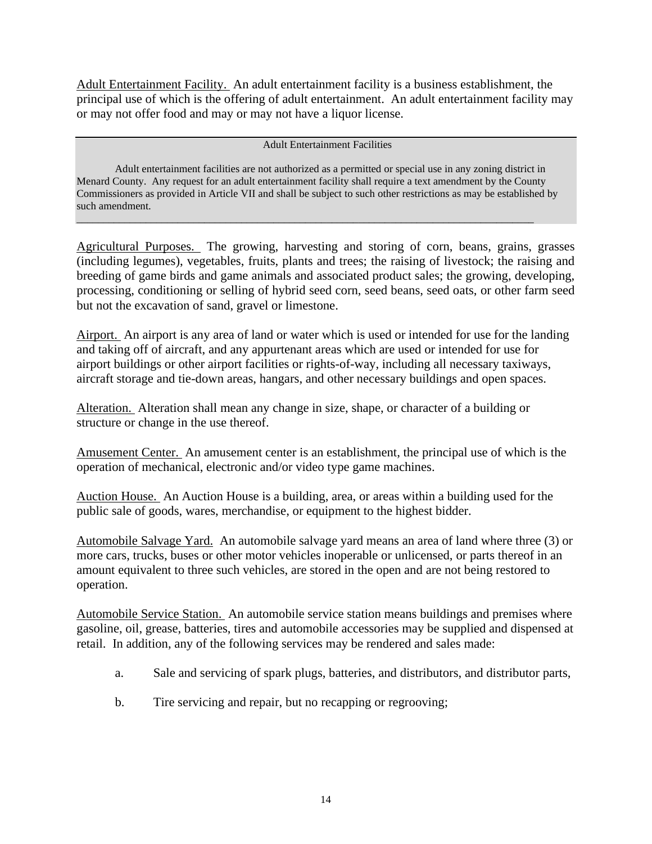Adult Entertainment Facility. An adult entertainment facility is a business establishment, the principal use of which is the offering of adult entertainment. An adult entertainment facility may or may not offer food and may or may not have a liquor license.

Adult Entertainment Facilities

Adult entertainment facilities are not authorized as a permitted or special use in any zoning district in Menard County. Any request for an adult entertainment facility shall require a text amendment by the County Commissioners as provided in Article VII and shall be subject to such other restrictions as may be established by such amendment.

 $\_$  , and the set of the set of the set of the set of the set of the set of the set of the set of the set of the set of the set of the set of the set of the set of the set of the set of the set of the set of the set of th

Agricultural Purposes. The growing, harvesting and storing of corn, beans, grains, grasses (including legumes), vegetables, fruits, plants and trees; the raising of livestock; the raising and breeding of game birds and game animals and associated product sales; the growing, developing, processing, conditioning or selling of hybrid seed corn, seed beans, seed oats, or other farm seed but not the excavation of sand, gravel or limestone.

Airport. An airport is any area of land or water which is used or intended for use for the landing and taking off of aircraft, and any appurtenant areas which are used or intended for use for airport buildings or other airport facilities or rights-of-way, including all necessary taxiways, aircraft storage and tie-down areas, hangars, and other necessary buildings and open spaces.

Alteration. Alteration shall mean any change in size, shape, or character of a building or structure or change in the use thereof.

Amusement Center. An amusement center is an establishment, the principal use of which is the operation of mechanical, electronic and/or video type game machines.

Auction House. An Auction House is a building, area, or areas within a building used for the public sale of goods, wares, merchandise, or equipment to the highest bidder.

Automobile Salvage Yard. An automobile salvage yard means an area of land where three (3) or more cars, trucks, buses or other motor vehicles inoperable or unlicensed, or parts thereof in an amount equivalent to three such vehicles, are stored in the open and are not being restored to operation.

Automobile Service Station. An automobile service station means buildings and premises where gasoline, oil, grease, batteries, tires and automobile accessories may be supplied and dispensed at retail. In addition, any of the following services may be rendered and sales made:

- a. Sale and servicing of spark plugs, batteries, and distributors, and distributor parts,
- b. Tire servicing and repair, but no recapping or regrooving;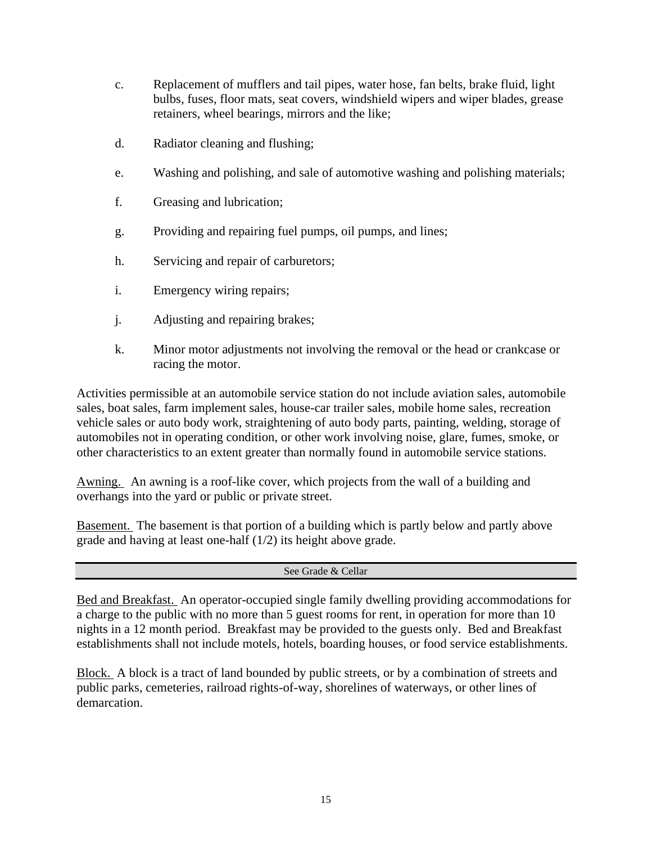- c. Replacement of mufflers and tail pipes, water hose, fan belts, brake fluid, light bulbs, fuses, floor mats, seat covers, windshield wipers and wiper blades, grease retainers, wheel bearings, mirrors and the like;
- d. Radiator cleaning and flushing;
- e. Washing and polishing, and sale of automotive washing and polishing materials;
- f. Greasing and lubrication;
- g. Providing and repairing fuel pumps, oil pumps, and lines;
- h. Servicing and repair of carburetors;
- i. Emergency wiring repairs;
- j. Adjusting and repairing brakes;
- k. Minor motor adjustments not involving the removal or the head or crankcase or racing the motor.

Activities permissible at an automobile service station do not include aviation sales, automobile sales, boat sales, farm implement sales, house-car trailer sales, mobile home sales, recreation vehicle sales or auto body work, straightening of auto body parts, painting, welding, storage of automobiles not in operating condition, or other work involving noise, glare, fumes, smoke, or other characteristics to an extent greater than normally found in automobile service stations.

Awning. An awning is a roof-like cover, which projects from the wall of a building and overhangs into the yard or public or private street.

Basement. The basement is that portion of a building which is partly below and partly above grade and having at least one-half (1/2) its height above grade.

See Grade & Cellar

Bed and Breakfast. An operator-occupied single family dwelling providing accommodations for a charge to the public with no more than 5 guest rooms for rent, in operation for more than 10 nights in a 12 month period. Breakfast may be provided to the guests only. Bed and Breakfast establishments shall not include motels, hotels, boarding houses, or food service establishments.

Block. A block is a tract of land bounded by public streets, or by a combination of streets and public parks, cemeteries, railroad rights-of-way, shorelines of waterways, or other lines of demarcation.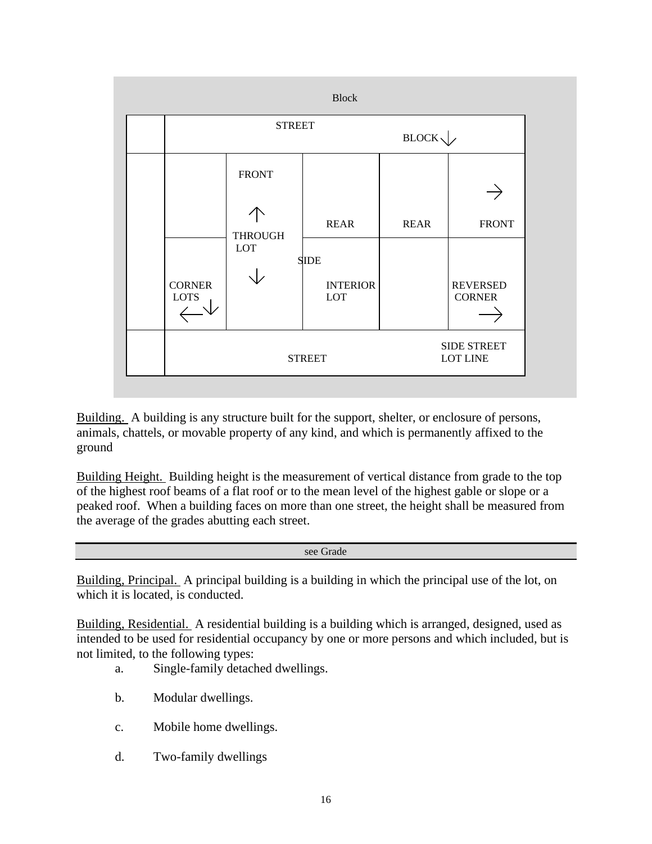

Building. A building is any structure built for the support, shelter, or enclosure of persons, animals, chattels, or movable property of any kind, and which is permanently affixed to the ground

Building Height. Building height is the measurement of vertical distance from grade to the top of the highest roof beams of a flat roof or to the mean level of the highest gable or slope or a peaked roof. When a building faces on more than one street, the height shall be measured from the average of the grades abutting each street.

see Grade

Building, Principal. A principal building is a building in which the principal use of the lot, on which it is located, is conducted.

Building, Residential. A residential building is a building which is arranged, designed, used as intended to be used for residential occupancy by one or more persons and which included, but is not limited, to the following types:

- a. Single-family detached dwellings.
- b. Modular dwellings.
- c. Mobile home dwellings.
- d. Two-family dwellings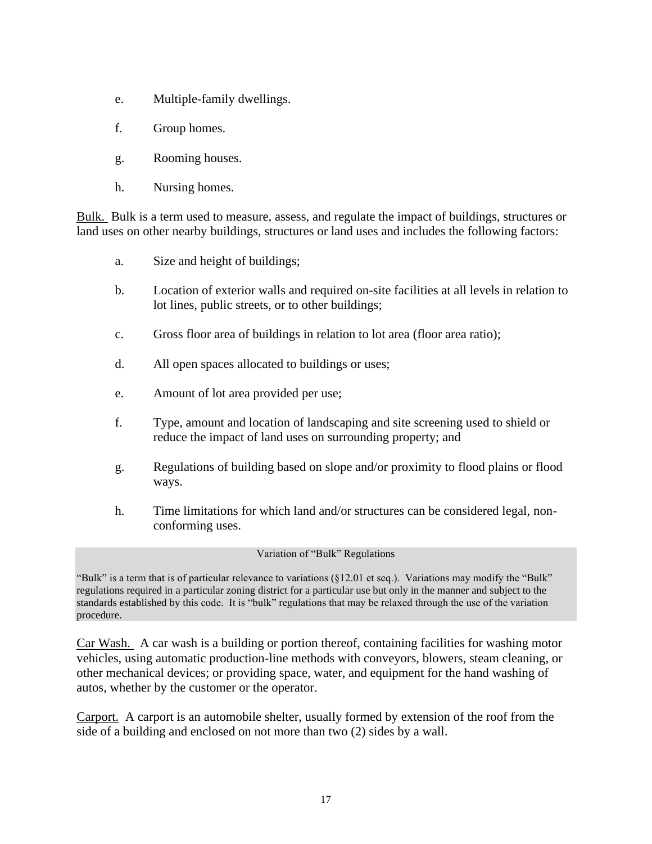- e. Multiple-family dwellings.
- f. Group homes.
- g. Rooming houses.
- h. Nursing homes.

Bulk. Bulk is a term used to measure, assess, and regulate the impact of buildings, structures or land uses on other nearby buildings, structures or land uses and includes the following factors:

- a. Size and height of buildings;
- b. Location of exterior walls and required on-site facilities at all levels in relation to lot lines, public streets, or to other buildings;
- c. Gross floor area of buildings in relation to lot area (floor area ratio);
- d. All open spaces allocated to buildings or uses;
- e. Amount of lot area provided per use;
- f. Type, amount and location of landscaping and site screening used to shield or reduce the impact of land uses on surrounding property; and
- g. Regulations of building based on slope and/or proximity to flood plains or flood ways.
- h. Time limitations for which land and/or structures can be considered legal, nonconforming uses.

### Variation of "Bulk" Regulations

"Bulk" is a term that is of particular relevance to variations (§12.01 et seq.). Variations may modify the "Bulk" regulations required in a particular zoning district for a particular use but only in the manner and subject to the standards established by this code. It is "bulk" regulations that may be relaxed through the use of the variation procedure.

Car Wash. A car wash is a building or portion thereof, containing facilities for washing motor vehicles, using automatic production-line methods with conveyors, blowers, steam cleaning, or other mechanical devices; or providing space, water, and equipment for the hand washing of autos, whether by the customer or the operator.

Carport. A carport is an automobile shelter, usually formed by extension of the roof from the side of a building and enclosed on not more than two (2) sides by a wall.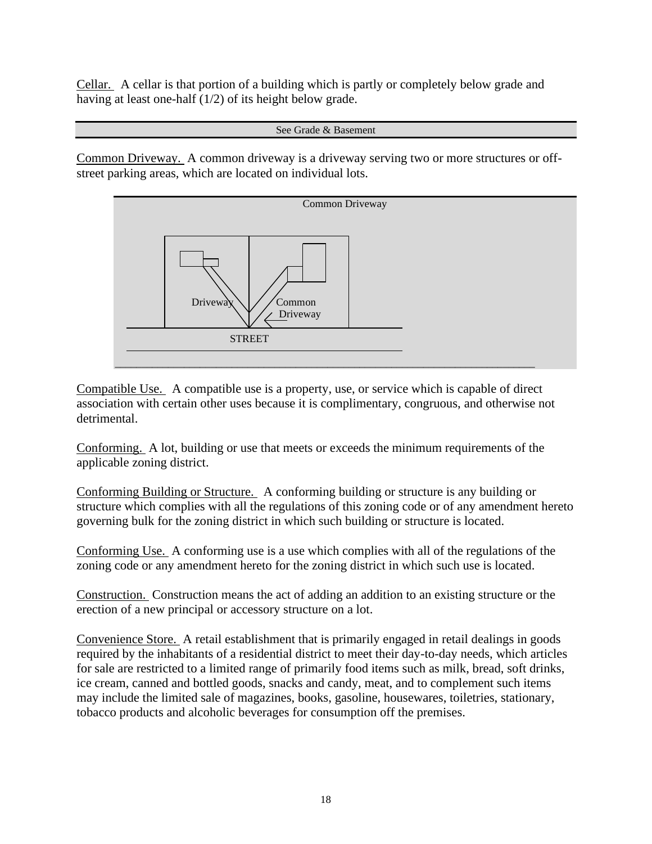Cellar. A cellar is that portion of a building which is partly or completely below grade and having at least one-half (1/2) of its height below grade.

See Grade & Basement

Common Driveway. A common driveway is a driveway serving two or more structures or offstreet parking areas, which are located on individual lots.



Compatible Use. A compatible use is a property, use, or service which is capable of direct association with certain other uses because it is complimentary, congruous, and otherwise not detrimental.

Conforming. A lot, building or use that meets or exceeds the minimum requirements of the applicable zoning district.

Conforming Building or Structure. A conforming building or structure is any building or structure which complies with all the regulations of this zoning code or of any amendment hereto governing bulk for the zoning district in which such building or structure is located.

Conforming Use. A conforming use is a use which complies with all of the regulations of the zoning code or any amendment hereto for the zoning district in which such use is located.

Construction. Construction means the act of adding an addition to an existing structure or the erection of a new principal or accessory structure on a lot.

Convenience Store. A retail establishment that is primarily engaged in retail dealings in goods required by the inhabitants of a residential district to meet their day-to-day needs, which articles for sale are restricted to a limited range of primarily food items such as milk, bread, soft drinks, ice cream, canned and bottled goods, snacks and candy, meat, and to complement such items may include the limited sale of magazines, books, gasoline, housewares, toiletries, stationary, tobacco products and alcoholic beverages for consumption off the premises.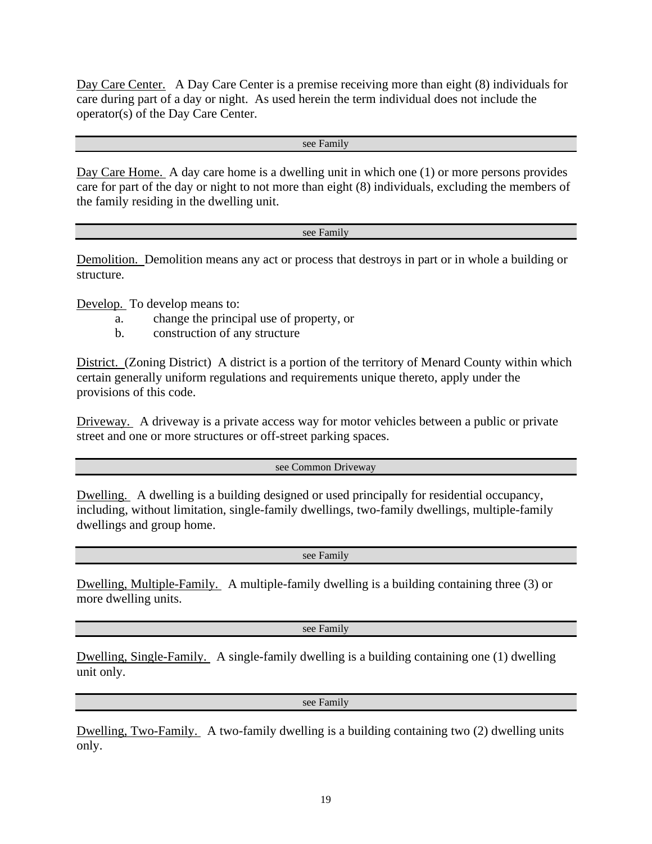Day Care Center. A Day Care Center is a premise receiving more than eight (8) individuals for care during part of a day or night. As used herein the term individual does not include the operator(s) of the Day Care Center.

see Family

Day Care Home. A day care home is a dwelling unit in which one (1) or more persons provides care for part of the day or night to not more than eight (8) individuals, excluding the members of the family residing in the dwelling unit.

see Family

Demolition. Demolition means any act or process that destroys in part or in whole a building or structure.

Develop. To develop means to:

- a. change the principal use of property, or
- b. construction of any structure

District. (Zoning District) A district is a portion of the territory of Menard County within which certain generally uniform regulations and requirements unique thereto, apply under the provisions of this code.

Driveway. A driveway is a private access way for motor vehicles between a public or private street and one or more structures or off-street parking spaces.

see Common Driveway

Dwelling. A dwelling is a building designed or used principally for residential occupancy, including, without limitation, single-family dwellings, two-family dwellings, multiple-family dwellings and group home.

see Family

Dwelling, Multiple-Family. A multiple-family dwelling is a building containing three (3) or more dwelling units.

see Family

Dwelling, Single-Family. A single-family dwelling is a building containing one (1) dwelling unit only.

see Family

Dwelling, Two-Family. A two-family dwelling is a building containing two (2) dwelling units only.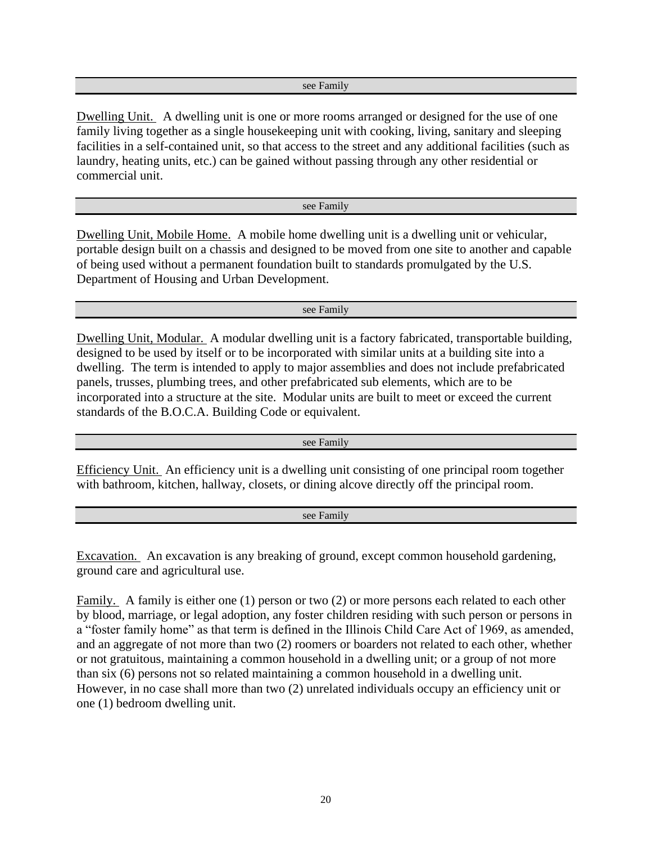see Family

Dwelling Unit. A dwelling unit is one or more rooms arranged or designed for the use of one family living together as a single housekeeping unit with cooking, living, sanitary and sleeping facilities in a self-contained unit, so that access to the street and any additional facilities (such as laundry, heating units, etc.) can be gained without passing through any other residential or commercial unit.

see Family

Dwelling Unit, Mobile Home. A mobile home dwelling unit is a dwelling unit or vehicular, portable design built on a chassis and designed to be moved from one site to another and capable of being used without a permanent foundation built to standards promulgated by the U.S. Department of Housing and Urban Development.

see Family

Dwelling Unit, Modular. A modular dwelling unit is a factory fabricated, transportable building, designed to be used by itself or to be incorporated with similar units at a building site into a dwelling. The term is intended to apply to major assemblies and does not include prefabricated panels, trusses, plumbing trees, and other prefabricated sub elements, which are to be incorporated into a structure at the site. Modular units are built to meet or exceed the current standards of the B.O.C.A. Building Code or equivalent.

see Family

Efficiency Unit. An efficiency unit is a dwelling unit consisting of one principal room together with bathroom, kitchen, hallway, closets, or dining alcove directly off the principal room.

see Family

Excavation. An excavation is any breaking of ground, except common household gardening, ground care and agricultural use.

Family. A family is either one (1) person or two (2) or more persons each related to each other by blood, marriage, or legal adoption, any foster children residing with such person or persons in a "foster family home" as that term is defined in the Illinois Child Care Act of 1969, as amended, and an aggregate of not more than two (2) roomers or boarders not related to each other, whether or not gratuitous, maintaining a common household in a dwelling unit; or a group of not more than six (6) persons not so related maintaining a common household in a dwelling unit. However, in no case shall more than two (2) unrelated individuals occupy an efficiency unit or one (1) bedroom dwelling unit.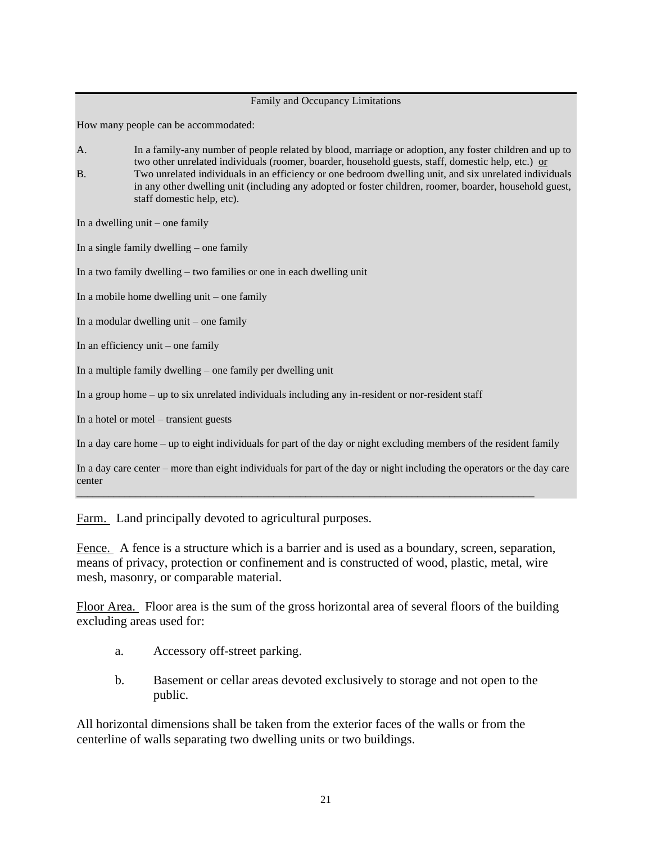### Family and Occupancy Limitations

How many people can be accommodated:

A. In a family-any number of people related by blood, marriage or adoption, any foster children and up to two other unrelated individuals (roomer, boarder, household guests, staff, domestic help, etc.) or B. Two unrelated individuals in an efficiency or one bedroom dwelling unit, and six unrelated individuals in any other dwelling unit (including any adopted or foster children, roomer, boarder, household guest, staff domestic help, etc).

In a dwelling unit – one family

In a single family dwelling – one family

In a two family dwelling – two families or one in each dwelling unit

In a mobile home dwelling unit – one family

In a modular dwelling unit – one family

In an efficiency unit – one family

In a multiple family dwelling – one family per dwelling unit

In a group home – up to six unrelated individuals including any in-resident or nor-resident staff

In a hotel or motel – transient guests

In a day care home – up to eight individuals for part of the day or night excluding members of the resident family

In a day care center – more than eight individuals for part of the day or night including the operators or the day care center \_\_\_\_\_\_\_\_\_\_\_\_\_\_\_\_\_\_\_\_\_\_\_\_\_\_\_\_\_\_\_\_\_\_\_\_\_\_\_\_\_\_\_\_\_\_\_\_\_\_\_\_\_\_\_\_\_\_\_\_\_\_\_\_\_\_\_\_\_\_\_\_\_\_\_\_\_\_\_\_\_\_\_\_\_\_

Farm. Land principally devoted to agricultural purposes.

Fence. A fence is a structure which is a barrier and is used as a boundary, screen, separation, means of privacy, protection or confinement and is constructed of wood, plastic, metal, wire mesh, masonry, or comparable material.

Floor Area. Floor area is the sum of the gross horizontal area of several floors of the building excluding areas used for:

- a. Accessory off-street parking.
- b. Basement or cellar areas devoted exclusively to storage and not open to the public.

All horizontal dimensions shall be taken from the exterior faces of the walls or from the centerline of walls separating two dwelling units or two buildings.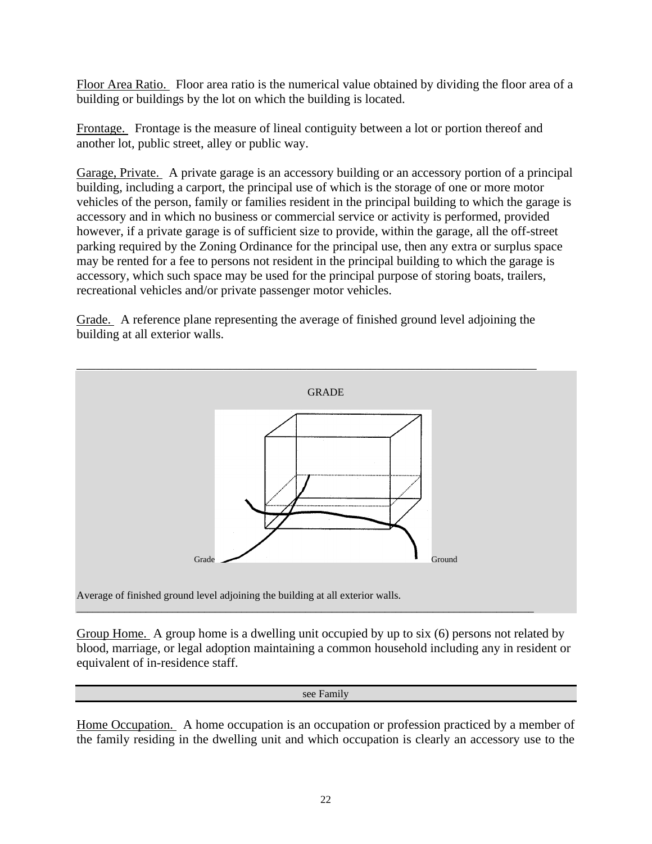Floor Area Ratio. Floor area ratio is the numerical value obtained by dividing the floor area of a building or buildings by the lot on which the building is located.

Frontage. Frontage is the measure of lineal contiguity between a lot or portion thereof and another lot, public street, alley or public way.

Garage, Private. A private garage is an accessory building or an accessory portion of a principal building, including a carport, the principal use of which is the storage of one or more motor vehicles of the person, family or families resident in the principal building to which the garage is accessory and in which no business or commercial service or activity is performed, provided however, if a private garage is of sufficient size to provide, within the garage, all the off-street parking required by the Zoning Ordinance for the principal use, then any extra or surplus space may be rented for a fee to persons not resident in the principal building to which the garage is accessory, which such space may be used for the principal purpose of storing boats, trailers, recreational vehicles and/or private passenger motor vehicles.

Grade. A reference plane representing the average of finished ground level adjoining the building at all exterior walls.



Average of finished ground level adjoining the building at all exterior walls.

Group Home. A group home is a dwelling unit occupied by up to six (6) persons not related by blood, marriage, or legal adoption maintaining a common household including any in resident or equivalent of in-residence staff.

 $\_$  , and the set of the set of the set of the set of the set of the set of the set of the set of the set of the set of the set of the set of the set of the set of the set of the set of the set of the set of the set of th

see Family

Home Occupation. A home occupation is an occupation or profession practiced by a member of the family residing in the dwelling unit and which occupation is clearly an accessory use to the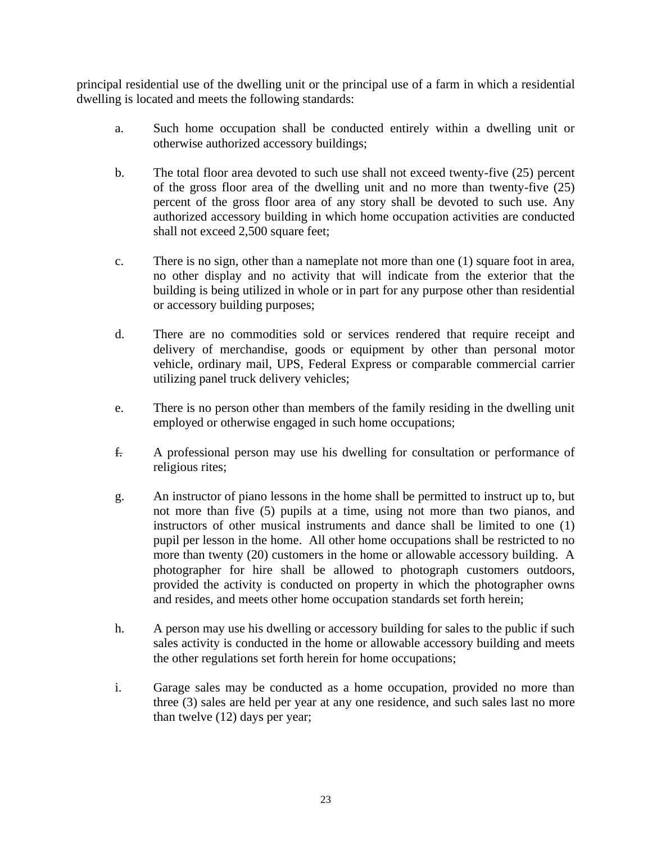principal residential use of the dwelling unit or the principal use of a farm in which a residential dwelling is located and meets the following standards:

- a. Such home occupation shall be conducted entirely within a dwelling unit or otherwise authorized accessory buildings;
- b. The total floor area devoted to such use shall not exceed twenty-five (25) percent of the gross floor area of the dwelling unit and no more than twenty-five (25) percent of the gross floor area of any story shall be devoted to such use. Any authorized accessory building in which home occupation activities are conducted shall not exceed 2,500 square feet;
- c. There is no sign, other than a nameplate not more than one (1) square foot in area, no other display and no activity that will indicate from the exterior that the building is being utilized in whole or in part for any purpose other than residential or accessory building purposes;
- d. There are no commodities sold or services rendered that require receipt and delivery of merchandise, goods or equipment by other than personal motor vehicle, ordinary mail, UPS, Federal Express or comparable commercial carrier utilizing panel truck delivery vehicles;
- e. There is no person other than members of the family residing in the dwelling unit employed or otherwise engaged in such home occupations;
- f. A professional person may use his dwelling for consultation or performance of religious rites;
- g. An instructor of piano lessons in the home shall be permitted to instruct up to, but not more than five (5) pupils at a time, using not more than two pianos, and instructors of other musical instruments and dance shall be limited to one (1) pupil per lesson in the home. All other home occupations shall be restricted to no more than twenty (20) customers in the home or allowable accessory building. A photographer for hire shall be allowed to photograph customers outdoors, provided the activity is conducted on property in which the photographer owns and resides, and meets other home occupation standards set forth herein;
- h. A person may use his dwelling or accessory building for sales to the public if such sales activity is conducted in the home or allowable accessory building and meets the other regulations set forth herein for home occupations;
- i. Garage sales may be conducted as a home occupation, provided no more than three (3) sales are held per year at any one residence, and such sales last no more than twelve (12) days per year;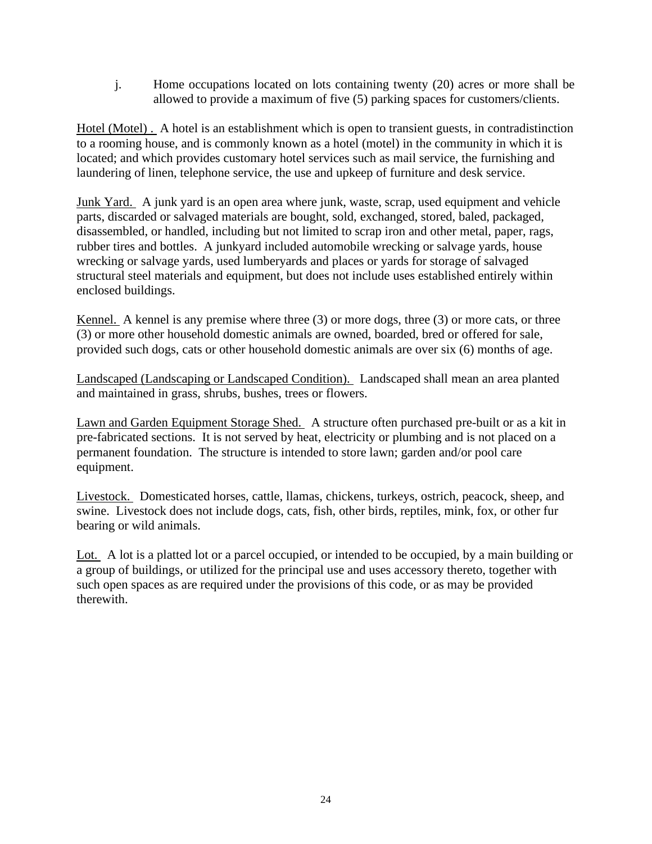j. Home occupations located on lots containing twenty (20) acres or more shall be allowed to provide a maximum of five (5) parking spaces for customers/clients.

Hotel (Motel) . A hotel is an establishment which is open to transient guests, in contradistinction to a rooming house, and is commonly known as a hotel (motel) in the community in which it is located; and which provides customary hotel services such as mail service, the furnishing and laundering of linen, telephone service, the use and upkeep of furniture and desk service.

Junk Yard. A junk yard is an open area where junk, waste, scrap, used equipment and vehicle parts, discarded or salvaged materials are bought, sold, exchanged, stored, baled, packaged, disassembled, or handled, including but not limited to scrap iron and other metal, paper, rags, rubber tires and bottles. A junkyard included automobile wrecking or salvage yards, house wrecking or salvage yards, used lumberyards and places or yards for storage of salvaged structural steel materials and equipment, but does not include uses established entirely within enclosed buildings.

Kennel. A kennel is any premise where three (3) or more dogs, three (3) or more cats, or three (3) or more other household domestic animals are owned, boarded, bred or offered for sale, provided such dogs, cats or other household domestic animals are over six (6) months of age.

Landscaped (Landscaping or Landscaped Condition). Landscaped shall mean an area planted and maintained in grass, shrubs, bushes, trees or flowers.

Lawn and Garden Equipment Storage Shed. A structure often purchased pre-built or as a kit in pre-fabricated sections. It is not served by heat, electricity or plumbing and is not placed on a permanent foundation. The structure is intended to store lawn; garden and/or pool care equipment.

Livestock. Domesticated horses, cattle, llamas, chickens, turkeys, ostrich, peacock, sheep, and swine. Livestock does not include dogs, cats, fish, other birds, reptiles, mink, fox, or other fur bearing or wild animals.

Lot. A lot is a platted lot or a parcel occupied, or intended to be occupied, by a main building or a group of buildings, or utilized for the principal use and uses accessory thereto, together with such open spaces as are required under the provisions of this code, or as may be provided therewith.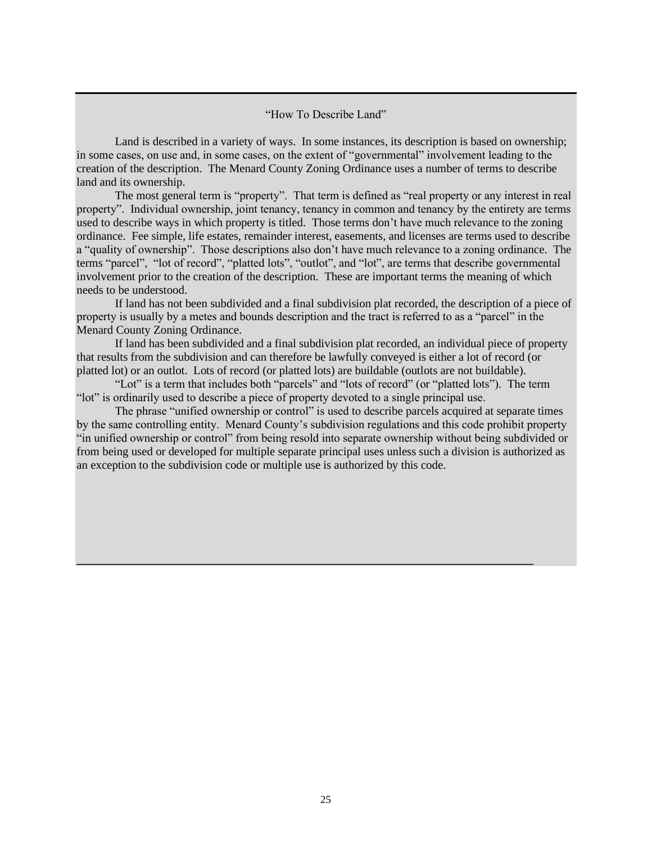### "How To Describe Land"

Land is described in a variety of ways. In some instances, its description is based on ownership; in some cases, on use and, in some cases, on the extent of "governmental" involvement leading to the creation of the description. The Menard County Zoning Ordinance uses a number of terms to describe land and its ownership.

The most general term is "property". That term is defined as "real property or any interest in real property". Individual ownership, joint tenancy, tenancy in common and tenancy by the entirety are terms used to describe ways in which property is titled. Those terms don't have much relevance to the zoning ordinance. Fee simple, life estates, remainder interest, easements, and licenses are terms used to describe a "quality of ownership". Those descriptions also don't have much relevance to a zoning ordinance. The terms "parcel", "lot of record", "platted lots", "outlot", and "lot", are terms that describe governmental involvement prior to the creation of the description. These are important terms the meaning of which needs to be understood.

If land has not been subdivided and a final subdivision plat recorded, the description of a piece of property is usually by a metes and bounds description and the tract is referred to as a "parcel" in the Menard County Zoning Ordinance.

If land has been subdivided and a final subdivision plat recorded, an individual piece of property that results from the subdivision and can therefore be lawfully conveyed is either a lot of record (or platted lot) or an outlot. Lots of record (or platted lots) are buildable (outlots are not buildable).

"Lot" is a term that includes both "parcels" and "lots of record" (or "platted lots"). The term "lot" is ordinarily used to describe a piece of property devoted to a single principal use.

The phrase "unified ownership or control" is used to describe parcels acquired at separate times by the same controlling entity. Menard County's subdivision regulations and this code prohibit property "in unified ownership or control" from being resold into separate ownership without being subdivided or from being used or developed for multiple separate principal uses unless such a division is authorized as an exception to the subdivision code or multiple use is authorized by this code.

**\_\_\_\_\_\_\_\_\_\_\_\_\_\_\_\_\_\_\_\_\_\_\_\_\_\_\_\_\_\_\_\_\_\_\_\_\_\_\_\_\_\_\_\_\_\_\_\_\_\_\_\_\_\_\_\_\_\_\_\_\_\_\_\_\_\_\_\_\_\_\_\_\_\_\_\_\_\_**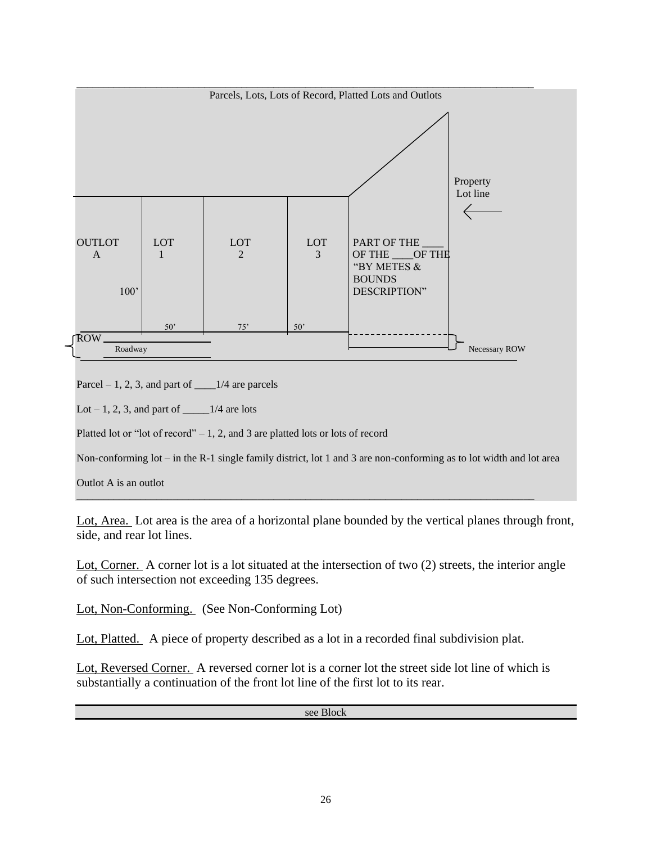

Parcel – 1, 2, 3, and part of  $\_\_\_\_$ 1/4 are parcels

Lot  $-1$ , 2, 3, and part of  $\_\_\_\_$ 1/4 are lots

Platted lot or "lot of record"  $-1$ , 2, and 3 are platted lots or lots of record

Non-conforming lot – in the R-1 single family district, lot 1 and 3 are non-conforming as to lot width and lot area

\_\_\_\_\_\_\_\_\_\_\_\_\_\_\_\_\_\_\_\_\_\_\_\_\_\_\_\_\_\_\_\_\_\_\_\_\_\_\_\_\_\_\_\_\_\_\_\_\_\_\_\_\_\_\_\_\_\_\_\_\_\_\_\_\_\_\_\_\_\_\_\_\_\_\_\_\_\_\_\_\_\_\_\_\_\_

Outlot A is an outlot

Lot, Area. Lot area is the area of a horizontal plane bounded by the vertical planes through front, side, and rear lot lines.

Lot, Corner. A corner lot is a lot situated at the intersection of two (2) streets, the interior angle of such intersection not exceeding 135 degrees.

Lot, Non-Conforming. (See Non-Conforming Lot)

Lot, Platted. A piece of property described as a lot in a recorded final subdivision plat.

Lot, Reversed Corner. A reversed corner lot is a corner lot the street side lot line of which is substantially a continuation of the front lot line of the first lot to its rear.

see Block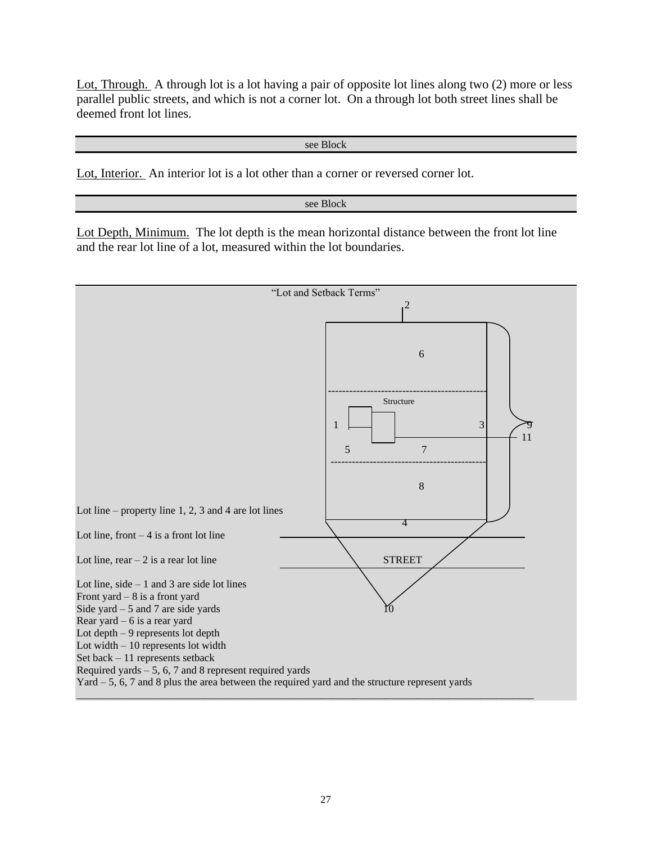Lot, Through. A through lot is a lot having a pair of opposite lot lines along two (2) more or less parallel public streets, and which is not a corner lot. On a through lot both street lines shall be deemed front lot lines.

### see Block

Lot, Interior. An interior lot is a lot other than a corner or reversed corner lot.

see Block

Lot Depth, Minimum. The lot depth is the mean horizontal distance between the front lot line and the rear lot line of a lot, measured within the lot boundaries.

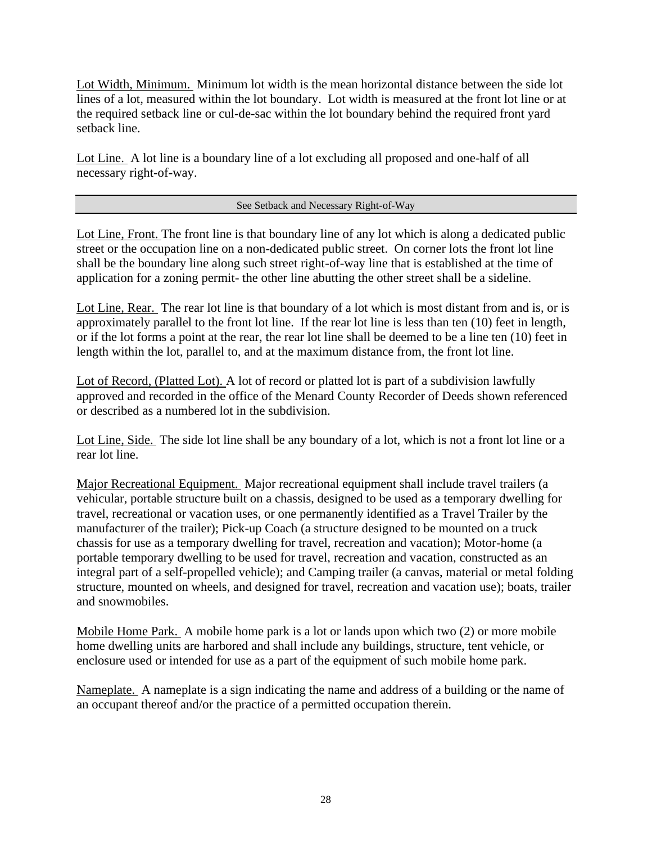Lot Width, Minimum. Minimum lot width is the mean horizontal distance between the side lot lines of a lot, measured within the lot boundary. Lot width is measured at the front lot line or at the required setback line or cul-de-sac within the lot boundary behind the required front yard setback line.

Lot Line. A lot line is a boundary line of a lot excluding all proposed and one-half of all necessary right-of-way.

### See Setback and Necessary Right-of-Way

Lot Line, Front. The front line is that boundary line of any lot which is along a dedicated public street or the occupation line on a non-dedicated public street. On corner lots the front lot line shall be the boundary line along such street right-of-way line that is established at the time of application for a zoning permit- the other line abutting the other street shall be a sideline.

Lot Line, Rear. The rear lot line is that boundary of a lot which is most distant from and is, or is approximately parallel to the front lot line. If the rear lot line is less than ten (10) feet in length, or if the lot forms a point at the rear, the rear lot line shall be deemed to be a line ten (10) feet in length within the lot, parallel to, and at the maximum distance from, the front lot line.

Lot of Record, (Platted Lot). A lot of record or platted lot is part of a subdivision lawfully approved and recorded in the office of the Menard County Recorder of Deeds shown referenced or described as a numbered lot in the subdivision.

Lot Line, Side. The side lot line shall be any boundary of a lot, which is not a front lot line or a rear lot line.

Major Recreational Equipment. Major recreational equipment shall include travel trailers (a vehicular, portable structure built on a chassis, designed to be used as a temporary dwelling for travel, recreational or vacation uses, or one permanently identified as a Travel Trailer by the manufacturer of the trailer); Pick-up Coach (a structure designed to be mounted on a truck chassis for use as a temporary dwelling for travel, recreation and vacation); Motor-home (a portable temporary dwelling to be used for travel, recreation and vacation, constructed as an integral part of a self-propelled vehicle); and Camping trailer (a canvas, material or metal folding structure, mounted on wheels, and designed for travel, recreation and vacation use); boats, trailer and snowmobiles.

Mobile Home Park. A mobile home park is a lot or lands upon which two (2) or more mobile home dwelling units are harbored and shall include any buildings, structure, tent vehicle, or enclosure used or intended for use as a part of the equipment of such mobile home park.

Nameplate. A nameplate is a sign indicating the name and address of a building or the name of an occupant thereof and/or the practice of a permitted occupation therein.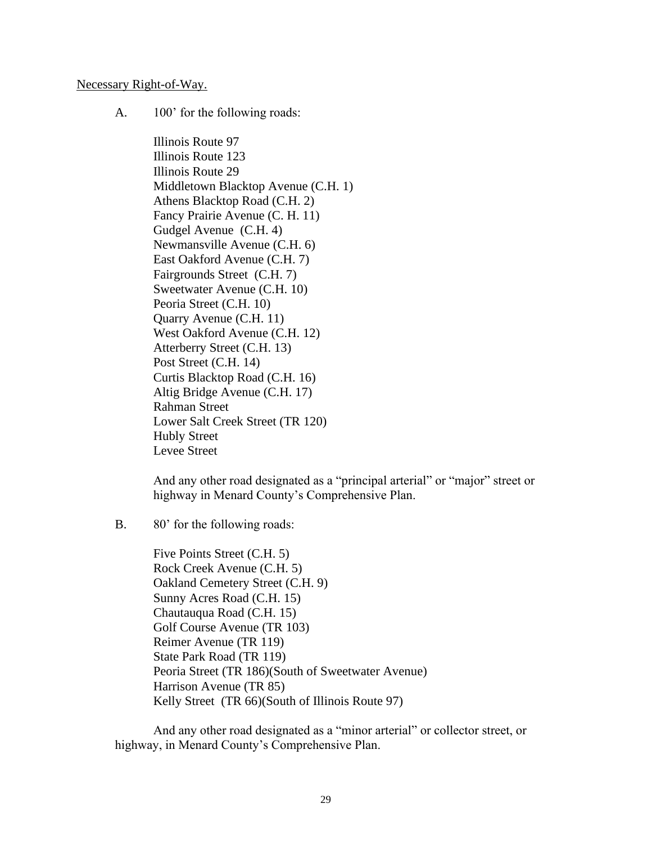### Necessary Right-of-Way.

A. 100' for the following roads:

Illinois Route 97 Illinois Route 123 Illinois Route 29 Middletown Blacktop Avenue (C.H. 1) Athens Blacktop Road (C.H. 2) Fancy Prairie Avenue (C. H. 11) Gudgel Avenue (C.H. 4) Newmansville Avenue (C.H. 6) East Oakford Avenue (C.H. 7) Fairgrounds Street (C.H. 7) Sweetwater Avenue (C.H. 10) Peoria Street (C.H. 10) Quarry Avenue (C.H. 11) West Oakford Avenue (C.H. 12) Atterberry Street (C.H. 13) Post Street (C.H. 14) Curtis Blacktop Road (C.H. 16) Altig Bridge Avenue (C.H. 17) Rahman Street Lower Salt Creek Street (TR 120) Hubly Street Levee Street

And any other road designated as a "principal arterial" or "major" street or highway in Menard County's Comprehensive Plan.

B. 80' for the following roads:

Five Points Street (C.H. 5) Rock Creek Avenue (C.H. 5) Oakland Cemetery Street (C.H. 9) Sunny Acres Road (C.H. 15) Chautauqua Road (C.H. 15) Golf Course Avenue (TR 103) Reimer Avenue (TR 119) State Park Road (TR 119) Peoria Street (TR 186)(South of Sweetwater Avenue) Harrison Avenue (TR 85) Kelly Street (TR 66)(South of Illinois Route 97)

And any other road designated as a "minor arterial" or collector street, or highway, in Menard County's Comprehensive Plan.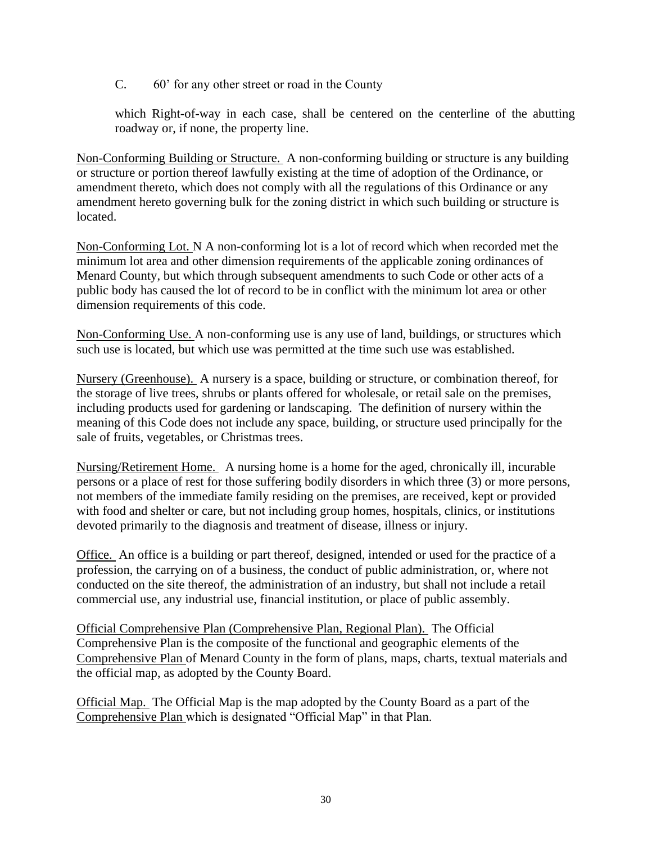C. 60' for any other street or road in the County

which Right-of-way in each case, shall be centered on the centerline of the abutting roadway or, if none, the property line.

Non-Conforming Building or Structure. A non-conforming building or structure is any building or structure or portion thereof lawfully existing at the time of adoption of the Ordinance, or amendment thereto, which does not comply with all the regulations of this Ordinance or any amendment hereto governing bulk for the zoning district in which such building or structure is located.

Non-Conforming Lot. N A non-conforming lot is a lot of record which when recorded met the minimum lot area and other dimension requirements of the applicable zoning ordinances of Menard County, but which through subsequent amendments to such Code or other acts of a public body has caused the lot of record to be in conflict with the minimum lot area or other dimension requirements of this code.

Non-Conforming Use. A non-conforming use is any use of land, buildings, or structures which such use is located, but which use was permitted at the time such use was established.

Nursery (Greenhouse). A nursery is a space, building or structure, or combination thereof, for the storage of live trees, shrubs or plants offered for wholesale, or retail sale on the premises, including products used for gardening or landscaping. The definition of nursery within the meaning of this Code does not include any space, building, or structure used principally for the sale of fruits, vegetables, or Christmas trees.

Nursing/Retirement Home. A nursing home is a home for the aged, chronically ill, incurable persons or a place of rest for those suffering bodily disorders in which three (3) or more persons, not members of the immediate family residing on the premises, are received, kept or provided with food and shelter or care, but not including group homes, hospitals, clinics, or institutions devoted primarily to the diagnosis and treatment of disease, illness or injury.

Office. An office is a building or part thereof, designed, intended or used for the practice of a profession, the carrying on of a business, the conduct of public administration, or, where not conducted on the site thereof, the administration of an industry, but shall not include a retail commercial use, any industrial use, financial institution, or place of public assembly.

Official Comprehensive Plan (Comprehensive Plan, Regional Plan). The Official Comprehensive Plan is the composite of the functional and geographic elements of the Comprehensive Plan of Menard County in the form of plans, maps, charts, textual materials and the official map, as adopted by the County Board.

Official Map. The Official Map is the map adopted by the County Board as a part of the Comprehensive Plan which is designated "Official Map" in that Plan.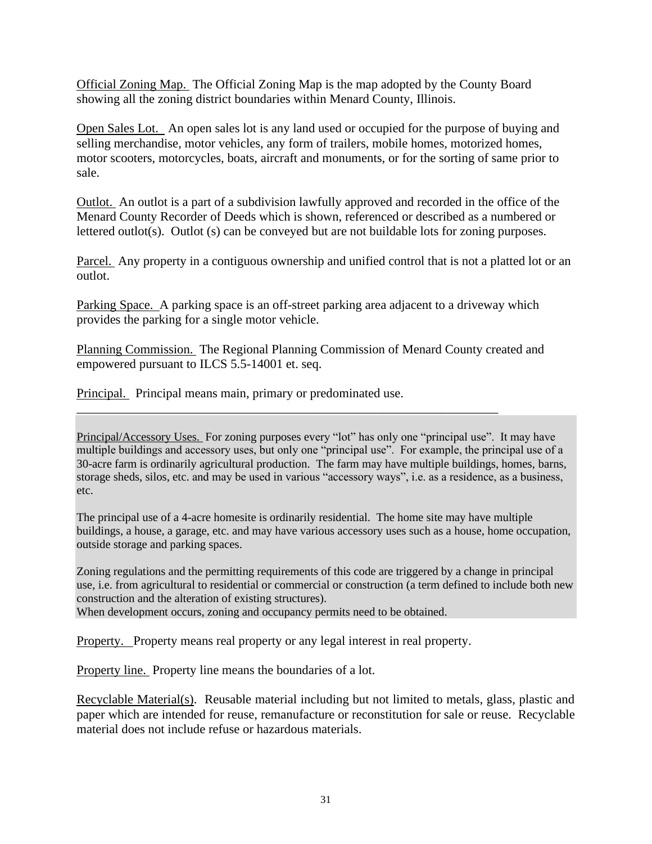Official Zoning Map. The Official Zoning Map is the map adopted by the County Board showing all the zoning district boundaries within Menard County, Illinois.

Open Sales Lot. An open sales lot is any land used or occupied for the purpose of buying and selling merchandise, motor vehicles, any form of trailers, mobile homes, motorized homes, motor scooters, motorcycles, boats, aircraft and monuments, or for the sorting of same prior to sale.

Outlot. An outlot is a part of a subdivision lawfully approved and recorded in the office of the Menard County Recorder of Deeds which is shown, referenced or described as a numbered or lettered outlot(s). Outlot (s) can be conveyed but are not buildable lots for zoning purposes.

Parcel. Any property in a contiguous ownership and unified control that is not a platted lot or an outlot.

Parking Space. A parking space is an off-street parking area adjacent to a driveway which provides the parking for a single motor vehicle.

Planning Commission. The Regional Planning Commission of Menard County created and empowered pursuant to ILCS 5.5-14001 et. seq.

\_\_\_\_\_\_\_\_\_\_\_\_\_\_\_\_\_\_\_\_\_\_\_\_\_\_\_\_\_\_\_\_\_\_\_\_\_\_\_\_\_\_\_\_\_\_\_\_\_\_\_\_\_\_\_\_\_\_\_\_\_\_\_\_\_\_

Principal. Principal means main, primary or predominated use.

Principal/Accessory Uses. For zoning purposes every "lot" has only one "principal use". It may have multiple buildings and accessory uses, but only one "principal use". For example, the principal use of a 30-acre farm is ordinarily agricultural production. The farm may have multiple buildings, homes, barns, storage sheds, silos, etc. and may be used in various "accessory ways", i.e. as a residence, as a business, etc.

The principal use of a 4-acre homesite is ordinarily residential. The home site may have multiple buildings, a house, a garage, etc. and may have various accessory uses such as a house, home occupation, outside storage and parking spaces.

Zoning regulations and the permitting requirements of this code are triggered by a change in principal use, i.e. from agricultural to residential or commercial or construction (a term defined to include both new construction and the alteration of existing structures). When development occurs, zoning and occupancy permits need to be obtained.

Property. Property means real property or any legal interest in real property.

Property line. Property line means the boundaries of a lot.

Recyclable Material(s). Reusable material including but not limited to metals, glass, plastic and paper which are intended for reuse, remanufacture or reconstitution for sale or reuse. Recyclable material does not include refuse or hazardous materials.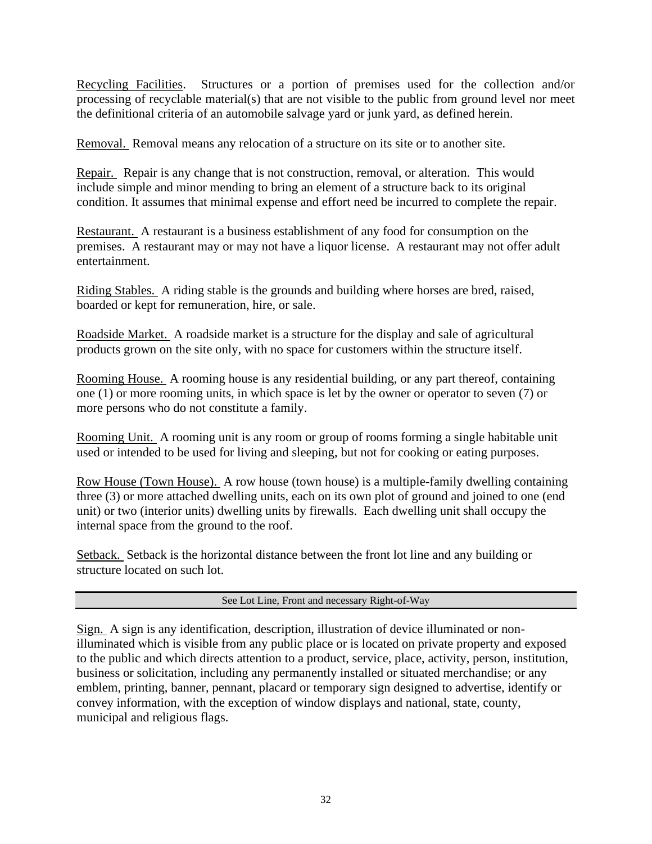Recycling Facilities. Structures or a portion of premises used for the collection and/or processing of recyclable material(s) that are not visible to the public from ground level nor meet the definitional criteria of an automobile salvage yard or junk yard, as defined herein.

Removal. Removal means any relocation of a structure on its site or to another site.

Repair. Repair is any change that is not construction, removal, or alteration. This would include simple and minor mending to bring an element of a structure back to its original condition. It assumes that minimal expense and effort need be incurred to complete the repair.

Restaurant. A restaurant is a business establishment of any food for consumption on the premises. A restaurant may or may not have a liquor license. A restaurant may not offer adult entertainment.

Riding Stables. A riding stable is the grounds and building where horses are bred, raised, boarded or kept for remuneration, hire, or sale.

Roadside Market. A roadside market is a structure for the display and sale of agricultural products grown on the site only, with no space for customers within the structure itself.

Rooming House. A rooming house is any residential building, or any part thereof, containing one (1) or more rooming units, in which space is let by the owner or operator to seven (7) or more persons who do not constitute a family.

Rooming Unit. A rooming unit is any room or group of rooms forming a single habitable unit used or intended to be used for living and sleeping, but not for cooking or eating purposes.

Row House (Town House). A row house (town house) is a multiple-family dwelling containing three (3) or more attached dwelling units, each on its own plot of ground and joined to one (end unit) or two (interior units) dwelling units by firewalls. Each dwelling unit shall occupy the internal space from the ground to the roof.

Setback. Setback is the horizontal distance between the front lot line and any building or structure located on such lot.

### See Lot Line, Front and necessary Right-of-Way

Sign. A sign is any identification, description, illustration of device illuminated or nonilluminated which is visible from any public place or is located on private property and exposed to the public and which directs attention to a product, service, place, activity, person, institution, business or solicitation, including any permanently installed or situated merchandise; or any emblem, printing, banner, pennant, placard or temporary sign designed to advertise, identify or convey information, with the exception of window displays and national, state, county, municipal and religious flags.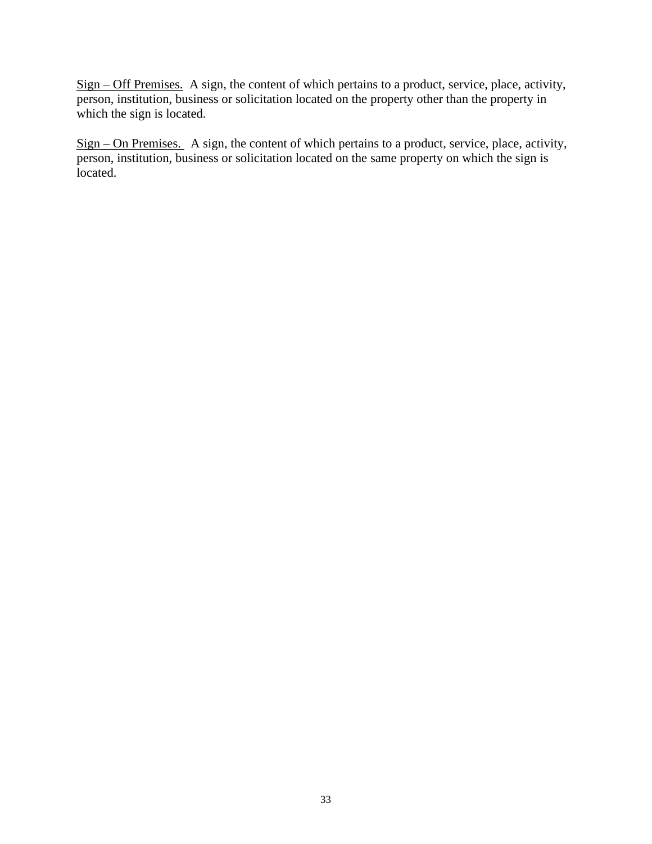Sign – Off Premises. A sign, the content of which pertains to a product, service, place, activity, person, institution, business or solicitation located on the property other than the property in which the sign is located.

Sign – On Premises. A sign, the content of which pertains to a product, service, place, activity, person, institution, business or solicitation located on the same property on which the sign is located.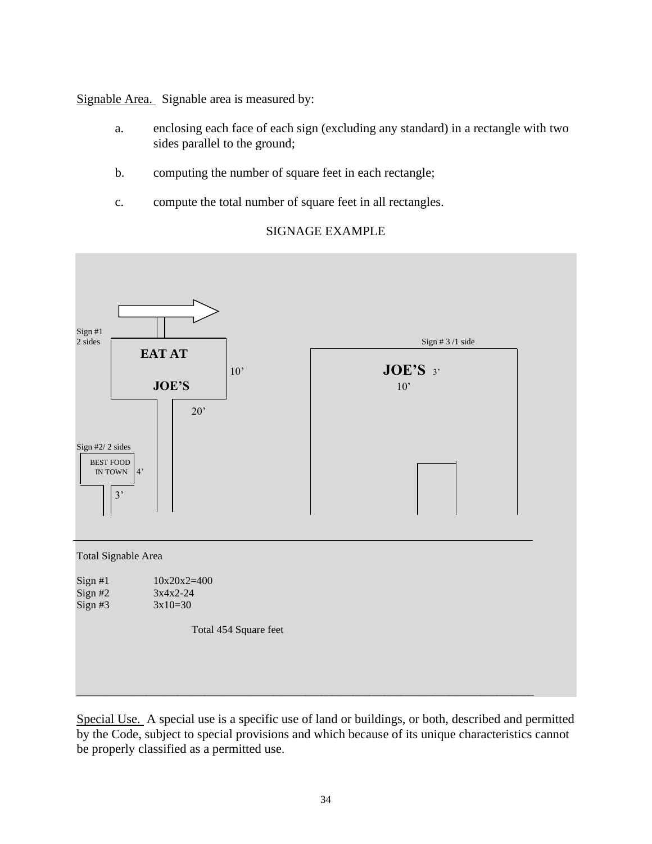Signable Area. Signable area is measured by:

- a. enclosing each face of each sign (excluding any standard) in a rectangle with two sides parallel to the ground;
- b. computing the number of square feet in each rectangle;
- c. compute the total number of square feet in all rectangles.





Special Use. A special use is a specific use of land or buildings, or both, described and permitted by the Code, subject to special provisions and which because of its unique characteristics cannot be properly classified as a permitted use.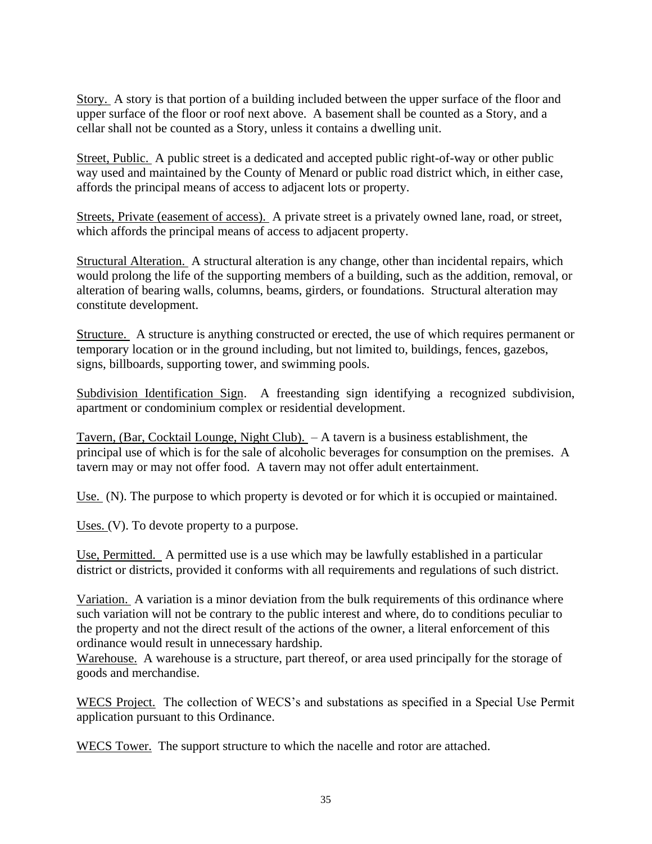Story. A story is that portion of a building included between the upper surface of the floor and upper surface of the floor or roof next above. A basement shall be counted as a Story, and a cellar shall not be counted as a Story, unless it contains a dwelling unit.

Street, Public. A public street is a dedicated and accepted public right-of-way or other public way used and maintained by the County of Menard or public road district which, in either case, affords the principal means of access to adjacent lots or property.

Streets, Private (easement of access). A private street is a privately owned lane, road, or street, which affords the principal means of access to adjacent property.

Structural Alteration. A structural alteration is any change, other than incidental repairs, which would prolong the life of the supporting members of a building, such as the addition, removal, or alteration of bearing walls, columns, beams, girders, or foundations. Structural alteration may constitute development.

Structure. A structure is anything constructed or erected, the use of which requires permanent or temporary location or in the ground including, but not limited to, buildings, fences, gazebos, signs, billboards, supporting tower, and swimming pools.

Subdivision Identification Sign. A freestanding sign identifying a recognized subdivision, apartment or condominium complex or residential development.

Tavern, (Bar, Cocktail Lounge, Night Club). – A tavern is a business establishment, the principal use of which is for the sale of alcoholic beverages for consumption on the premises. A tavern may or may not offer food. A tavern may not offer adult entertainment.

Use. (N). The purpose to which property is devoted or for which it is occupied or maintained.

Uses. (V). To devote property to a purpose.

Use, Permitted. A permitted use is a use which may be lawfully established in a particular district or districts, provided it conforms with all requirements and regulations of such district.

Variation. A variation is a minor deviation from the bulk requirements of this ordinance where such variation will not be contrary to the public interest and where, do to conditions peculiar to the property and not the direct result of the actions of the owner, a literal enforcement of this ordinance would result in unnecessary hardship.

Warehouse. A warehouse is a structure, part thereof, or area used principally for the storage of goods and merchandise.

WECS Project. The collection of WECS's and substations as specified in a Special Use Permit application pursuant to this Ordinance.

WECS Tower. The support structure to which the nacelle and rotor are attached.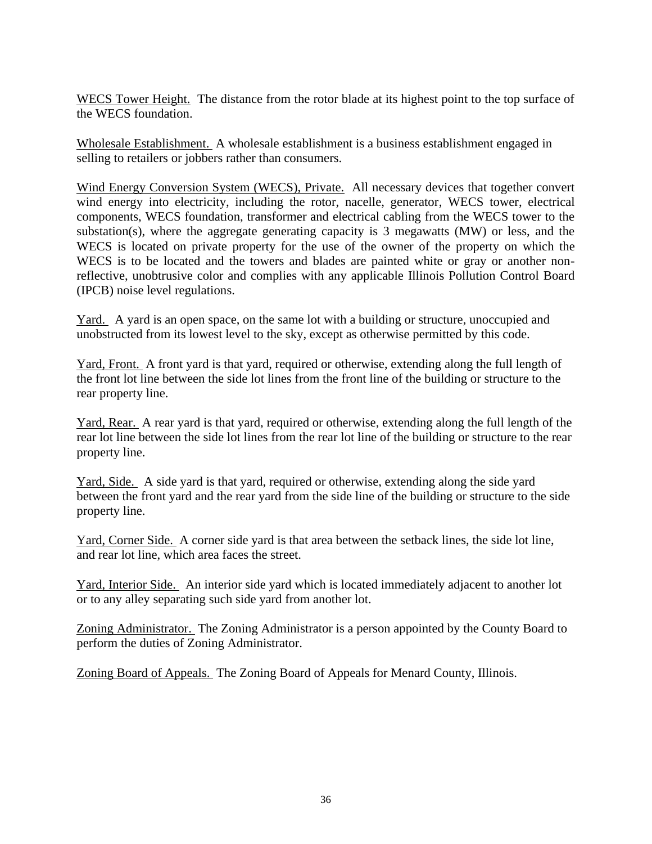WECS Tower Height. The distance from the rotor blade at its highest point to the top surface of the WECS foundation.

Wholesale Establishment. A wholesale establishment is a business establishment engaged in selling to retailers or jobbers rather than consumers.

Wind Energy Conversion System (WECS), Private. All necessary devices that together convert wind energy into electricity, including the rotor, nacelle, generator, WECS tower, electrical components, WECS foundation, transformer and electrical cabling from the WECS tower to the substation(s), where the aggregate generating capacity is 3 megawatts (MW) or less, and the WECS is located on private property for the use of the owner of the property on which the WECS is to be located and the towers and blades are painted white or gray or another nonreflective, unobtrusive color and complies with any applicable Illinois Pollution Control Board (IPCB) noise level regulations.

Yard. A yard is an open space, on the same lot with a building or structure, unoccupied and unobstructed from its lowest level to the sky, except as otherwise permitted by this code.

Yard, Front. A front yard is that yard, required or otherwise, extending along the full length of the front lot line between the side lot lines from the front line of the building or structure to the rear property line.

Yard, Rear. A rear yard is that yard, required or otherwise, extending along the full length of the rear lot line between the side lot lines from the rear lot line of the building or structure to the rear property line.

Yard, Side. A side yard is that yard, required or otherwise, extending along the side yard between the front yard and the rear yard from the side line of the building or structure to the side property line.

Yard, Corner Side. A corner side yard is that area between the setback lines, the side lot line, and rear lot line, which area faces the street.

Yard, Interior Side. An interior side yard which is located immediately adjacent to another lot or to any alley separating such side yard from another lot.

Zoning Administrator. The Zoning Administrator is a person appointed by the County Board to perform the duties of Zoning Administrator.

Zoning Board of Appeals. The Zoning Board of Appeals for Menard County, Illinois.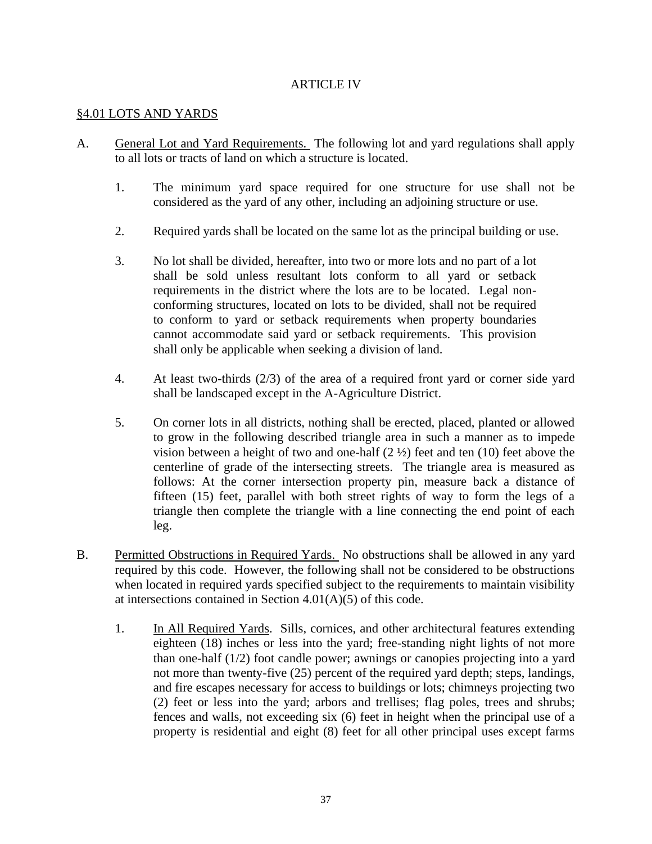## ARTICLE IV

### §4.01 LOTS AND YARDS

- A. General Lot and Yard Requirements. The following lot and yard regulations shall apply to all lots or tracts of land on which a structure is located.
	- 1. The minimum yard space required for one structure for use shall not be considered as the yard of any other, including an adjoining structure or use.
	- 2. Required yards shall be located on the same lot as the principal building or use.
	- 3. No lot shall be divided, hereafter, into two or more lots and no part of a lot shall be sold unless resultant lots conform to all yard or setback requirements in the district where the lots are to be located. Legal nonconforming structures, located on lots to be divided, shall not be required to conform to yard or setback requirements when property boundaries cannot accommodate said yard or setback requirements. This provision shall only be applicable when seeking a division of land.
	- 4. At least two-thirds (2/3) of the area of a required front yard or corner side yard shall be landscaped except in the A-Agriculture District.
	- 5. On corner lots in all districts, nothing shall be erected, placed, planted or allowed to grow in the following described triangle area in such a manner as to impede vision between a height of two and one-half  $(2 \frac{1}{2})$  feet and ten  $(10)$  feet above the centerline of grade of the intersecting streets. The triangle area is measured as follows: At the corner intersection property pin, measure back a distance of fifteen (15) feet, parallel with both street rights of way to form the legs of a triangle then complete the triangle with a line connecting the end point of each leg.
- B. Permitted Obstructions in Required Yards. No obstructions shall be allowed in any yard required by this code. However, the following shall not be considered to be obstructions when located in required yards specified subject to the requirements to maintain visibility at intersections contained in Section 4.01(A)(5) of this code.
	- 1. In All Required Yards. Sills, cornices, and other architectural features extending eighteen (18) inches or less into the yard; free-standing night lights of not more than one-half (1/2) foot candle power; awnings or canopies projecting into a yard not more than twenty-five (25) percent of the required yard depth; steps, landings, and fire escapes necessary for access to buildings or lots; chimneys projecting two (2) feet or less into the yard; arbors and trellises; flag poles, trees and shrubs; fences and walls, not exceeding six (6) feet in height when the principal use of a property is residential and eight (8) feet for all other principal uses except farms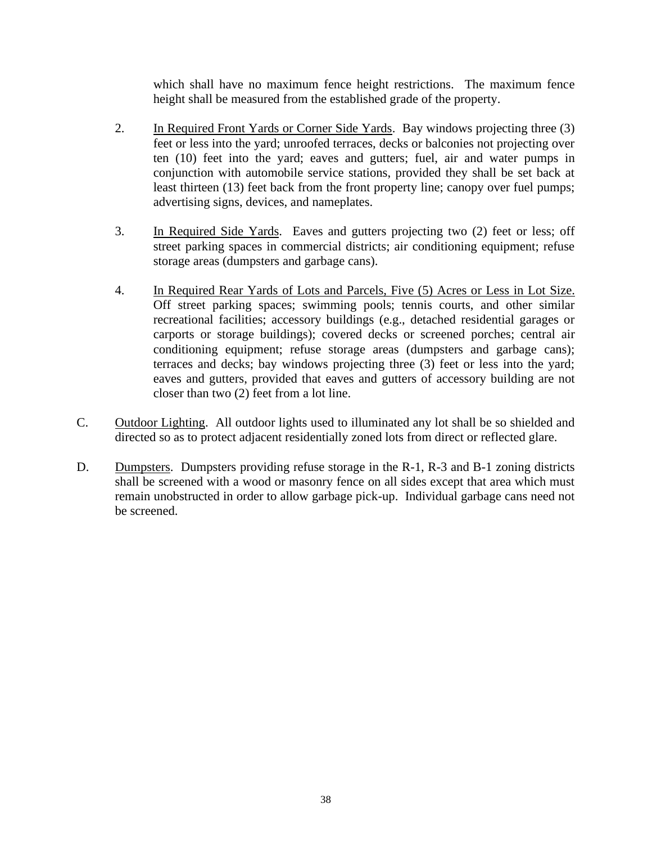which shall have no maximum fence height restrictions. The maximum fence height shall be measured from the established grade of the property.

- 2. In Required Front Yards or Corner Side Yards. Bay windows projecting three (3) feet or less into the yard; unroofed terraces, decks or balconies not projecting over ten (10) feet into the yard; eaves and gutters; fuel, air and water pumps in conjunction with automobile service stations, provided they shall be set back at least thirteen (13) feet back from the front property line; canopy over fuel pumps; advertising signs, devices, and nameplates.
- 3. In Required Side Yards. Eaves and gutters projecting two (2) feet or less; off street parking spaces in commercial districts; air conditioning equipment; refuse storage areas (dumpsters and garbage cans).
- 4. In Required Rear Yards of Lots and Parcels, Five (5) Acres or Less in Lot Size. Off street parking spaces; swimming pools; tennis courts, and other similar recreational facilities; accessory buildings (e.g., detached residential garages or carports or storage buildings); covered decks or screened porches; central air conditioning equipment; refuse storage areas (dumpsters and garbage cans); terraces and decks; bay windows projecting three (3) feet or less into the yard; eaves and gutters, provided that eaves and gutters of accessory building are not closer than two (2) feet from a lot line.
- C. Outdoor Lighting. All outdoor lights used to illuminated any lot shall be so shielded and directed so as to protect adjacent residentially zoned lots from direct or reflected glare.
- D. Dumpsters. Dumpsters providing refuse storage in the R-1, R-3 and B-1 zoning districts shall be screened with a wood or masonry fence on all sides except that area which must remain unobstructed in order to allow garbage pick-up. Individual garbage cans need not be screened.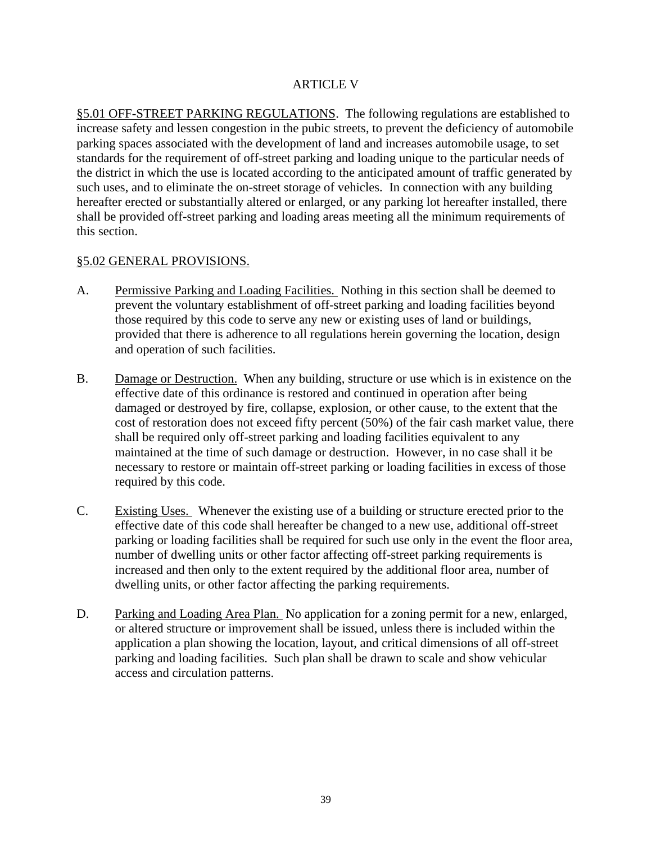## ARTICLE V

§5.01 OFF-STREET PARKING REGULATIONS. The following regulations are established to increase safety and lessen congestion in the pubic streets, to prevent the deficiency of automobile parking spaces associated with the development of land and increases automobile usage, to set standards for the requirement of off-street parking and loading unique to the particular needs of the district in which the use is located according to the anticipated amount of traffic generated by such uses, and to eliminate the on-street storage of vehicles. In connection with any building hereafter erected or substantially altered or enlarged, or any parking lot hereafter installed, there shall be provided off-street parking and loading areas meeting all the minimum requirements of this section.

### §5.02 GENERAL PROVISIONS.

- A. Permissive Parking and Loading Facilities. Nothing in this section shall be deemed to prevent the voluntary establishment of off-street parking and loading facilities beyond those required by this code to serve any new or existing uses of land or buildings, provided that there is adherence to all regulations herein governing the location, design and operation of such facilities.
- B. Damage or Destruction. When any building, structure or use which is in existence on the effective date of this ordinance is restored and continued in operation after being damaged or destroyed by fire, collapse, explosion, or other cause, to the extent that the cost of restoration does not exceed fifty percent (50%) of the fair cash market value, there shall be required only off-street parking and loading facilities equivalent to any maintained at the time of such damage or destruction. However, in no case shall it be necessary to restore or maintain off-street parking or loading facilities in excess of those required by this code.
- C. Existing Uses. Whenever the existing use of a building or structure erected prior to the effective date of this code shall hereafter be changed to a new use, additional off-street parking or loading facilities shall be required for such use only in the event the floor area, number of dwelling units or other factor affecting off-street parking requirements is increased and then only to the extent required by the additional floor area, number of dwelling units, or other factor affecting the parking requirements.
- D. Parking and Loading Area Plan. No application for a zoning permit for a new, enlarged, or altered structure or improvement shall be issued, unless there is included within the application a plan showing the location, layout, and critical dimensions of all off-street parking and loading facilities. Such plan shall be drawn to scale and show vehicular access and circulation patterns.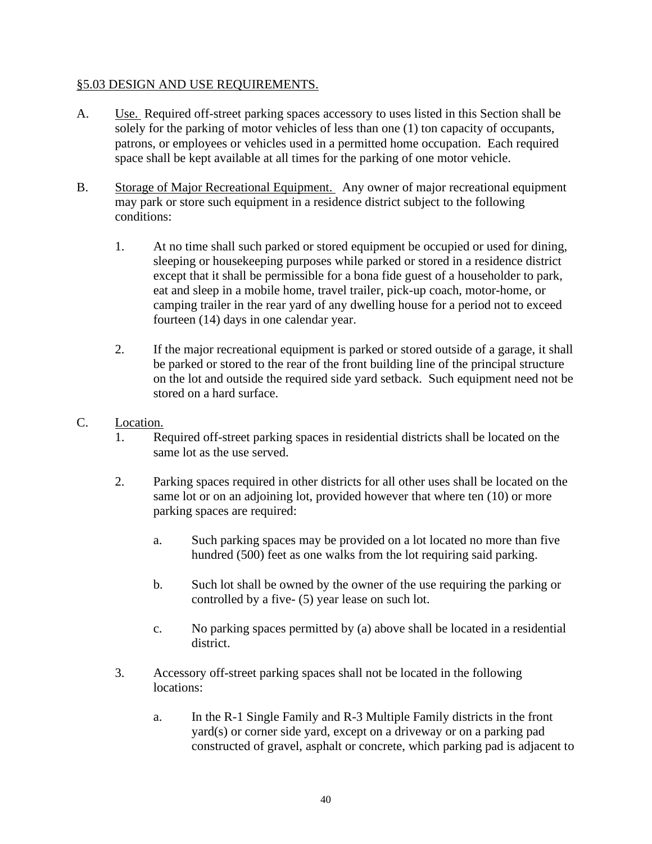## §5.03 DESIGN AND USE REQUIREMENTS.

- A. Use. Required off-street parking spaces accessory to uses listed in this Section shall be solely for the parking of motor vehicles of less than one (1) ton capacity of occupants, patrons, or employees or vehicles used in a permitted home occupation. Each required space shall be kept available at all times for the parking of one motor vehicle.
- B. Storage of Major Recreational Equipment. Any owner of major recreational equipment may park or store such equipment in a residence district subject to the following conditions:
	- 1. At no time shall such parked or stored equipment be occupied or used for dining, sleeping or housekeeping purposes while parked or stored in a residence district except that it shall be permissible for a bona fide guest of a householder to park, eat and sleep in a mobile home, travel trailer, pick-up coach, motor-home, or camping trailer in the rear yard of any dwelling house for a period not to exceed fourteen (14) days in one calendar year.
	- 2. If the major recreational equipment is parked or stored outside of a garage, it shall be parked or stored to the rear of the front building line of the principal structure on the lot and outside the required side yard setback. Such equipment need not be stored on a hard surface.
- C. Location.
	- 1. Required off-street parking spaces in residential districts shall be located on the same lot as the use served.
	- 2. Parking spaces required in other districts for all other uses shall be located on the same lot or on an adjoining lot, provided however that where ten (10) or more parking spaces are required:
		- a. Such parking spaces may be provided on a lot located no more than five hundred (500) feet as one walks from the lot requiring said parking.
		- b. Such lot shall be owned by the owner of the use requiring the parking or controlled by a five- (5) year lease on such lot.
		- c. No parking spaces permitted by (a) above shall be located in a residential district.
	- 3. Accessory off-street parking spaces shall not be located in the following locations:
		- a. In the R-1 Single Family and R-3 Multiple Family districts in the front yard(s) or corner side yard, except on a driveway or on a parking pad constructed of gravel, asphalt or concrete, which parking pad is adjacent to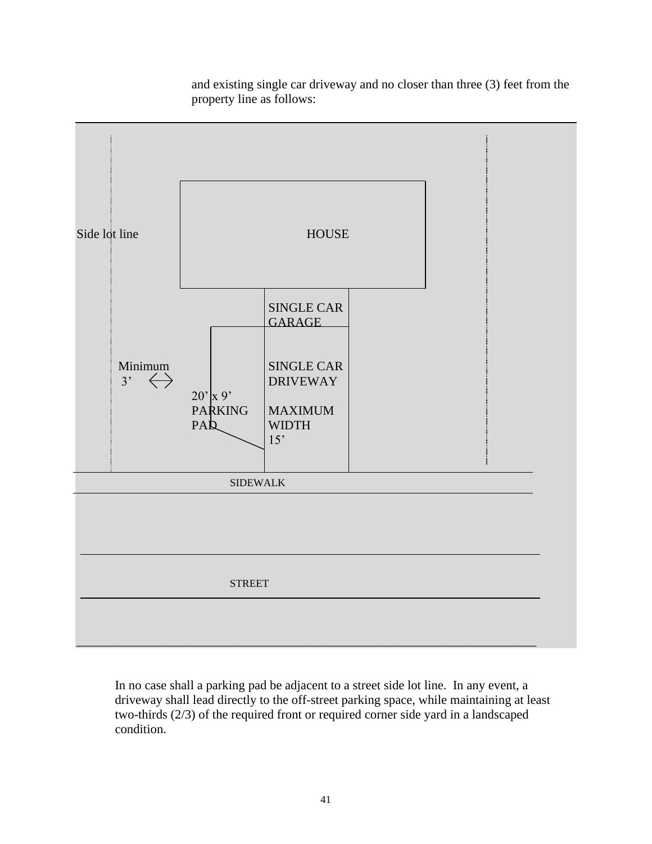

and existing single car driveway and no closer than three (3) feet from the property line as follows:

In no case shall a parking pad be adjacent to a street side lot line. In any event, a driveway shall lead directly to the off-street parking space, while maintaining at least two-thirds (2/3) of the required front or required corner side yard in a landscaped condition.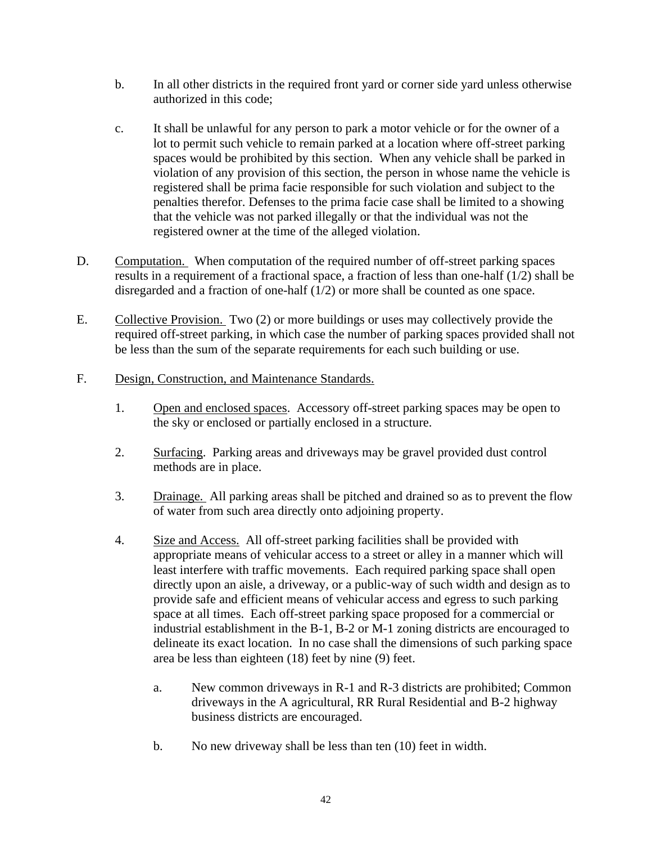- b. In all other districts in the required front yard or corner side yard unless otherwise authorized in this code;
- c. It shall be unlawful for any person to park a motor vehicle or for the owner of a lot to permit such vehicle to remain parked at a location where off-street parking spaces would be prohibited by this section. When any vehicle shall be parked in violation of any provision of this section, the person in whose name the vehicle is registered shall be prima facie responsible for such violation and subject to the penalties therefor. Defenses to the prima facie case shall be limited to a showing that the vehicle was not parked illegally or that the individual was not the registered owner at the time of the alleged violation.
- D. Computation. When computation of the required number of off-street parking spaces results in a requirement of a fractional space, a fraction of less than one-half (1/2) shall be disregarded and a fraction of one-half (1/2) or more shall be counted as one space.
- E. Collective Provision. Two (2) or more buildings or uses may collectively provide the required off-street parking, in which case the number of parking spaces provided shall not be less than the sum of the separate requirements for each such building or use.
- F. Design, Construction, and Maintenance Standards.
	- 1. Open and enclosed spaces. Accessory off-street parking spaces may be open to the sky or enclosed or partially enclosed in a structure.
	- 2. Surfacing. Parking areas and driveways may be gravel provided dust control methods are in place.
	- 3. Drainage. All parking areas shall be pitched and drained so as to prevent the flow of water from such area directly onto adjoining property.
	- 4. Size and Access. All off-street parking facilities shall be provided with appropriate means of vehicular access to a street or alley in a manner which will least interfere with traffic movements. Each required parking space shall open directly upon an aisle, a driveway, or a public-way of such width and design as to provide safe and efficient means of vehicular access and egress to such parking space at all times. Each off-street parking space proposed for a commercial or industrial establishment in the B-1, B-2 or M-1 zoning districts are encouraged to delineate its exact location. In no case shall the dimensions of such parking space area be less than eighteen (18) feet by nine (9) feet.
		- a. New common driveways in R-1 and R-3 districts are prohibited; Common driveways in the A agricultural, RR Rural Residential and B-2 highway business districts are encouraged.
		- b. No new driveway shall be less than ten (10) feet in width.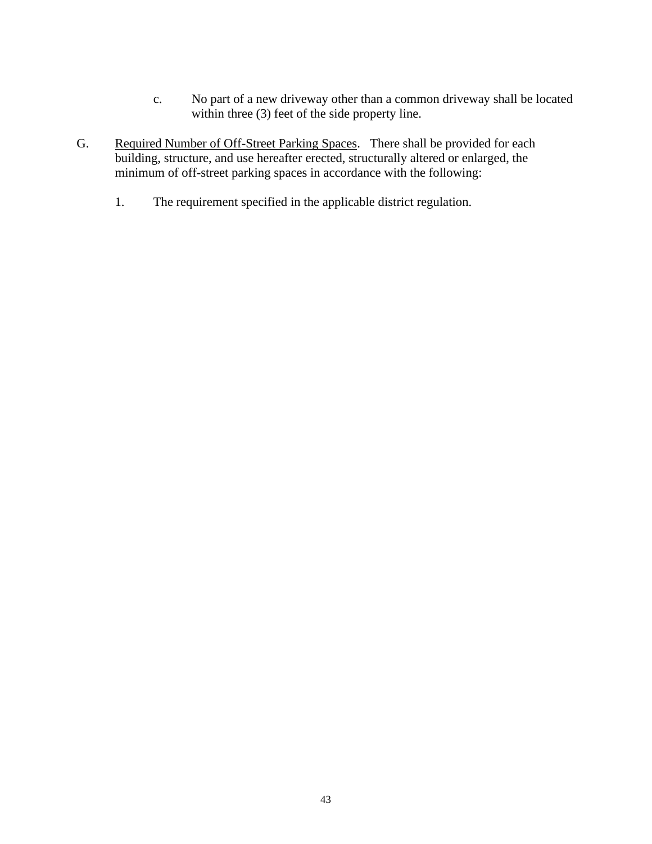- c. No part of a new driveway other than a common driveway shall be located within three (3) feet of the side property line.
- G. Required Number of Off-Street Parking Spaces. There shall be provided for each building, structure, and use hereafter erected, structurally altered or enlarged, the minimum of off-street parking spaces in accordance with the following:
	- 1. The requirement specified in the applicable district regulation.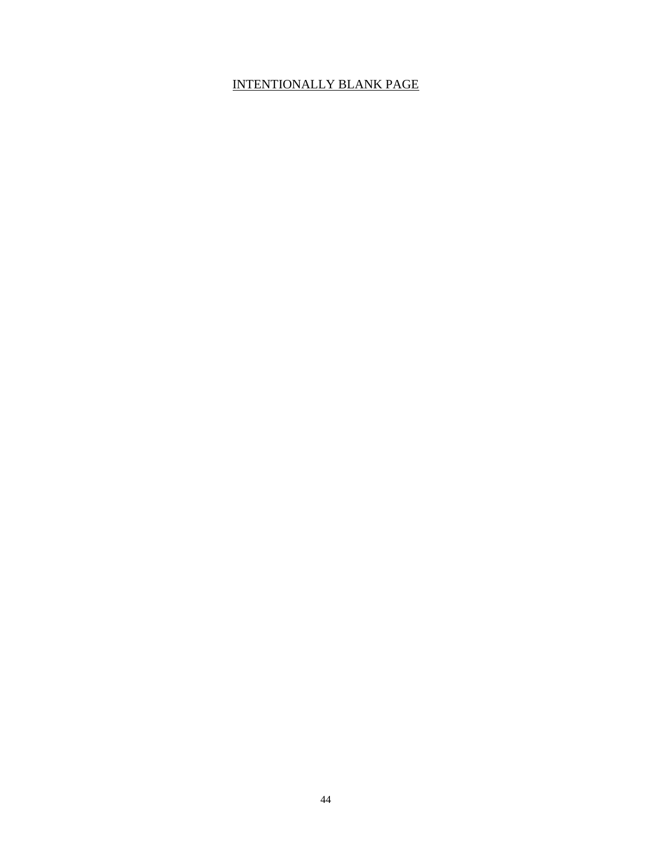# INTENTIONALLY BLANK PAGE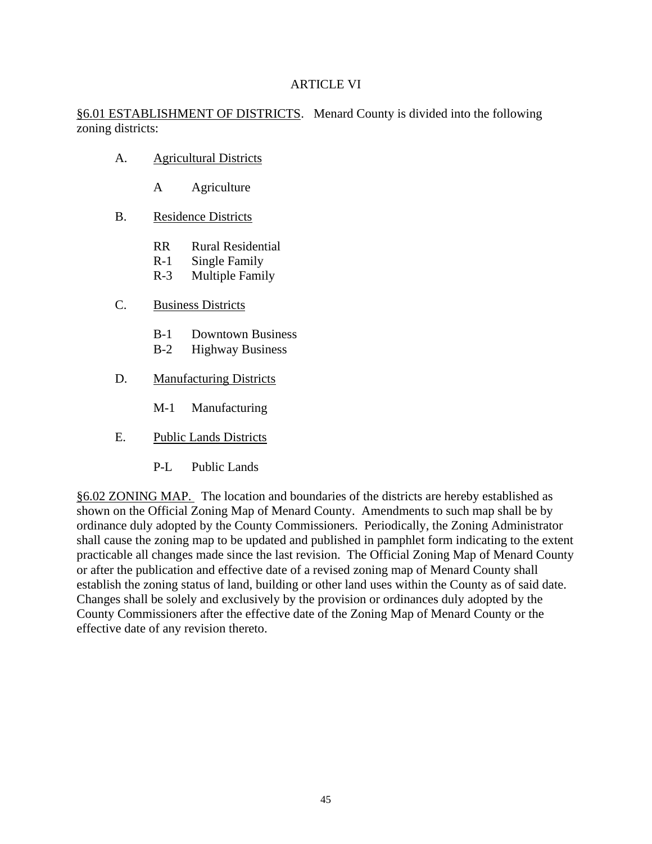### ARTICLE VI

§6.01 ESTABLISHMENT OF DISTRICTS. Menard County is divided into the following zoning districts:

- A. Agricultural Districts
	- A Agriculture
- B. Residence Districts
	- RR Rural Residential
	- R-1 Single Family
	- R-3 Multiple Family
- C. Business Districts
	- B-1 Downtown Business
	- B-2 Highway Business
- D. Manufacturing Districts
	- M-1 Manufacturing
- E. Public Lands Districts
	- P-L Public Lands

§6.02 ZONING MAP. The location and boundaries of the districts are hereby established as shown on the Official Zoning Map of Menard County. Amendments to such map shall be by ordinance duly adopted by the County Commissioners. Periodically, the Zoning Administrator shall cause the zoning map to be updated and published in pamphlet form indicating to the extent practicable all changes made since the last revision. The Official Zoning Map of Menard County or after the publication and effective date of a revised zoning map of Menard County shall establish the zoning status of land, building or other land uses within the County as of said date. Changes shall be solely and exclusively by the provision or ordinances duly adopted by the County Commissioners after the effective date of the Zoning Map of Menard County or the effective date of any revision thereto.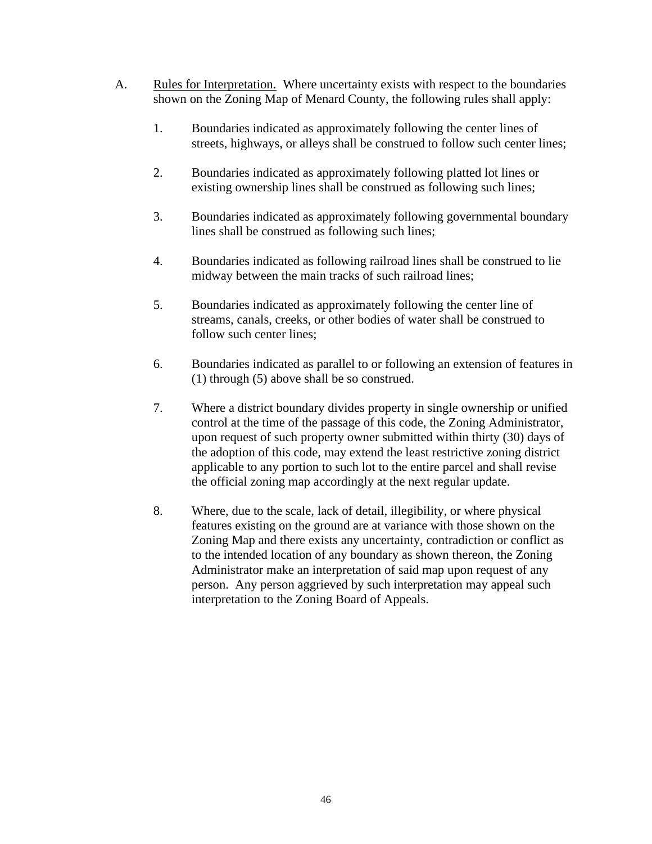- A. Rules for Interpretation. Where uncertainty exists with respect to the boundaries shown on the Zoning Map of Menard County, the following rules shall apply:
	- 1. Boundaries indicated as approximately following the center lines of streets, highways, or alleys shall be construed to follow such center lines;
	- 2. Boundaries indicated as approximately following platted lot lines or existing ownership lines shall be construed as following such lines;
	- 3. Boundaries indicated as approximately following governmental boundary lines shall be construed as following such lines;
	- 4. Boundaries indicated as following railroad lines shall be construed to lie midway between the main tracks of such railroad lines;
	- 5. Boundaries indicated as approximately following the center line of streams, canals, creeks, or other bodies of water shall be construed to follow such center lines;
	- 6. Boundaries indicated as parallel to or following an extension of features in (1) through (5) above shall be so construed.
	- 7. Where a district boundary divides property in single ownership or unified control at the time of the passage of this code, the Zoning Administrator, upon request of such property owner submitted within thirty (30) days of the adoption of this code, may extend the least restrictive zoning district applicable to any portion to such lot to the entire parcel and shall revise the official zoning map accordingly at the next regular update.
	- 8. Where, due to the scale, lack of detail, illegibility, or where physical features existing on the ground are at variance with those shown on the Zoning Map and there exists any uncertainty, contradiction or conflict as to the intended location of any boundary as shown thereon, the Zoning Administrator make an interpretation of said map upon request of any person. Any person aggrieved by such interpretation may appeal such interpretation to the Zoning Board of Appeals.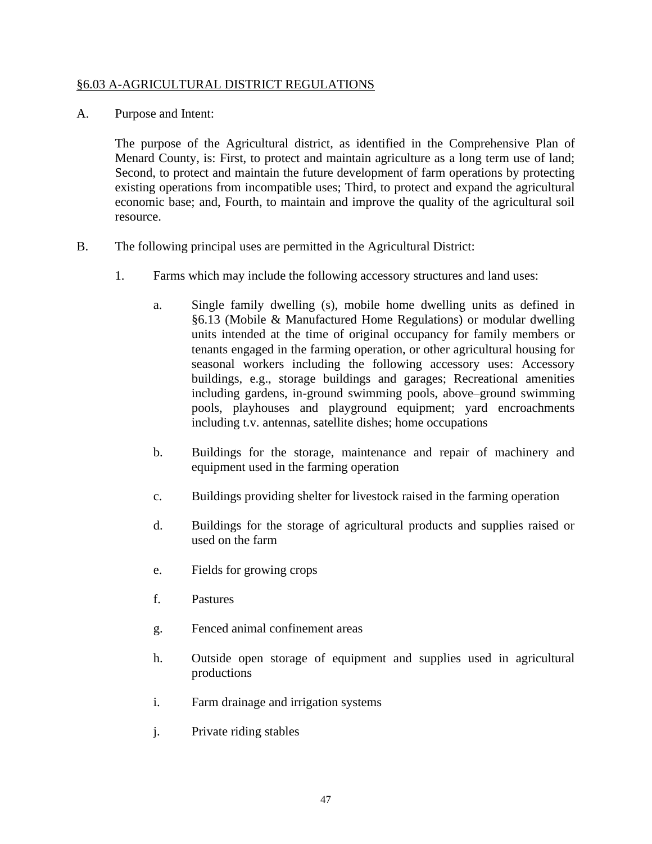### §6.03 A-AGRICULTURAL DISTRICT REGULATIONS

A. Purpose and Intent:

The purpose of the Agricultural district, as identified in the Comprehensive Plan of Menard County, is: First, to protect and maintain agriculture as a long term use of land; Second, to protect and maintain the future development of farm operations by protecting existing operations from incompatible uses; Third, to protect and expand the agricultural economic base; and, Fourth, to maintain and improve the quality of the agricultural soil resource.

- B. The following principal uses are permitted in the Agricultural District:
	- 1. Farms which may include the following accessory structures and land uses:
		- a. Single family dwelling (s), mobile home dwelling units as defined in §6.13 (Mobile & Manufactured Home Regulations) or modular dwelling units intended at the time of original occupancy for family members or tenants engaged in the farming operation, or other agricultural housing for seasonal workers including the following accessory uses: Accessory buildings, e.g., storage buildings and garages; Recreational amenities including gardens, in-ground swimming pools, above–ground swimming pools, playhouses and playground equipment; yard encroachments including t.v. antennas, satellite dishes; home occupations
		- b. Buildings for the storage, maintenance and repair of machinery and equipment used in the farming operation
		- c. Buildings providing shelter for livestock raised in the farming operation
		- d. Buildings for the storage of agricultural products and supplies raised or used on the farm
		- e. Fields for growing crops
		- f. Pastures
		- g. Fenced animal confinement areas
		- h. Outside open storage of equipment and supplies used in agricultural productions
		- i. Farm drainage and irrigation systems
		- j. Private riding stables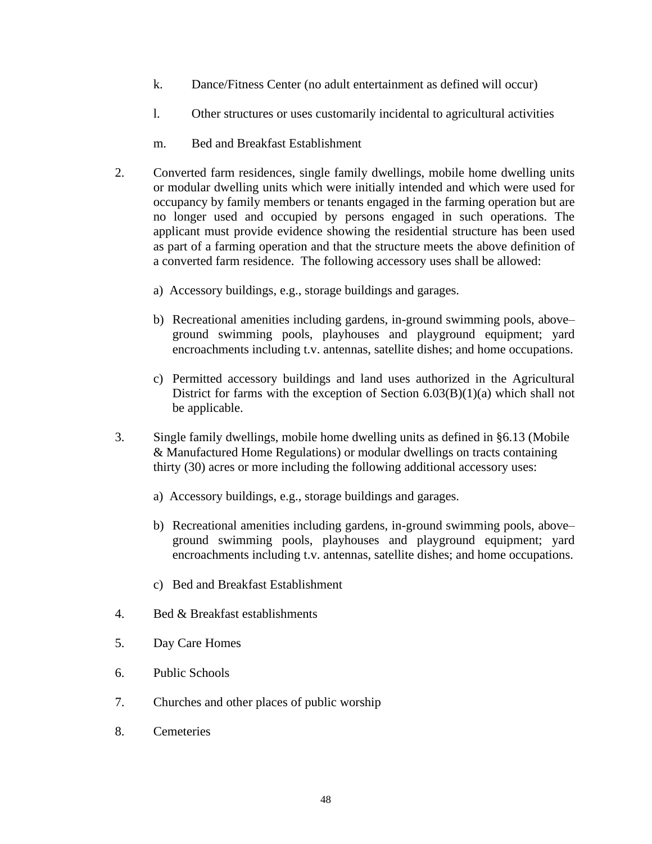- k. Dance/Fitness Center (no adult entertainment as defined will occur)
- l. Other structures or uses customarily incidental to agricultural activities
- m. Bed and Breakfast Establishment
- 2. Converted farm residences, single family dwellings, mobile home dwelling units or modular dwelling units which were initially intended and which were used for occupancy by family members or tenants engaged in the farming operation but are no longer used and occupied by persons engaged in such operations. The applicant must provide evidence showing the residential structure has been used as part of a farming operation and that the structure meets the above definition of a converted farm residence. The following accessory uses shall be allowed:
	- a) Accessory buildings, e.g., storage buildings and garages.
	- b) Recreational amenities including gardens, in-ground swimming pools, above– ground swimming pools, playhouses and playground equipment; yard encroachments including t.v. antennas, satellite dishes; and home occupations.
	- c) Permitted accessory buildings and land uses authorized in the Agricultural District for farms with the exception of Section 6.03(B)(1)(a) which shall not be applicable.
- 3. Single family dwellings, mobile home dwelling units as defined in §6.13 (Mobile & Manufactured Home Regulations) or modular dwellings on tracts containing thirty (30) acres or more including the following additional accessory uses:
	- a) Accessory buildings, e.g., storage buildings and garages.
	- b) Recreational amenities including gardens, in-ground swimming pools, above– ground swimming pools, playhouses and playground equipment; yard encroachments including t.v. antennas, satellite dishes; and home occupations.
	- c) Bed and Breakfast Establishment
- 4. Bed & Breakfast establishments
- 5. Day Care Homes
- 6. Public Schools
- 7. Churches and other places of public worship
- 8. Cemeteries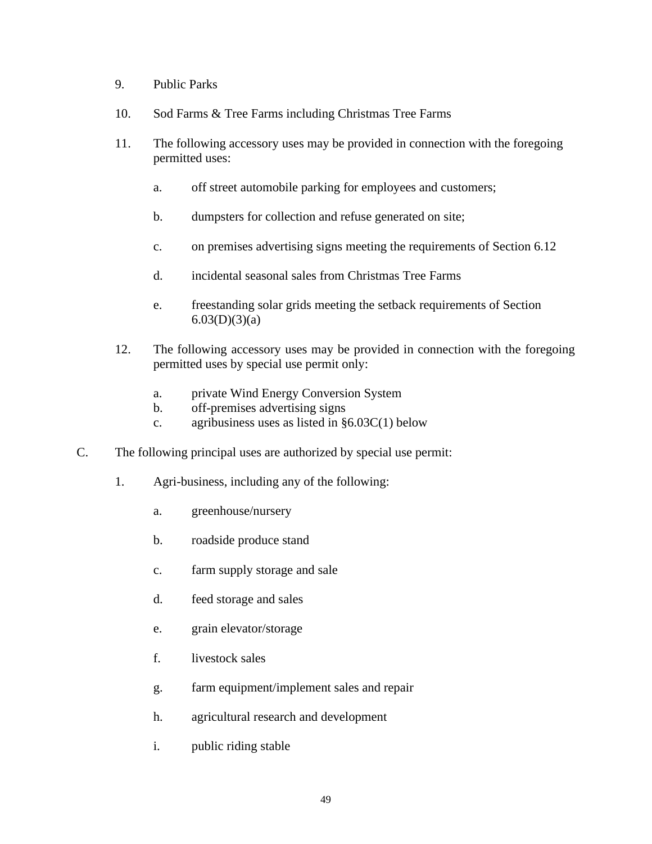- 9. Public Parks
- 10. Sod Farms & Tree Farms including Christmas Tree Farms
- 11. The following accessory uses may be provided in connection with the foregoing permitted uses:
	- a. off street automobile parking for employees and customers;
	- b. dumpsters for collection and refuse generated on site;
	- c. on premises advertising signs meeting the requirements of Section 6.12
	- d. incidental seasonal sales from Christmas Tree Farms
	- e. freestanding solar grids meeting the setback requirements of Section  $6.03(D)(3)(a)$
- 12. The following accessory uses may be provided in connection with the foregoing permitted uses by special use permit only:
	- a. private Wind Energy Conversion System
	- b. off-premises advertising signs
	- c. agribusiness uses as listed in §6.03C(1) below
- C. The following principal uses are authorized by special use permit:
	- 1. Agri-business, including any of the following:
		- a. greenhouse/nursery
		- b. roadside produce stand
		- c. farm supply storage and sale
		- d. feed storage and sales
		- e. grain elevator/storage
		- f. livestock sales
		- g. farm equipment/implement sales and repair
		- h. agricultural research and development
		- i. public riding stable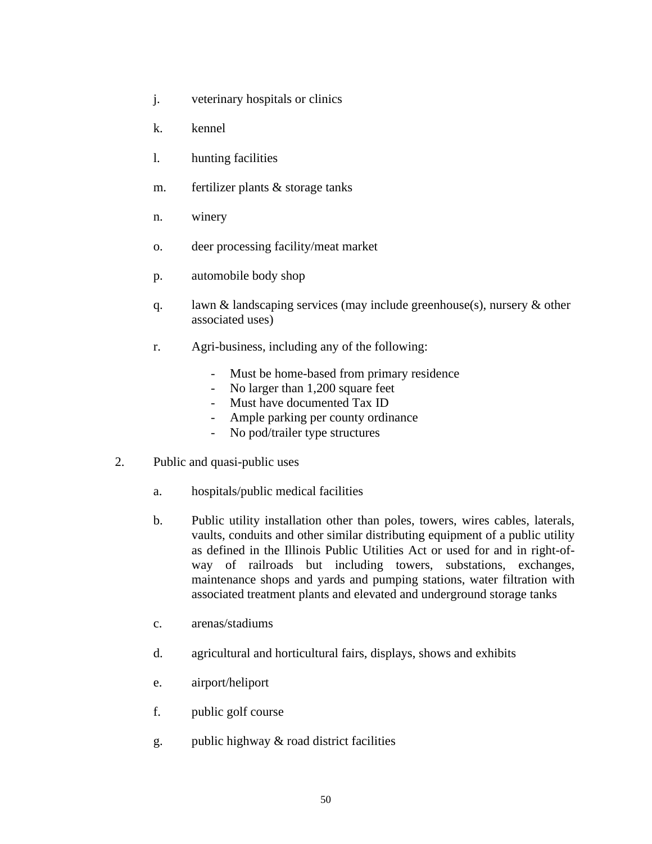- j. veterinary hospitals or clinics
- k. kennel
- l. hunting facilities
- m. fertilizer plants & storage tanks
- n. winery
- o. deer processing facility/meat market
- p. automobile body shop
- q. lawn & landscaping services (may include greenhouse(s), nursery & other associated uses)
- r. Agri-business, including any of the following:
	- Must be home-based from primary residence
	- No larger than 1,200 square feet
	- Must have documented Tax ID
	- Ample parking per county ordinance
	- No pod/trailer type structures
- 2. Public and quasi-public uses
	- a. hospitals/public medical facilities
	- b. Public utility installation other than poles, towers, wires cables, laterals, vaults, conduits and other similar distributing equipment of a public utility as defined in the Illinois Public Utilities Act or used for and in right-ofway of railroads but including towers, substations, exchanges, maintenance shops and yards and pumping stations, water filtration with associated treatment plants and elevated and underground storage tanks
	- c. arenas/stadiums
	- d. agricultural and horticultural fairs, displays, shows and exhibits
	- e. airport/heliport
	- f. public golf course
	- g. public highway & road district facilities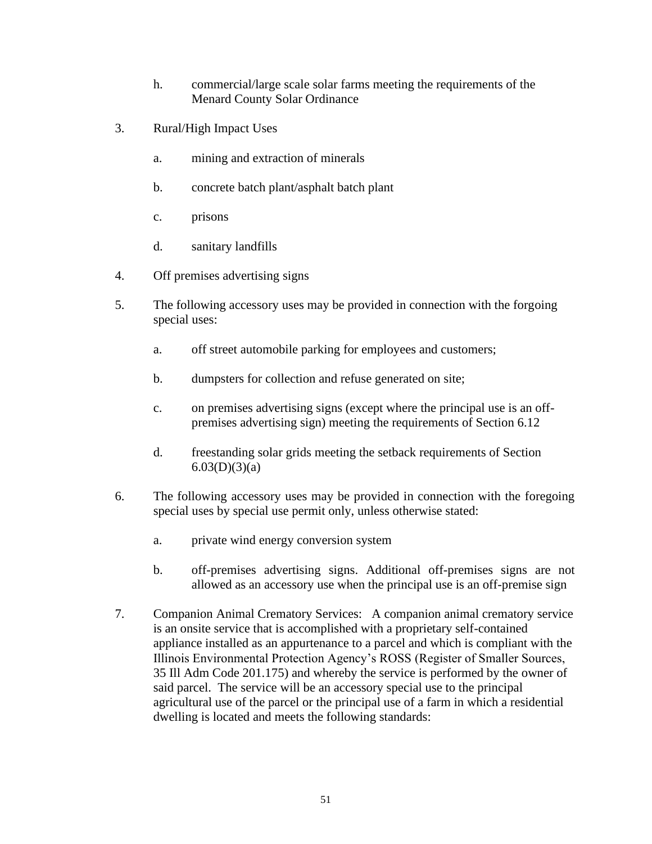- h. commercial/large scale solar farms meeting the requirements of the Menard County Solar Ordinance
- 3. Rural/High Impact Uses
	- a. mining and extraction of minerals
	- b. concrete batch plant/asphalt batch plant
	- c. prisons
	- d. sanitary landfills
- 4. Off premises advertising signs
- 5. The following accessory uses may be provided in connection with the forgoing special uses:
	- a. off street automobile parking for employees and customers;
	- b. dumpsters for collection and refuse generated on site;
	- c. on premises advertising signs (except where the principal use is an offpremises advertising sign) meeting the requirements of Section 6.12
	- d. freestanding solar grids meeting the setback requirements of Section  $6.03(D)(3)(a)$
- 6. The following accessory uses may be provided in connection with the foregoing special uses by special use permit only, unless otherwise stated:
	- a. private wind energy conversion system
	- b. off-premises advertising signs. Additional off-premises signs are not allowed as an accessory use when the principal use is an off-premise sign
- 7. Companion Animal Crematory Services: A companion animal crematory service is an onsite service that is accomplished with a proprietary self-contained appliance installed as an appurtenance to a parcel and which is compliant with the Illinois Environmental Protection Agency's ROSS (Register of Smaller Sources, 35 Ill Adm Code 201.175) and whereby the service is performed by the owner of said parcel. The service will be an accessory special use to the principal agricultural use of the parcel or the principal use of a farm in which a residential dwelling is located and meets the following standards: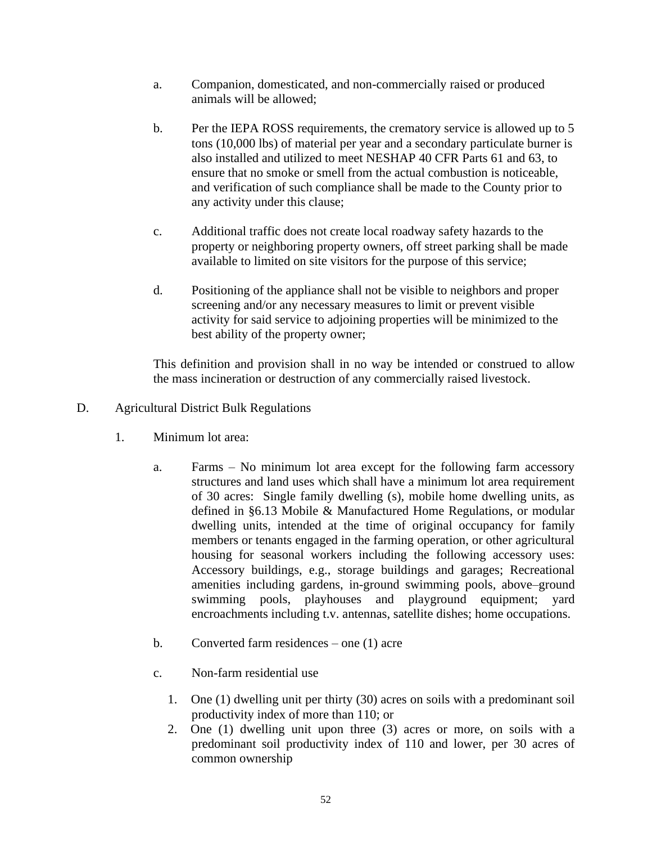- a. Companion, domesticated, and non-commercially raised or produced animals will be allowed;
- b. Per the IEPA ROSS requirements, the crematory service is allowed up to 5 tons (10,000 lbs) of material per year and a secondary particulate burner is also installed and utilized to meet NESHAP 40 CFR Parts 61 and 63, to ensure that no smoke or smell from the actual combustion is noticeable, and verification of such compliance shall be made to the County prior to any activity under this clause;
- c. Additional traffic does not create local roadway safety hazards to the property or neighboring property owners, off street parking shall be made available to limited on site visitors for the purpose of this service;
- d. Positioning of the appliance shall not be visible to neighbors and proper screening and/or any necessary measures to limit or prevent visible activity for said service to adjoining properties will be minimized to the best ability of the property owner;

This definition and provision shall in no way be intended or construed to allow the mass incineration or destruction of any commercially raised livestock.

- D. Agricultural District Bulk Regulations
	- 1. Minimum lot area:
		- a. Farms No minimum lot area except for the following farm accessory structures and land uses which shall have a minimum lot area requirement of 30 acres: Single family dwelling (s), mobile home dwelling units, as defined in §6.13 Mobile & Manufactured Home Regulations, or modular dwelling units, intended at the time of original occupancy for family members or tenants engaged in the farming operation, or other agricultural housing for seasonal workers including the following accessory uses: Accessory buildings, e.g., storage buildings and garages; Recreational amenities including gardens, in-ground swimming pools, above–ground swimming pools, playhouses and playground equipment; yard encroachments including t.v. antennas, satellite dishes; home occupations.
		- b. Converted farm residences one (1) acre
		- c. Non-farm residential use
			- 1. One (1) dwelling unit per thirty (30) acres on soils with a predominant soil productivity index of more than 110; or
			- 2. One (1) dwelling unit upon three (3) acres or more, on soils with a predominant soil productivity index of 110 and lower, per 30 acres of common ownership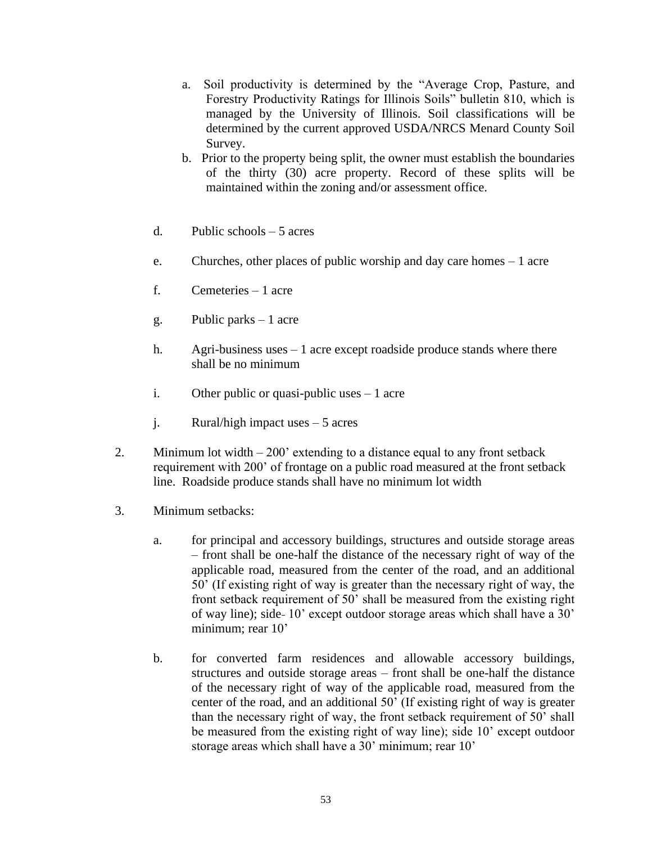- a. Soil productivity is determined by the "Average Crop, Pasture, and Forestry Productivity Ratings for Illinois Soils" bulletin 810, which is managed by the University of Illinois. Soil classifications will be determined by the current approved USDA/NRCS Menard County Soil Survey.
- b. Prior to the property being split, the owner must establish the boundaries of the thirty (30) acre property. Record of these splits will be maintained within the zoning and/or assessment office.
- d. Public schools 5 acres
- e. Churches, other places of public worship and day care homes 1 acre
- f. Cemeteries 1 acre
- g. Public parks 1 acre
- h. Agri-business uses  $-1$  acre except roadside produce stands where there shall be no minimum
- i. Other public or quasi-public uses 1 acre
- j. Rural/high impact uses 5 acres
- 2. Minimum lot width  $-200'$  extending to a distance equal to any front setback requirement with 200' of frontage on a public road measured at the front setback line. Roadside produce stands shall have no minimum lot width
- 3. Minimum setbacks:
	- a. for principal and accessory buildings, structures and outside storage areas – front shall be one-half the distance of the necessary right of way of the applicable road, measured from the center of the road, and an additional 50' (If existing right of way is greater than the necessary right of way, the front setback requirement of 50' shall be measured from the existing right of way line); side 10' except outdoor storage areas which shall have a 30' minimum; rear 10'
	- b. for converted farm residences and allowable accessory buildings, structures and outside storage areas – front shall be one-half the distance of the necessary right of way of the applicable road, measured from the center of the road, and an additional 50' (If existing right of way is greater than the necessary right of way, the front setback requirement of 50' shall be measured from the existing right of way line); side 10' except outdoor storage areas which shall have a 30' minimum; rear 10'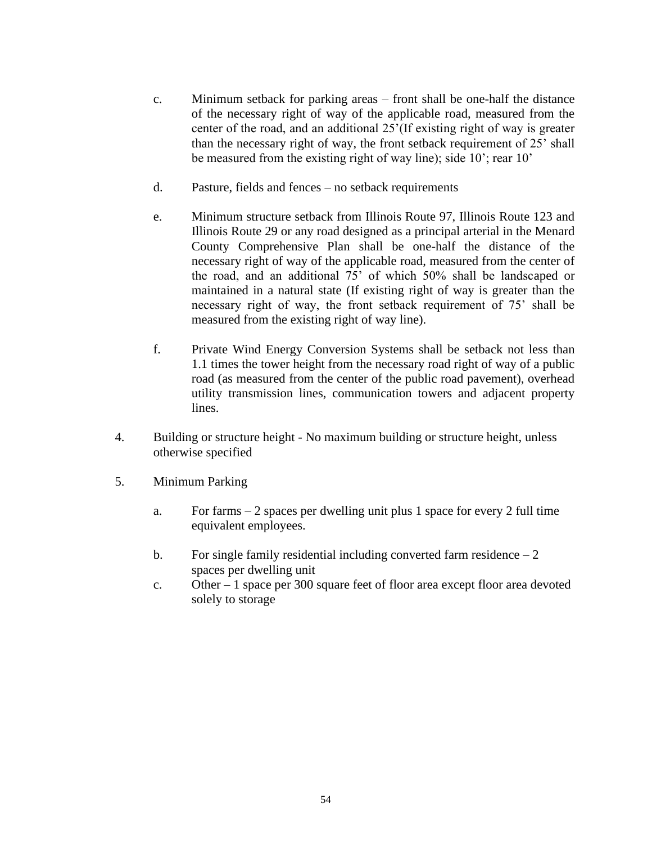- c. Minimum setback for parking areas front shall be one-half the distance of the necessary right of way of the applicable road, measured from the center of the road, and an additional 25'(If existing right of way is greater than the necessary right of way, the front setback requirement of 25' shall be measured from the existing right of way line); side 10'; rear 10'
- d. Pasture, fields and fences no setback requirements
- e. Minimum structure setback from Illinois Route 97, Illinois Route 123 and Illinois Route 29 or any road designed as a principal arterial in the Menard County Comprehensive Plan shall be one-half the distance of the necessary right of way of the applicable road, measured from the center of the road, and an additional 75' of which 50% shall be landscaped or maintained in a natural state (If existing right of way is greater than the necessary right of way, the front setback requirement of 75' shall be measured from the existing right of way line).
- f. Private Wind Energy Conversion Systems shall be setback not less than 1.1 times the tower height from the necessary road right of way of a public road (as measured from the center of the public road pavement), overhead utility transmission lines, communication towers and adjacent property lines.
- 4. Building or structure height No maximum building or structure height, unless otherwise specified
- 5. Minimum Parking
	- a. For farms  $-2$  spaces per dwelling unit plus 1 space for every 2 full time equivalent employees.
	- b. For single family residential including converted farm residence  $-2$ spaces per dwelling unit
	- c. Other 1 space per 300 square feet of floor area except floor area devoted solely to storage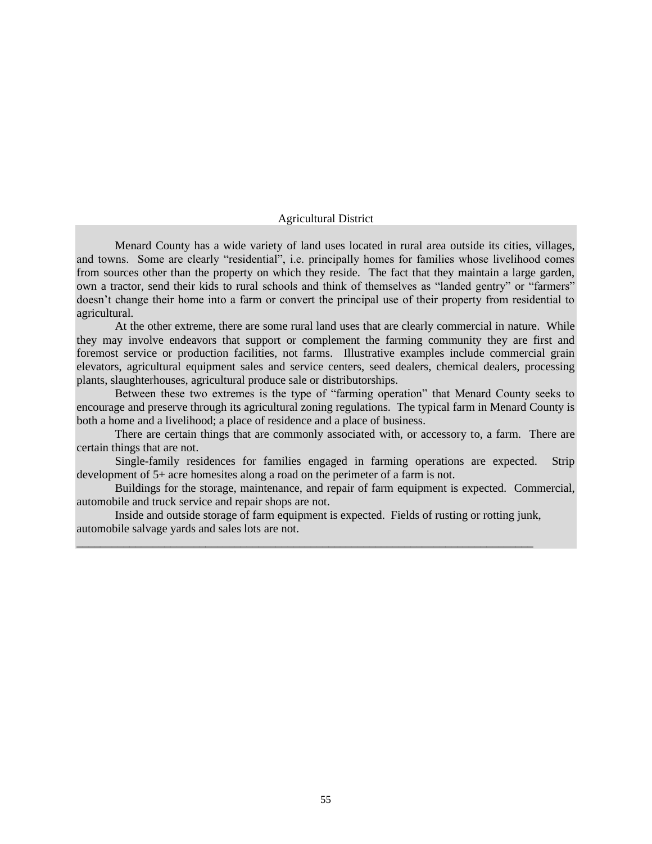#### Agricultural District

Menard County has a wide variety of land uses located in rural area outside its cities, villages, and towns. Some are clearly "residential", i.e. principally homes for families whose livelihood comes from sources other than the property on which they reside. The fact that they maintain a large garden, own a tractor, send their kids to rural schools and think of themselves as "landed gentry" or "farmers" doesn't change their home into a farm or convert the principal use of their property from residential to agricultural.

At the other extreme, there are some rural land uses that are clearly commercial in nature. While they may involve endeavors that support or complement the farming community they are first and foremost service or production facilities, not farms. Illustrative examples include commercial grain elevators, agricultural equipment sales and service centers, seed dealers, chemical dealers, processing plants, slaughterhouses, agricultural produce sale or distributorships.

Between these two extremes is the type of "farming operation" that Menard County seeks to encourage and preserve through its agricultural zoning regulations. The typical farm in Menard County is both a home and a livelihood; a place of residence and a place of business.

There are certain things that are commonly associated with, or accessory to, a farm. There are certain things that are not.

Single-family residences for families engaged in farming operations are expected. Strip development of 5+ acre homesites along a road on the perimeter of a farm is not.

Buildings for the storage, maintenance, and repair of farm equipment is expected. Commercial, automobile and truck service and repair shops are not.

Inside and outside storage of farm equipment is expected. Fields of rusting or rotting junk, automobile salvage yards and sales lots are not.

\_\_\_\_\_\_\_\_\_\_\_\_\_\_\_\_\_\_\_\_\_\_\_\_\_\_\_\_\_\_\_\_\_\_\_\_\_\_\_\_\_\_\_\_\_\_\_\_\_\_\_\_\_\_\_\_\_\_\_\_\_\_\_\_\_\_\_\_\_\_\_\_\_\_\_\_\_\_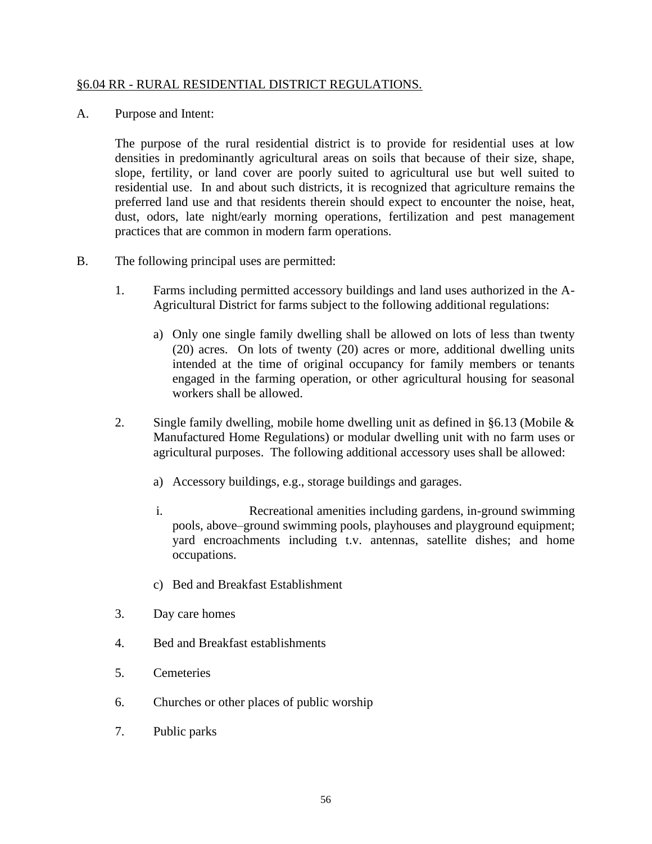#### §6.04 RR - RURAL RESIDENTIAL DISTRICT REGULATIONS.

A. Purpose and Intent:

The purpose of the rural residential district is to provide for residential uses at low densities in predominantly agricultural areas on soils that because of their size, shape, slope, fertility, or land cover are poorly suited to agricultural use but well suited to residential use. In and about such districts, it is recognized that agriculture remains the preferred land use and that residents therein should expect to encounter the noise, heat, dust, odors, late night/early morning operations, fertilization and pest management practices that are common in modern farm operations.

- B. The following principal uses are permitted:
	- 1. Farms including permitted accessory buildings and land uses authorized in the A-Agricultural District for farms subject to the following additional regulations:
		- a) Only one single family dwelling shall be allowed on lots of less than twenty (20) acres. On lots of twenty (20) acres or more, additional dwelling units intended at the time of original occupancy for family members or tenants engaged in the farming operation, or other agricultural housing for seasonal workers shall be allowed.
	- 2. Single family dwelling, mobile home dwelling unit as defined in §6.13 (Mobile & Manufactured Home Regulations) or modular dwelling unit with no farm uses or agricultural purposes. The following additional accessory uses shall be allowed:
		- a) Accessory buildings, e.g., storage buildings and garages.
		- i. Recreational amenities including gardens, in-ground swimming pools, above–ground swimming pools, playhouses and playground equipment; yard encroachments including t.v. antennas, satellite dishes; and home occupations.
		- c) Bed and Breakfast Establishment
	- 3. Day care homes
	- 4. Bed and Breakfast establishments
	- 5. Cemeteries
	- 6. Churches or other places of public worship
	- 7. Public parks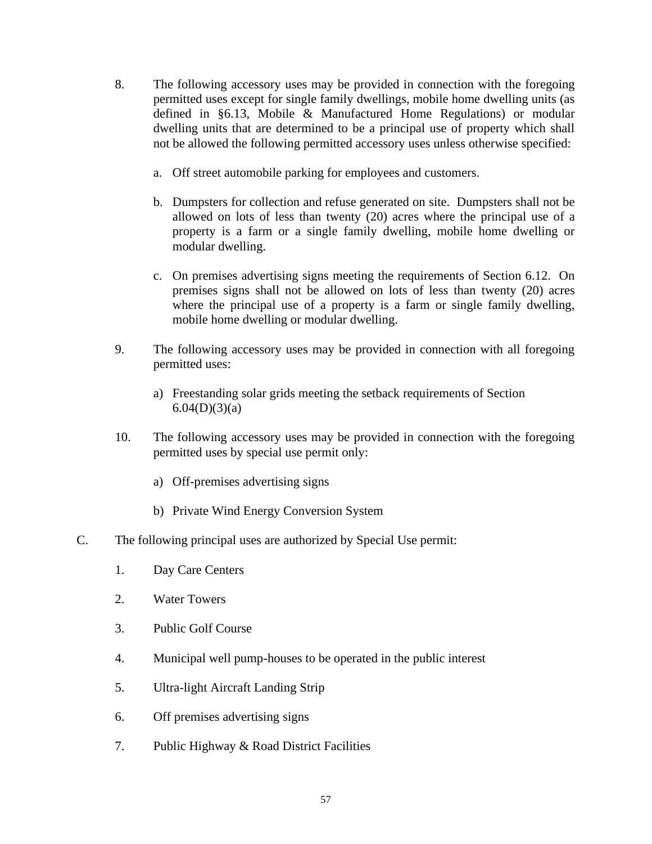- 8. The following accessory uses may be provided in connection with the foregoing permitted uses except for single family dwellings, mobile home dwelling units (as defined in §6.13, Mobile & Manufactured Home Regulations) or modular dwelling units that are determined to be a principal use of property which shall not be allowed the following permitted accessory uses unless otherwise specified:
	- a. Off street automobile parking for employees and customers.
	- b. Dumpsters for collection and refuse generated on site. Dumpsters shall not be allowed on lots of less than twenty (20) acres where the principal use of a property is a farm or a single family dwelling, mobile home dwelling or modular dwelling.
	- c. On premises advertising signs meeting the requirements of Section 6.12. On premises signs shall not be allowed on lots of less than twenty (20) acres where the principal use of a property is a farm or single family dwelling, mobile home dwelling or modular dwelling.
- 9. The following accessory uses may be provided in connection with all foregoing permitted uses:
	- a) Freestanding solar grids meeting the setback requirements of Section  $6.04(D)(3)(a)$
- 10. The following accessory uses may be provided in connection with the foregoing permitted uses by special use permit only:
	- a) Off-premises advertising signs
	- b) Private Wind Energy Conversion System
- C. The following principal uses are authorized by Special Use permit:
	- 1. Day Care Centers
	- 2. Water Towers
	- 3. Public Golf Course
	- 4. Municipal well pump-houses to be operated in the public interest
	- 5. Ultra-light Aircraft Landing Strip
	- 6. Off premises advertising signs
	- 7. Public Highway & Road District Facilities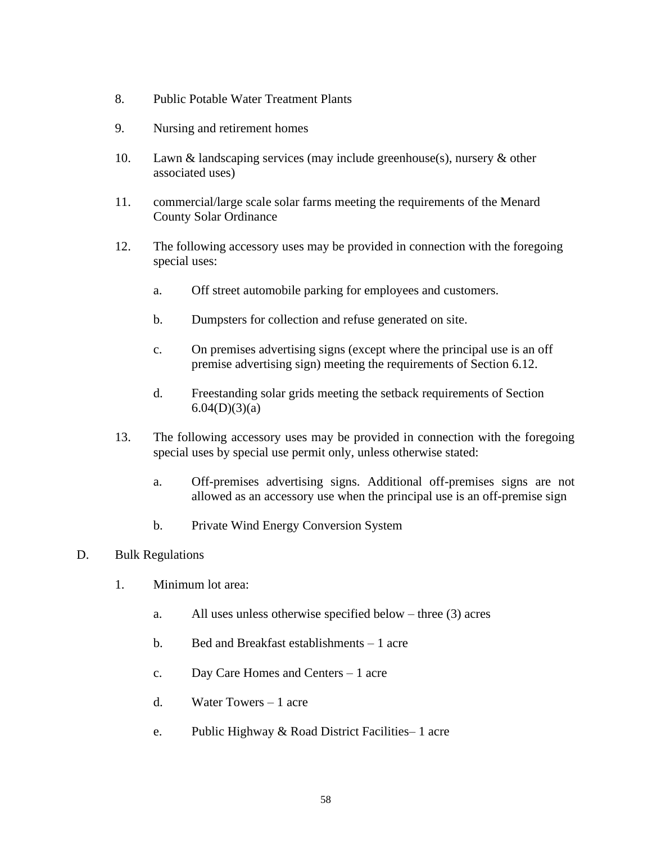- 8. Public Potable Water Treatment Plants
- 9. Nursing and retirement homes
- 10. Lawn & landscaping services (may include greenhouse(s), nursery & other associated uses)
- 11. commercial/large scale solar farms meeting the requirements of the Menard County Solar Ordinance
- 12. The following accessory uses may be provided in connection with the foregoing special uses:
	- a. Off street automobile parking for employees and customers.
	- b. Dumpsters for collection and refuse generated on site.
	- c. On premises advertising signs (except where the principal use is an off premise advertising sign) meeting the requirements of Section 6.12.
	- d. Freestanding solar grids meeting the setback requirements of Section  $6.04(D)(3)(a)$
- 13. The following accessory uses may be provided in connection with the foregoing special uses by special use permit only, unless otherwise stated:
	- a. Off-premises advertising signs. Additional off-premises signs are not allowed as an accessory use when the principal use is an off-premise sign
	- b. Private Wind Energy Conversion System

### D. Bulk Regulations

- 1. Minimum lot area:
	- a. All uses unless otherwise specified below three (3) acres
	- b. Bed and Breakfast establishments 1 acre
	- c. Day Care Homes and Centers 1 acre
	- d. Water Towers 1 acre
	- e. Public Highway & Road District Facilities– 1 acre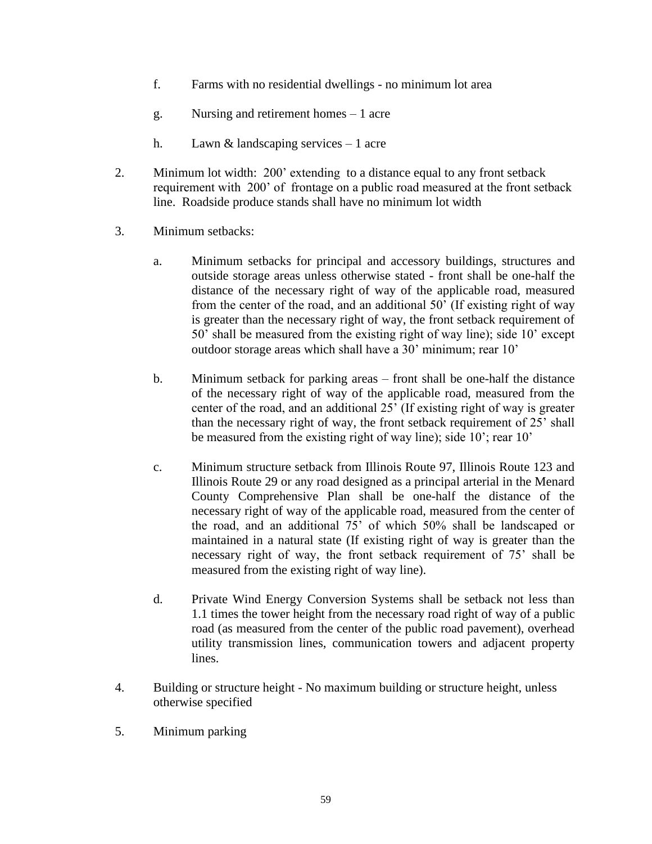- f. Farms with no residential dwellings no minimum lot area
- g. Nursing and retirement homes 1 acre
- h. Lawn & landscaping services 1 acre
- 2. Minimum lot width: 200' extending to a distance equal to any front setback requirement with 200' of frontage on a public road measured at the front setback line. Roadside produce stands shall have no minimum lot width
- 3. Minimum setbacks:
	- a. Minimum setbacks for principal and accessory buildings, structures and outside storage areas unless otherwise stated - front shall be one-half the distance of the necessary right of way of the applicable road, measured from the center of the road, and an additional 50' (If existing right of way is greater than the necessary right of way, the front setback requirement of 50' shall be measured from the existing right of way line); side 10' except outdoor storage areas which shall have a 30' minimum; rear 10'
	- b. Minimum setback for parking areas front shall be one-half the distance of the necessary right of way of the applicable road, measured from the center of the road, and an additional 25' (If existing right of way is greater than the necessary right of way, the front setback requirement of 25' shall be measured from the existing right of way line); side 10'; rear 10'
	- c. Minimum structure setback from Illinois Route 97, Illinois Route 123 and Illinois Route 29 or any road designed as a principal arterial in the Menard County Comprehensive Plan shall be one-half the distance of the necessary right of way of the applicable road, measured from the center of the road, and an additional 75' of which 50% shall be landscaped or maintained in a natural state (If existing right of way is greater than the necessary right of way, the front setback requirement of 75' shall be measured from the existing right of way line).
	- d. Private Wind Energy Conversion Systems shall be setback not less than 1.1 times the tower height from the necessary road right of way of a public road (as measured from the center of the public road pavement), overhead utility transmission lines, communication towers and adjacent property lines.
- 4. Building or structure height No maximum building or structure height, unless otherwise specified
- 5. Minimum parking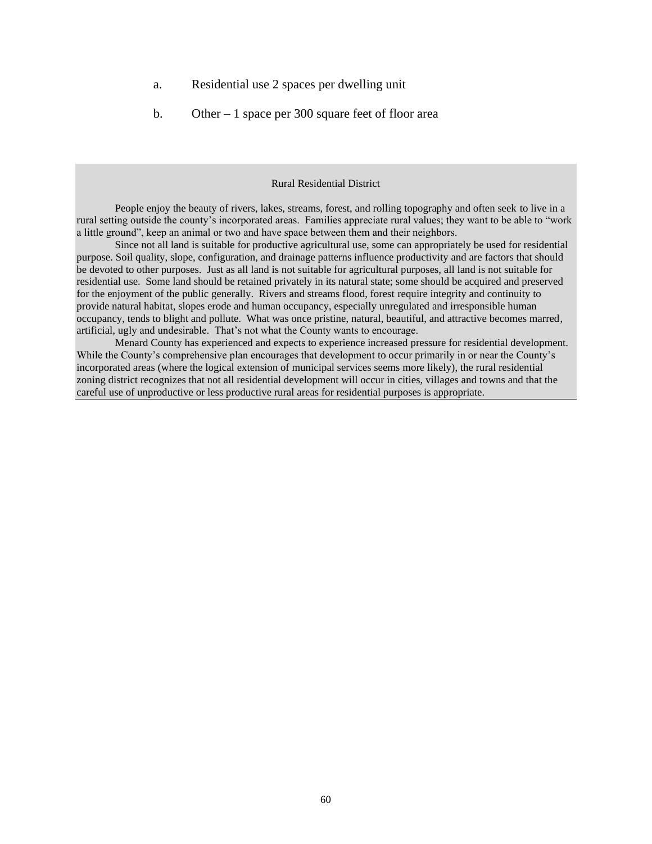- a. Residential use 2 spaces per dwelling unit
- b. Other 1 space per 300 square feet of floor area

#### Rural Residential District

People enjoy the beauty of rivers, lakes, streams, forest, and rolling topography and often seek to live in a rural setting outside the county's incorporated areas. Families appreciate rural values; they want to be able to "work a little ground", keep an animal or two and have space between them and their neighbors.

Since not all land is suitable for productive agricultural use, some can appropriately be used for residential purpose. Soil quality, slope, configuration, and drainage patterns influence productivity and are factors that should be devoted to other purposes. Just as all land is not suitable for agricultural purposes, all land is not suitable for residential use. Some land should be retained privately in its natural state; some should be acquired and preserved for the enjoyment of the public generally. Rivers and streams flood, forest require integrity and continuity to provide natural habitat, slopes erode and human occupancy, especially unregulated and irresponsible human occupancy, tends to blight and pollute. What was once pristine, natural, beautiful, and attractive becomes marred, artificial, ugly and undesirable. That's not what the County wants to encourage.

Menard County has experienced and expects to experience increased pressure for residential development. While the County's comprehensive plan encourages that development to occur primarily in or near the County's incorporated areas (where the logical extension of municipal services seems more likely), the rural residential zoning district recognizes that not all residential development will occur in cities, villages and towns and that the careful use of unproductive or less productive rural areas for residential purposes is appropriate.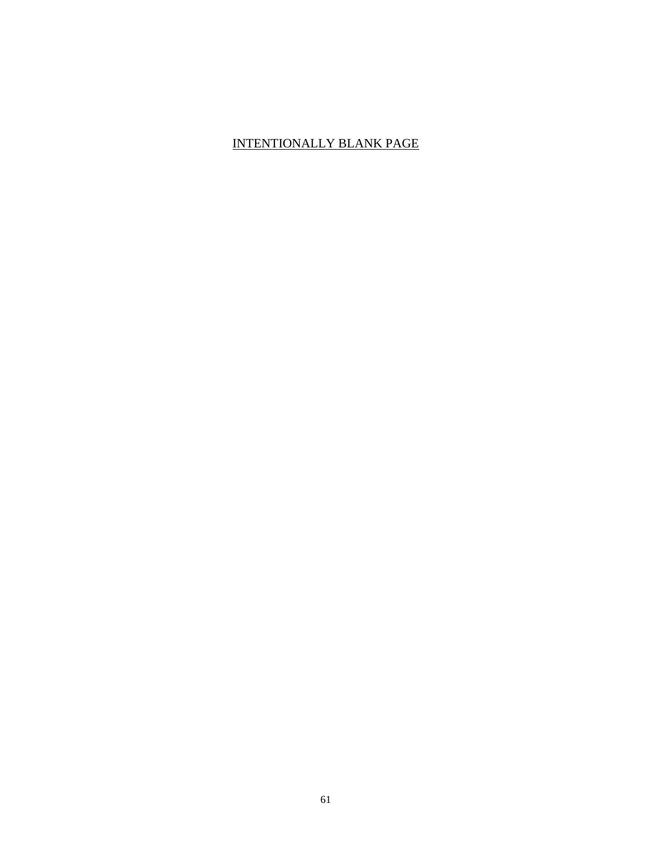# INTENTIONALLY BLANK PAGE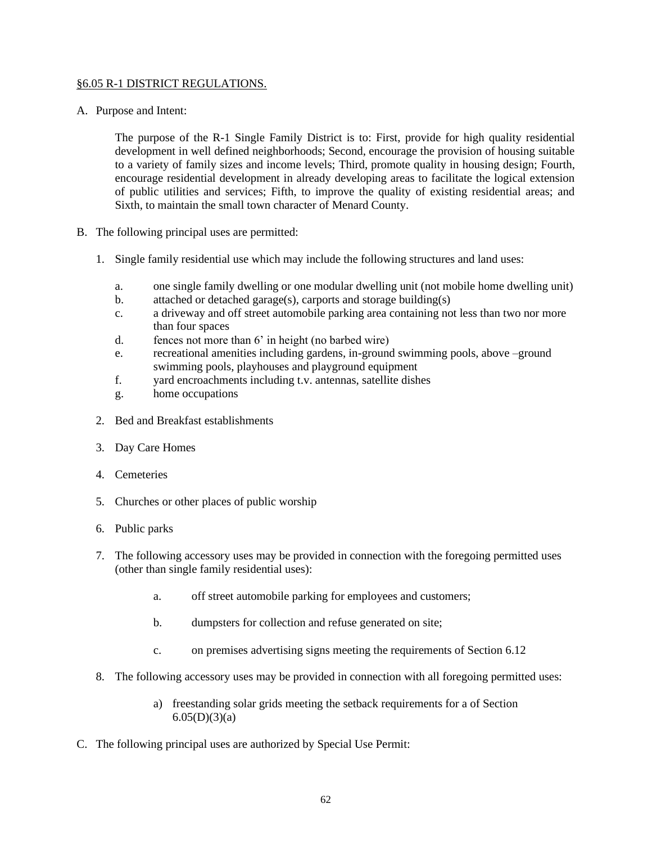#### §6.05 R-1 DISTRICT REGULATIONS.

A. Purpose and Intent:

The purpose of the R-1 Single Family District is to: First, provide for high quality residential development in well defined neighborhoods; Second, encourage the provision of housing suitable to a variety of family sizes and income levels; Third, promote quality in housing design; Fourth, encourage residential development in already developing areas to facilitate the logical extension of public utilities and services; Fifth, to improve the quality of existing residential areas; and Sixth, to maintain the small town character of Menard County.

- B. The following principal uses are permitted:
	- 1. Single family residential use which may include the following structures and land uses:
		- a. one single family dwelling or one modular dwelling unit (not mobile home dwelling unit)
		- b. attached or detached garage(s), carports and storage building(s)
		- c. a driveway and off street automobile parking area containing not less than two nor more than four spaces
		- d. fences not more than 6' in height (no barbed wire)
		- e. recreational amenities including gardens, in-ground swimming pools, above –ground swimming pools, playhouses and playground equipment
		- f. yard encroachments including t.v. antennas, satellite dishes
		- g. home occupations
	- 2. Bed and Breakfast establishments
	- 3. Day Care Homes
	- 4. Cemeteries
	- 5. Churches or other places of public worship
	- 6. Public parks
	- 7. The following accessory uses may be provided in connection with the foregoing permitted uses (other than single family residential uses):
		- a. off street automobile parking for employees and customers;
		- b. dumpsters for collection and refuse generated on site;
		- c. on premises advertising signs meeting the requirements of Section 6.12
	- 8. The following accessory uses may be provided in connection with all foregoing permitted uses:
		- a) freestanding solar grids meeting the setback requirements for a of Section  $6.05(D)(3)(a)$
- C. The following principal uses are authorized by Special Use Permit: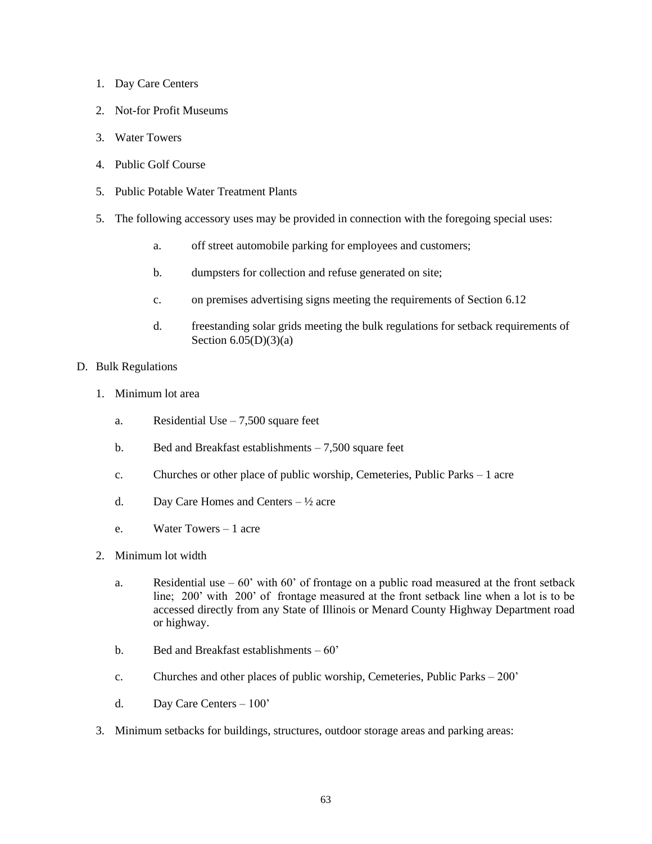- 1. Day Care Centers
- 2. Not-for Profit Museums
- 3. Water Towers
- 4. Public Golf Course
- 5. Public Potable Water Treatment Plants
- 5. The following accessory uses may be provided in connection with the foregoing special uses:
	- a. off street automobile parking for employees and customers;
	- b. dumpsters for collection and refuse generated on site;
	- c. on premises advertising signs meeting the requirements of Section 6.12
	- d. freestanding solar grids meeting the bulk regulations for setback requirements of Section  $6.05(D)(3)(a)$
- D. Bulk Regulations
	- 1. Minimum lot area
		- a. Residential Use  $-7,500$  square feet
		- b. Bed and Breakfast establishments  $-7,500$  square feet
		- c. Churches or other place of public worship, Cemeteries, Public Parks 1 acre
		- d. Day Care Homes and Centers  $\frac{1}{2}$  acre
		- e. Water Towers 1 acre
	- 2. Minimum lot width
		- a. Residential use  $-60'$  with 60' of frontage on a public road measured at the front setback line; 200' with 200' of frontage measured at the front setback line when a lot is to be accessed directly from any State of Illinois or Menard County Highway Department road or highway.
		- b. Bed and Breakfast establishments 60'
		- c. Churches and other places of public worship, Cemeteries, Public Parks 200'
		- d. Day Care Centers 100'
	- 3. Minimum setbacks for buildings, structures, outdoor storage areas and parking areas: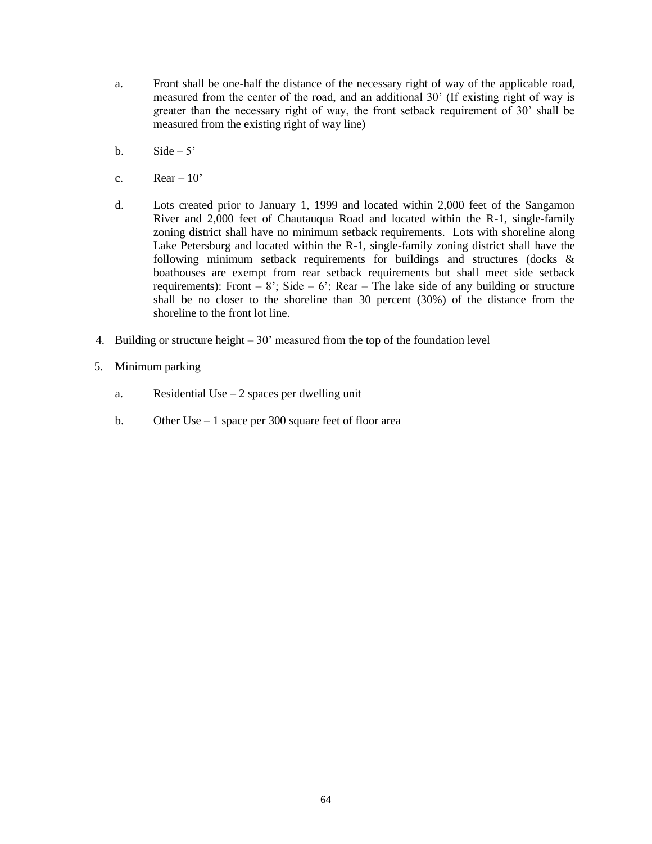- a. Front shall be one-half the distance of the necessary right of way of the applicable road, measured from the center of the road, and an additional 30' (If existing right of way is greater than the necessary right of way, the front setback requirement of 30' shall be measured from the existing right of way line)
- b. Side  $5'$
- c.  $Rear 10'$
- d. Lots created prior to January 1, 1999 and located within 2,000 feet of the Sangamon River and 2,000 feet of Chautauqua Road and located within the R-1, single-family zoning district shall have no minimum setback requirements. Lots with shoreline along Lake Petersburg and located within the R-1, single-family zoning district shall have the following minimum setback requirements for buildings and structures (docks & boathouses are exempt from rear setback requirements but shall meet side setback requirements): Front – 8'; Side – 6'; Rear – The lake side of any building or structure shall be no closer to the shoreline than 30 percent (30%) of the distance from the shoreline to the front lot line.
- 4. Building or structure height 30' measured from the top of the foundation level
- 5. Minimum parking
	- a. Residential Use  $-2$  spaces per dwelling unit
	- b. Other Use  $-1$  space per 300 square feet of floor area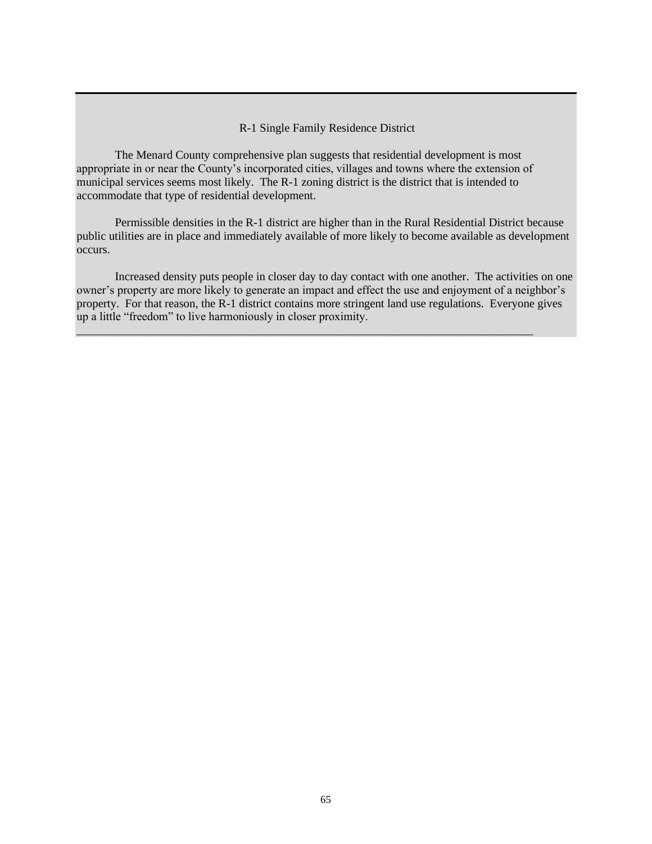#### R-1 Single Family Residence District

The Menard County comprehensive plan suggests that residential development is most appropriate in or near the County's incorporated cities, villages and towns where the extension of municipal services seems most likely. The R-1 zoning district is the district that is intended to accommodate that type of residential development.

Permissible densities in the R-1 district are higher than in the Rural Residential District because public utilities are in place and immediately available of more likely to become available as development occurs.

Increased density puts people in closer day to day contact with one another. The activities on one owner's property are more likely to generate an impact and effect the use and enjoyment of a neighbor's property. For that reason, the R-1 district contains more stringent land use regulations. Everyone gives up a little "freedom" to live harmoniously in closer proximity.

\_\_\_\_\_\_\_\_\_\_\_\_\_\_\_\_\_\_\_\_\_\_\_\_\_\_\_\_\_\_\_\_\_\_\_\_\_\_\_\_\_\_\_\_\_\_\_\_\_\_\_\_\_\_\_\_\_\_\_\_\_\_\_\_\_\_\_\_\_\_\_\_\_\_\_\_\_\_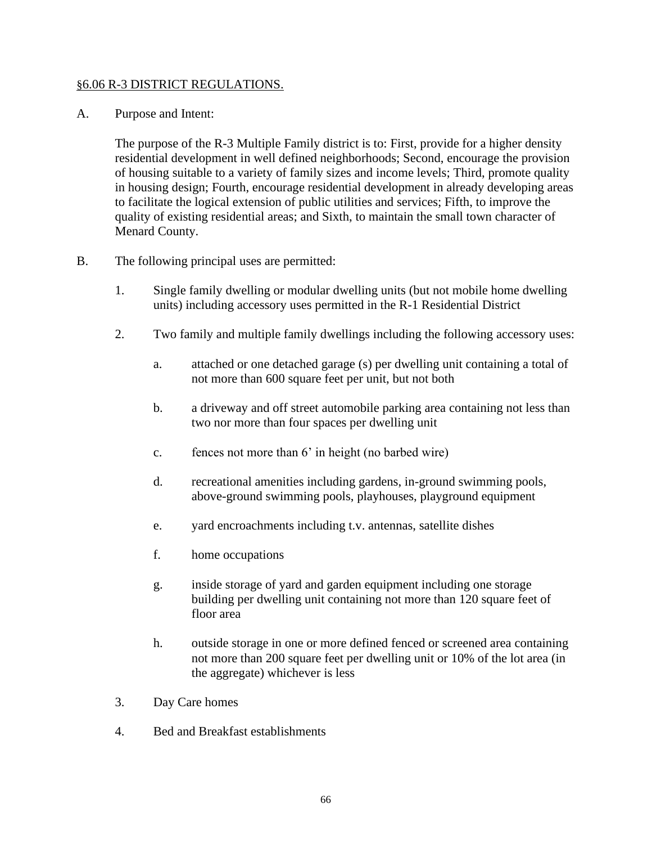#### §6.06 R-3 DISTRICT REGULATIONS.

#### A. Purpose and Intent:

The purpose of the R-3 Multiple Family district is to: First, provide for a higher density residential development in well defined neighborhoods; Second, encourage the provision of housing suitable to a variety of family sizes and income levels; Third, promote quality in housing design; Fourth, encourage residential development in already developing areas to facilitate the logical extension of public utilities and services; Fifth, to improve the quality of existing residential areas; and Sixth, to maintain the small town character of Menard County.

- B. The following principal uses are permitted:
	- 1. Single family dwelling or modular dwelling units (but not mobile home dwelling units) including accessory uses permitted in the R-1 Residential District
	- 2. Two family and multiple family dwellings including the following accessory uses:
		- a. attached or one detached garage (s) per dwelling unit containing a total of not more than 600 square feet per unit, but not both
		- b. a driveway and off street automobile parking area containing not less than two nor more than four spaces per dwelling unit
		- c. fences not more than 6' in height (no barbed wire)
		- d. recreational amenities including gardens, in-ground swimming pools, above-ground swimming pools, playhouses, playground equipment
		- e. yard encroachments including t.v. antennas, satellite dishes
		- f. home occupations
		- g. inside storage of yard and garden equipment including one storage building per dwelling unit containing not more than 120 square feet of floor area
		- h. outside storage in one or more defined fenced or screened area containing not more than 200 square feet per dwelling unit or 10% of the lot area (in the aggregate) whichever is less
	- 3. Day Care homes
	- 4. Bed and Breakfast establishments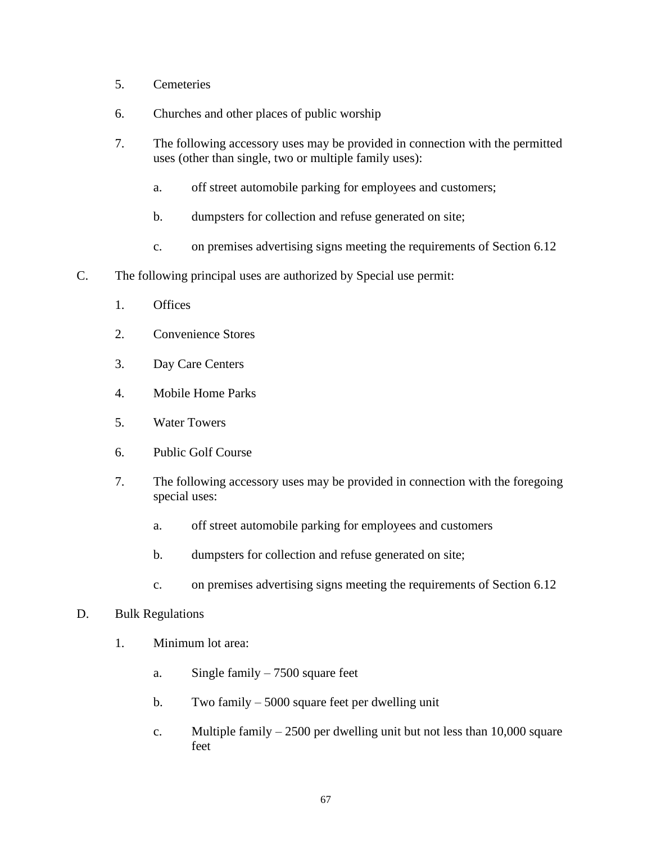- 5. Cemeteries
- 6. Churches and other places of public worship
- 7. The following accessory uses may be provided in connection with the permitted uses (other than single, two or multiple family uses):
	- a. off street automobile parking for employees and customers;
	- b. dumpsters for collection and refuse generated on site;
	- c. on premises advertising signs meeting the requirements of Section 6.12
- C. The following principal uses are authorized by Special use permit:
	- 1. Offices
	- 2. Convenience Stores
	- 3. Day Care Centers
	- 4. Mobile Home Parks
	- 5. Water Towers
	- 6. Public Golf Course
	- 7. The following accessory uses may be provided in connection with the foregoing special uses:
		- a. off street automobile parking for employees and customers
		- b. dumpsters for collection and refuse generated on site;
		- c. on premises advertising signs meeting the requirements of Section 6.12

### D. Bulk Regulations

- 1. Minimum lot area:
	- a. Single family 7500 square feet
	- b. Two family 5000 square feet per dwelling unit
	- c. Multiple family  $-2500$  per dwelling unit but not less than 10,000 square feet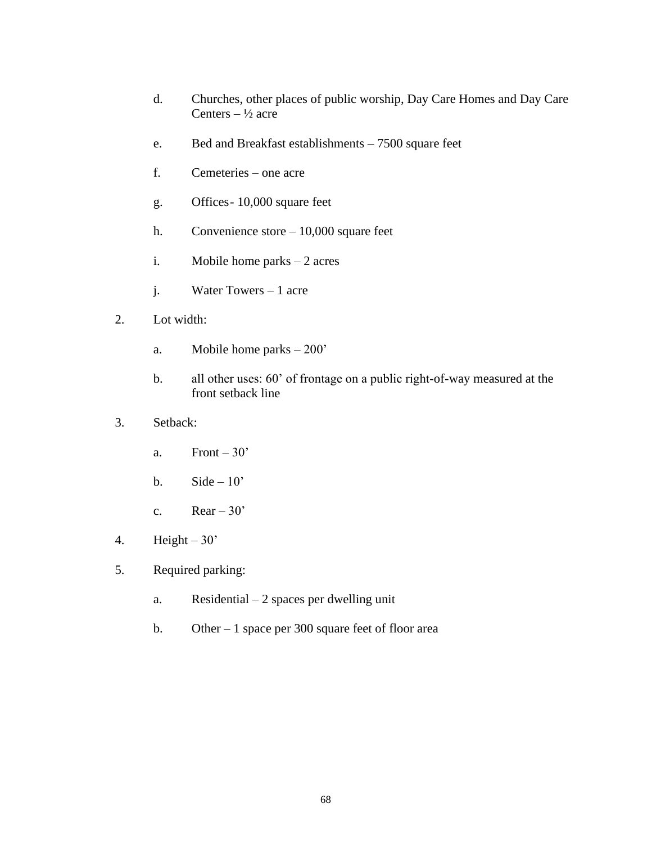- d. Churches, other places of public worship, Day Care Homes and Day Care Centers  $- \frac{1}{2}$  acre
- e. Bed and Breakfast establishments 7500 square feet
- f. Cemeteries one acre
- g. Offices- 10,000 square feet
- h. Convenience store 10,000 square feet
- i. Mobile home parks 2 acres
- j. Water Towers 1 acre
- 2. Lot width:
	- a. Mobile home parks 200'
	- b. all other uses: 60' of frontage on a public right-of-way measured at the front setback line
- 3. Setback:
	- a. Front  $-30'$
	- b. Side  $10'$
	- c.  $Rear 30'$
- 4. Height  $30'$
- 5. Required parking:
	- a. Residential 2 spaces per dwelling unit
	- b. Other 1 space per 300 square feet of floor area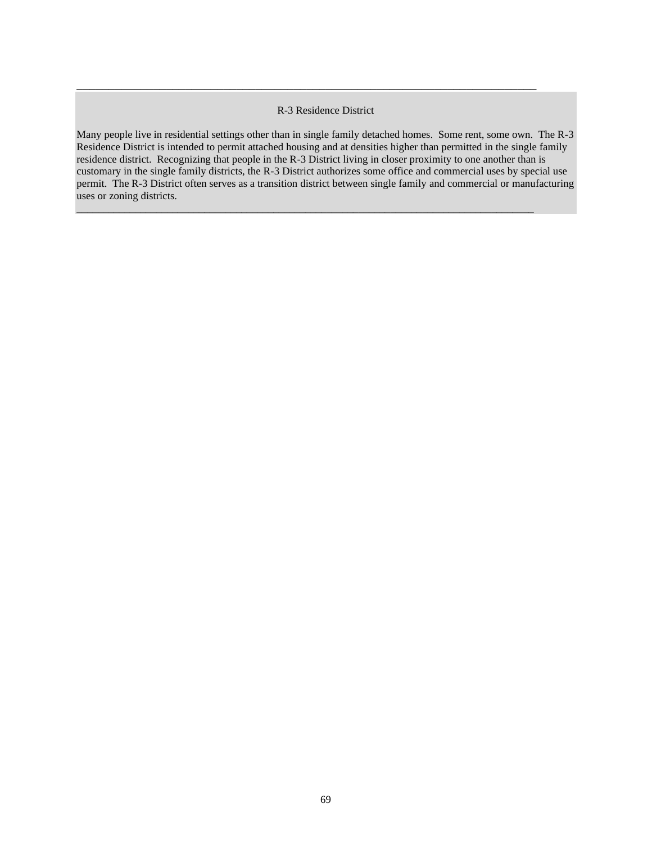#### R-3 Residence District

\_\_\_\_\_\_\_\_\_\_\_\_\_\_\_\_\_\_\_\_\_\_\_\_\_\_\_\_\_\_\_\_\_\_\_\_\_\_\_\_\_\_\_\_\_\_\_\_\_\_\_\_\_\_\_\_\_\_\_\_\_\_\_\_\_\_\_\_\_\_\_\_

\_\_\_\_\_\_\_\_\_\_\_\_\_\_\_\_\_\_\_\_\_\_\_\_\_\_\_\_\_\_\_\_\_\_\_\_\_\_\_\_\_\_\_\_\_\_\_\_\_\_\_\_\_\_\_\_\_\_\_\_\_\_\_\_\_\_\_\_\_\_\_\_\_\_\_\_\_\_\_\_\_\_\_\_\_\_

Many people live in residential settings other than in single family detached homes. Some rent, some own. The R-3 Residence District is intended to permit attached housing and at densities higher than permitted in the single family residence district. Recognizing that people in the R-3 District living in closer proximity to one another than is customary in the single family districts, the R-3 District authorizes some office and commercial uses by special use permit. The R-3 District often serves as a transition district between single family and commercial or manufacturing uses or zoning districts.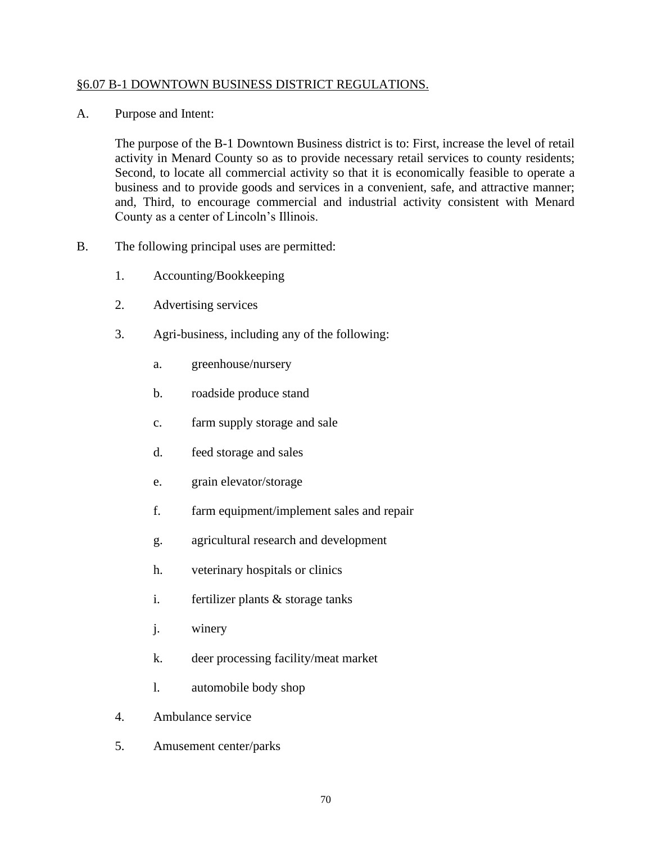### §6.07 B-1 DOWNTOWN BUSINESS DISTRICT REGULATIONS.

A. Purpose and Intent:

The purpose of the B-1 Downtown Business district is to: First, increase the level of retail activity in Menard County so as to provide necessary retail services to county residents; Second, to locate all commercial activity so that it is economically feasible to operate a business and to provide goods and services in a convenient, safe, and attractive manner; and, Third, to encourage commercial and industrial activity consistent with Menard County as a center of Lincoln's Illinois.

- B. The following principal uses are permitted:
	- 1. Accounting/Bookkeeping
	- 2. Advertising services
	- 3. Agri-business, including any of the following:
		- a. greenhouse/nursery
		- b. roadside produce stand
		- c. farm supply storage and sale
		- d. feed storage and sales
		- e. grain elevator/storage
		- f. farm equipment/implement sales and repair
		- g. agricultural research and development
		- h. veterinary hospitals or clinics
		- i. fertilizer plants & storage tanks
		- j. winery
		- k. deer processing facility/meat market
		- l. automobile body shop
	- 4. Ambulance service
	- 5. Amusement center/parks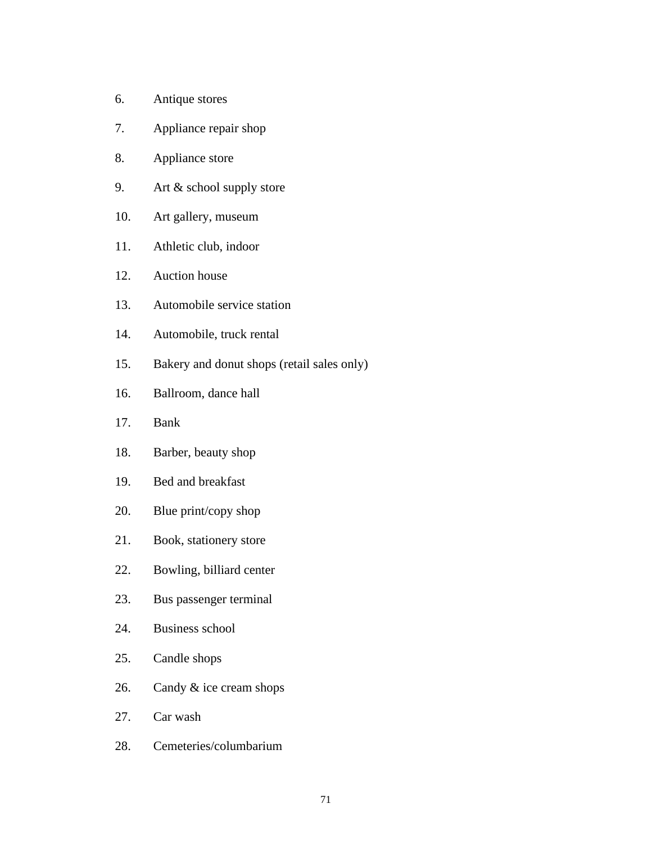- 6. Antique stores
- 7. Appliance repair shop
- 8. Appliance store
- 9. Art & school supply store
- 10. Art gallery, museum
- 11. Athletic club, indoor
- 12. Auction house
- 13. Automobile service station
- 14. Automobile, truck rental
- 15. Bakery and donut shops (retail sales only)
- 16. Ballroom, dance hall
- 17. Bank
- 18. Barber, beauty shop
- 19. Bed and breakfast
- 20. Blue print/copy shop
- 21. Book, stationery store
- 22. Bowling, billiard center
- 23. Bus passenger terminal
- 24. Business school
- 25. Candle shops
- 26. Candy & ice cream shops
- 27. Car wash
- 28. Cemeteries/columbarium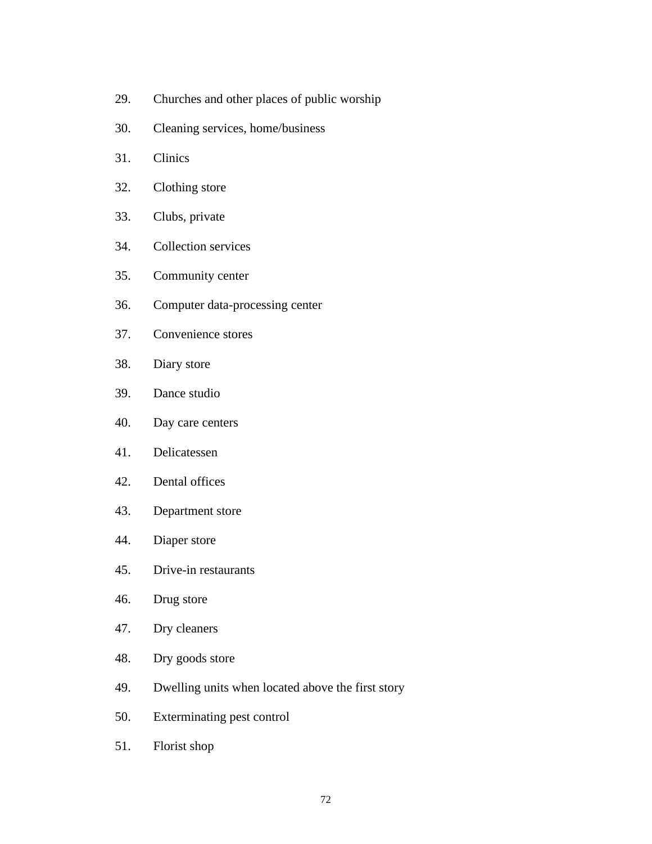- 29. Churches and other places of public worship
- 30. Cleaning services, home/business
- 31. Clinics
- 32. Clothing store
- 33. Clubs, private
- 34. Collection services
- 35. Community center
- 36. Computer data-processing center
- 37. Convenience stores
- 38. Diary store
- 39. Dance studio
- 40. Day care centers
- 41. Delicatessen
- 42. Dental offices
- 43. Department store
- 44. Diaper store
- 45. Drive-in restaurants
- 46. Drug store
- 47. Dry cleaners
- 48. Dry goods store
- 49. Dwelling units when located above the first story
- 50. Exterminating pest control
- 51. Florist shop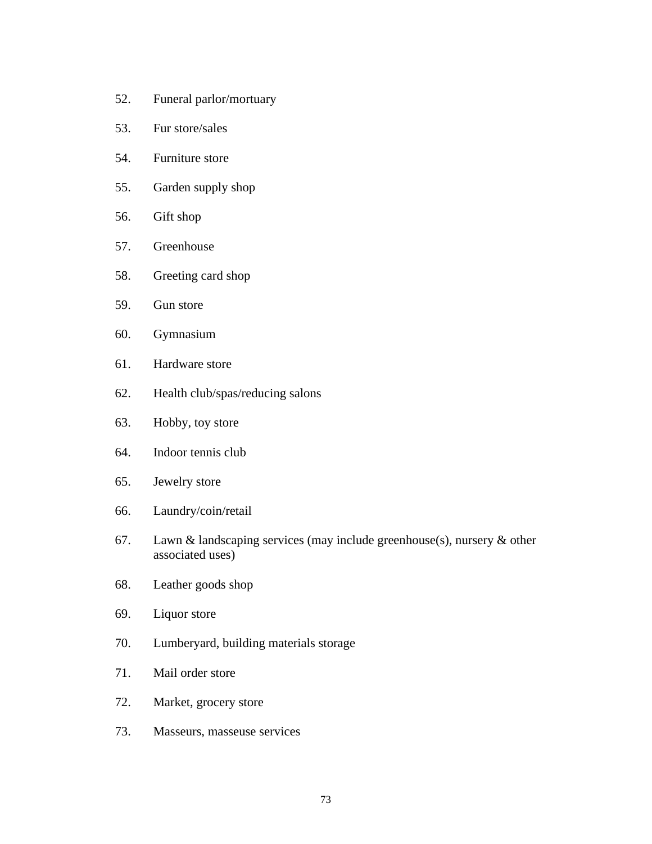- 52. Funeral parlor/mortuary
- 53. Fur store/sales
- 54. Furniture store
- 55. Garden supply shop
- 56. Gift shop
- 57. Greenhouse
- 58. Greeting card shop
- 59. Gun store
- 60. Gymnasium
- 61. Hardware store
- 62. Health club/spas/reducing salons
- 63. Hobby, toy store
- 64. Indoor tennis club
- 65. Jewelry store
- 66. Laundry/coin/retail
- 67. Lawn & landscaping services (may include greenhouse(s), nursery & other associated uses)
- 68. Leather goods shop
- 69. Liquor store
- 70. Lumberyard, building materials storage
- 71. Mail order store
- 72. Market, grocery store
- 73. Masseurs, masseuse services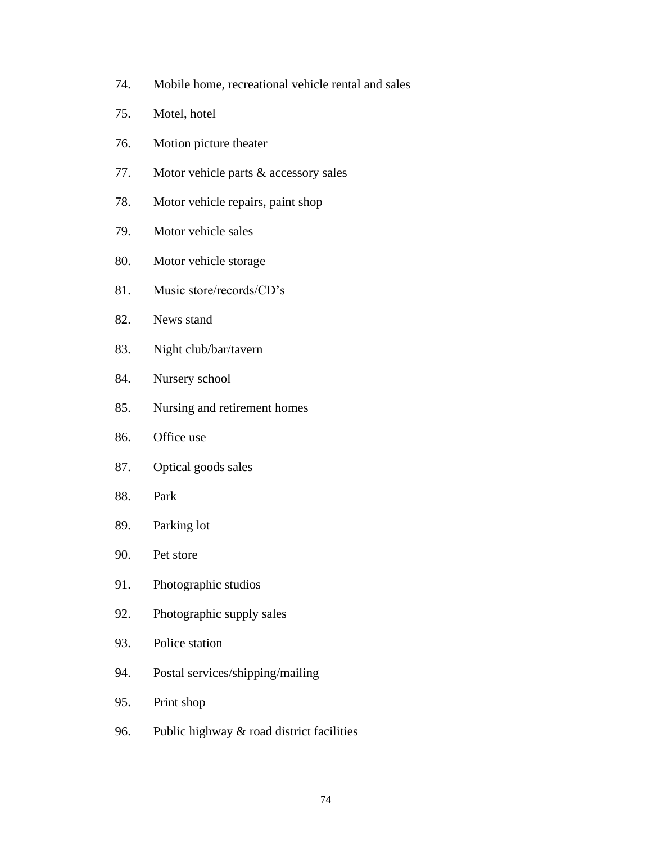- 74. Mobile home, recreational vehicle rental and sales
- 75. Motel, hotel
- 76. Motion picture theater
- 77. Motor vehicle parts & accessory sales
- 78. Motor vehicle repairs, paint shop
- 79. Motor vehicle sales
- 80. Motor vehicle storage
- 81. Music store/records/CD's
- 82. News stand
- 83. Night club/bar/tavern
- 84. Nursery school
- 85. Nursing and retirement homes
- 86. Office use
- 87. Optical goods sales
- 88. Park
- 89. Parking lot
- 90. Pet store
- 91. Photographic studios
- 92. Photographic supply sales
- 93. Police station
- 94. Postal services/shipping/mailing
- 95. Print shop
- 96. Public highway & road district facilities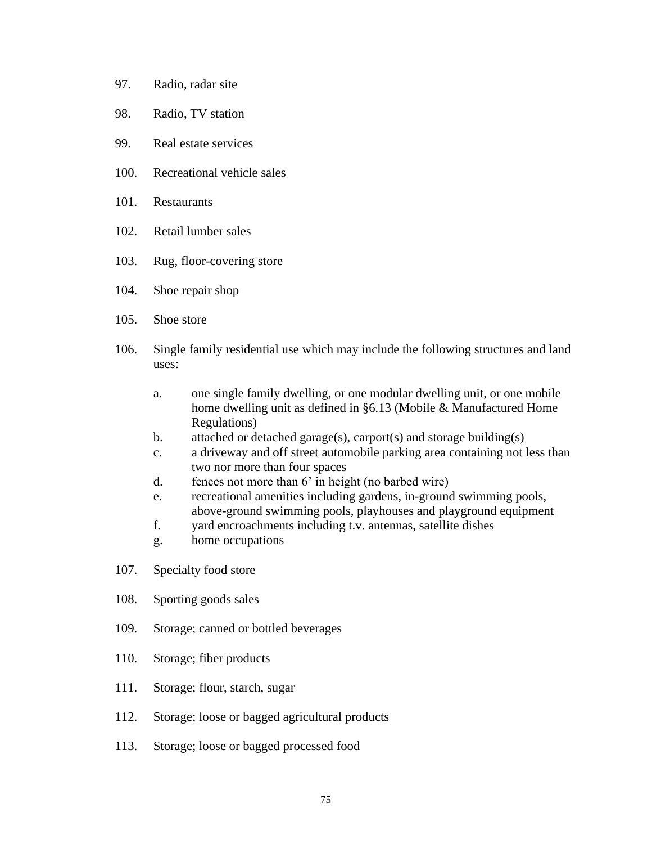- 97. Radio, radar site
- 98. Radio, TV station
- 99. Real estate services
- 100. Recreational vehicle sales
- 101. Restaurants
- 102. Retail lumber sales
- 103. Rug, floor-covering store
- 104. Shoe repair shop
- 105. Shoe store
- 106. Single family residential use which may include the following structures and land uses:
	- a. one single family dwelling, or one modular dwelling unit, or one mobile home dwelling unit as defined in §6.13 (Mobile & Manufactured Home Regulations)
	- b. attached or detached garage(s), carport(s) and storage building(s)
	- c. a driveway and off street automobile parking area containing not less than two nor more than four spaces
	- d. fences not more than 6' in height (no barbed wire)
	- e. recreational amenities including gardens, in-ground swimming pools, above-ground swimming pools, playhouses and playground equipment
	- f. yard encroachments including t.v. antennas, satellite dishes
	- g. home occupations
- 107. Specialty food store
- 108. Sporting goods sales
- 109. Storage; canned or bottled beverages
- 110. Storage; fiber products
- 111. Storage; flour, starch, sugar
- 112. Storage; loose or bagged agricultural products
- 113. Storage; loose or bagged processed food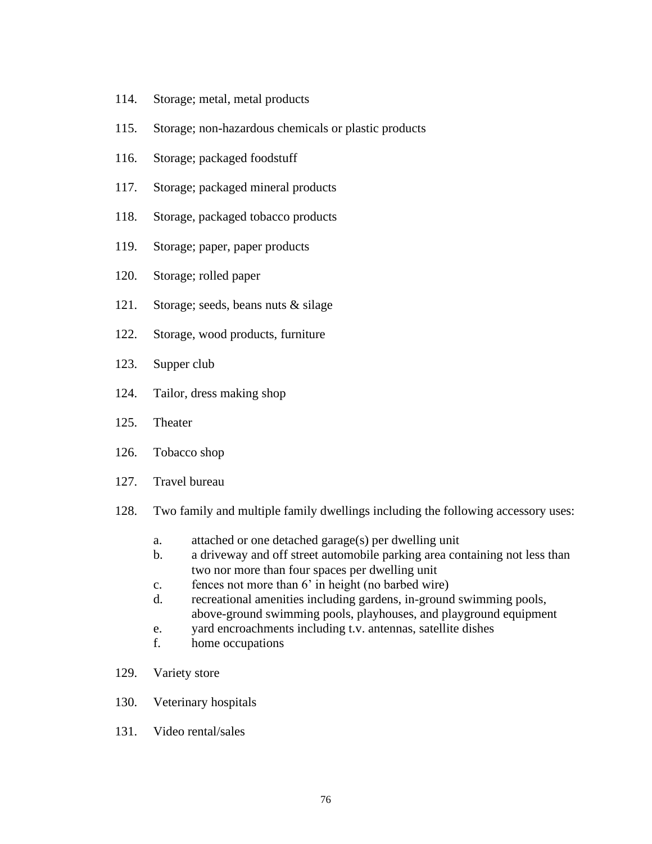- 114. Storage; metal, metal products
- 115. Storage; non-hazardous chemicals or plastic products
- 116. Storage; packaged foodstuff
- 117. Storage; packaged mineral products
- 118. Storage, packaged tobacco products
- 119. Storage; paper, paper products
- 120. Storage; rolled paper
- 121. Storage; seeds, beans nuts & silage
- 122. Storage, wood products, furniture
- 123. Supper club
- 124. Tailor, dress making shop
- 125. Theater
- 126. Tobacco shop
- 127. Travel bureau
- 128. Two family and multiple family dwellings including the following accessory uses:
	- a. attached or one detached garage(s) per dwelling unit
	- b. a driveway and off street automobile parking area containing not less than two nor more than four spaces per dwelling unit
	- c. fences not more than 6' in height (no barbed wire)
	- d. recreational amenities including gardens, in-ground swimming pools, above-ground swimming pools, playhouses, and playground equipment
	- e. yard encroachments including t.v. antennas, satellite dishes
	- f. home occupations
- 129. Variety store
- 130. Veterinary hospitals
- 131. Video rental/sales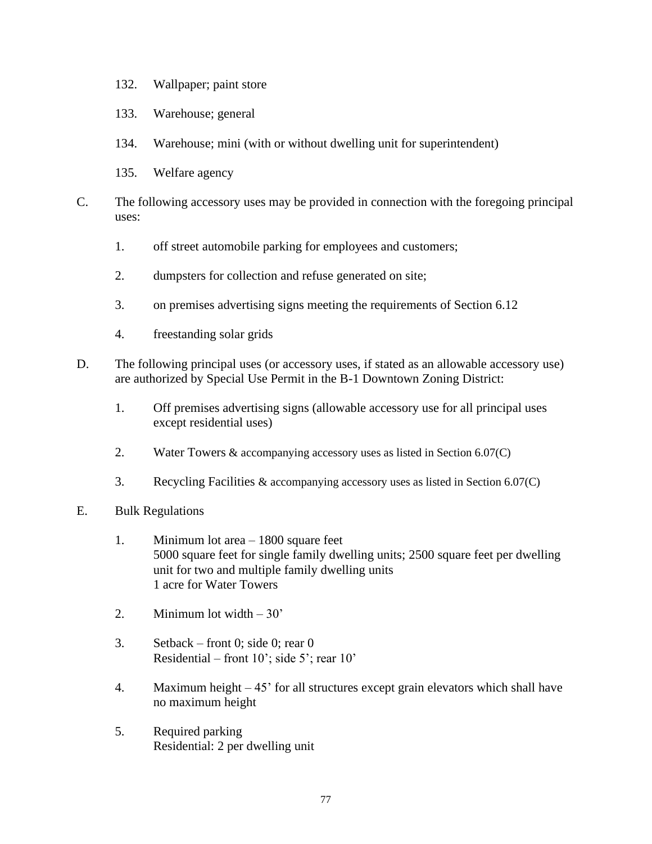- 132. Wallpaper; paint store
- 133. Warehouse; general
- 134. Warehouse; mini (with or without dwelling unit for superintendent)
- 135. Welfare agency
- C. The following accessory uses may be provided in connection with the foregoing principal uses:
	- 1. off street automobile parking for employees and customers;
	- 2. dumpsters for collection and refuse generated on site;
	- 3. on premises advertising signs meeting the requirements of Section 6.12
	- 4. freestanding solar grids
- D. The following principal uses (or accessory uses, if stated as an allowable accessory use) are authorized by Special Use Permit in the B-1 Downtown Zoning District:
	- 1. Off premises advertising signs (allowable accessory use for all principal uses except residential uses)
	- 2. Water Towers & accompanying accessory uses as listed in Section 6.07(C)
	- 3. Recycling Facilities & accompanying accessory uses as listed in Section 6.07(C)
- E. Bulk Regulations
	- 1. Minimum lot area 1800 square feet 5000 square feet for single family dwelling units; 2500 square feet per dwelling unit for two and multiple family dwelling units 1 acre for Water Towers
	- 2. Minimum lot width 30'
	- 3. Setback front 0; side 0; rear 0 Residential – front 10'; side 5'; rear  $10'$
	- 4. Maximum height 45' for all structures except grain elevators which shall have no maximum height
	- 5. Required parking Residential: 2 per dwelling unit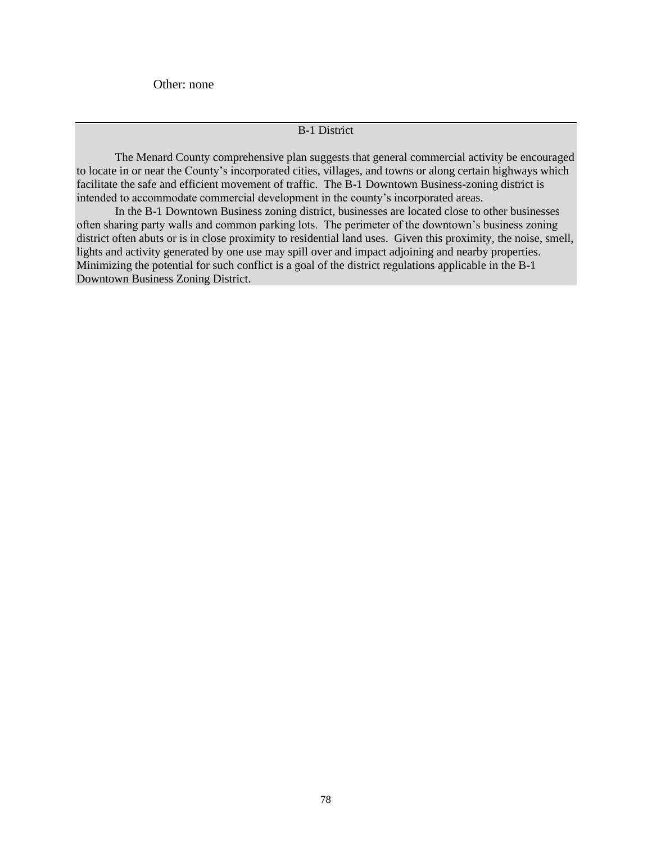Other: none

#### B-1 District

The Menard County comprehensive plan suggests that general commercial activity be encouraged to locate in or near the County's incorporated cities, villages, and towns or along certain highways which facilitate the safe and efficient movement of traffic. The B-1 Downtown Business-zoning district is intended to accommodate commercial development in the county's incorporated areas.

In the B-1 Downtown Business zoning district, businesses are located close to other businesses often sharing party walls and common parking lots. The perimeter of the downtown's business zoning district often abuts or is in close proximity to residential land uses. Given this proximity, the noise, smell, lights and activity generated by one use may spill over and impact adjoining and nearby properties. Minimizing the potential for such conflict is a goal of the district regulations applicable in the B-1 Downtown Business Zoning District.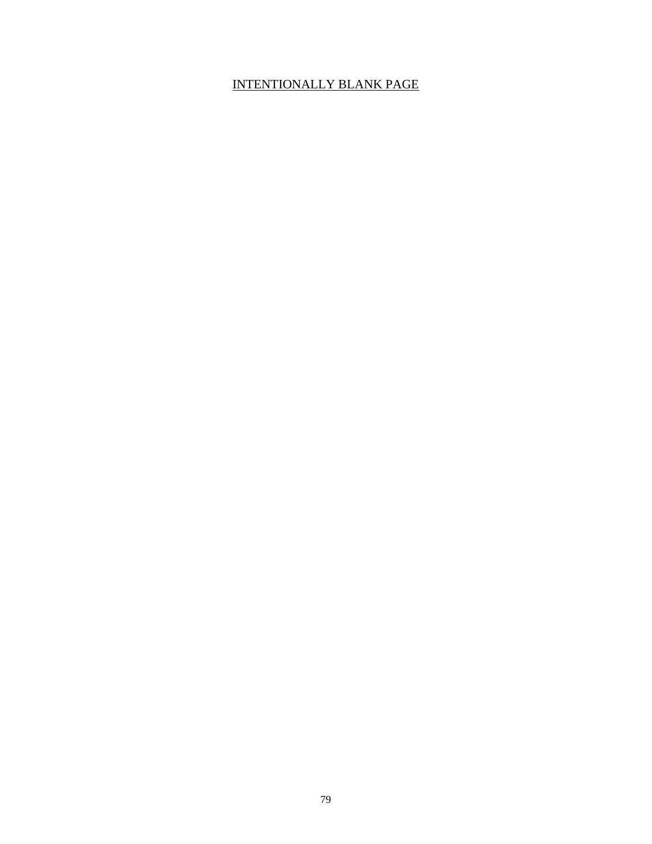# INTENTIONALLY BLANK PAGE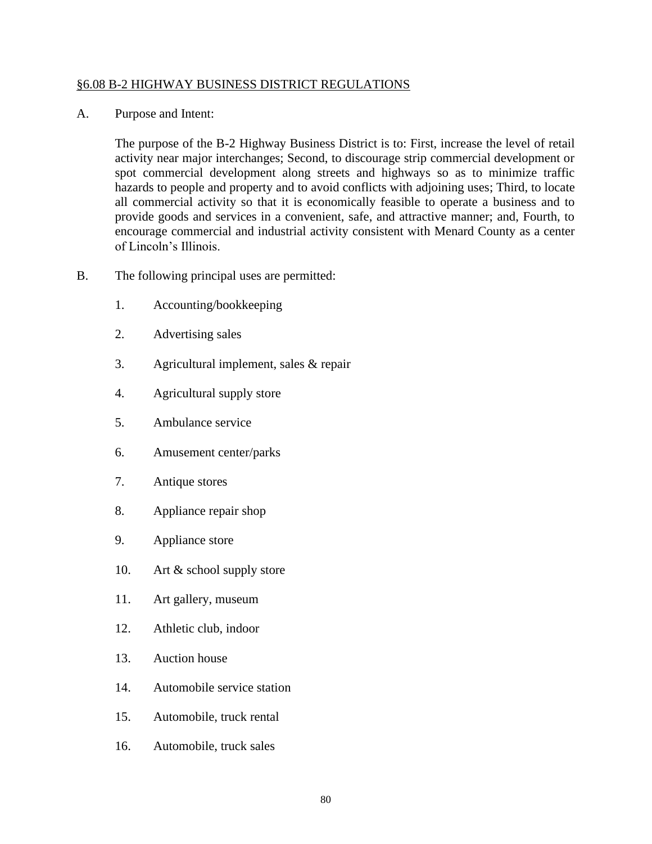### §6.08 B-2 HIGHWAY BUSINESS DISTRICT REGULATIONS

A. Purpose and Intent:

The purpose of the B-2 Highway Business District is to: First, increase the level of retail activity near major interchanges; Second, to discourage strip commercial development or spot commercial development along streets and highways so as to minimize traffic hazards to people and property and to avoid conflicts with adjoining uses; Third, to locate all commercial activity so that it is economically feasible to operate a business and to provide goods and services in a convenient, safe, and attractive manner; and, Fourth, to encourage commercial and industrial activity consistent with Menard County as a center of Lincoln's Illinois.

- B. The following principal uses are permitted:
	- 1. Accounting/bookkeeping
	- 2. Advertising sales
	- 3. Agricultural implement, sales & repair
	- 4. Agricultural supply store
	- 5. Ambulance service
	- 6. Amusement center/parks
	- 7. Antique stores
	- 8. Appliance repair shop
	- 9. Appliance store
	- 10. Art & school supply store
	- 11. Art gallery, museum
	- 12. Athletic club, indoor
	- 13. Auction house
	- 14. Automobile service station
	- 15. Automobile, truck rental
	- 16. Automobile, truck sales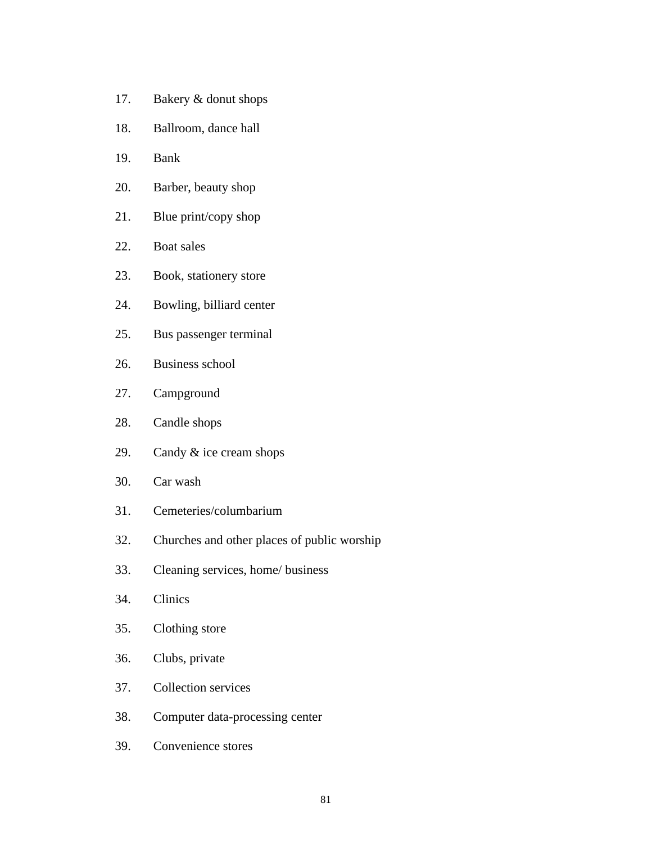- 17. Bakery & donut shops
- 18. Ballroom, dance hall
- 19. Bank
- 20. Barber, beauty shop
- 21. Blue print/copy shop
- 22. Boat sales
- 23. Book, stationery store
- 24. Bowling, billiard center
- 25. Bus passenger terminal
- 26. Business school
- 27. Campground
- 28. Candle shops
- 29. Candy & ice cream shops
- 30. Car wash
- 31. Cemeteries/columbarium
- 32. Churches and other places of public worship
- 33. Cleaning services, home/ business
- 34. Clinics
- 35. Clothing store
- 36. Clubs, private
- 37. Collection services
- 38. Computer data-processing center
- 39. Convenience stores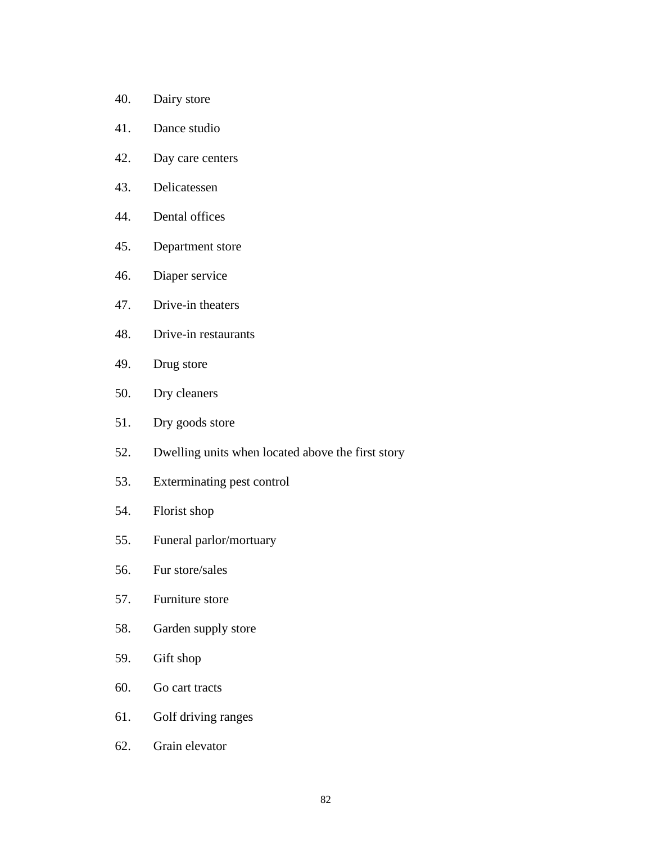- 40. Dairy store
- 41. Dance studio
- 42. Day care centers
- 43. Delicatessen
- 44. Dental offices
- 45. Department store
- 46. Diaper service
- 47. Drive-in theaters
- 48. Drive-in restaurants
- 49. Drug store
- 50. Dry cleaners
- 51. Dry goods store
- 52. Dwelling units when located above the first story
- 53. Exterminating pest control
- 54. Florist shop
- 55. Funeral parlor/mortuary
- 56. Fur store/sales
- 57. Furniture store
- 58. Garden supply store
- 59. Gift shop
- 60. Go cart tracts
- 61. Golf driving ranges
- 62. Grain elevator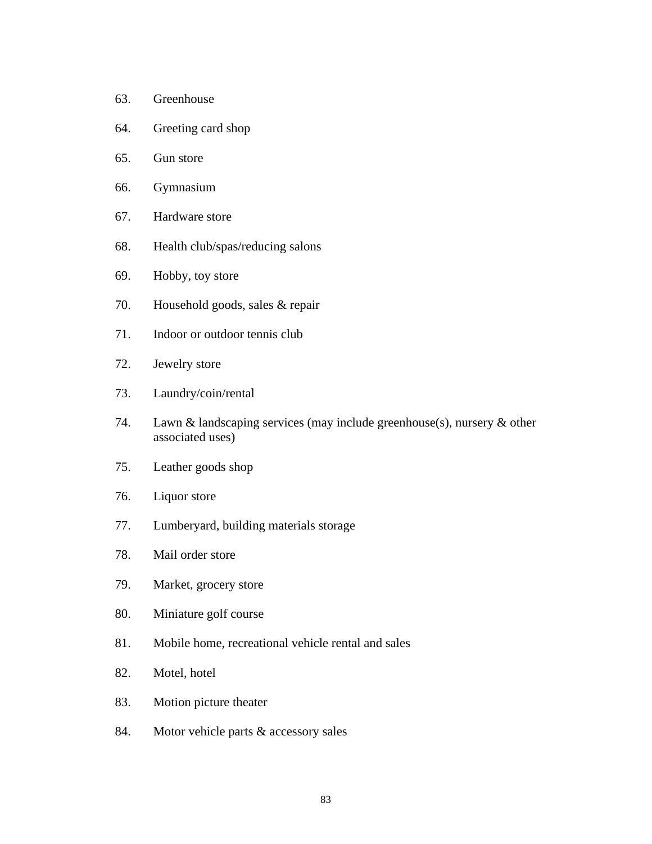- 63. Greenhouse
- 64. Greeting card shop
- 65. Gun store
- 66. Gymnasium
- 67. Hardware store
- 68. Health club/spas/reducing salons
- 69. Hobby, toy store
- 70. Household goods, sales & repair
- 71. Indoor or outdoor tennis club
- 72. Jewelry store
- 73. Laundry/coin/rental
- 74. Lawn & landscaping services (may include greenhouse(s), nursery & other associated uses)
- 75. Leather goods shop
- 76. Liquor store
- 77. Lumberyard, building materials storage
- 78. Mail order store
- 79. Market, grocery store
- 80. Miniature golf course
- 81. Mobile home, recreational vehicle rental and sales
- 82. Motel, hotel
- 83. Motion picture theater
- 84. Motor vehicle parts & accessory sales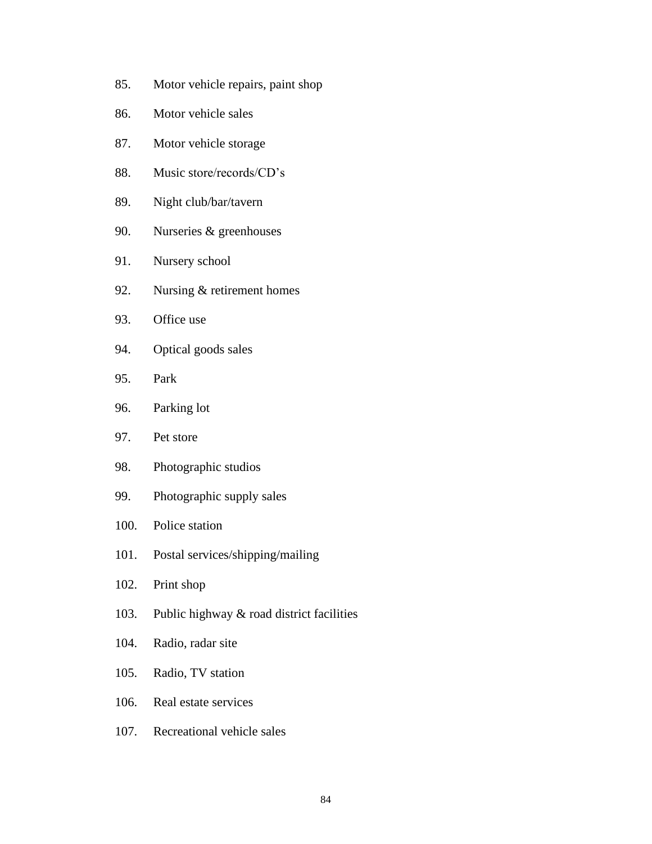- 85. Motor vehicle repairs, paint shop
- 86. Motor vehicle sales
- 87. Motor vehicle storage
- 88. Music store/records/CD's
- 89. Night club/bar/tavern
- 90. Nurseries & greenhouses
- 91. Nursery school
- 92. Nursing & retirement homes
- 93. Office use
- 94. Optical goods sales
- 95. Park
- 96. Parking lot
- 97. Pet store
- 98. Photographic studios
- 99. Photographic supply sales
- 100. Police station
- 101. Postal services/shipping/mailing
- 102. Print shop
- 103. Public highway & road district facilities
- 104. Radio, radar site
- 105. Radio, TV station
- 106. Real estate services
- 107. Recreational vehicle sales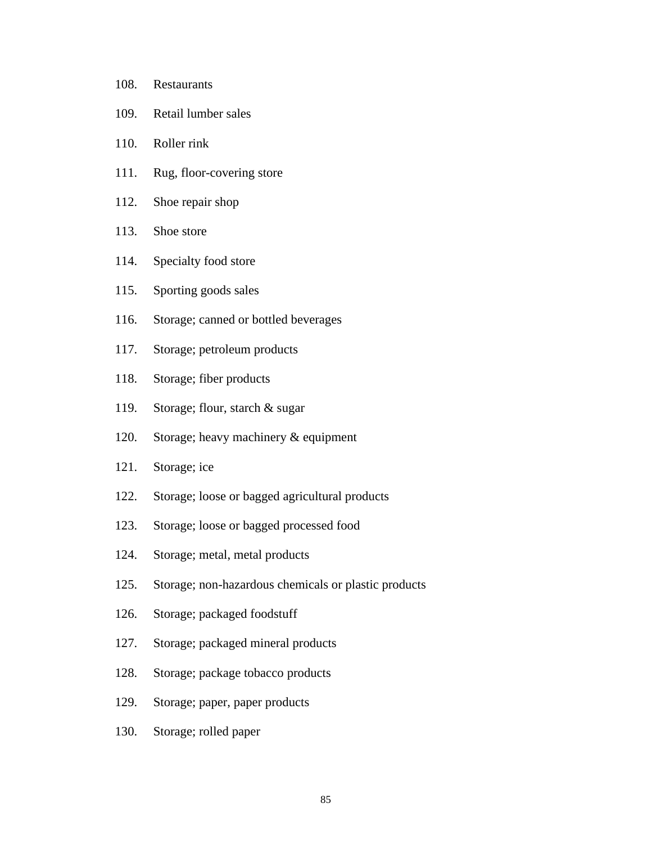| 108. | Restaurants                                          |
|------|------------------------------------------------------|
| 109. | Retail lumber sales                                  |
| 110. | Roller rink                                          |
| 111. | Rug, floor-covering store                            |
| 112. | Shoe repair shop                                     |
| 113. | Shoe store                                           |
| 114. | Specialty food store                                 |
| 115. | Sporting goods sales                                 |
| 116. | Storage; canned or bottled beverages                 |
| 117. | Storage; petroleum products                          |
| 118. | Storage; fiber products                              |
| 119. | Storage; flour, starch & sugar                       |
| 120. | Storage; heavy machinery $&$ equipment               |
| 121. | Storage; ice                                         |
| 122. | Storage; loose or bagged agricultural products       |
| 123. | Storage; loose or bagged processed food              |
| 124. | Storage; metal, metal products                       |
| 125. | Storage; non-hazardous chemicals or plastic products |
| 126. | Storage; packaged foodstuff                          |
| 127. | Storage; packaged mineral products                   |
| 128. | Storage; package tobacco products                    |
| 129. | Storage; paper, paper products                       |
| 130. | Storage; rolled paper                                |
|      |                                                      |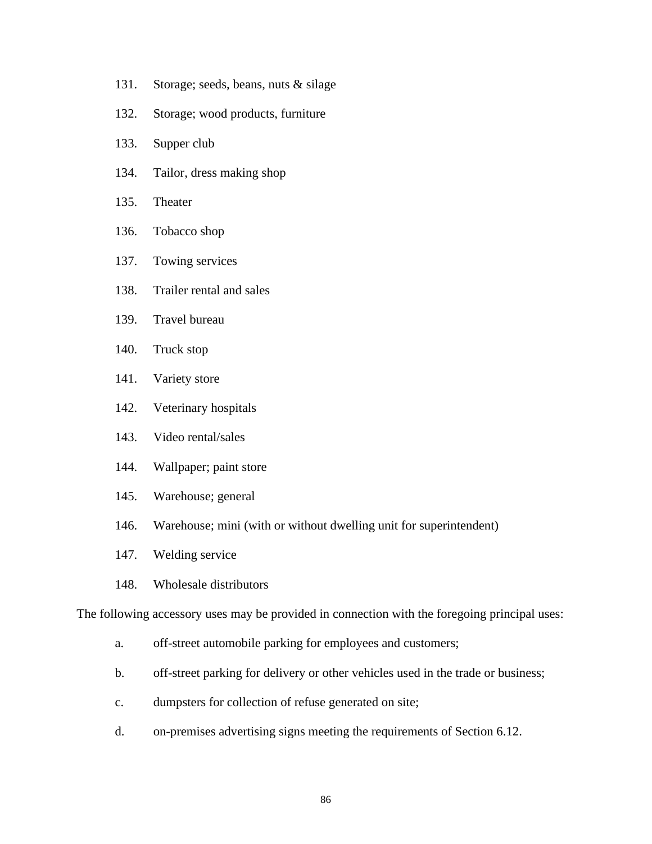- 131. Storage; seeds, beans, nuts & silage
- 132. Storage; wood products, furniture
- 133. Supper club
- 134. Tailor, dress making shop
- 135. Theater
- 136. Tobacco shop
- 137. Towing services
- 138. Trailer rental and sales
- 139. Travel bureau
- 140. Truck stop
- 141. Variety store
- 142. Veterinary hospitals
- 143. Video rental/sales
- 144. Wallpaper; paint store
- 145. Warehouse; general
- 146. Warehouse; mini (with or without dwelling unit for superintendent)
- 147. Welding service
- 148. Wholesale distributors

The following accessory uses may be provided in connection with the foregoing principal uses:

- a. off-street automobile parking for employees and customers;
- b. off-street parking for delivery or other vehicles used in the trade or business;
- c. dumpsters for collection of refuse generated on site;
- d. on-premises advertising signs meeting the requirements of Section 6.12.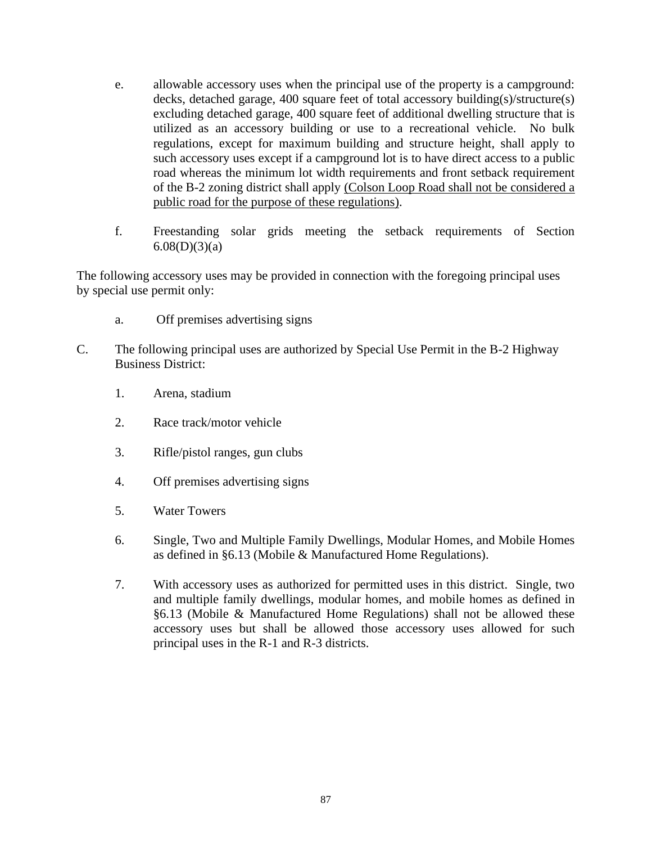- e. allowable accessory uses when the principal use of the property is a campground: decks, detached garage, 400 square feet of total accessory building(s)/structure(s) excluding detached garage, 400 square feet of additional dwelling structure that is utilized as an accessory building or use to a recreational vehicle. No bulk regulations, except for maximum building and structure height, shall apply to such accessory uses except if a campground lot is to have direct access to a public road whereas the minimum lot width requirements and front setback requirement of the B-2 zoning district shall apply (Colson Loop Road shall not be considered a public road for the purpose of these regulations).
- f. Freestanding solar grids meeting the setback requirements of Section  $6.08(D)(3)(a)$

The following accessory uses may be provided in connection with the foregoing principal uses by special use permit only:

- a. Off premises advertising signs
- C. The following principal uses are authorized by Special Use Permit in the B-2 Highway Business District:
	- 1. Arena, stadium
	- 2. Race track/motor vehicle
	- 3. Rifle/pistol ranges, gun clubs
	- 4. Off premises advertising signs
	- 5. Water Towers
	- 6. Single, Two and Multiple Family Dwellings, Modular Homes, and Mobile Homes as defined in §6.13 (Mobile & Manufactured Home Regulations).
	- 7. With accessory uses as authorized for permitted uses in this district. Single, two and multiple family dwellings, modular homes, and mobile homes as defined in §6.13 (Mobile & Manufactured Home Regulations) shall not be allowed these accessory uses but shall be allowed those accessory uses allowed for such principal uses in the R-1 and R-3 districts.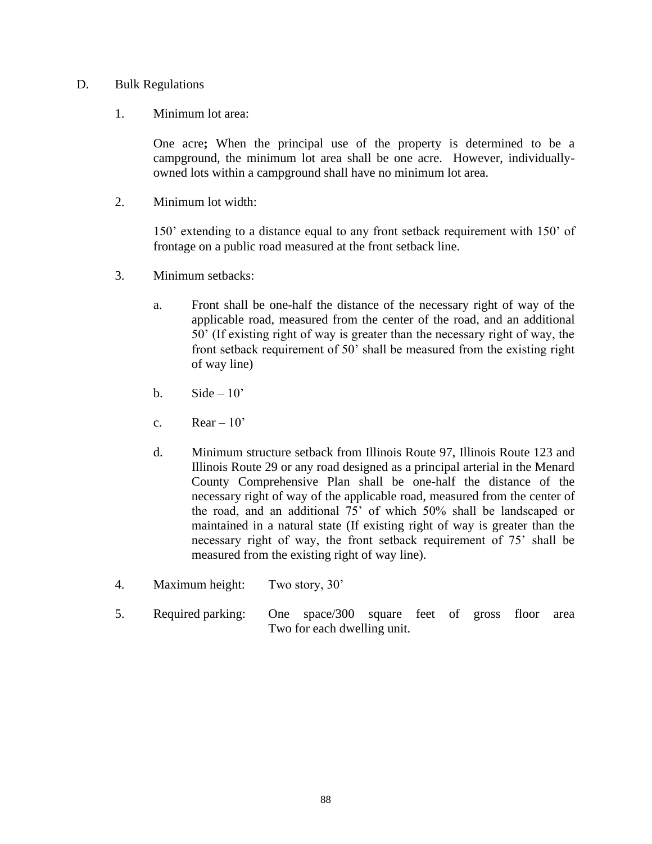#### D. Bulk Regulations

### 1. Minimum lot area:

One acre**;** When the principal use of the property is determined to be a campground, the minimum lot area shall be one acre. However, individuallyowned lots within a campground shall have no minimum lot area.

2. Minimum lot width:

150' extending to a distance equal to any front setback requirement with 150' of frontage on a public road measured at the front setback line.

- 3. Minimum setbacks:
	- a. Front shall be one-half the distance of the necessary right of way of the applicable road, measured from the center of the road, and an additional 50' (If existing right of way is greater than the necessary right of way, the front setback requirement of 50' shall be measured from the existing right of way line)
	- b. Side  $10'$
	- c.  $Rear 10'$
	- d. Minimum structure setback from Illinois Route 97, Illinois Route 123 and Illinois Route 29 or any road designed as a principal arterial in the Menard County Comprehensive Plan shall be one-half the distance of the necessary right of way of the applicable road, measured from the center of the road, and an additional 75' of which 50% shall be landscaped or maintained in a natural state (If existing right of way is greater than the necessary right of way, the front setback requirement of 75' shall be measured from the existing right of way line).
- 4. Maximum height: Two story, 30'
- 5. Required parking: One space/300 square feet of gross floor area Two for each dwelling unit.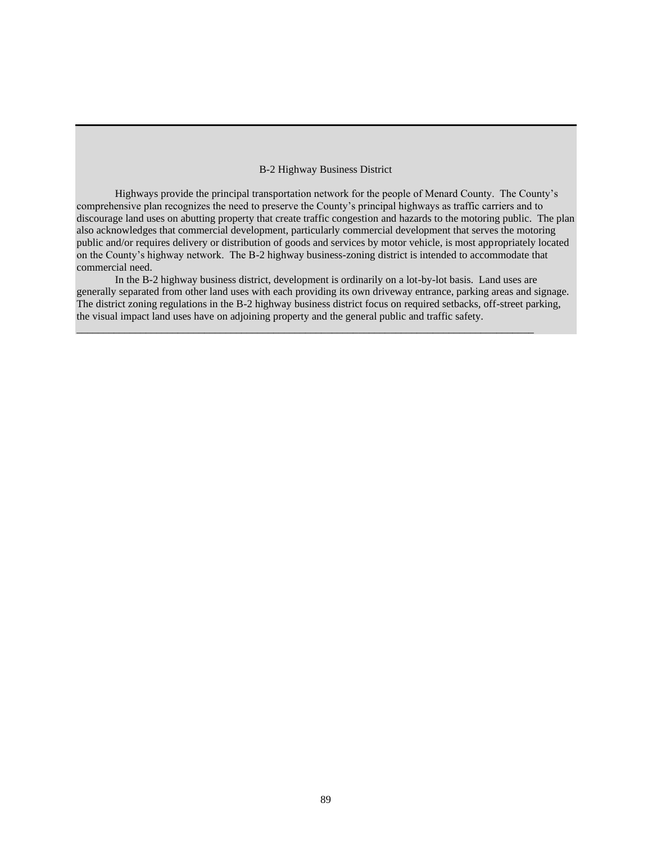#### B-2 Highway Business District

Highways provide the principal transportation network for the people of Menard County. The County's comprehensive plan recognizes the need to preserve the County's principal highways as traffic carriers and to discourage land uses on abutting property that create traffic congestion and hazards to the motoring public. The plan also acknowledges that commercial development, particularly commercial development that serves the motoring public and/or requires delivery or distribution of goods and services by motor vehicle, is most appropriately located on the County's highway network. The B-2 highway business-zoning district is intended to accommodate that commercial need.

In the B-2 highway business district, development is ordinarily on a lot-by-lot basis. Land uses are generally separated from other land uses with each providing its own driveway entrance, parking areas and signage. The district zoning regulations in the B-2 highway business district focus on required setbacks, off-street parking, the visual impact land uses have on adjoining property and the general public and traffic safety.

 $\_$  , and the set of the set of the set of the set of the set of the set of the set of the set of the set of the set of the set of the set of the set of the set of the set of the set of the set of the set of the set of th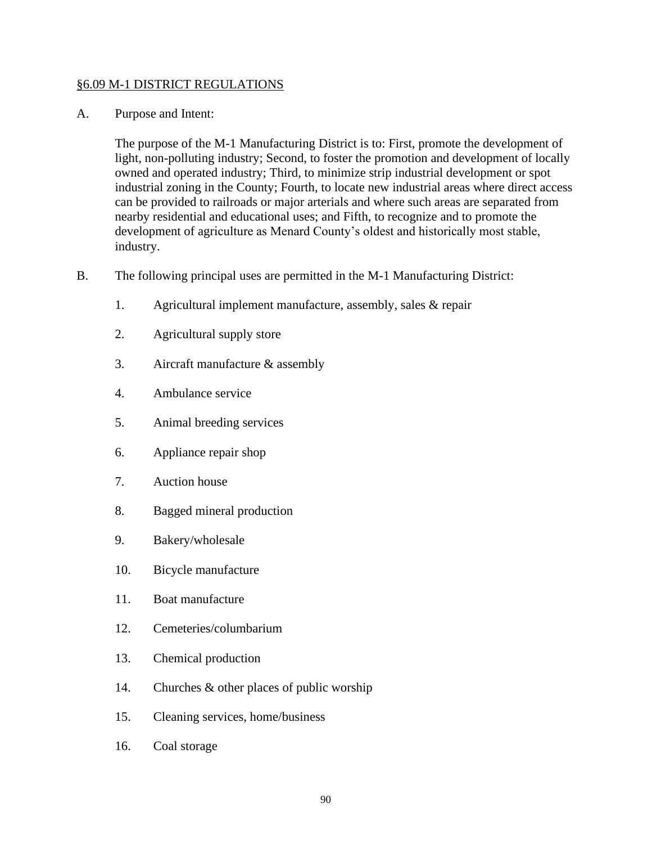#### §6.09 M-1 DISTRICT REGULATIONS

A. Purpose and Intent:

The purpose of the M-1 Manufacturing District is to: First, promote the development of light, non-polluting industry; Second, to foster the promotion and development of locally owned and operated industry; Third, to minimize strip industrial development or spot industrial zoning in the County; Fourth, to locate new industrial areas where direct access can be provided to railroads or major arterials and where such areas are separated from nearby residential and educational uses; and Fifth, to recognize and to promote the development of agriculture as Menard County's oldest and historically most stable, industry.

- B. The following principal uses are permitted in the M-1 Manufacturing District:
	- 1. Agricultural implement manufacture, assembly, sales & repair
	- 2. Agricultural supply store
	- 3. Aircraft manufacture & assembly
	- 4. Ambulance service
	- 5. Animal breeding services
	- 6. Appliance repair shop
	- 7. Auction house
	- 8. Bagged mineral production
	- 9. Bakery/wholesale
	- 10. Bicycle manufacture
	- 11. Boat manufacture
	- 12. Cemeteries/columbarium
	- 13. Chemical production
	- 14. Churches & other places of public worship
	- 15. Cleaning services, home/business
	- 16. Coal storage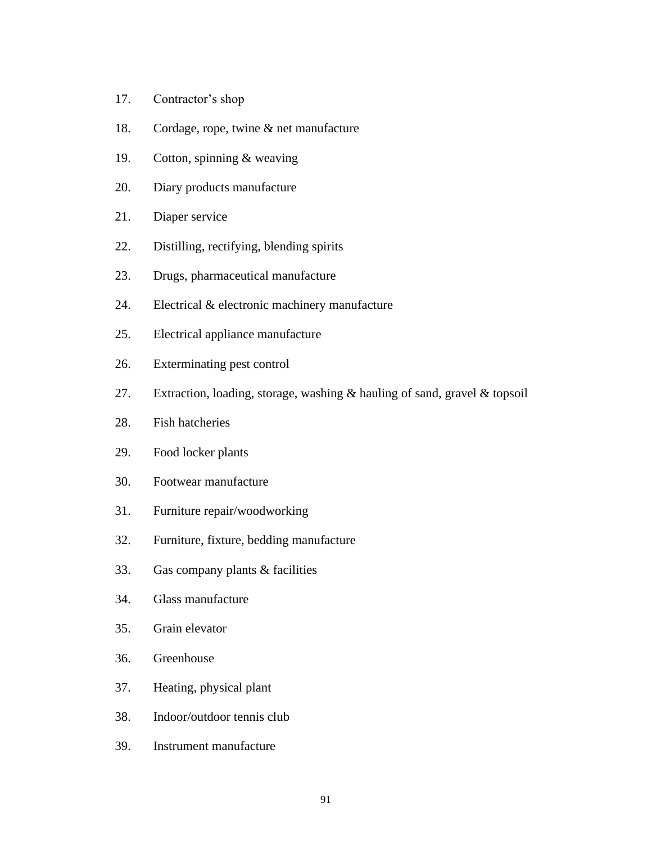- 17. Contractor's shop
- 18. Cordage, rope, twine & net manufacture
- 19. Cotton, spinning & weaving
- 20. Diary products manufacture
- 21. Diaper service
- 22. Distilling, rectifying, blending spirits
- 23. Drugs, pharmaceutical manufacture
- 24. Electrical & electronic machinery manufacture
- 25. Electrical appliance manufacture
- 26. Exterminating pest control
- 27. Extraction, loading, storage, washing & hauling of sand, gravel & topsoil
- 28. Fish hatcheries
- 29. Food locker plants
- 30. Footwear manufacture
- 31. Furniture repair/woodworking
- 32. Furniture, fixture, bedding manufacture
- 33. Gas company plants & facilities
- 34. Glass manufacture
- 35. Grain elevator
- 36. Greenhouse
- 37. Heating, physical plant
- 38. Indoor/outdoor tennis club
- 39. Instrument manufacture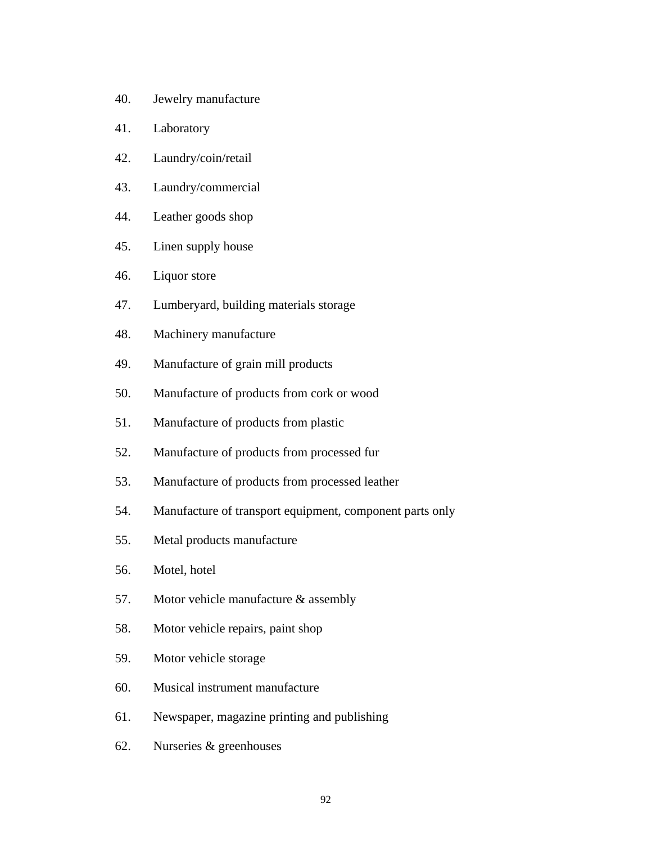- 40. Jewelry manufacture
- 41. Laboratory
- 42. Laundry/coin/retail
- 43. Laundry/commercial
- 44. Leather goods shop
- 45. Linen supply house
- 46. Liquor store
- 47. Lumberyard, building materials storage
- 48. Machinery manufacture
- 49. Manufacture of grain mill products
- 50. Manufacture of products from cork or wood
- 51. Manufacture of products from plastic
- 52. Manufacture of products from processed fur
- 53. Manufacture of products from processed leather
- 54. Manufacture of transport equipment, component parts only
- 55. Metal products manufacture
- 56. Motel, hotel
- 57. Motor vehicle manufacture & assembly
- 58. Motor vehicle repairs, paint shop
- 59. Motor vehicle storage
- 60. Musical instrument manufacture
- 61. Newspaper, magazine printing and publishing
- 62. Nurseries & greenhouses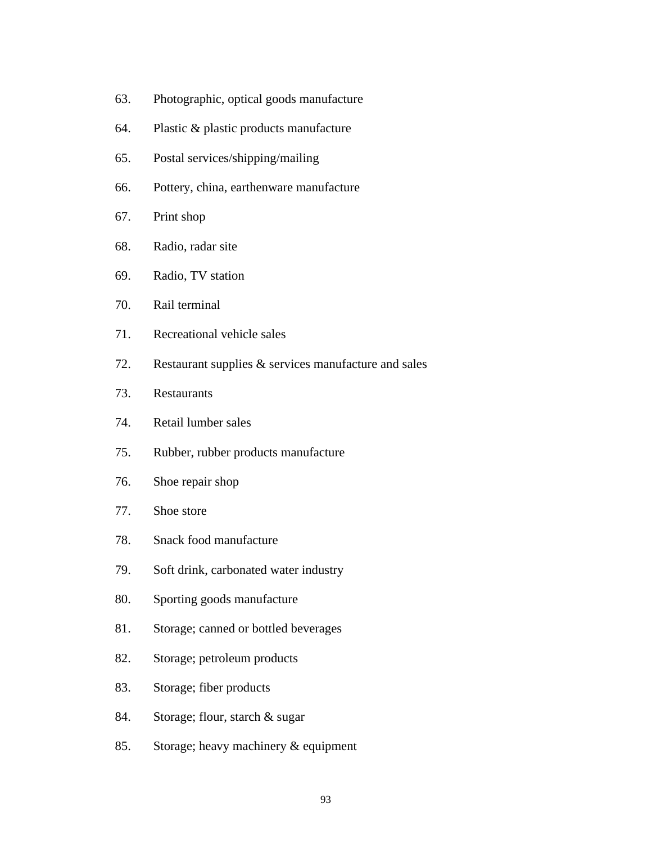- 63. Photographic, optical goods manufacture
- 64. Plastic & plastic products manufacture
- 65. Postal services/shipping/mailing
- 66. Pottery, china, earthenware manufacture
- 67. Print shop
- 68. Radio, radar site
- 69. Radio, TV station
- 70. Rail terminal
- 71. Recreational vehicle sales
- 72. Restaurant supplies & services manufacture and sales
- 73. Restaurants
- 74. Retail lumber sales
- 75. Rubber, rubber products manufacture
- 76. Shoe repair shop
- 77. Shoe store
- 78. Snack food manufacture
- 79. Soft drink, carbonated water industry
- 80. Sporting goods manufacture
- 81. Storage; canned or bottled beverages
- 82. Storage; petroleum products
- 83. Storage; fiber products
- 84. Storage; flour, starch & sugar
- 85. Storage; heavy machinery & equipment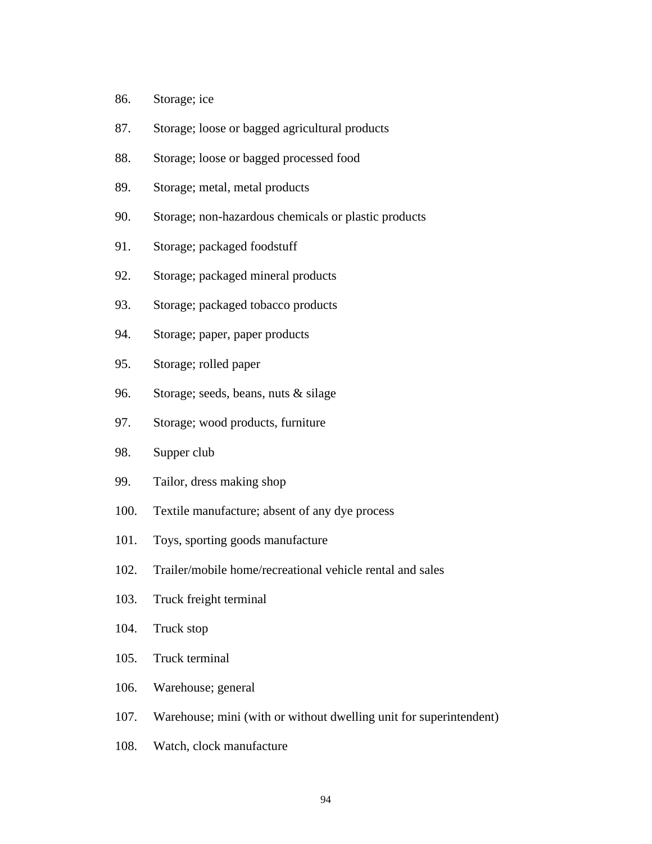- 86. Storage; ice
- 87. Storage; loose or bagged agricultural products
- 88. Storage; loose or bagged processed food
- 89. Storage; metal, metal products
- 90. Storage; non-hazardous chemicals or plastic products
- 91. Storage; packaged foodstuff
- 92. Storage; packaged mineral products
- 93. Storage; packaged tobacco products
- 94. Storage; paper, paper products
- 95. Storage; rolled paper
- 96. Storage; seeds, beans, nuts & silage
- 97. Storage; wood products, furniture
- 98. Supper club
- 99. Tailor, dress making shop
- 100. Textile manufacture; absent of any dye process
- 101. Toys, sporting goods manufacture
- 102. Trailer/mobile home/recreational vehicle rental and sales
- 103. Truck freight terminal
- 104. Truck stop
- 105. Truck terminal
- 106. Warehouse; general
- 107. Warehouse; mini (with or without dwelling unit for superintendent)
- 108. Watch, clock manufacture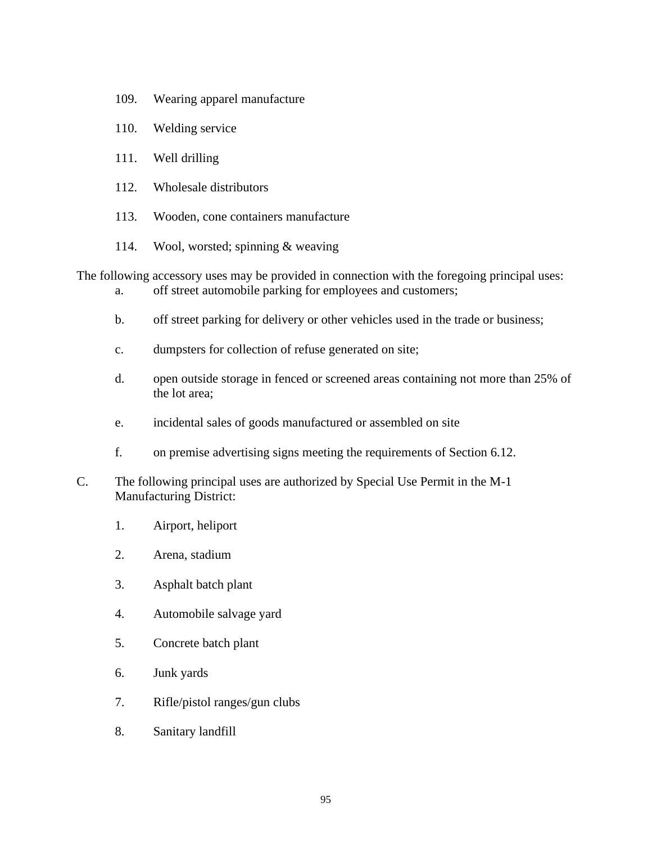- 109. Wearing apparel manufacture
- 110. Welding service
- 111. Well drilling
- 112. Wholesale distributors
- 113. Wooden, cone containers manufacture
- 114. Wool, worsted; spinning & weaving

The following accessory uses may be provided in connection with the foregoing principal uses:

- a. off street automobile parking for employees and customers;
- b. off street parking for delivery or other vehicles used in the trade or business;
- c. dumpsters for collection of refuse generated on site;
- d. open outside storage in fenced or screened areas containing not more than 25% of the lot area;
- e. incidental sales of goods manufactured or assembled on site
- f. on premise advertising signs meeting the requirements of Section 6.12.
- C. The following principal uses are authorized by Special Use Permit in the M-1 Manufacturing District:
	- 1. Airport, heliport
	- 2. Arena, stadium
	- 3. Asphalt batch plant
	- 4. Automobile salvage yard
	- 5. Concrete batch plant
	- 6. Junk yards
	- 7. Rifle/pistol ranges/gun clubs
	- 8. Sanitary landfill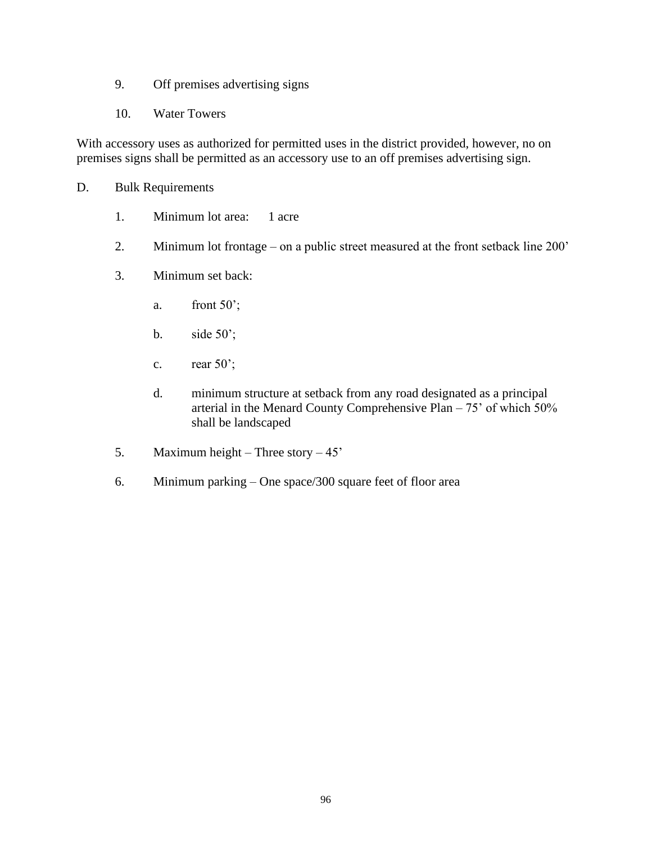- 9. Off premises advertising signs
- 10. Water Towers

With accessory uses as authorized for permitted uses in the district provided, however, no on premises signs shall be permitted as an accessory use to an off premises advertising sign.

- D. Bulk Requirements
	- 1. Minimum lot area: 1 acre
	- 2. Minimum lot frontage on a public street measured at the front setback line 200'
	- 3. Minimum set back:
		- a. front  $50$ ;
		- b. side 50<sup>'</sup>;
		- c. rear  $50$ ;
		- d. minimum structure at setback from any road designated as a principal arterial in the Menard County Comprehensive Plan  $-75$ ' of which 50% shall be landscaped
	- 5. Maximum height Three story  $45'$
	- 6. Minimum parking One space/300 square feet of floor area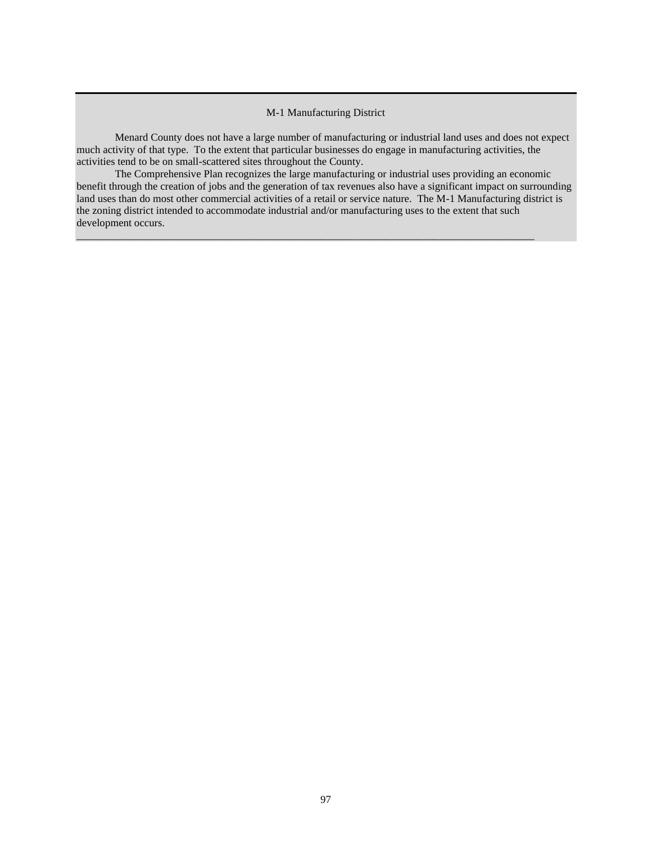#### M-1 Manufacturing District

Menard County does not have a large number of manufacturing or industrial land uses and does not expect much activity of that type. To the extent that particular businesses do engage in manufacturing activities, the activities tend to be on small-scattered sites throughout the County.

The Comprehensive Plan recognizes the large manufacturing or industrial uses providing an economic benefit through the creation of jobs and the generation of tax revenues also have a significant impact on surrounding land uses than do most other commercial activities of a retail or service nature. The M-1 Manufacturing district is the zoning district intended to accommodate industrial and/or manufacturing uses to the extent that such development occurs.

\_\_\_\_\_\_\_\_\_\_\_\_\_\_\_\_\_\_\_\_\_\_\_\_\_\_\_\_\_\_\_\_\_\_\_\_\_\_\_\_\_\_\_\_\_\_\_\_\_\_\_\_\_\_\_\_\_\_\_\_\_\_\_\_\_\_\_\_\_\_\_\_\_\_\_\_\_\_\_\_\_\_\_\_\_\_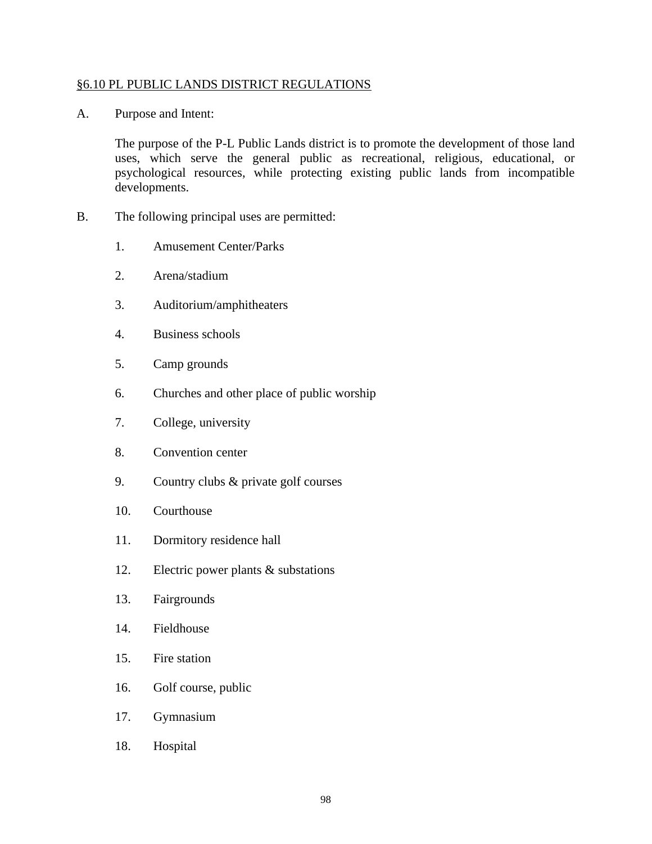### §6.10 PL PUBLIC LANDS DISTRICT REGULATIONS

A. Purpose and Intent:

The purpose of the P-L Public Lands district is to promote the development of those land uses, which serve the general public as recreational, religious, educational, or psychological resources, while protecting existing public lands from incompatible developments.

- B. The following principal uses are permitted:
	- 1. Amusement Center/Parks
	- 2. Arena/stadium
	- 3. Auditorium/amphitheaters
	- 4. Business schools
	- 5. Camp grounds
	- 6. Churches and other place of public worship
	- 7. College, university
	- 8. Convention center
	- 9. Country clubs & private golf courses
	- 10. Courthouse
	- 11. Dormitory residence hall
	- 12. Electric power plants & substations
	- 13. Fairgrounds
	- 14. Fieldhouse
	- 15. Fire station
	- 16. Golf course, public
	- 17. Gymnasium
	- 18. Hospital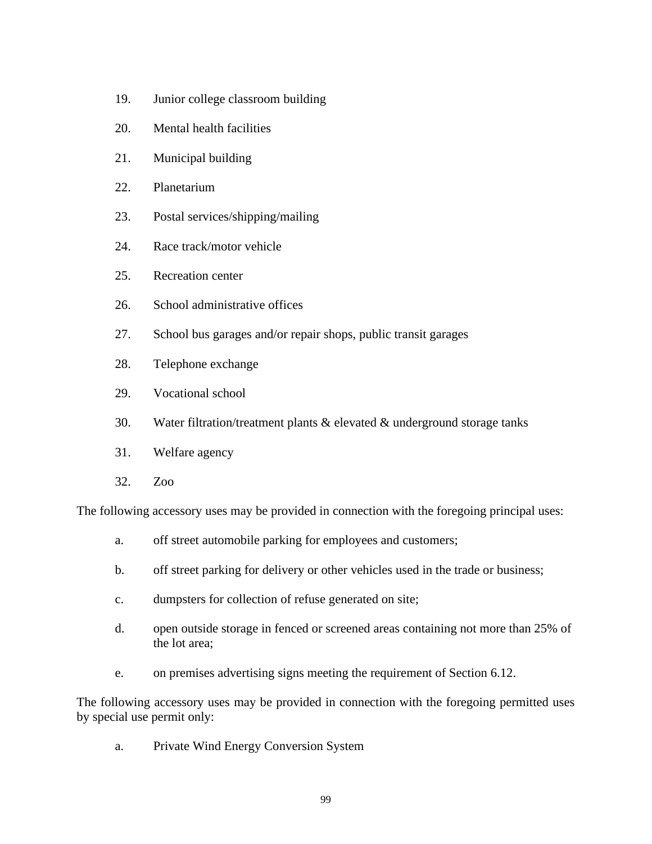- 19. Junior college classroom building
- 20. Mental health facilities
- 21. Municipal building
- 22. Planetarium
- 23. Postal services/shipping/mailing
- 24. Race track/motor vehicle
- 25. Recreation center
- 26. School administrative offices
- 27. School bus garages and/or repair shops, public transit garages
- 28. Telephone exchange
- 29. Vocational school
- 30. Water filtration/treatment plants & elevated & underground storage tanks
- 31. Welfare agency
- 32. Zoo

The following accessory uses may be provided in connection with the foregoing principal uses:

- a. off street automobile parking for employees and customers;
- b. off street parking for delivery or other vehicles used in the trade or business;
- c. dumpsters for collection of refuse generated on site;
- d. open outside storage in fenced or screened areas containing not more than 25% of the lot area;
- e. on premises advertising signs meeting the requirement of Section 6.12.

The following accessory uses may be provided in connection with the foregoing permitted uses by special use permit only:

a. Private Wind Energy Conversion System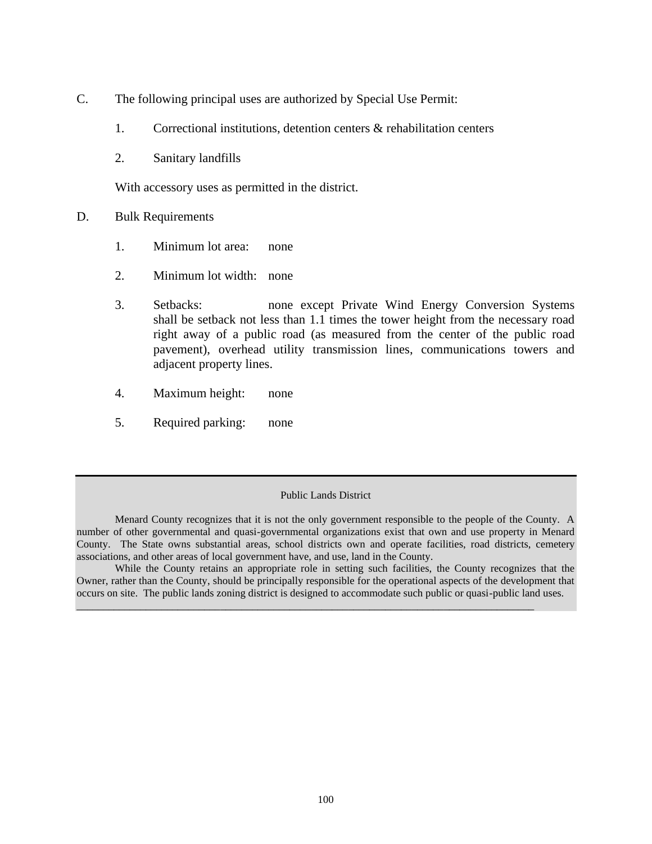- C. The following principal uses are authorized by Special Use Permit:
	- 1. Correctional institutions, detention centers & rehabilitation centers
	- 2. Sanitary landfills

With accessory uses as permitted in the district.

- D. Bulk Requirements
	- 1. Minimum lot area: none
	- 2. Minimum lot width: none
	- 3. Setbacks: none except Private Wind Energy Conversion Systems shall be setback not less than 1.1 times the tower height from the necessary road right away of a public road (as measured from the center of the public road pavement), overhead utility transmission lines, communications towers and adjacent property lines.
	- 4. Maximum height: none
	- 5. Required parking: none

#### Public Lands District

Menard County recognizes that it is not the only government responsible to the people of the County. A number of other governmental and quasi-governmental organizations exist that own and use property in Menard County. The State owns substantial areas, school districts own and operate facilities, road districts, cemetery associations, and other areas of local government have, and use, land in the County.

While the County retains an appropriate role in setting such facilities, the County recognizes that the Owner, rather than the County, should be principally responsible for the operational aspects of the development that occurs on site. The public lands zoning district is designed to accommodate such public or quasi-public land uses.

\_\_\_\_\_\_\_\_\_\_\_\_\_\_\_\_\_\_\_\_\_\_\_\_\_\_\_\_\_\_\_\_\_\_\_\_\_\_\_\_\_\_\_\_\_\_\_\_\_\_\_\_\_\_\_\_\_\_\_\_\_\_\_\_\_\_\_\_\_\_\_\_\_\_\_\_\_\_\_\_\_\_\_\_\_\_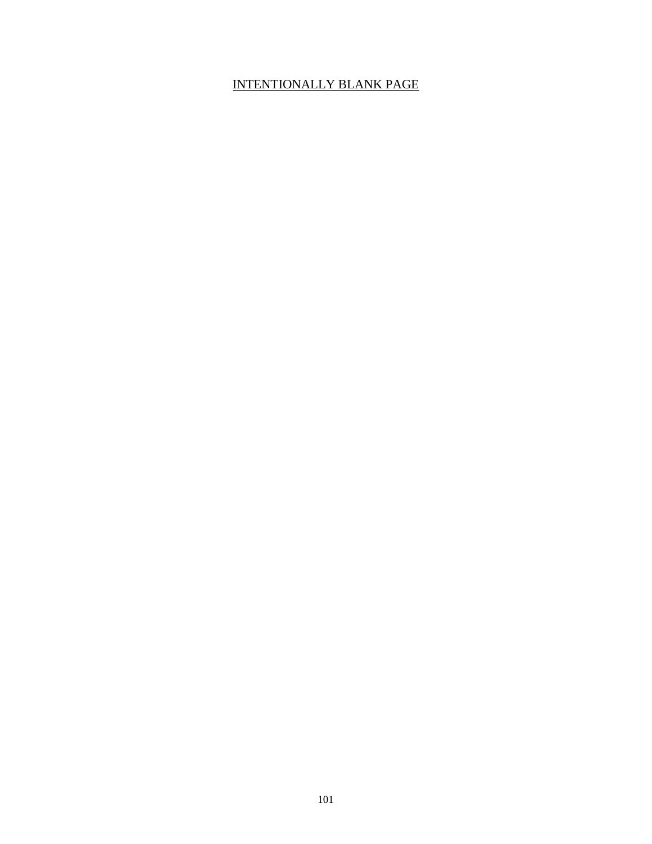# INTENTIONALLY BLANK PAGE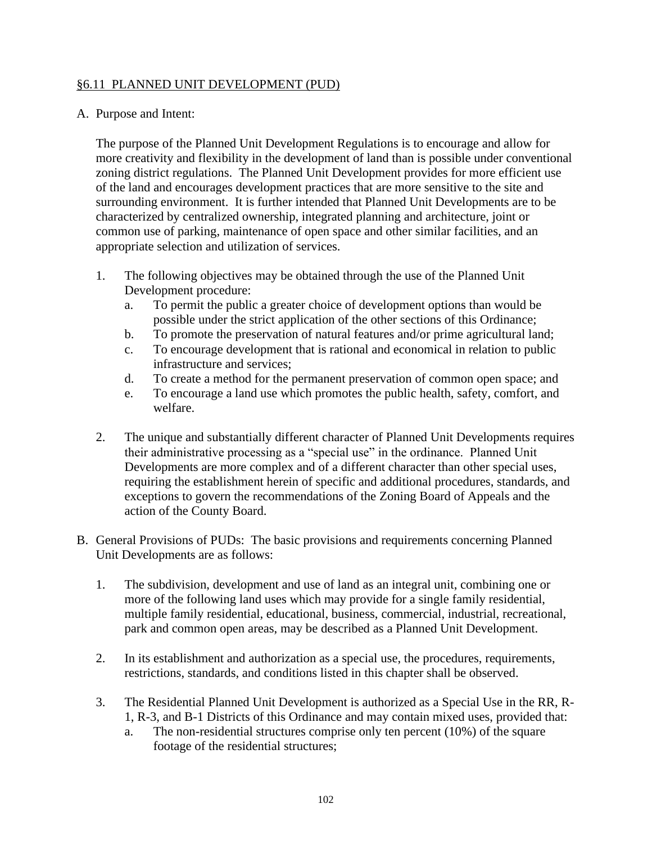### §6.11 PLANNED UNIT DEVELOPMENT (PUD)

A. Purpose and Intent:

The purpose of the Planned Unit Development Regulations is to encourage and allow for more creativity and flexibility in the development of land than is possible under conventional zoning district regulations. The Planned Unit Development provides for more efficient use of the land and encourages development practices that are more sensitive to the site and surrounding environment. It is further intended that Planned Unit Developments are to be characterized by centralized ownership, integrated planning and architecture, joint or common use of parking, maintenance of open space and other similar facilities, and an appropriate selection and utilization of services.

- 1. The following objectives may be obtained through the use of the Planned Unit Development procedure:
	- a. To permit the public a greater choice of development options than would be possible under the strict application of the other sections of this Ordinance;
	- b. To promote the preservation of natural features and/or prime agricultural land;
	- c. To encourage development that is rational and economical in relation to public infrastructure and services;
	- d. To create a method for the permanent preservation of common open space; and
	- e. To encourage a land use which promotes the public health, safety, comfort, and welfare.
- 2. The unique and substantially different character of Planned Unit Developments requires their administrative processing as a "special use" in the ordinance. Planned Unit Developments are more complex and of a different character than other special uses, requiring the establishment herein of specific and additional procedures, standards, and exceptions to govern the recommendations of the Zoning Board of Appeals and the action of the County Board.
- B. General Provisions of PUDs: The basic provisions and requirements concerning Planned Unit Developments are as follows:
	- 1. The subdivision, development and use of land as an integral unit, combining one or more of the following land uses which may provide for a single family residential, multiple family residential, educational, business, commercial, industrial, recreational, park and common open areas, may be described as a Planned Unit Development.
	- 2. In its establishment and authorization as a special use, the procedures, requirements, restrictions, standards, and conditions listed in this chapter shall be observed.
	- 3. The Residential Planned Unit Development is authorized as a Special Use in the RR, R-1, R-3, and B-1 Districts of this Ordinance and may contain mixed uses, provided that:
		- a. The non-residential structures comprise only ten percent (10%) of the square footage of the residential structures;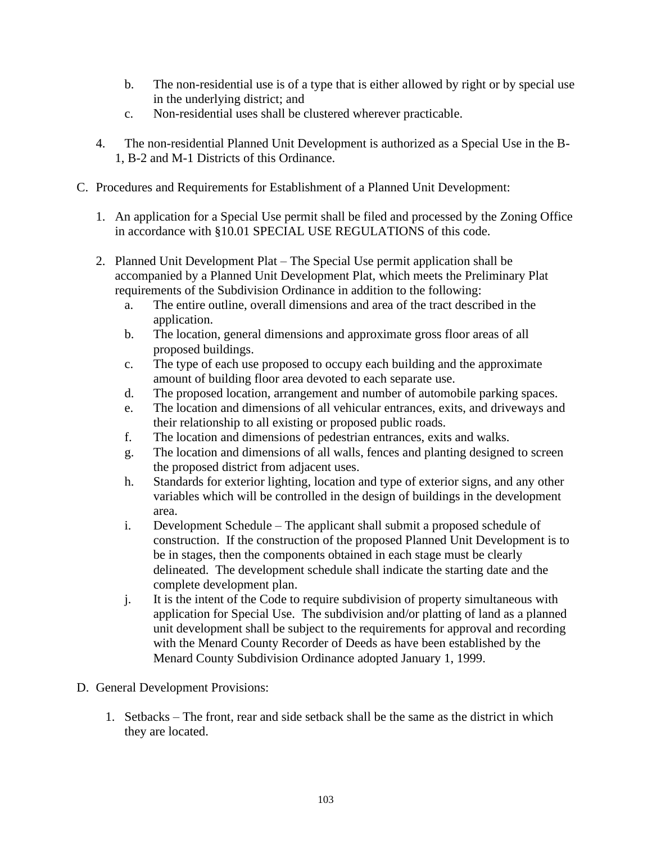- b. The non-residential use is of a type that is either allowed by right or by special use in the underlying district; and
- c. Non-residential uses shall be clustered wherever practicable.
- 4. The non-residential Planned Unit Development is authorized as a Special Use in the B-1, B-2 and M-1 Districts of this Ordinance.
- C. Procedures and Requirements for Establishment of a Planned Unit Development:
	- 1. An application for a Special Use permit shall be filed and processed by the Zoning Office in accordance with §10.01 SPECIAL USE REGULATIONS of this code.
	- 2. Planned Unit Development Plat The Special Use permit application shall be accompanied by a Planned Unit Development Plat, which meets the Preliminary Plat requirements of the Subdivision Ordinance in addition to the following:
		- a. The entire outline, overall dimensions and area of the tract described in the application.
		- b. The location, general dimensions and approximate gross floor areas of all proposed buildings.
		- c. The type of each use proposed to occupy each building and the approximate amount of building floor area devoted to each separate use.
		- d. The proposed location, arrangement and number of automobile parking spaces.
		- e. The location and dimensions of all vehicular entrances, exits, and driveways and their relationship to all existing or proposed public roads.
		- f. The location and dimensions of pedestrian entrances, exits and walks.
		- g. The location and dimensions of all walls, fences and planting designed to screen the proposed district from adjacent uses.
		- h. Standards for exterior lighting, location and type of exterior signs, and any other variables which will be controlled in the design of buildings in the development area.
		- i. Development Schedule The applicant shall submit a proposed schedule of construction. If the construction of the proposed Planned Unit Development is to be in stages, then the components obtained in each stage must be clearly delineated. The development schedule shall indicate the starting date and the complete development plan.
		- j. It is the intent of the Code to require subdivision of property simultaneous with application for Special Use. The subdivision and/or platting of land as a planned unit development shall be subject to the requirements for approval and recording with the Menard County Recorder of Deeds as have been established by the Menard County Subdivision Ordinance adopted January 1, 1999.
- D. General Development Provisions:
	- 1. Setbacks The front, rear and side setback shall be the same as the district in which they are located.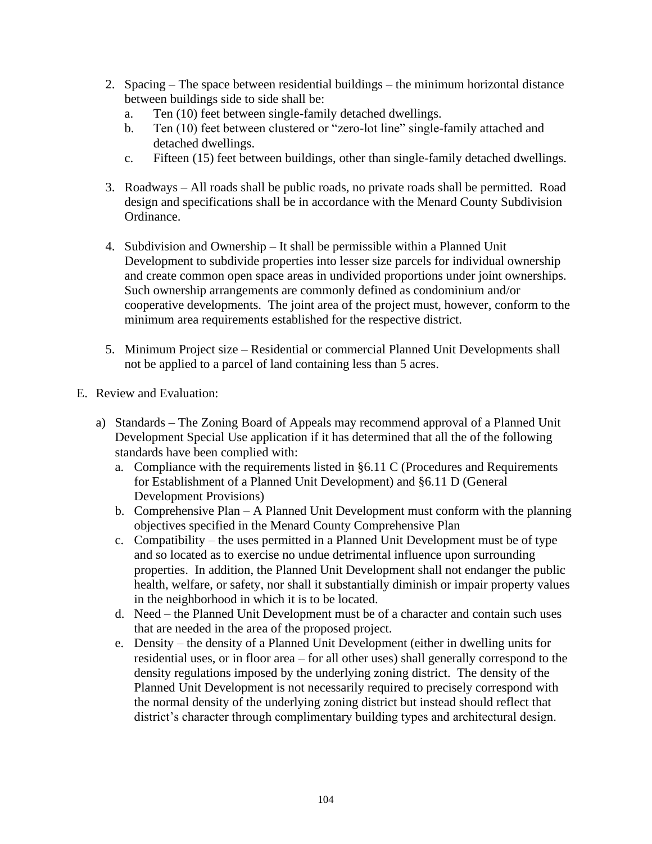- 2. Spacing The space between residential buildings the minimum horizontal distance between buildings side to side shall be:
	- a. Ten (10) feet between single-family detached dwellings.
	- b. Ten (10) feet between clustered or "zero-lot line" single-family attached and detached dwellings.
	- c. Fifteen (15) feet between buildings, other than single-family detached dwellings.
- 3. Roadways All roads shall be public roads, no private roads shall be permitted. Road design and specifications shall be in accordance with the Menard County Subdivision Ordinance.
- 4. Subdivision and Ownership It shall be permissible within a Planned Unit Development to subdivide properties into lesser size parcels for individual ownership and create common open space areas in undivided proportions under joint ownerships. Such ownership arrangements are commonly defined as condominium and/or cooperative developments. The joint area of the project must, however, conform to the minimum area requirements established for the respective district.
- 5. Minimum Project size Residential or commercial Planned Unit Developments shall not be applied to a parcel of land containing less than 5 acres.
- E. Review and Evaluation:
	- a) Standards The Zoning Board of Appeals may recommend approval of a Planned Unit Development Special Use application if it has determined that all the of the following standards have been complied with:
		- a. Compliance with the requirements listed in §6.11 C (Procedures and Requirements for Establishment of a Planned Unit Development) and §6.11 D (General Development Provisions)
		- b. Comprehensive Plan A Planned Unit Development must conform with the planning objectives specified in the Menard County Comprehensive Plan
		- c. Compatibility the uses permitted in a Planned Unit Development must be of type and so located as to exercise no undue detrimental influence upon surrounding properties. In addition, the Planned Unit Development shall not endanger the public health, welfare, or safety, nor shall it substantially diminish or impair property values in the neighborhood in which it is to be located.
		- d. Need the Planned Unit Development must be of a character and contain such uses that are needed in the area of the proposed project.
		- e. Density the density of a Planned Unit Development (either in dwelling units for residential uses, or in floor area – for all other uses) shall generally correspond to the density regulations imposed by the underlying zoning district. The density of the Planned Unit Development is not necessarily required to precisely correspond with the normal density of the underlying zoning district but instead should reflect that district's character through complimentary building types and architectural design.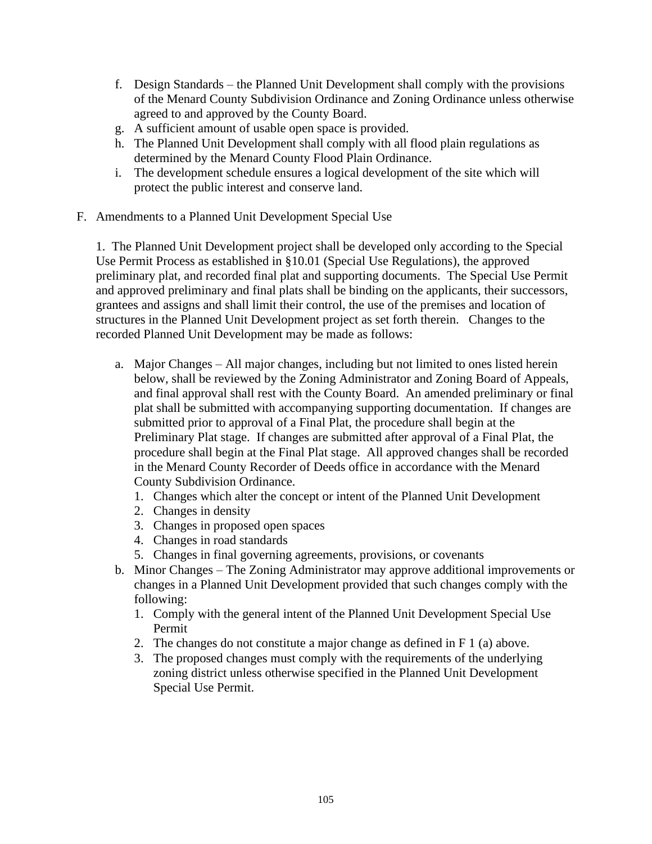- f. Design Standards the Planned Unit Development shall comply with the provisions of the Menard County Subdivision Ordinance and Zoning Ordinance unless otherwise agreed to and approved by the County Board.
- g. A sufficient amount of usable open space is provided.
- h. The Planned Unit Development shall comply with all flood plain regulations as determined by the Menard County Flood Plain Ordinance.
- i. The development schedule ensures a logical development of the site which will protect the public interest and conserve land.
- F. Amendments to a Planned Unit Development Special Use

1. The Planned Unit Development project shall be developed only according to the Special Use Permit Process as established in §10.01 (Special Use Regulations), the approved preliminary plat, and recorded final plat and supporting documents. The Special Use Permit and approved preliminary and final plats shall be binding on the applicants, their successors, grantees and assigns and shall limit their control, the use of the premises and location of structures in the Planned Unit Development project as set forth therein. Changes to the recorded Planned Unit Development may be made as follows:

- a. Major Changes All major changes, including but not limited to ones listed herein below, shall be reviewed by the Zoning Administrator and Zoning Board of Appeals, and final approval shall rest with the County Board. An amended preliminary or final plat shall be submitted with accompanying supporting documentation. If changes are submitted prior to approval of a Final Plat, the procedure shall begin at the Preliminary Plat stage. If changes are submitted after approval of a Final Plat, the procedure shall begin at the Final Plat stage. All approved changes shall be recorded in the Menard County Recorder of Deeds office in accordance with the Menard County Subdivision Ordinance.
	- 1. Changes which alter the concept or intent of the Planned Unit Development
	- 2. Changes in density
	- 3. Changes in proposed open spaces
	- 4. Changes in road standards
	- 5. Changes in final governing agreements, provisions, or covenants
- b. Minor Changes The Zoning Administrator may approve additional improvements or changes in a Planned Unit Development provided that such changes comply with the following:
	- 1. Comply with the general intent of the Planned Unit Development Special Use Permit
	- 2. The changes do not constitute a major change as defined in F 1 (a) above.
	- 3. The proposed changes must comply with the requirements of the underlying zoning district unless otherwise specified in the Planned Unit Development Special Use Permit.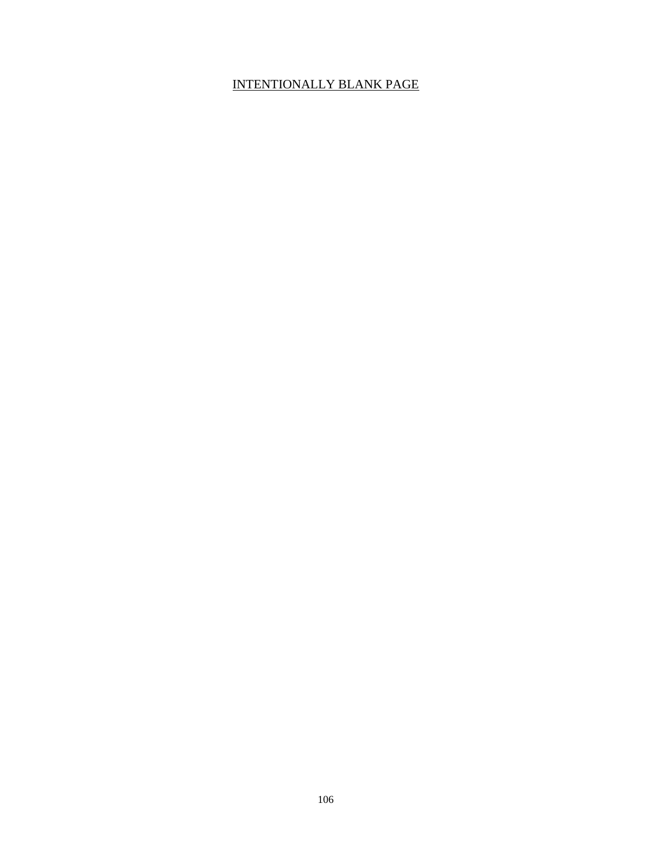# INTENTIONALLY BLANK PAGE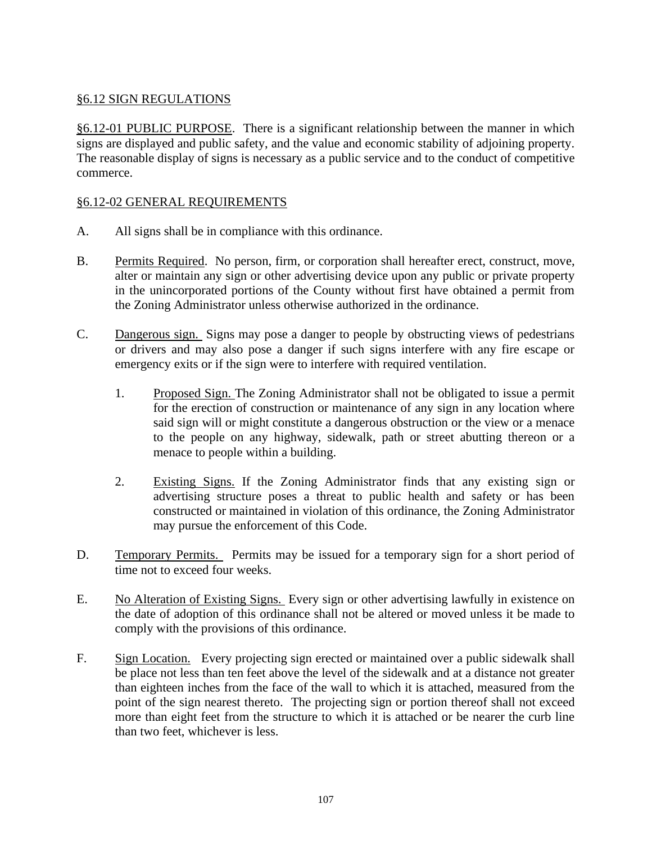## §6.12 SIGN REGULATIONS

§6.12-01 PUBLIC PURPOSE. There is a significant relationship between the manner in which signs are displayed and public safety, and the value and economic stability of adjoining property. The reasonable display of signs is necessary as a public service and to the conduct of competitive commerce.

## §6.12-02 GENERAL REQUIREMENTS

- A. All signs shall be in compliance with this ordinance.
- B. Permits Required. No person, firm, or corporation shall hereafter erect, construct, move, alter or maintain any sign or other advertising device upon any public or private property in the unincorporated portions of the County without first have obtained a permit from the Zoning Administrator unless otherwise authorized in the ordinance.
- C. Dangerous sign. Signs may pose a danger to people by obstructing views of pedestrians or drivers and may also pose a danger if such signs interfere with any fire escape or emergency exits or if the sign were to interfere with required ventilation.
	- 1. Proposed Sign. The Zoning Administrator shall not be obligated to issue a permit for the erection of construction or maintenance of any sign in any location where said sign will or might constitute a dangerous obstruction or the view or a menace to the people on any highway, sidewalk, path or street abutting thereon or a menace to people within a building.
	- 2. Existing Signs. If the Zoning Administrator finds that any existing sign or advertising structure poses a threat to public health and safety or has been constructed or maintained in violation of this ordinance, the Zoning Administrator may pursue the enforcement of this Code.
- D. Temporary Permits. Permits may be issued for a temporary sign for a short period of time not to exceed four weeks.
- E. No Alteration of Existing Signs. Every sign or other advertising lawfully in existence on the date of adoption of this ordinance shall not be altered or moved unless it be made to comply with the provisions of this ordinance.
- F. Sign Location. Every projecting sign erected or maintained over a public sidewalk shall be place not less than ten feet above the level of the sidewalk and at a distance not greater than eighteen inches from the face of the wall to which it is attached, measured from the point of the sign nearest thereto. The projecting sign or portion thereof shall not exceed more than eight feet from the structure to which it is attached or be nearer the curb line than two feet, whichever is less.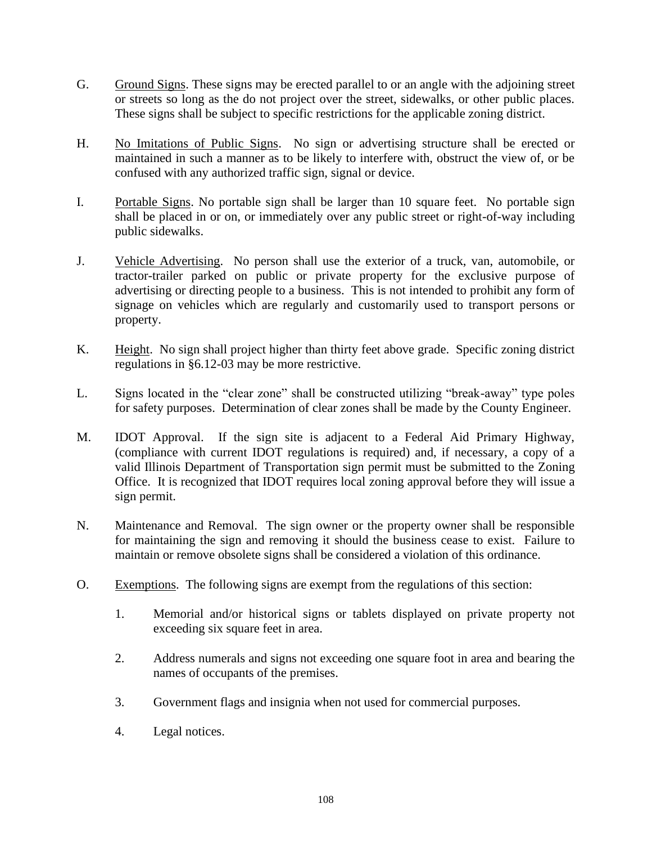- G. Ground Signs. These signs may be erected parallel to or an angle with the adjoining street or streets so long as the do not project over the street, sidewalks, or other public places. These signs shall be subject to specific restrictions for the applicable zoning district.
- H. No Imitations of Public Signs. No sign or advertising structure shall be erected or maintained in such a manner as to be likely to interfere with, obstruct the view of, or be confused with any authorized traffic sign, signal or device.
- I. Portable Signs. No portable sign shall be larger than 10 square feet. No portable sign shall be placed in or on, or immediately over any public street or right-of-way including public sidewalks.
- J. Vehicle Advertising. No person shall use the exterior of a truck, van, automobile, or tractor-trailer parked on public or private property for the exclusive purpose of advertising or directing people to a business. This is not intended to prohibit any form of signage on vehicles which are regularly and customarily used to transport persons or property.
- K. Height. No sign shall project higher than thirty feet above grade. Specific zoning district regulations in §6.12-03 may be more restrictive.
- L. Signs located in the "clear zone" shall be constructed utilizing "break-away" type poles for safety purposes. Determination of clear zones shall be made by the County Engineer.
- M. IDOT Approval. If the sign site is adjacent to a Federal Aid Primary Highway, (compliance with current IDOT regulations is required) and, if necessary, a copy of a valid Illinois Department of Transportation sign permit must be submitted to the Zoning Office. It is recognized that IDOT requires local zoning approval before they will issue a sign permit.
- N. Maintenance and Removal. The sign owner or the property owner shall be responsible for maintaining the sign and removing it should the business cease to exist. Failure to maintain or remove obsolete signs shall be considered a violation of this ordinance.
- O. Exemptions. The following signs are exempt from the regulations of this section:
	- 1. Memorial and/or historical signs or tablets displayed on private property not exceeding six square feet in area.
	- 2. Address numerals and signs not exceeding one square foot in area and bearing the names of occupants of the premises.
	- 3. Government flags and insignia when not used for commercial purposes.
	- 4. Legal notices.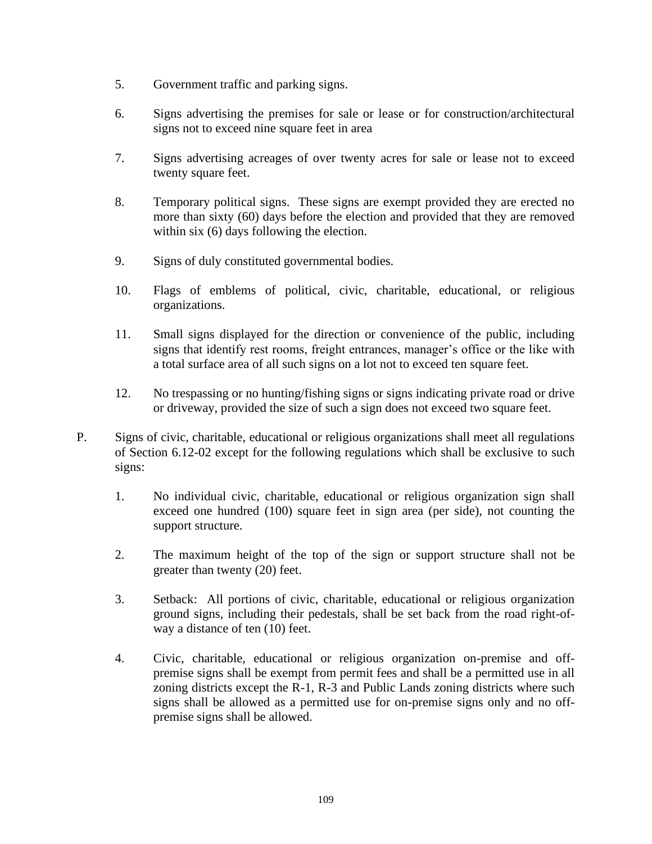- 5. Government traffic and parking signs.
- 6. Signs advertising the premises for sale or lease or for construction/architectural signs not to exceed nine square feet in area
- 7. Signs advertising acreages of over twenty acres for sale or lease not to exceed twenty square feet.
- 8. Temporary political signs. These signs are exempt provided they are erected no more than sixty (60) days before the election and provided that they are removed within six (6) days following the election.
- 9. Signs of duly constituted governmental bodies.
- 10. Flags of emblems of political, civic, charitable, educational, or religious organizations.
- 11. Small signs displayed for the direction or convenience of the public, including signs that identify rest rooms, freight entrances, manager's office or the like with a total surface area of all such signs on a lot not to exceed ten square feet.
- 12. No trespassing or no hunting/fishing signs or signs indicating private road or drive or driveway, provided the size of such a sign does not exceed two square feet.
- P. Signs of civic, charitable, educational or religious organizations shall meet all regulations of Section 6.12-02 except for the following regulations which shall be exclusive to such signs:
	- 1. No individual civic, charitable, educational or religious organization sign shall exceed one hundred (100) square feet in sign area (per side), not counting the support structure.
	- 2. The maximum height of the top of the sign or support structure shall not be greater than twenty (20) feet.
	- 3. Setback: All portions of civic, charitable, educational or religious organization ground signs, including their pedestals, shall be set back from the road right-ofway a distance of ten (10) feet.
	- 4. Civic, charitable, educational or religious organization on-premise and offpremise signs shall be exempt from permit fees and shall be a permitted use in all zoning districts except the R-1, R-3 and Public Lands zoning districts where such signs shall be allowed as a permitted use for on-premise signs only and no offpremise signs shall be allowed.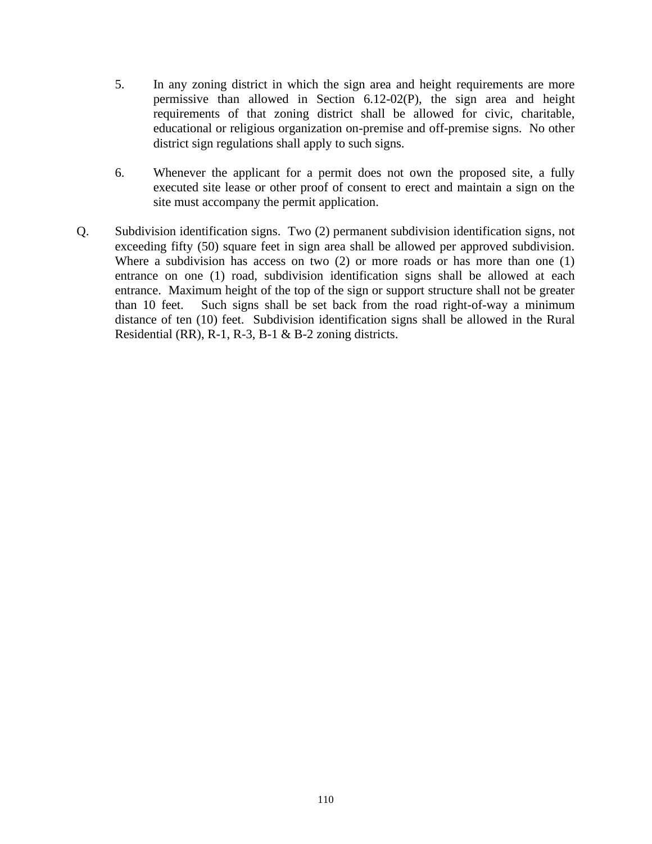- 5. In any zoning district in which the sign area and height requirements are more permissive than allowed in Section 6.12-02(P), the sign area and height requirements of that zoning district shall be allowed for civic, charitable, educational or religious organization on-premise and off-premise signs. No other district sign regulations shall apply to such signs.
- 6. Whenever the applicant for a permit does not own the proposed site, a fully executed site lease or other proof of consent to erect and maintain a sign on the site must accompany the permit application.
- Q. Subdivision identification signs. Two (2) permanent subdivision identification signs, not exceeding fifty (50) square feet in sign area shall be allowed per approved subdivision. Where a subdivision has access on two (2) or more roads or has more than one (1) entrance on one (1) road, subdivision identification signs shall be allowed at each entrance. Maximum height of the top of the sign or support structure shall not be greater than 10 feet. Such signs shall be set back from the road right-of-way a minimum distance of ten (10) feet. Subdivision identification signs shall be allowed in the Rural Residential (RR), R-1, R-3, B-1  $\&$  B-2 zoning districts.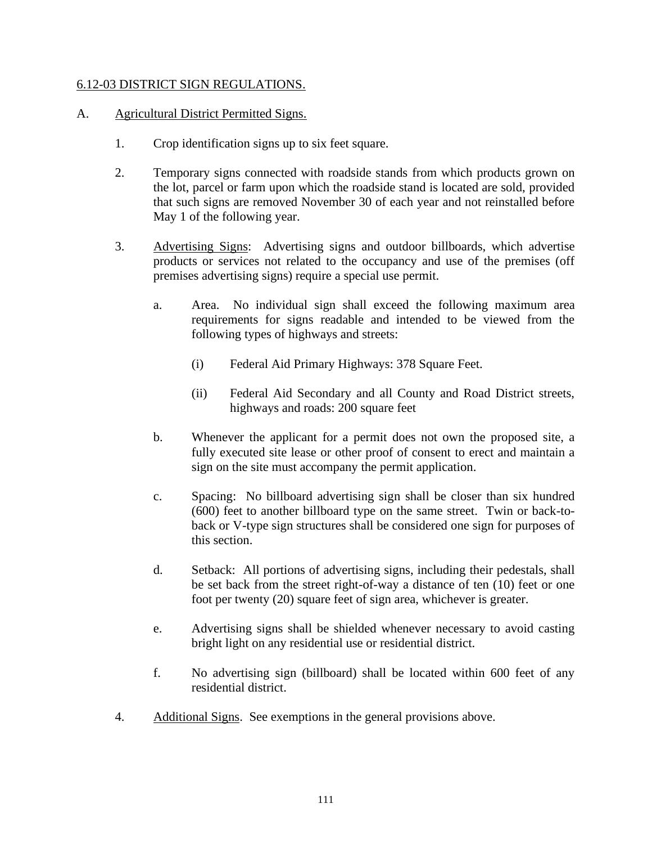## 6.12-03 DISTRICT SIGN REGULATIONS.

## A. Agricultural District Permitted Signs.

- 1. Crop identification signs up to six feet square.
- 2. Temporary signs connected with roadside stands from which products grown on the lot, parcel or farm upon which the roadside stand is located are sold, provided that such signs are removed November 30 of each year and not reinstalled before May 1 of the following year.
- 3. Advertising Signs: Advertising signs and outdoor billboards, which advertise products or services not related to the occupancy and use of the premises (off premises advertising signs) require a special use permit.
	- a. Area. No individual sign shall exceed the following maximum area requirements for signs readable and intended to be viewed from the following types of highways and streets:
		- (i) Federal Aid Primary Highways: 378 Square Feet.
		- (ii) Federal Aid Secondary and all County and Road District streets, highways and roads: 200 square feet
	- b. Whenever the applicant for a permit does not own the proposed site, a fully executed site lease or other proof of consent to erect and maintain a sign on the site must accompany the permit application.
	- c. Spacing: No billboard advertising sign shall be closer than six hundred (600) feet to another billboard type on the same street. Twin or back-toback or V-type sign structures shall be considered one sign for purposes of this section.
	- d. Setback: All portions of advertising signs, including their pedestals, shall be set back from the street right-of-way a distance of ten (10) feet or one foot per twenty (20) square feet of sign area, whichever is greater.
	- e. Advertising signs shall be shielded whenever necessary to avoid casting bright light on any residential use or residential district.
	- f. No advertising sign (billboard) shall be located within 600 feet of any residential district.
- 4. Additional Signs. See exemptions in the general provisions above.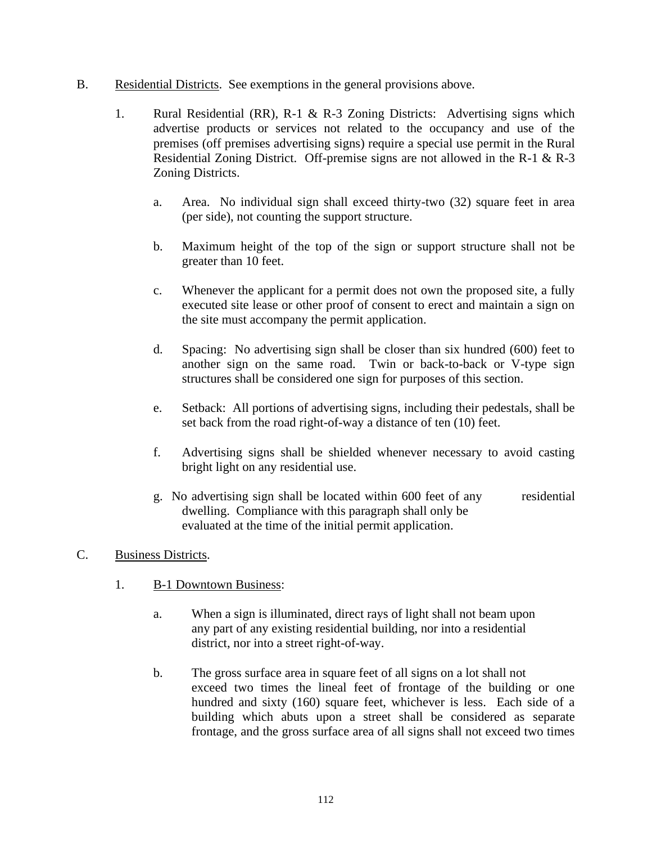- B. Residential Districts. See exemptions in the general provisions above.
	- 1. Rural Residential (RR), R-1 & R-3 Zoning Districts: Advertising signs which advertise products or services not related to the occupancy and use of the premises (off premises advertising signs) require a special use permit in the Rural Residential Zoning District. Off-premise signs are not allowed in the R-1 & R-3 Zoning Districts.
		- a. Area. No individual sign shall exceed thirty-two (32) square feet in area (per side), not counting the support structure.
		- b. Maximum height of the top of the sign or support structure shall not be greater than 10 feet.
		- c. Whenever the applicant for a permit does not own the proposed site, a fully executed site lease or other proof of consent to erect and maintain a sign on the site must accompany the permit application.
		- d. Spacing: No advertising sign shall be closer than six hundred (600) feet to another sign on the same road. Twin or back-to-back or V-type sign structures shall be considered one sign for purposes of this section.
		- e. Setback: All portions of advertising signs, including their pedestals, shall be set back from the road right-of-way a distance of ten (10) feet.
		- f. Advertising signs shall be shielded whenever necessary to avoid casting bright light on any residential use.
		- g. No advertising sign shall be located within 600 feet of any residential dwelling. Compliance with this paragraph shall only be evaluated at the time of the initial permit application.

### C. Business Districts.

- 1. B-1 Downtown Business:
	- a. When a sign is illuminated, direct rays of light shall not beam upon any part of any existing residential building, nor into a residential district, nor into a street right-of-way.
	- b. The gross surface area in square feet of all signs on a lot shall not exceed two times the lineal feet of frontage of the building or one hundred and sixty (160) square feet, whichever is less. Each side of a building which abuts upon a street shall be considered as separate frontage, and the gross surface area of all signs shall not exceed two times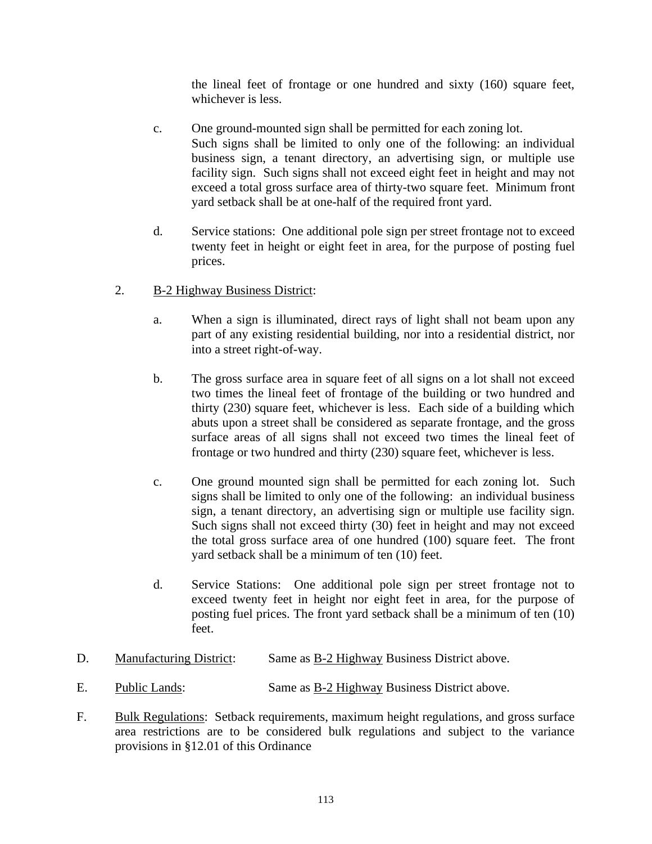the lineal feet of frontage or one hundred and sixty (160) square feet, whichever is less.

- c. One ground-mounted sign shall be permitted for each zoning lot. Such signs shall be limited to only one of the following: an individual business sign, a tenant directory, an advertising sign, or multiple use facility sign. Such signs shall not exceed eight feet in height and may not exceed a total gross surface area of thirty-two square feet. Minimum front yard setback shall be at one-half of the required front yard.
- d. Service stations: One additional pole sign per street frontage not to exceed twenty feet in height or eight feet in area, for the purpose of posting fuel prices.
- 2. B-2 Highway Business District:
	- a. When a sign is illuminated, direct rays of light shall not beam upon any part of any existing residential building, nor into a residential district, nor into a street right-of-way.
	- b. The gross surface area in square feet of all signs on a lot shall not exceed two times the lineal feet of frontage of the building or two hundred and thirty (230) square feet, whichever is less. Each side of a building which abuts upon a street shall be considered as separate frontage, and the gross surface areas of all signs shall not exceed two times the lineal feet of frontage or two hundred and thirty (230) square feet, whichever is less.
	- c. One ground mounted sign shall be permitted for each zoning lot. Such signs shall be limited to only one of the following: an individual business sign, a tenant directory, an advertising sign or multiple use facility sign. Such signs shall not exceed thirty (30) feet in height and may not exceed the total gross surface area of one hundred (100) square feet. The front yard setback shall be a minimum of ten (10) feet.
	- d. Service Stations: One additional pole sign per street frontage not to exceed twenty feet in height nor eight feet in area, for the purpose of posting fuel prices. The front yard setback shall be a minimum of ten (10) feet.
- D. Manufacturing District: Same as B-2 Highway Business District above.
- E. Public Lands: Same as B-2 Highway Business District above.
- F. Bulk Regulations: Setback requirements, maximum height regulations, and gross surface area restrictions are to be considered bulk regulations and subject to the variance provisions in §12.01 of this Ordinance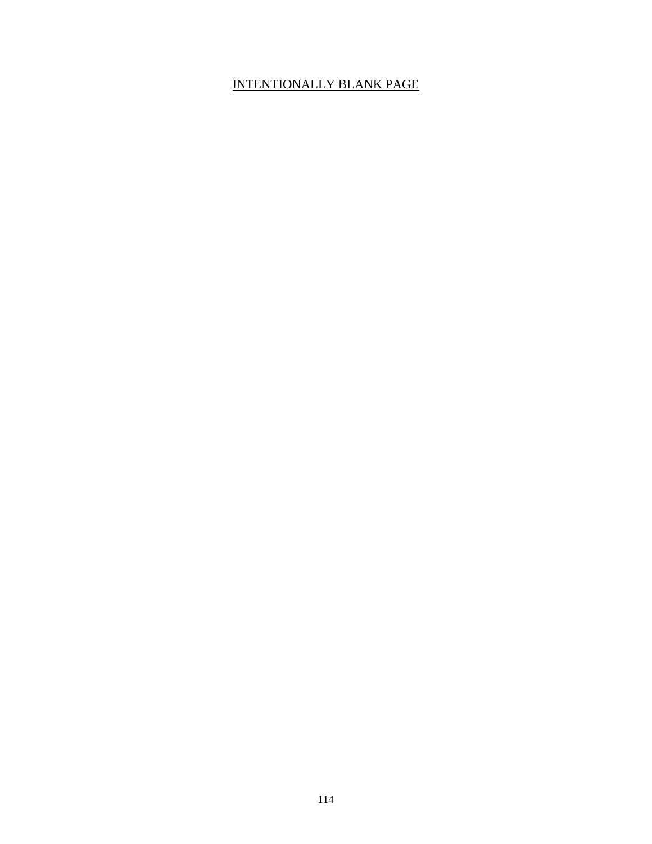# INTENTIONALLY BLANK PAGE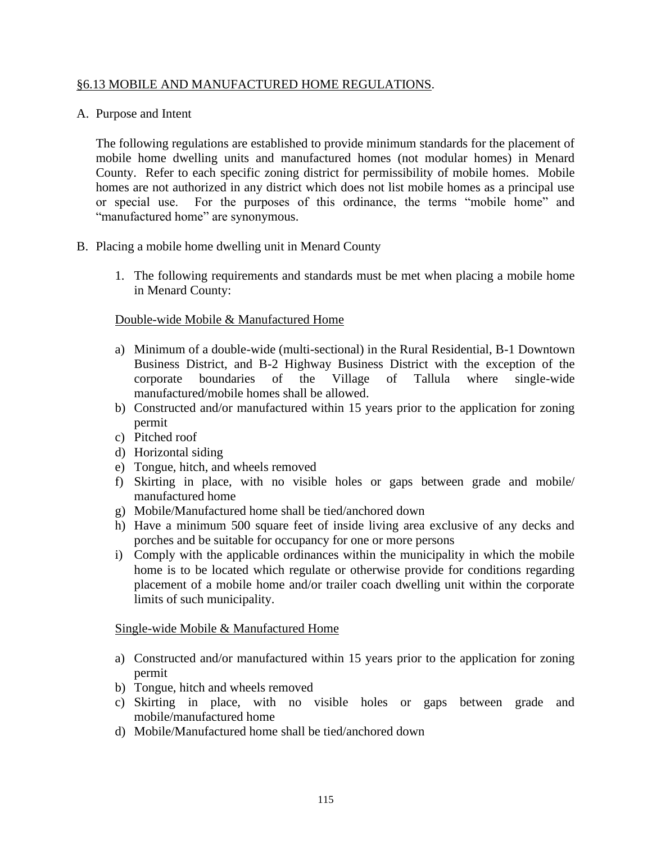### §6.13 MOBILE AND MANUFACTURED HOME REGULATIONS.

### A. Purpose and Intent

The following regulations are established to provide minimum standards for the placement of mobile home dwelling units and manufactured homes (not modular homes) in Menard County. Refer to each specific zoning district for permissibility of mobile homes. Mobile homes are not authorized in any district which does not list mobile homes as a principal use or special use. For the purposes of this ordinance, the terms "mobile home" and "manufactured home" are synonymous.

## B. Placing a mobile home dwelling unit in Menard County

1. The following requirements and standards must be met when placing a mobile home in Menard County:

## Double-wide Mobile & Manufactured Home

- a) Minimum of a double-wide (multi-sectional) in the Rural Residential, B-1 Downtown Business District, and B-2 Highway Business District with the exception of the corporate boundaries of the Village of Tallula where single-wide manufactured/mobile homes shall be allowed.
- b) Constructed and/or manufactured within 15 years prior to the application for zoning permit
- c) Pitched roof
- d) Horizontal siding
- e) Tongue, hitch, and wheels removed
- f) Skirting in place, with no visible holes or gaps between grade and mobile/ manufactured home
- g) Mobile/Manufactured home shall be tied/anchored down
- h) Have a minimum 500 square feet of inside living area exclusive of any decks and porches and be suitable for occupancy for one or more persons
- i) Comply with the applicable ordinances within the municipality in which the mobile home is to be located which regulate or otherwise provide for conditions regarding placement of a mobile home and/or trailer coach dwelling unit within the corporate limits of such municipality.

### Single-wide Mobile & Manufactured Home

- a) Constructed and/or manufactured within 15 years prior to the application for zoning permit
- b) Tongue, hitch and wheels removed
- c) Skirting in place, with no visible holes or gaps between grade and mobile/manufactured home
- d) Mobile/Manufactured home shall be tied/anchored down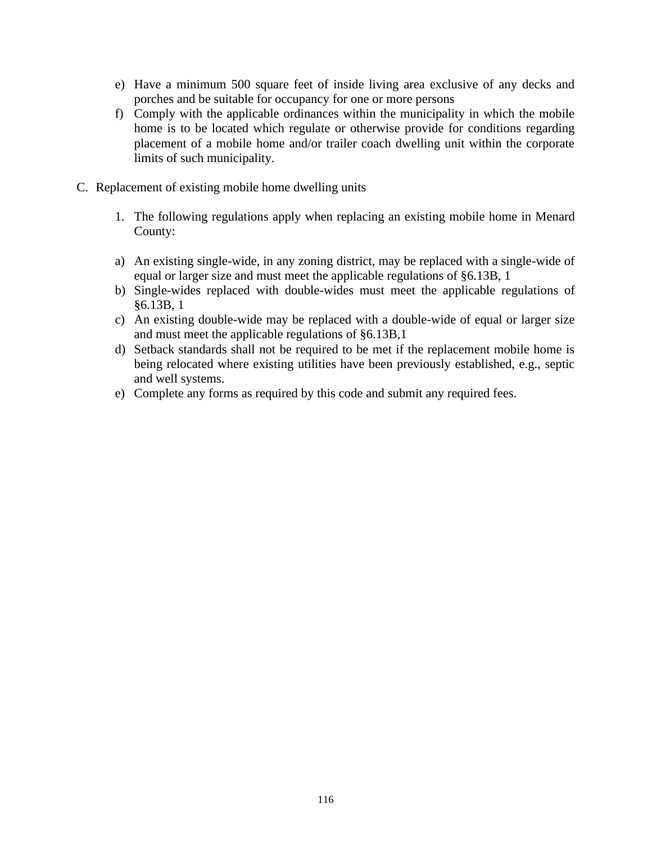- e) Have a minimum 500 square feet of inside living area exclusive of any decks and porches and be suitable for occupancy for one or more persons
- f) Comply with the applicable ordinances within the municipality in which the mobile home is to be located which regulate or otherwise provide for conditions regarding placement of a mobile home and/or trailer coach dwelling unit within the corporate limits of such municipality.
- C. Replacement of existing mobile home dwelling units
	- 1. The following regulations apply when replacing an existing mobile home in Menard County:
	- a) An existing single-wide, in any zoning district, may be replaced with a single-wide of equal or larger size and must meet the applicable regulations of §6.13B, 1
	- b) Single-wides replaced with double-wides must meet the applicable regulations of §6.13B, 1
	- c) An existing double-wide may be replaced with a double-wide of equal or larger size and must meet the applicable regulations of §6.13B,1
	- d) Setback standards shall not be required to be met if the replacement mobile home is being relocated where existing utilities have been previously established, e.g., septic and well systems.
	- e) Complete any forms as required by this code and submit any required fees.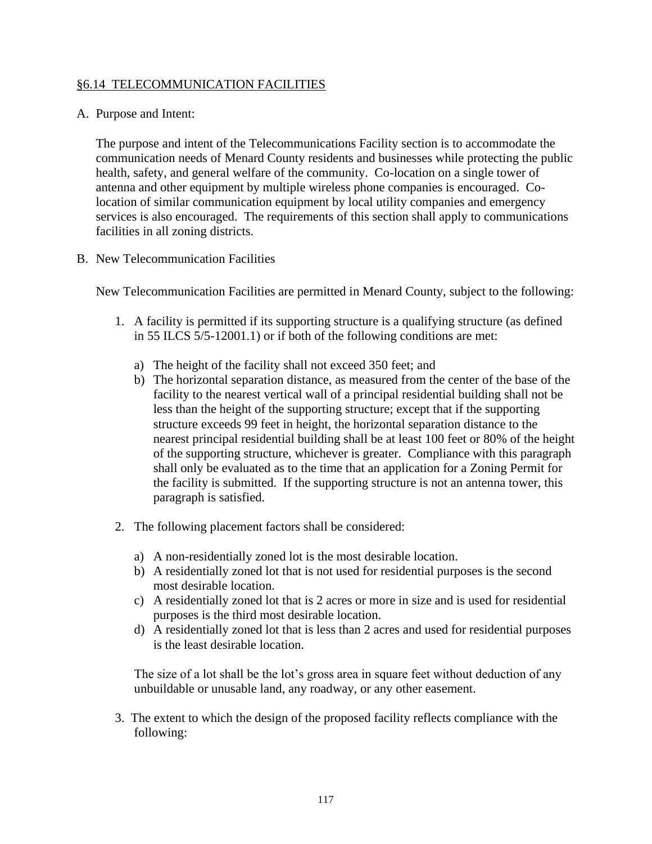## §6.14 TELECOMMUNICATION FACILITIES

A. Purpose and Intent:

The purpose and intent of the Telecommunications Facility section is to accommodate the communication needs of Menard County residents and businesses while protecting the public health, safety, and general welfare of the community. Co-location on a single tower of antenna and other equipment by multiple wireless phone companies is encouraged. Colocation of similar communication equipment by local utility companies and emergency services is also encouraged. The requirements of this section shall apply to communications facilities in all zoning districts.

B. New Telecommunication Facilities

New Telecommunication Facilities are permitted in Menard County, subject to the following:

- 1. A facility is permitted if its supporting structure is a qualifying structure (as defined in 55 ILCS 5/5-12001.1) or if both of the following conditions are met:
	- a) The height of the facility shall not exceed 350 feet; and
	- b) The horizontal separation distance, as measured from the center of the base of the facility to the nearest vertical wall of a principal residential building shall not be less than the height of the supporting structure; except that if the supporting structure exceeds 99 feet in height, the horizontal separation distance to the nearest principal residential building shall be at least 100 feet or 80% of the height of the supporting structure, whichever is greater. Compliance with this paragraph shall only be evaluated as to the time that an application for a Zoning Permit for the facility is submitted. If the supporting structure is not an antenna tower, this paragraph is satisfied.
- 2. The following placement factors shall be considered:
	- a) A non-residentially zoned lot is the most desirable location.
	- b) A residentially zoned lot that is not used for residential purposes is the second most desirable location.
	- c) A residentially zoned lot that is 2 acres or more in size and is used for residential purposes is the third most desirable location.
	- d) A residentially zoned lot that is less than 2 acres and used for residential purposes is the least desirable location.

The size of a lot shall be the lot's gross area in square feet without deduction of any unbuildable or unusable land, any roadway, or any other easement.

3. The extent to which the design of the proposed facility reflects compliance with the following: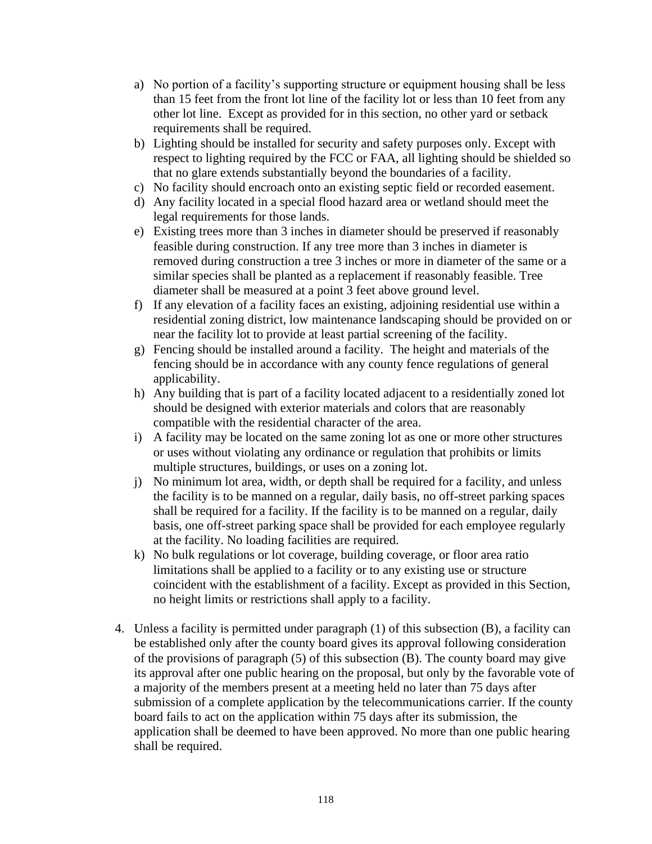- a) No portion of a facility's supporting structure or equipment housing shall be less than 15 feet from the front lot line of the facility lot or less than 10 feet from any other lot line. Except as provided for in this section, no other yard or setback requirements shall be required.
- b) Lighting should be installed for security and safety purposes only. Except with respect to lighting required by the FCC or FAA, all lighting should be shielded so that no glare extends substantially beyond the boundaries of a facility.
- c) No facility should encroach onto an existing septic field or recorded easement.
- d) Any facility located in a special flood hazard area or wetland should meet the legal requirements for those lands.
- e) Existing trees more than 3 inches in diameter should be preserved if reasonably feasible during construction. If any tree more than 3 inches in diameter is removed during construction a tree 3 inches or more in diameter of the same or a similar species shall be planted as a replacement if reasonably feasible. Tree diameter shall be measured at a point 3 feet above ground level.
- f) If any elevation of a facility faces an existing, adjoining residential use within a residential zoning district, low maintenance landscaping should be provided on or near the facility lot to provide at least partial screening of the facility.
- g) Fencing should be installed around a facility. The height and materials of the fencing should be in accordance with any county fence regulations of general applicability.
- h) Any building that is part of a facility located adjacent to a residentially zoned lot should be designed with exterior materials and colors that are reasonably compatible with the residential character of the area.
- i) A facility may be located on the same zoning lot as one or more other structures or uses without violating any ordinance or regulation that prohibits or limits multiple structures, buildings, or uses on a zoning lot.
- j) No minimum lot area, width, or depth shall be required for a facility, and unless the facility is to be manned on a regular, daily basis, no off-street parking spaces shall be required for a facility. If the facility is to be manned on a regular, daily basis, one off-street parking space shall be provided for each employee regularly at the facility. No loading facilities are required.
- k) No bulk regulations or lot coverage, building coverage, or floor area ratio limitations shall be applied to a facility or to any existing use or structure coincident with the establishment of a facility. Except as provided in this Section, no height limits or restrictions shall apply to a facility.
- 4. Unless a facility is permitted under paragraph (1) of this subsection (B), a facility can be established only after the county board gives its approval following consideration of the provisions of paragraph (5) of this subsection (B). The county board may give its approval after one public hearing on the proposal, but only by the favorable vote of a majority of the members present at a meeting held no later than 75 days after submission of a complete application by the telecommunications carrier. If the county board fails to act on the application within 75 days after its submission, the application shall be deemed to have been approved. No more than one public hearing shall be required.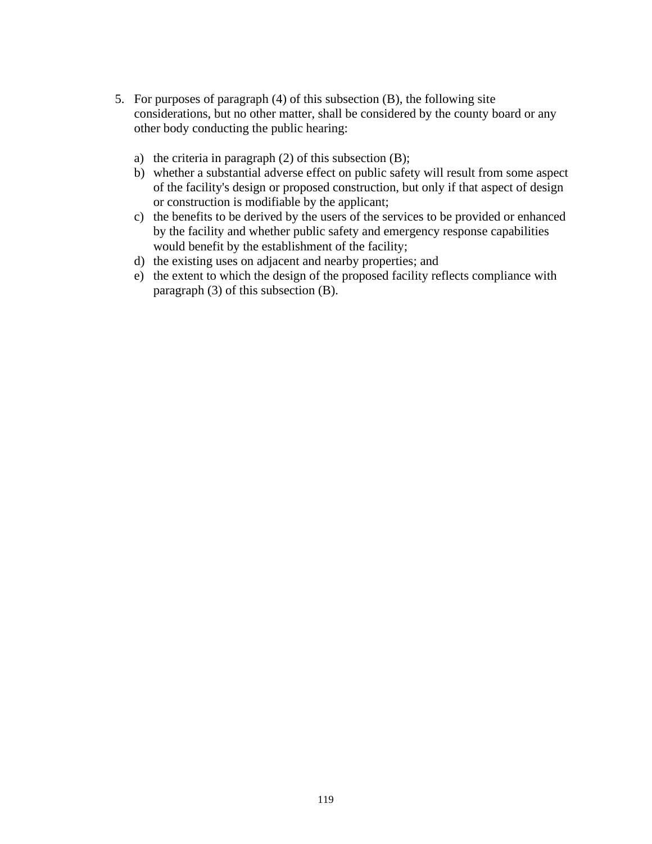- 5. For purposes of paragraph (4) of this subsection (B), the following site considerations, but no other matter, shall be considered by the county board or any other body conducting the public hearing:
	- a) the criteria in paragraph (2) of this subsection (B);
	- b) whether a substantial adverse effect on public safety will result from some aspect of the facility's design or proposed construction, but only if that aspect of design or construction is modifiable by the applicant;
	- c) the benefits to be derived by the users of the services to be provided or enhanced by the facility and whether public safety and emergency response capabilities would benefit by the establishment of the facility;
	- d) the existing uses on adjacent and nearby properties; and
	- e) the extent to which the design of the proposed facility reflects compliance with paragraph (3) of this subsection (B).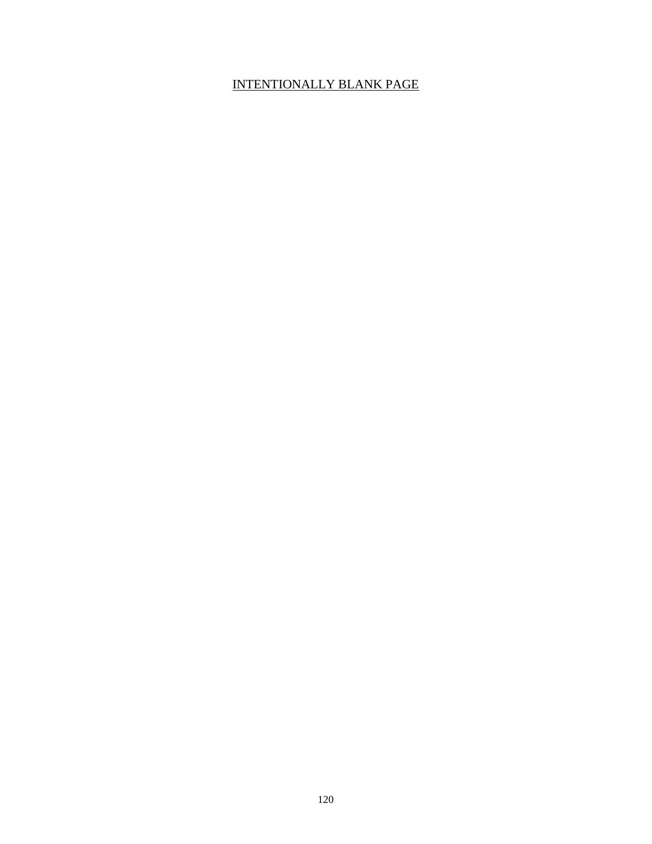# INTENTIONALLY BLANK PAGE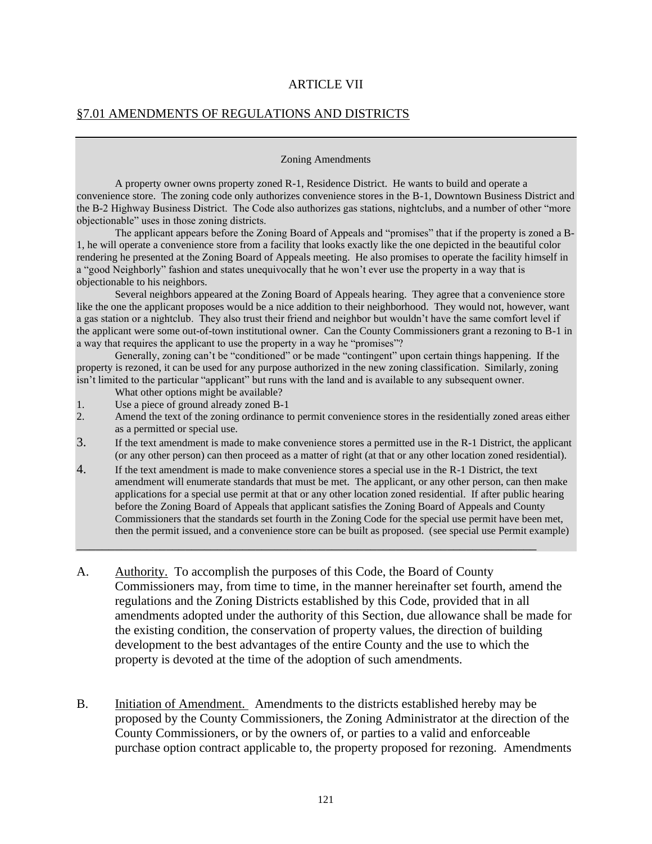#### ARTICLE VII

#### §7.01 AMENDMENTS OF REGULATIONS AND DISTRICTS

#### Zoning Amendments

A property owner owns property zoned R-1, Residence District. He wants to build and operate a convenience store. The zoning code only authorizes convenience stores in the B-1, Downtown Business District and the B-2 Highway Business District. The Code also authorizes gas stations, nightclubs, and a number of other "more objectionable" uses in those zoning districts.

The applicant appears before the Zoning Board of Appeals and "promises" that if the property is zoned a B-1, he will operate a convenience store from a facility that looks exactly like the one depicted in the beautiful color rendering he presented at the Zoning Board of Appeals meeting. He also promises to operate the facility himself in a "good Neighborly" fashion and states unequivocally that he won't ever use the property in a way that is objectionable to his neighbors.

Several neighbors appeared at the Zoning Board of Appeals hearing. They agree that a convenience store like the one the applicant proposes would be a nice addition to their neighborhood. They would not, however, want a gas station or a nightclub. They also trust their friend and neighbor but wouldn't have the same comfort level if the applicant were some out-of-town institutional owner. Can the County Commissioners grant a rezoning to B-1 in a way that requires the applicant to use the property in a way he "promises"?

Generally, zoning can't be "conditioned" or be made "contingent" upon certain things happening. If the property is rezoned, it can be used for any purpose authorized in the new zoning classification. Similarly, zoning isn't limited to the particular "applicant" but runs with the land and is available to any subsequent owner.

- What other options might be available? 1. Use a piece of ground already zoned B-1
- 2. Amend the text of the zoning ordinance to permit convenience stores in the residentially zoned areas either as a permitted or special use.
- 3. If the text amendment is made to make convenience stores a permitted use in the R-1 District, the applicant (or any other person) can then proceed as a matter of right (at that or any other location zoned residential).
- 4. If the text amendment is made to make convenience stores a special use in the R-1 District, the text amendment will enumerate standards that must be met. The applicant, or any other person, can then make applications for a special use permit at that or any other location zoned residential. If after public hearing before the Zoning Board of Appeals that applicant satisfies the Zoning Board of Appeals and County Commissioners that the standards set fourth in the Zoning Code for the special use permit have been met, then the permit issued, and a convenience store can be built as proposed. (see special use Permit example)

\_\_\_\_\_\_\_\_\_\_\_\_\_\_\_\_\_\_\_\_\_\_\_\_\_\_\_\_\_\_\_\_\_\_\_\_\_\_\_\_\_\_\_\_\_\_\_\_\_\_\_\_\_\_\_\_\_\_\_\_\_\_\_\_\_\_\_\_\_\_\_\_

- A. Authority. To accomplish the purposes of this Code, the Board of County Commissioners may, from time to time, in the manner hereinafter set fourth, amend the regulations and the Zoning Districts established by this Code, provided that in all amendments adopted under the authority of this Section, due allowance shall be made for the existing condition, the conservation of property values, the direction of building development to the best advantages of the entire County and the use to which the property is devoted at the time of the adoption of such amendments.
- B. Initiation of Amendment. Amendments to the districts established hereby may be proposed by the County Commissioners, the Zoning Administrator at the direction of the County Commissioners, or by the owners of, or parties to a valid and enforceable purchase option contract applicable to, the property proposed for rezoning. Amendments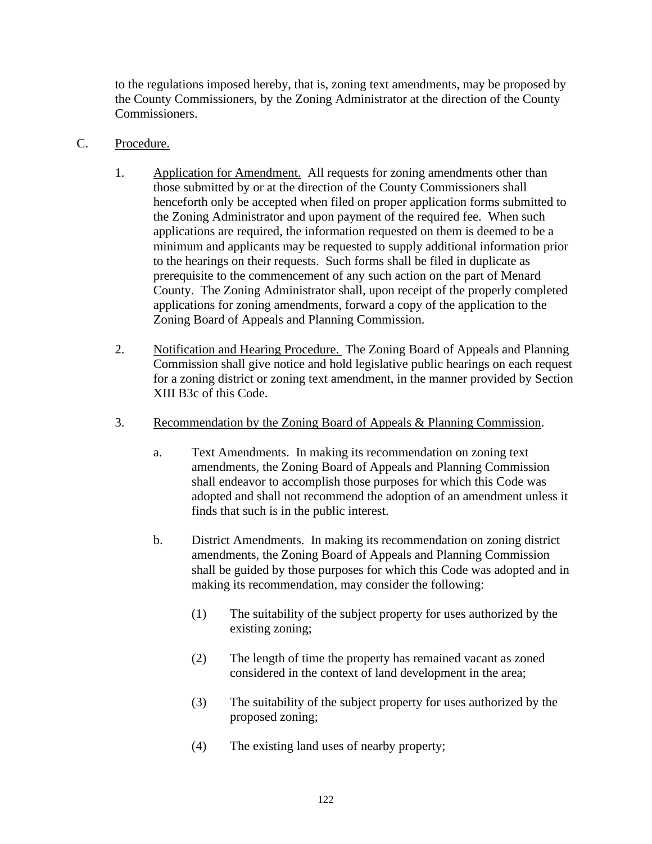to the regulations imposed hereby, that is, zoning text amendments, may be proposed by the County Commissioners, by the Zoning Administrator at the direction of the County Commissioners.

## C. Procedure.

- 1. Application for Amendment. All requests for zoning amendments other than those submitted by or at the direction of the County Commissioners shall henceforth only be accepted when filed on proper application forms submitted to the Zoning Administrator and upon payment of the required fee. When such applications are required, the information requested on them is deemed to be a minimum and applicants may be requested to supply additional information prior to the hearings on their requests. Such forms shall be filed in duplicate as prerequisite to the commencement of any such action on the part of Menard County. The Zoning Administrator shall, upon receipt of the properly completed applications for zoning amendments, forward a copy of the application to the Zoning Board of Appeals and Planning Commission.
- 2. Notification and Hearing Procedure. The Zoning Board of Appeals and Planning Commission shall give notice and hold legislative public hearings on each request for a zoning district or zoning text amendment, in the manner provided by Section XIII B3c of this Code.
- 3. Recommendation by the Zoning Board of Appeals & Planning Commission.
	- a. Text Amendments. In making its recommendation on zoning text amendments, the Zoning Board of Appeals and Planning Commission shall endeavor to accomplish those purposes for which this Code was adopted and shall not recommend the adoption of an amendment unless it finds that such is in the public interest.
	- b. District Amendments. In making its recommendation on zoning district amendments, the Zoning Board of Appeals and Planning Commission shall be guided by those purposes for which this Code was adopted and in making its recommendation, may consider the following:
		- (1) The suitability of the subject property for uses authorized by the existing zoning;
		- (2) The length of time the property has remained vacant as zoned considered in the context of land development in the area;
		- (3) The suitability of the subject property for uses authorized by the proposed zoning;
		- (4) The existing land uses of nearby property;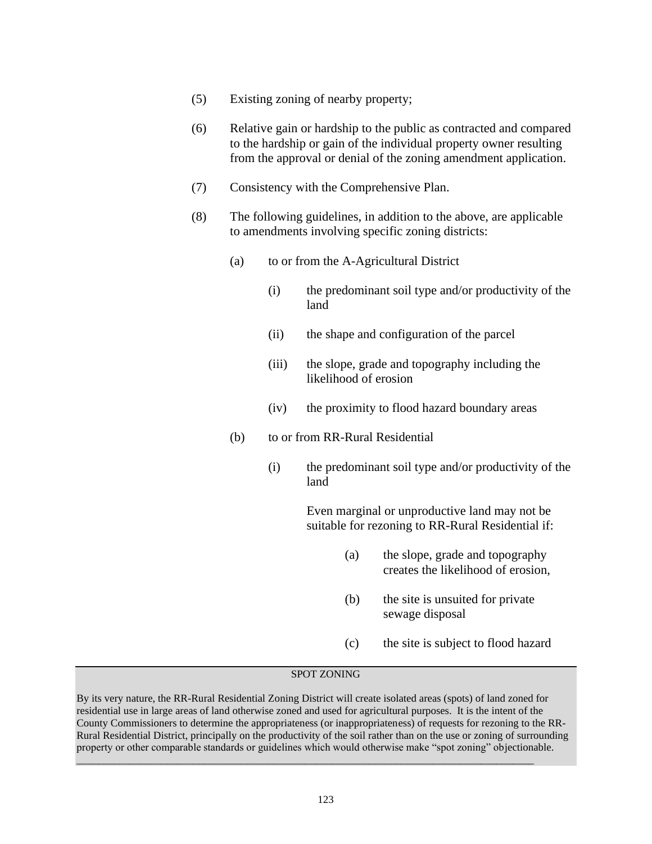- (5) Existing zoning of nearby property;
- (6) Relative gain or hardship to the public as contracted and compared to the hardship or gain of the individual property owner resulting from the approval or denial of the zoning amendment application.
- (7) Consistency with the Comprehensive Plan.
- (8) The following guidelines, in addition to the above, are applicable to amendments involving specific zoning districts:
	- (a) to or from the A-Agricultural District
		- (i) the predominant soil type and/or productivity of the land
		- (ii) the shape and configuration of the parcel
		- (iii) the slope, grade and topography including the likelihood of erosion
		- (iv) the proximity to flood hazard boundary areas
	- (b) to or from RR-Rural Residential
		- (i) the predominant soil type and/or productivity of the land

Even marginal or unproductive land may not be suitable for rezoning to RR-Rural Residential if:

- (a) the slope, grade and topography creates the likelihood of erosion,
- (b) the site is unsuited for private sewage disposal
- (c) the site is subject to flood hazard

#### SPOT ZONING

By its very nature, the RR-Rural Residential Zoning District will create isolated areas (spots) of land zoned for residential use in large areas of land otherwise zoned and used for agricultural purposes. It is the intent of the County Commissioners to determine the appropriateness (or inappropriateness) of requests for rezoning to the RR-Rural Residential District, principally on the productivity of the soil rather than on the use or zoning of surrounding property or other comparable standards or guidelines which would otherwise make "spot zoning" objectionable.

 $\_$  , and the set of the set of the set of the set of the set of the set of the set of the set of the set of the set of the set of the set of the set of the set of the set of the set of the set of the set of the set of th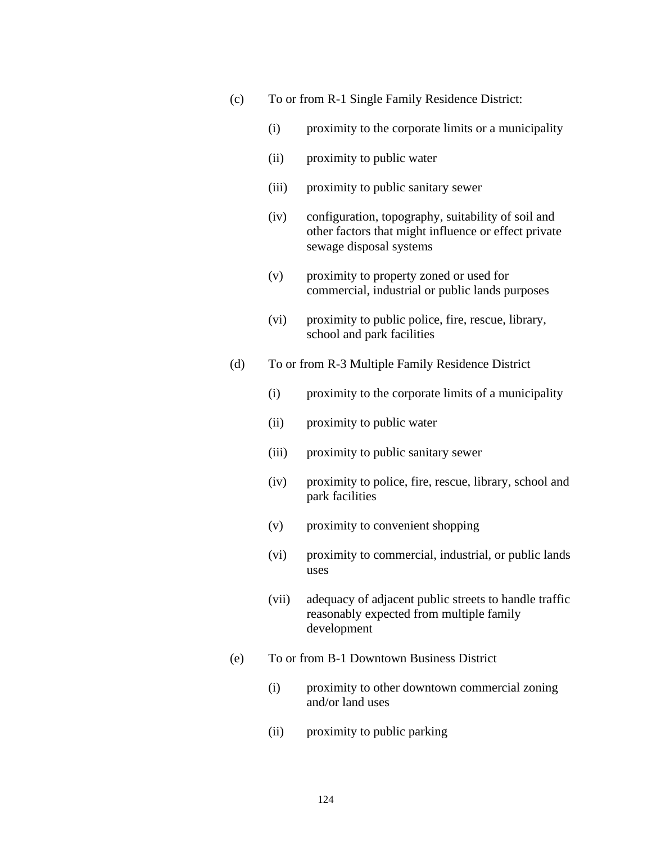- (c) To or from R-1 Single Family Residence District:
	- (i) proximity to the corporate limits or a municipality
	- (ii) proximity to public water
	- (iii) proximity to public sanitary sewer
	- (iv) configuration, topography, suitability of soil and other factors that might influence or effect private sewage disposal systems
	- (v) proximity to property zoned or used for commercial, industrial or public lands purposes
	- (vi) proximity to public police, fire, rescue, library, school and park facilities
- (d) To or from R-3 Multiple Family Residence District
	- (i) proximity to the corporate limits of a municipality
	- (ii) proximity to public water
	- (iii) proximity to public sanitary sewer
	- (iv) proximity to police, fire, rescue, library, school and park facilities
	- (v) proximity to convenient shopping
	- (vi) proximity to commercial, industrial, or public lands uses
	- (vii) adequacy of adjacent public streets to handle traffic reasonably expected from multiple family development
- (e) To or from B-1 Downtown Business District
	- (i) proximity to other downtown commercial zoning and/or land uses
	- (ii) proximity to public parking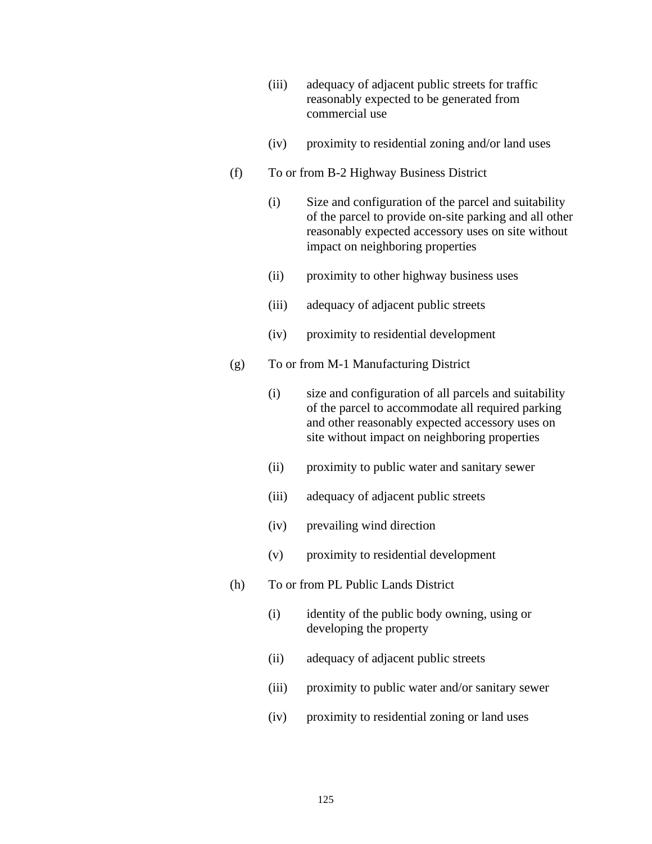- (iii) adequacy of adjacent public streets for traffic reasonably expected to be generated from commercial use
- (iv) proximity to residential zoning and/or land uses
- (f) To or from B-2 Highway Business District
	- (i) Size and configuration of the parcel and suitability of the parcel to provide on-site parking and all other reasonably expected accessory uses on site without impact on neighboring properties
	- (ii) proximity to other highway business uses
	- (iii) adequacy of adjacent public streets
	- (iv) proximity to residential development
- (g) To or from M-1 Manufacturing District
	- (i) size and configuration of all parcels and suitability of the parcel to accommodate all required parking and other reasonably expected accessory uses on site without impact on neighboring properties
	- (ii) proximity to public water and sanitary sewer
	- (iii) adequacy of adjacent public streets
	- (iv) prevailing wind direction
	- (v) proximity to residential development
- (h) To or from PL Public Lands District
	- (i) identity of the public body owning, using or developing the property
	- (ii) adequacy of adjacent public streets
	- (iii) proximity to public water and/or sanitary sewer
	- (iv) proximity to residential zoning or land uses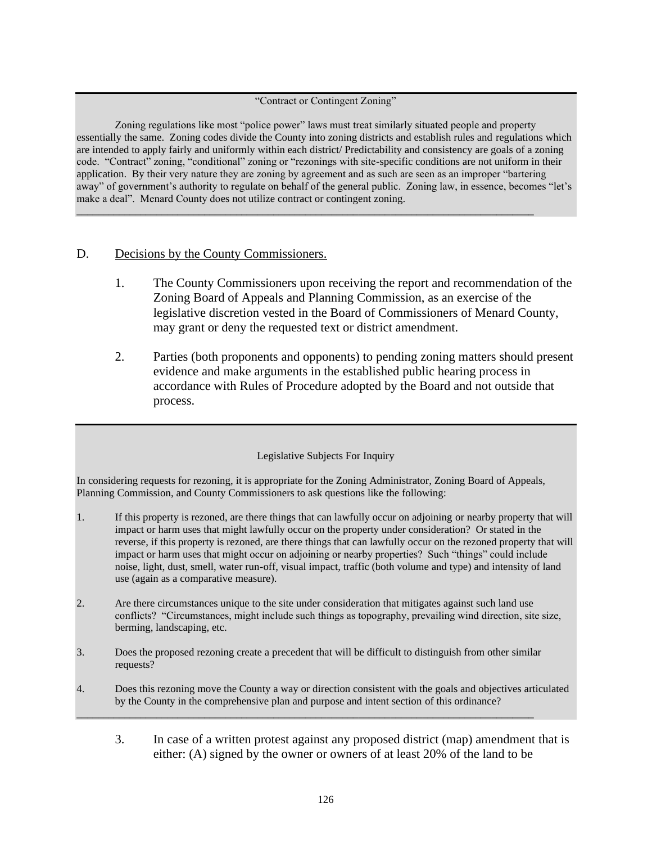#### "Contract or Contingent Zoning"

Zoning regulations like most "police power" laws must treat similarly situated people and property essentially the same. Zoning codes divide the County into zoning districts and establish rules and regulations which are intended to apply fairly and uniformly within each district/ Predictability and consistency are goals of a zoning code. "Contract" zoning, "conditional" zoning or "rezonings with site-specific conditions are not uniform in their application. By their very nature they are zoning by agreement and as such are seen as an improper "bartering away" of government's authority to regulate on behalf of the general public. Zoning law, in essence, becomes "let's make a deal". Menard County does not utilize contract or contingent zoning.

 $\_$  , and the set of the set of the set of the set of the set of the set of the set of the set of the set of the set of the set of the set of the set of the set of the set of the set of the set of the set of the set of th

#### D. Decisions by the County Commissioners.

- 1. The County Commissioners upon receiving the report and recommendation of the Zoning Board of Appeals and Planning Commission, as an exercise of the legislative discretion vested in the Board of Commissioners of Menard County, may grant or deny the requested text or district amendment.
- 2. Parties (both proponents and opponents) to pending zoning matters should present evidence and make arguments in the established public hearing process in accordance with Rules of Procedure adopted by the Board and not outside that process.

#### Legislative Subjects For Inquiry

In considering requests for rezoning, it is appropriate for the Zoning Administrator, Zoning Board of Appeals, Planning Commission, and County Commissioners to ask questions like the following:

- 1. If this property is rezoned, are there things that can lawfully occur on adjoining or nearby property that will impact or harm uses that might lawfully occur on the property under consideration? Or stated in the reverse, if this property is rezoned, are there things that can lawfully occur on the rezoned property that will impact or harm uses that might occur on adjoining or nearby properties? Such "things" could include noise, light, dust, smell, water run-off, visual impact, traffic (both volume and type) and intensity of land use (again as a comparative measure).
- 2. Are there circumstances unique to the site under consideration that mitigates against such land use conflicts? "Circumstances, might include such things as topography, prevailing wind direction, site size, berming, landscaping, etc.
- 3. Does the proposed rezoning create a precedent that will be difficult to distinguish from other similar requests?

\_\_\_\_\_\_\_\_\_\_\_\_\_\_\_\_\_\_\_\_\_\_\_\_\_\_\_\_\_\_\_\_\_\_\_\_\_\_\_\_\_\_\_\_\_\_\_\_\_\_\_\_\_\_\_\_\_\_\_\_\_\_\_\_\_\_\_\_\_\_\_\_\_\_\_\_\_\_\_\_\_\_\_\_\_\_

- 4. Does this rezoning move the County a way or direction consistent with the goals and objectives articulated by the County in the comprehensive plan and purpose and intent section of this ordinance?
	- 3. In case of a written protest against any proposed district (map) amendment that is either: (A) signed by the owner or owners of at least 20% of the land to be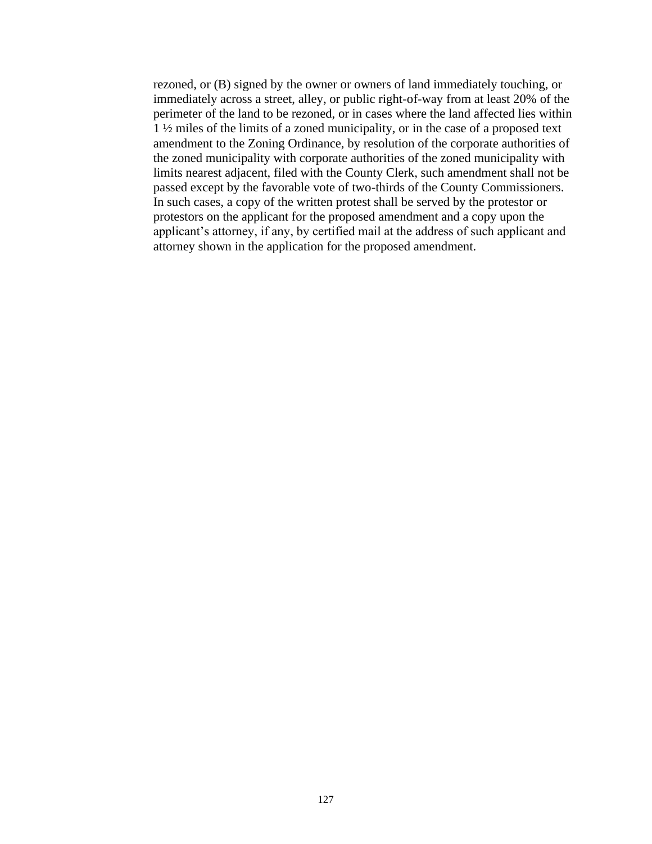rezoned, or (B) signed by the owner or owners of land immediately touching, or immediately across a street, alley, or public right-of-way from at least 20% of the perimeter of the land to be rezoned, or in cases where the land affected lies within 1 ½ miles of the limits of a zoned municipality, or in the case of a proposed text amendment to the Zoning Ordinance, by resolution of the corporate authorities of the zoned municipality with corporate authorities of the zoned municipality with limits nearest adjacent, filed with the County Clerk, such amendment shall not be passed except by the favorable vote of two-thirds of the County Commissioners. In such cases, a copy of the written protest shall be served by the protestor or protestors on the applicant for the proposed amendment and a copy upon the applicant's attorney, if any, by certified mail at the address of such applicant and attorney shown in the application for the proposed amendment.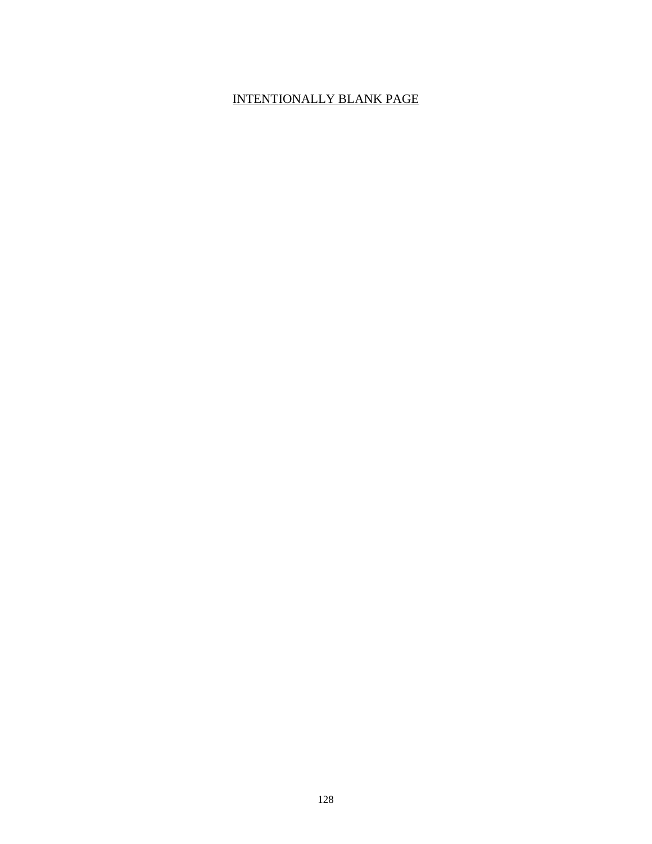# INTENTIONALLY BLANK PAGE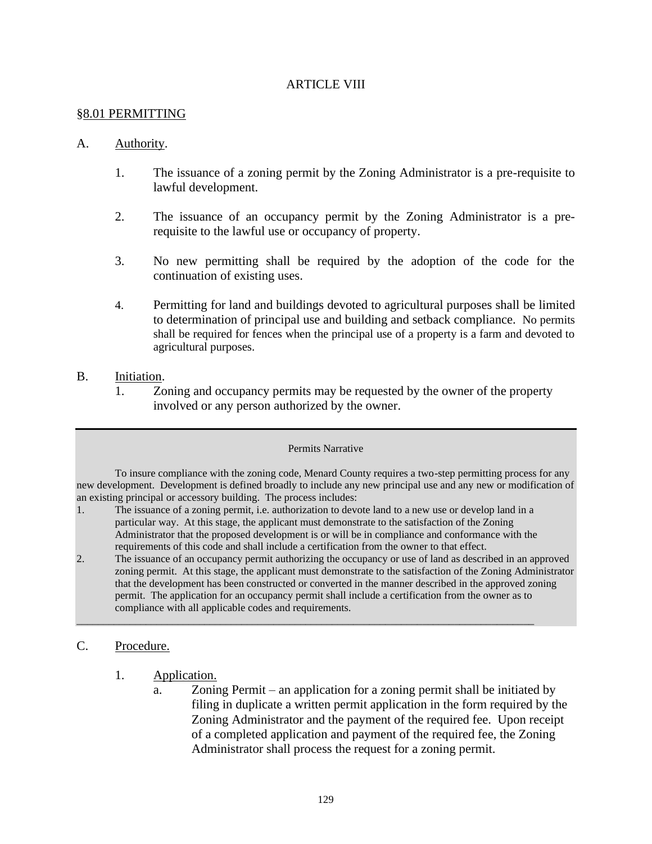## ARTICLE VIII

#### §8.01 PERMITTING

#### A. Authority.

- 1. The issuance of a zoning permit by the Zoning Administrator is a pre-requisite to lawful development.
- 2. The issuance of an occupancy permit by the Zoning Administrator is a prerequisite to the lawful use or occupancy of property.
- 3. No new permitting shall be required by the adoption of the code for the continuation of existing uses.
- 4. Permitting for land and buildings devoted to agricultural purposes shall be limited to determination of principal use and building and setback compliance. No permits shall be required for fences when the principal use of a property is a farm and devoted to agricultural purposes.

#### B. Initiation.

1. Zoning and occupancy permits may be requested by the owner of the property involved or any person authorized by the owner.

#### Permits Narrative

To insure compliance with the zoning code, Menard County requires a two-step permitting process for any new development. Development is defined broadly to include any new principal use and any new or modification of an existing principal or accessory building. The process includes:

1. The issuance of a zoning permit, i.e. authorization to devote land to a new use or develop land in a particular way. At this stage, the applicant must demonstrate to the satisfaction of the Zoning Administrator that the proposed development is or will be in compliance and conformance with the requirements of this code and shall include a certification from the owner to that effect.

 $\_$  , and the set of the set of the set of the set of the set of the set of the set of the set of the set of the set of the set of the set of the set of the set of the set of the set of the set of the set of the set of th

2. The issuance of an occupancy permit authorizing the occupancy or use of land as described in an approved zoning permit. At this stage, the applicant must demonstrate to the satisfaction of the Zoning Administrator that the development has been constructed or converted in the manner described in the approved zoning permit. The application for an occupancy permit shall include a certification from the owner as to compliance with all applicable codes and requirements.

### C. Procedure.

### 1. Application.

a. Zoning Permit – an application for a zoning permit shall be initiated by filing in duplicate a written permit application in the form required by the Zoning Administrator and the payment of the required fee. Upon receipt of a completed application and payment of the required fee, the Zoning Administrator shall process the request for a zoning permit.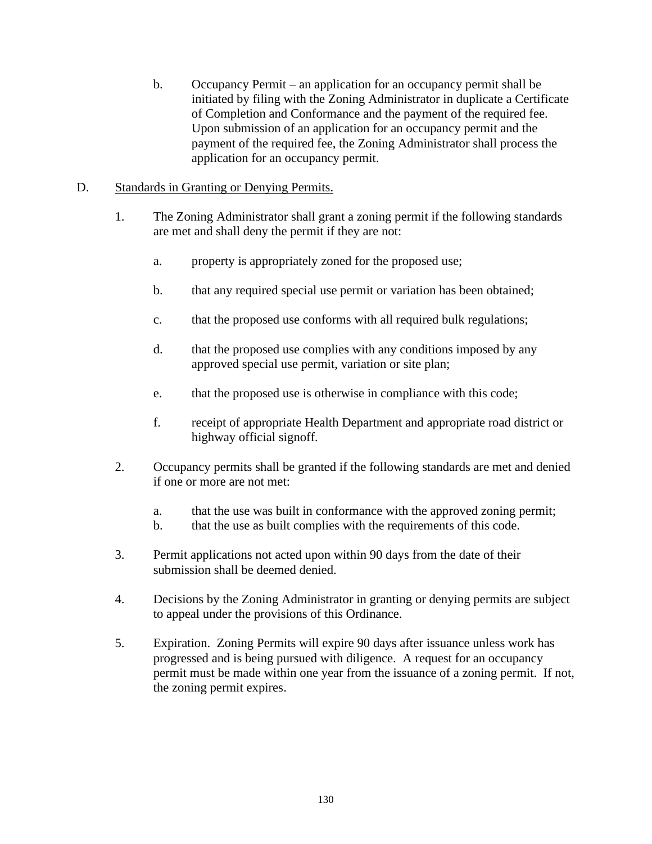- b. Occupancy Permit an application for an occupancy permit shall be initiated by filing with the Zoning Administrator in duplicate a Certificate of Completion and Conformance and the payment of the required fee. Upon submission of an application for an occupancy permit and the payment of the required fee, the Zoning Administrator shall process the application for an occupancy permit.
- D. Standards in Granting or Denying Permits.
	- 1. The Zoning Administrator shall grant a zoning permit if the following standards are met and shall deny the permit if they are not:
		- a. property is appropriately zoned for the proposed use;
		- b. that any required special use permit or variation has been obtained;
		- c. that the proposed use conforms with all required bulk regulations;
		- d. that the proposed use complies with any conditions imposed by any approved special use permit, variation or site plan;
		- e. that the proposed use is otherwise in compliance with this code;
		- f. receipt of appropriate Health Department and appropriate road district or highway official signoff.
	- 2. Occupancy permits shall be granted if the following standards are met and denied if one or more are not met:
		- a. that the use was built in conformance with the approved zoning permit;
		- b. that the use as built complies with the requirements of this code.
	- 3. Permit applications not acted upon within 90 days from the date of their submission shall be deemed denied.
	- 4. Decisions by the Zoning Administrator in granting or denying permits are subject to appeal under the provisions of this Ordinance.
	- 5. Expiration. Zoning Permits will expire 90 days after issuance unless work has progressed and is being pursued with diligence. A request for an occupancy permit must be made within one year from the issuance of a zoning permit. If not, the zoning permit expires.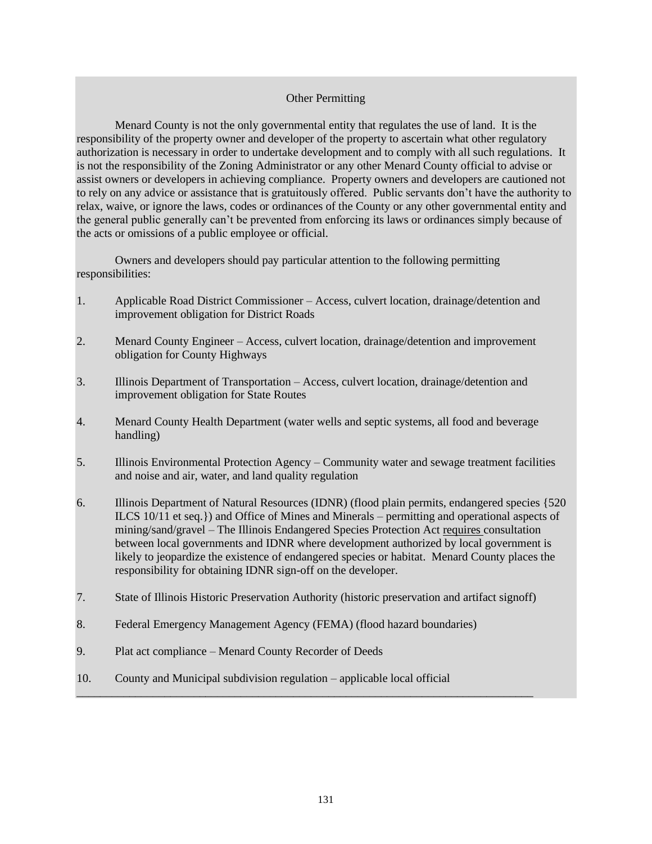#### Other Permitting

Menard County is not the only governmental entity that regulates the use of land. It is the responsibility of the property owner and developer of the property to ascertain what other regulatory authorization is necessary in order to undertake development and to comply with all such regulations. It is not the responsibility of the Zoning Administrator or any other Menard County official to advise or assist owners or developers in achieving compliance. Property owners and developers are cautioned not to rely on any advice or assistance that is gratuitously offered. Public servants don't have the authority to relax, waive, or ignore the laws, codes or ordinances of the County or any other governmental entity and the general public generally can't be prevented from enforcing its laws or ordinances simply because of the acts or omissions of a public employee or official.

Owners and developers should pay particular attention to the following permitting responsibilities:

- 1. Applicable Road District Commissioner Access, culvert location, drainage/detention and improvement obligation for District Roads
- 2. Menard County Engineer Access, culvert location, drainage/detention and improvement obligation for County Highways
- 3. Illinois Department of Transportation Access, culvert location, drainage/detention and improvement obligation for State Routes
- 4. Menard County Health Department (water wells and septic systems, all food and beverage handling)
- 5. Illinois Environmental Protection Agency Community water and sewage treatment facilities and noise and air, water, and land quality regulation
- 6. Illinois Department of Natural Resources (IDNR) (flood plain permits, endangered species {520 ILCS 10/11 et seq.}) and Office of Mines and Minerals – permitting and operational aspects of mining/sand/gravel – The Illinois Endangered Species Protection Act requires consultation between local governments and IDNR where development authorized by local government is likely to jeopardize the existence of endangered species or habitat. Menard County places the responsibility for obtaining IDNR sign-off on the developer.
- 7. State of Illinois Historic Preservation Authority (historic preservation and artifact signoff)

\_\_\_\_\_\_\_\_\_\_\_\_\_\_\_\_\_\_\_\_\_\_\_\_\_\_\_\_\_\_\_\_\_\_\_\_\_\_\_\_\_\_\_\_\_\_\_\_\_\_\_\_\_\_\_\_\_\_\_\_\_\_\_\_\_\_\_\_\_\_\_\_\_\_\_\_\_\_

- 8. Federal Emergency Management Agency (FEMA) (flood hazard boundaries)
- 9. Plat act compliance Menard County Recorder of Deeds
- 10. County and Municipal subdivision regulation applicable local official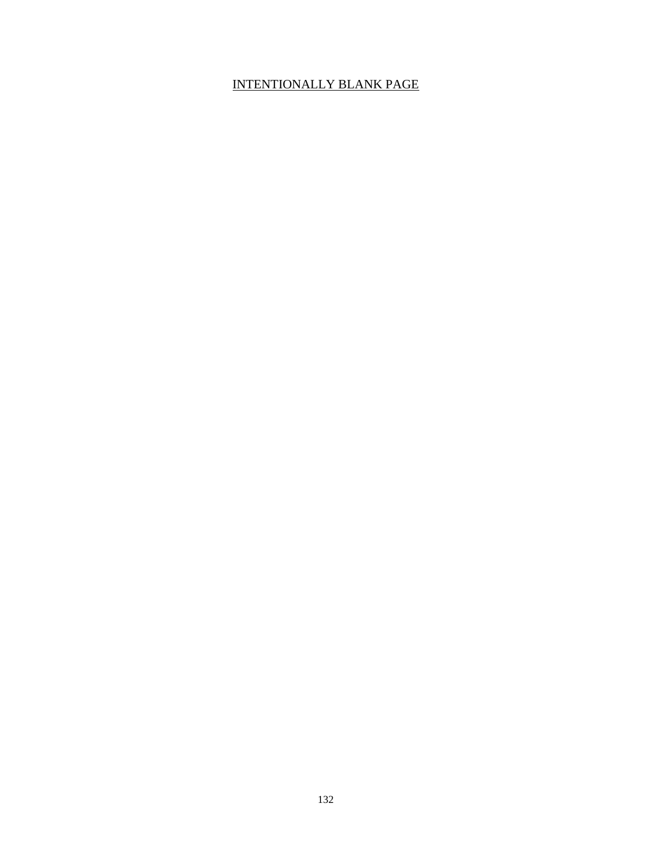# INTENTIONALLY BLANK PAGE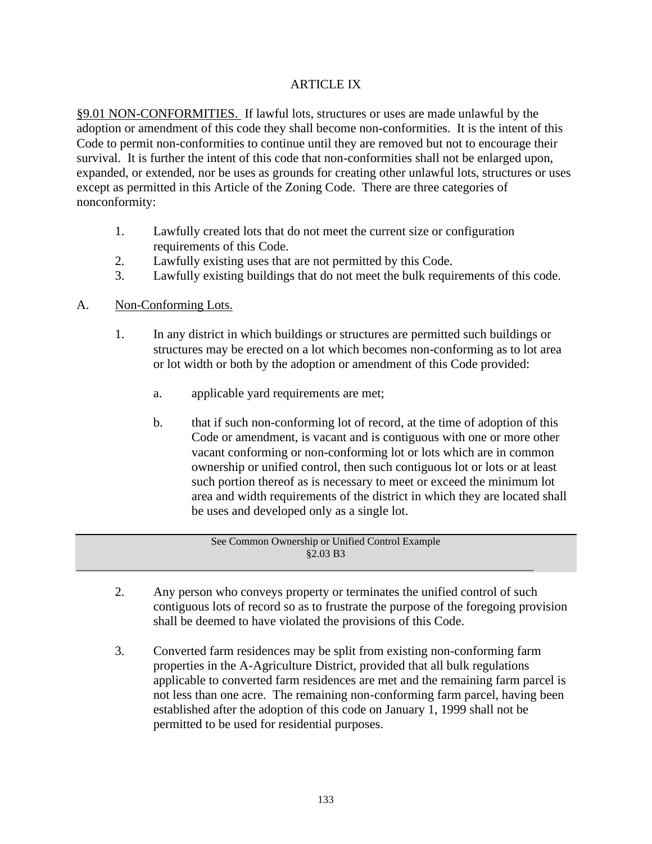## ARTICLE IX

§9.01 NON-CONFORMITIES. If lawful lots, structures or uses are made unlawful by the adoption or amendment of this code they shall become non-conformities. It is the intent of this Code to permit non-conformities to continue until they are removed but not to encourage their survival. It is further the intent of this code that non-conformities shall not be enlarged upon, expanded, or extended, nor be uses as grounds for creating other unlawful lots, structures or uses except as permitted in this Article of the Zoning Code. There are three categories of nonconformity:

- 1. Lawfully created lots that do not meet the current size or configuration requirements of this Code.
- 2. Lawfully existing uses that are not permitted by this Code.
- 3. Lawfully existing buildings that do not meet the bulk requirements of this code.
- A. Non-Conforming Lots.
	- 1. In any district in which buildings or structures are permitted such buildings or structures may be erected on a lot which becomes non-conforming as to lot area or lot width or both by the adoption or amendment of this Code provided:
		- a. applicable yard requirements are met;
		- b. that if such non-conforming lot of record, at the time of adoption of this Code or amendment, is vacant and is contiguous with one or more other vacant conforming or non-conforming lot or lots which are in common ownership or unified control, then such contiguous lot or lots or at least such portion thereof as is necessary to meet or exceed the minimum lot area and width requirements of the district in which they are located shall be uses and developed only as a single lot.

| See Common Ownership or Unified Control Example |  |
|-------------------------------------------------|--|
| \$2.03 B3                                       |  |
|                                                 |  |

- 2. Any person who conveys property or terminates the unified control of such contiguous lots of record so as to frustrate the purpose of the foregoing provision shall be deemed to have violated the provisions of this Code.
- 3. Converted farm residences may be split from existing non-conforming farm properties in the A-Agriculture District, provided that all bulk regulations applicable to converted farm residences are met and the remaining farm parcel is not less than one acre. The remaining non-conforming farm parcel, having been established after the adoption of this code on January 1, 1999 shall not be permitted to be used for residential purposes.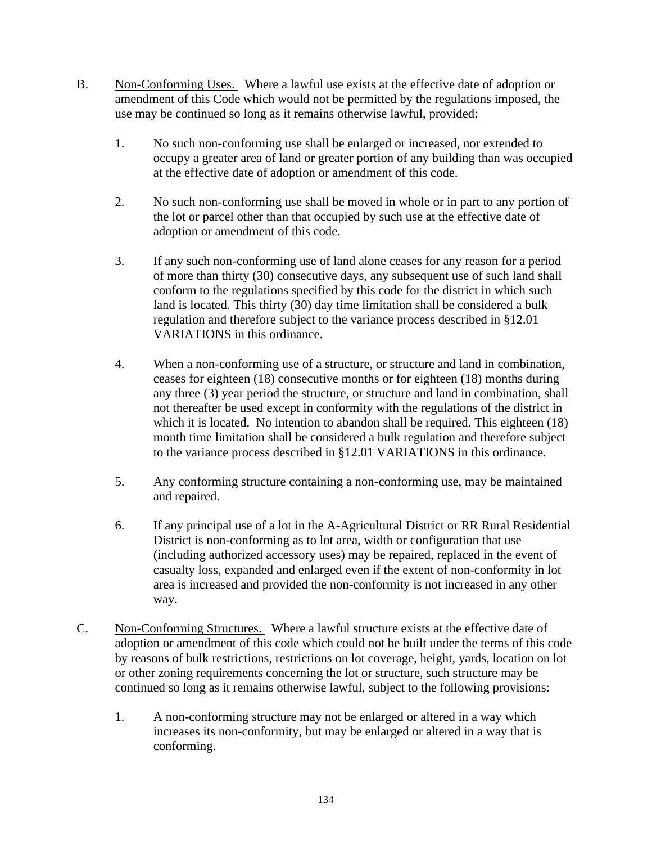- B. Non-Conforming Uses. Where a lawful use exists at the effective date of adoption or amendment of this Code which would not be permitted by the regulations imposed, the use may be continued so long as it remains otherwise lawful, provided:
	- 1. No such non-conforming use shall be enlarged or increased, nor extended to occupy a greater area of land or greater portion of any building than was occupied at the effective date of adoption or amendment of this code.
	- 2. No such non-conforming use shall be moved in whole or in part to any portion of the lot or parcel other than that occupied by such use at the effective date of adoption or amendment of this code.
	- 3. If any such non-conforming use of land alone ceases for any reason for a period of more than thirty (30) consecutive days, any subsequent use of such land shall conform to the regulations specified by this code for the district in which such land is located. This thirty (30) day time limitation shall be considered a bulk regulation and therefore subject to the variance process described in §12.01 VARIATIONS in this ordinance.
	- 4. When a non-conforming use of a structure, or structure and land in combination, ceases for eighteen (18) consecutive months or for eighteen (18) months during any three (3) year period the structure, or structure and land in combination, shall not thereafter be used except in conformity with the regulations of the district in which it is located. No intention to abandon shall be required. This eighteen  $(18)$ month time limitation shall be considered a bulk regulation and therefore subject to the variance process described in §12.01 VARIATIONS in this ordinance.
	- 5. Any conforming structure containing a non-conforming use, may be maintained and repaired.
	- 6. If any principal use of a lot in the A-Agricultural District or RR Rural Residential District is non-conforming as to lot area, width or configuration that use (including authorized accessory uses) may be repaired, replaced in the event of casualty loss, expanded and enlarged even if the extent of non-conformity in lot area is increased and provided the non-conformity is not increased in any other way.
- C. Non-Conforming Structures. Where a lawful structure exists at the effective date of adoption or amendment of this code which could not be built under the terms of this code by reasons of bulk restrictions, restrictions on lot coverage, height, yards, location on lot or other zoning requirements concerning the lot or structure, such structure may be continued so long as it remains otherwise lawful, subject to the following provisions:
	- 1. A non-conforming structure may not be enlarged or altered in a way which increases its non-conformity, but may be enlarged or altered in a way that is conforming.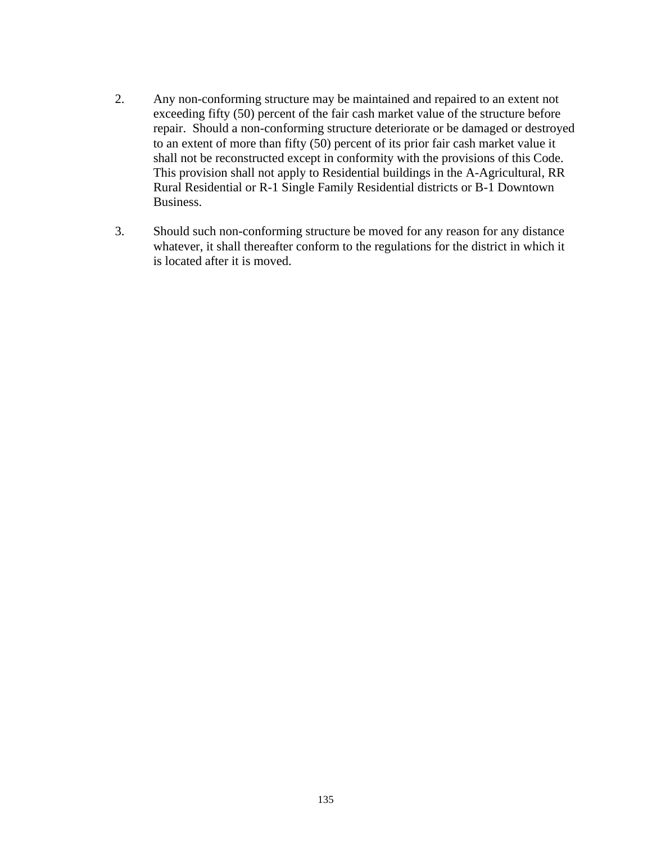- 2. Any non-conforming structure may be maintained and repaired to an extent not exceeding fifty (50) percent of the fair cash market value of the structure before repair. Should a non-conforming structure deteriorate or be damaged or destroyed to an extent of more than fifty (50) percent of its prior fair cash market value it shall not be reconstructed except in conformity with the provisions of this Code. This provision shall not apply to Residential buildings in the A-Agricultural, RR Rural Residential or R-1 Single Family Residential districts or B-1 Downtown Business.
- 3. Should such non-conforming structure be moved for any reason for any distance whatever, it shall thereafter conform to the regulations for the district in which it is located after it is moved.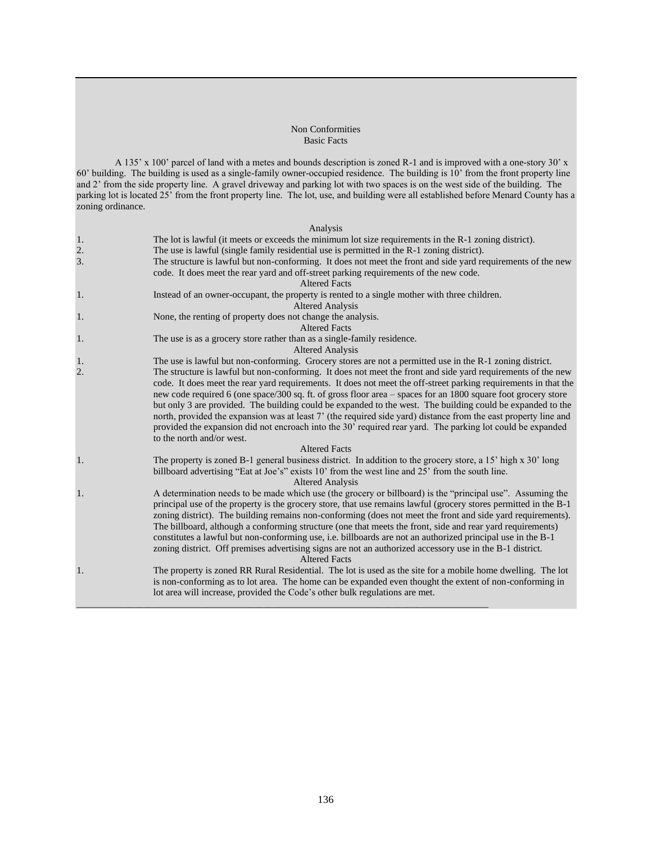#### Non Conformities Basic Facts

A 135' x 100' parcel of land with a metes and bounds description is zoned R-1 and is improved with a one-story 30' x 60' building. The building is used as a single-family owner-occupied residence. The building is 10' from the front property line and 2' from the side property line. A gravel driveway and parking lot with two spaces is on the west side of the building. The parking lot is located 25' from the front property line. The lot, use, and building were all established before Menard County has a zoning ordinance.

#### Analysis

- 1. The lot is lawful (it meets or exceeds the minimum lot size requirements in the R-1 zoning district). 2. The use is lawful (single family residential use is permitted in the R-1 zoning district).
- 3. The structure is lawful but non-conforming. It does not meet the front and side yard requirements of the new code. It does meet the rear yard and off-street parking requirements of the new code.

Altered Facts

1. Instead of an owner-occupant, the property is rented to a single mother with three children.

Altered Analysis

1. None, the renting of property does not change the analysis.

Altered Facts

1. The use is as a grocery store rather than as a single-family residence.

#### Altered Analysis

1. The use is lawful but non-conforming. Grocery stores are not a permitted use in the R-1 zoning district. 2. The structure is lawful but non-conforming. It does not meet the front and side yard requirements of the new code. It does meet the rear yard requirements. It does not meet the off-street parking requirements in that the new code required 6 (one space/300 sq. ft. of gross floor area – spaces for an 1800 square foot grocery store but only 3 are provided. The building could be expanded to the west. The building could be expanded to the north, provided the expansion was at least 7' (the required side yard) distance from the east property line and provided the expansion did not encroach into the 30' required rear yard. The parking lot could be expanded to the north and/or west.

#### Altered Facts

1. The property is zoned B-1 general business district. In addition to the grocery store, a 15' high x 30' long billboard advertising "Eat at Joe's" exists 10' from the west line and 25' from the south line.

Altered Analysis

- 1. A determination needs to be made which use (the grocery or billboard) is the "principal use". Assuming the principal use of the property is the grocery store, that use remains lawful (grocery stores permitted in the B-1 zoning district). The building remains non-conforming (does not meet the front and side yard requirements). The billboard, although a conforming structure (one that meets the front, side and rear yard requirements) constitutes a lawful but non-conforming use, i.e. billboards are not an authorized principal use in the B-1 zoning district. Off premises advertising signs are not an authorized accessory use in the B-1 district. Altered Facts
- 1. The property is zoned RR Rural Residential. The lot is used as the site for a mobile home dwelling. The lot is non-conforming as to lot area. The home can be expanded even thought the extent of non-conforming in lot area will increase, provided the Code's other bulk regulations are met.  $\_$  . The contribution of the contribution of the contribution of the contribution of the contribution of the contribution of the contribution of the contribution of the contribution of the contribution of the contributio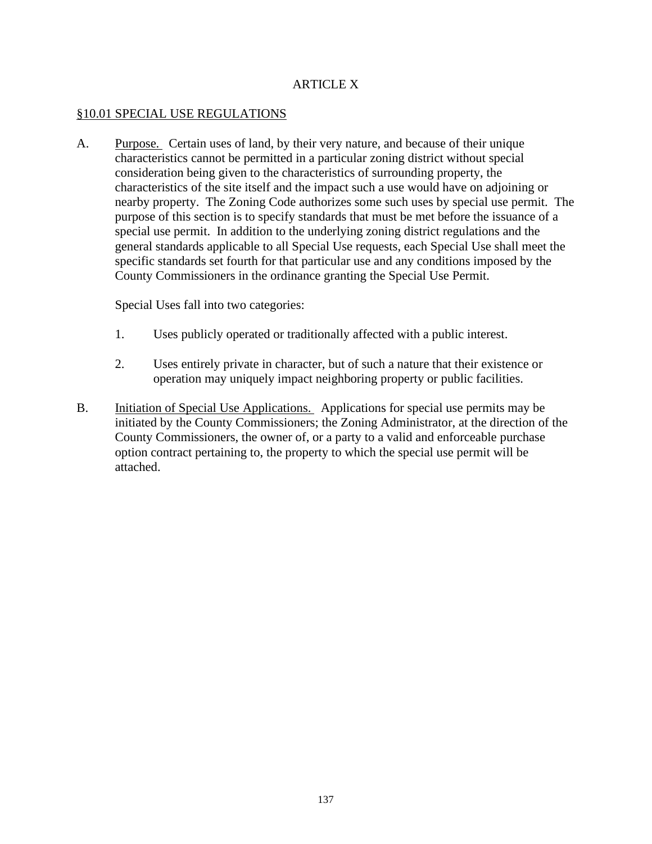## ARTICLE X

## §10.01 SPECIAL USE REGULATIONS

A. Purpose. Certain uses of land, by their very nature, and because of their unique characteristics cannot be permitted in a particular zoning district without special consideration being given to the characteristics of surrounding property, the characteristics of the site itself and the impact such a use would have on adjoining or nearby property. The Zoning Code authorizes some such uses by special use permit. The purpose of this section is to specify standards that must be met before the issuance of a special use permit. In addition to the underlying zoning district regulations and the general standards applicable to all Special Use requests, each Special Use shall meet the specific standards set fourth for that particular use and any conditions imposed by the County Commissioners in the ordinance granting the Special Use Permit.

Special Uses fall into two categories:

- 1. Uses publicly operated or traditionally affected with a public interest.
- 2. Uses entirely private in character, but of such a nature that their existence or operation may uniquely impact neighboring property or public facilities.
- B. Initiation of Special Use Applications. Applications for special use permits may be initiated by the County Commissioners; the Zoning Administrator, at the direction of the County Commissioners, the owner of, or a party to a valid and enforceable purchase option contract pertaining to, the property to which the special use permit will be attached.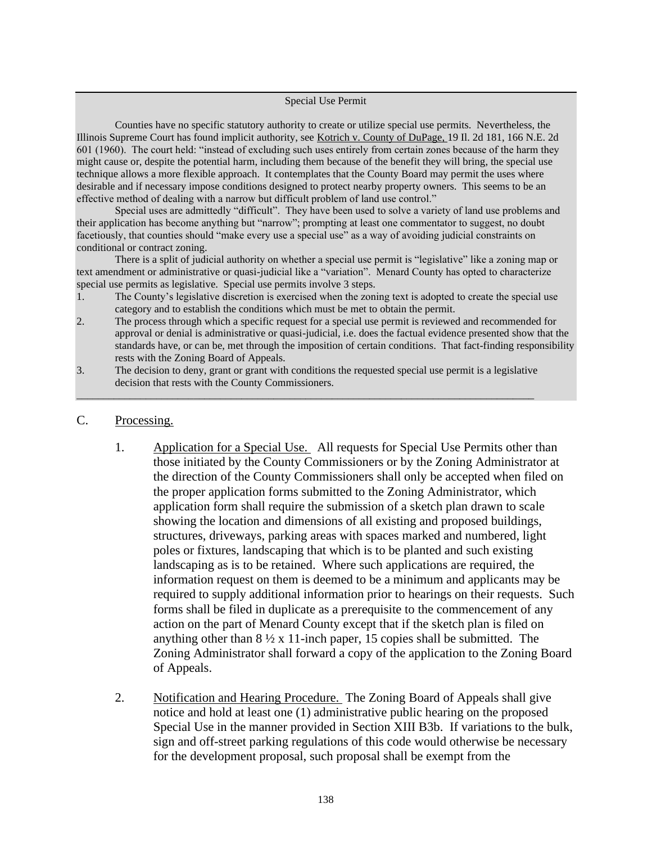#### Special Use Permit

Counties have no specific statutory authority to create or utilize special use permits. Nevertheless, the Illinois Supreme Court has found implicit authority, see Kotrich v. County of DuPage, 19 Il. 2d 181, 166 N.E. 2d 601 (1960). The court held: "instead of excluding such uses entirely from certain zones because of the harm they might cause or, despite the potential harm, including them because of the benefit they will bring, the special use technique allows a more flexible approach. It contemplates that the County Board may permit the uses where desirable and if necessary impose conditions designed to protect nearby property owners. This seems to be an effective method of dealing with a narrow but difficult problem of land use control."

Special uses are admittedly "difficult". They have been used to solve a variety of land use problems and their application has become anything but "narrow"; prompting at least one commentator to suggest, no doubt facetiously, that counties should "make every use a special use" as a way of avoiding judicial constraints on conditional or contract zoning.

There is a split of judicial authority on whether a special use permit is "legislative" like a zoning map or text amendment or administrative or quasi-judicial like a "variation". Menard County has opted to characterize special use permits as legislative. Special use permits involve 3 steps.

- 1. The County's legislative discretion is exercised when the zoning text is adopted to create the special use category and to establish the conditions which must be met to obtain the permit.
- 2. The process through which a specific request for a special use permit is reviewed and recommended for approval or denial is administrative or quasi-judicial, i.e. does the factual evidence presented show that the standards have, or can be, met through the imposition of certain conditions. That fact-finding responsibility rests with the Zoning Board of Appeals.
- 3. The decision to deny, grant or grant with conditions the requested special use permit is a legislative decision that rests with the County Commissioners.  $\_$  , and the state of the state of the state of the state of the state of the state of the state of the state of the state of the state of the state of the state of the state of the state of the state of the state of the
- C. Processing.
	- 1. Application for a Special Use. All requests for Special Use Permits other than those initiated by the County Commissioners or by the Zoning Administrator at the direction of the County Commissioners shall only be accepted when filed on the proper application forms submitted to the Zoning Administrator, which application form shall require the submission of a sketch plan drawn to scale showing the location and dimensions of all existing and proposed buildings, structures, driveways, parking areas with spaces marked and numbered, light poles or fixtures, landscaping that which is to be planted and such existing landscaping as is to be retained. Where such applications are required, the information request on them is deemed to be a minimum and applicants may be required to supply additional information prior to hearings on their requests. Such forms shall be filed in duplicate as a prerequisite to the commencement of any action on the part of Menard County except that if the sketch plan is filed on anything other than  $8\frac{1}{2} \times 11$ -inch paper, 15 copies shall be submitted. The Zoning Administrator shall forward a copy of the application to the Zoning Board of Appeals.
	- 2. Notification and Hearing Procedure. The Zoning Board of Appeals shall give notice and hold at least one (1) administrative public hearing on the proposed Special Use in the manner provided in Section XIII B3b. If variations to the bulk, sign and off-street parking regulations of this code would otherwise be necessary for the development proposal, such proposal shall be exempt from the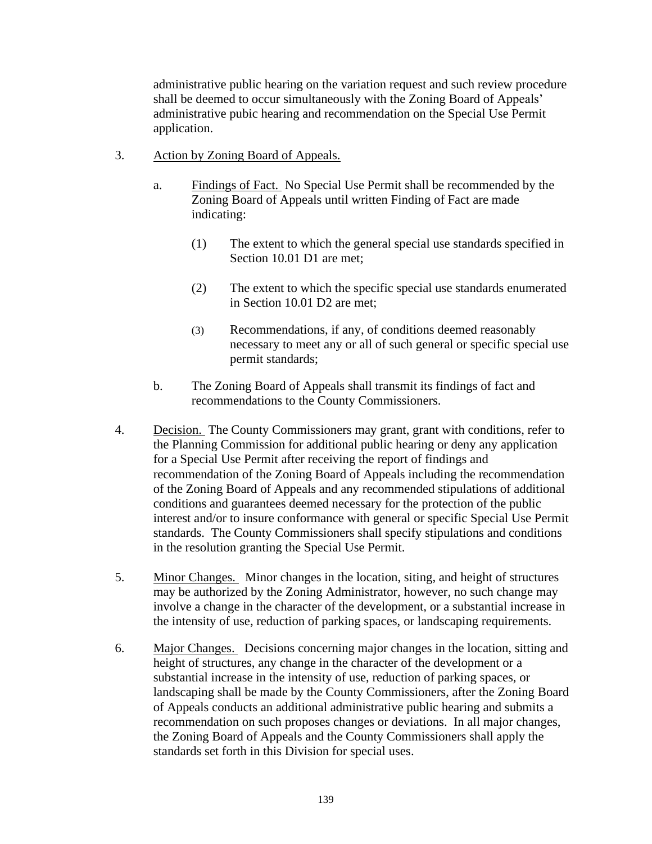administrative public hearing on the variation request and such review procedure shall be deemed to occur simultaneously with the Zoning Board of Appeals' administrative pubic hearing and recommendation on the Special Use Permit application.

- 3. Action by Zoning Board of Appeals.
	- a. Findings of Fact. No Special Use Permit shall be recommended by the Zoning Board of Appeals until written Finding of Fact are made indicating:
		- (1) The extent to which the general special use standards specified in Section 10.01 D1 are met;
		- (2) The extent to which the specific special use standards enumerated in Section 10.01 D2 are met;
		- (3) Recommendations, if any, of conditions deemed reasonably necessary to meet any or all of such general or specific special use permit standards;
	- b. The Zoning Board of Appeals shall transmit its findings of fact and recommendations to the County Commissioners.
- 4. Decision. The County Commissioners may grant, grant with conditions, refer to the Planning Commission for additional public hearing or deny any application for a Special Use Permit after receiving the report of findings and recommendation of the Zoning Board of Appeals including the recommendation of the Zoning Board of Appeals and any recommended stipulations of additional conditions and guarantees deemed necessary for the protection of the public interest and/or to insure conformance with general or specific Special Use Permit standards. The County Commissioners shall specify stipulations and conditions in the resolution granting the Special Use Permit.
- 5. Minor Changes. Minor changes in the location, siting, and height of structures may be authorized by the Zoning Administrator, however, no such change may involve a change in the character of the development, or a substantial increase in the intensity of use, reduction of parking spaces, or landscaping requirements.
- 6. Major Changes. Decisions concerning major changes in the location, sitting and height of structures, any change in the character of the development or a substantial increase in the intensity of use, reduction of parking spaces, or landscaping shall be made by the County Commissioners, after the Zoning Board of Appeals conducts an additional administrative public hearing and submits a recommendation on such proposes changes or deviations. In all major changes, the Zoning Board of Appeals and the County Commissioners shall apply the standards set forth in this Division for special uses.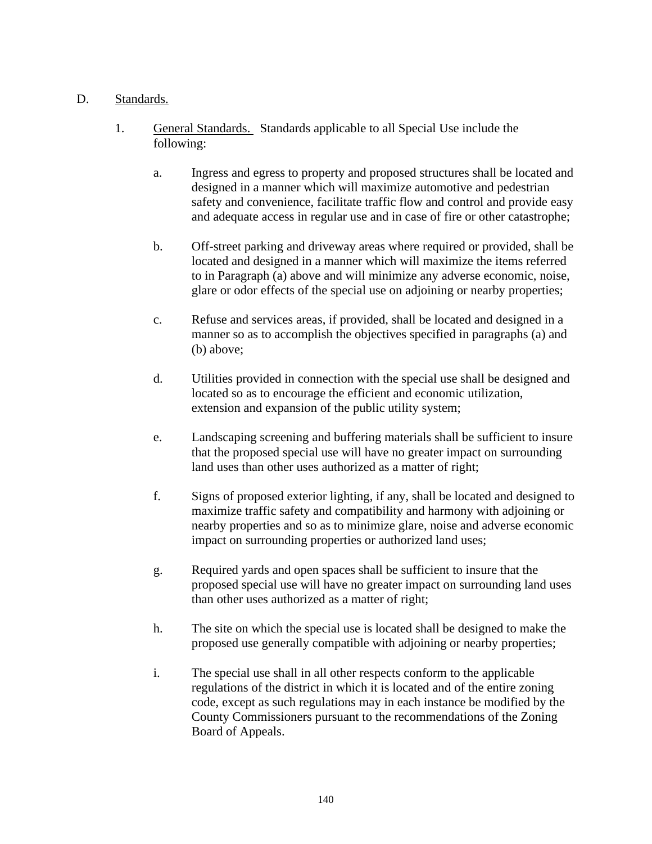## D. Standards.

- 1. General Standards. Standards applicable to all Special Use include the following:
	- a. Ingress and egress to property and proposed structures shall be located and designed in a manner which will maximize automotive and pedestrian safety and convenience, facilitate traffic flow and control and provide easy and adequate access in regular use and in case of fire or other catastrophe;
	- b. Off-street parking and driveway areas where required or provided, shall be located and designed in a manner which will maximize the items referred to in Paragraph (a) above and will minimize any adverse economic, noise, glare or odor effects of the special use on adjoining or nearby properties;
	- c. Refuse and services areas, if provided, shall be located and designed in a manner so as to accomplish the objectives specified in paragraphs (a) and (b) above;
	- d. Utilities provided in connection with the special use shall be designed and located so as to encourage the efficient and economic utilization, extension and expansion of the public utility system;
	- e. Landscaping screening and buffering materials shall be sufficient to insure that the proposed special use will have no greater impact on surrounding land uses than other uses authorized as a matter of right;
	- f. Signs of proposed exterior lighting, if any, shall be located and designed to maximize traffic safety and compatibility and harmony with adjoining or nearby properties and so as to minimize glare, noise and adverse economic impact on surrounding properties or authorized land uses;
	- g. Required yards and open spaces shall be sufficient to insure that the proposed special use will have no greater impact on surrounding land uses than other uses authorized as a matter of right;
	- h. The site on which the special use is located shall be designed to make the proposed use generally compatible with adjoining or nearby properties;
	- i. The special use shall in all other respects conform to the applicable regulations of the district in which it is located and of the entire zoning code, except as such regulations may in each instance be modified by the County Commissioners pursuant to the recommendations of the Zoning Board of Appeals.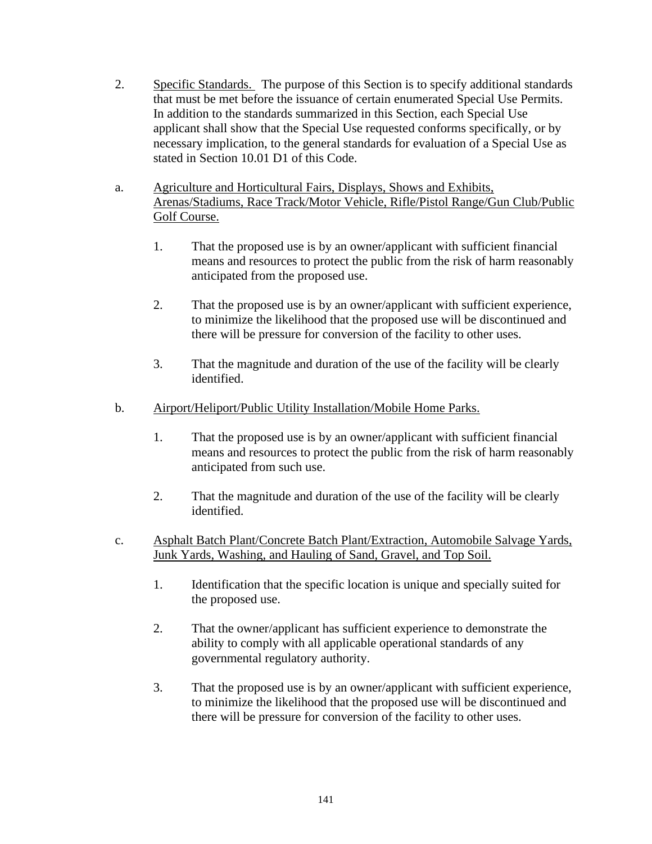- 2. Specific Standards. The purpose of this Section is to specify additional standards that must be met before the issuance of certain enumerated Special Use Permits. In addition to the standards summarized in this Section, each Special Use applicant shall show that the Special Use requested conforms specifically, or by necessary implication, to the general standards for evaluation of a Special Use as stated in Section 10.01 D1 of this Code.
- a. Agriculture and Horticultural Fairs, Displays, Shows and Exhibits, Arenas/Stadiums, Race Track/Motor Vehicle, Rifle/Pistol Range/Gun Club/Public Golf Course.
	- 1. That the proposed use is by an owner/applicant with sufficient financial means and resources to protect the public from the risk of harm reasonably anticipated from the proposed use.
	- 2. That the proposed use is by an owner/applicant with sufficient experience, to minimize the likelihood that the proposed use will be discontinued and there will be pressure for conversion of the facility to other uses.
	- 3. That the magnitude and duration of the use of the facility will be clearly identified.
- b. Airport/Heliport/Public Utility Installation/Mobile Home Parks.
	- 1. That the proposed use is by an owner/applicant with sufficient financial means and resources to protect the public from the risk of harm reasonably anticipated from such use.
	- 2. That the magnitude and duration of the use of the facility will be clearly identified.
- c. Asphalt Batch Plant/Concrete Batch Plant/Extraction, Automobile Salvage Yards, Junk Yards, Washing, and Hauling of Sand, Gravel, and Top Soil.
	- 1. Identification that the specific location is unique and specially suited for the proposed use.
	- 2. That the owner/applicant has sufficient experience to demonstrate the ability to comply with all applicable operational standards of any governmental regulatory authority.
	- 3. That the proposed use is by an owner/applicant with sufficient experience, to minimize the likelihood that the proposed use will be discontinued and there will be pressure for conversion of the facility to other uses.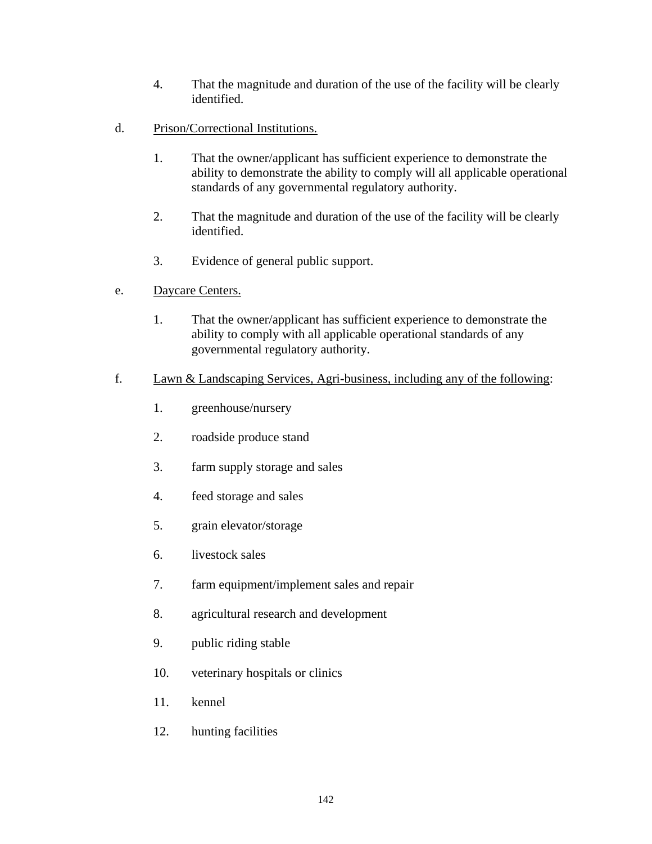- 4. That the magnitude and duration of the use of the facility will be clearly identified.
- d. Prison/Correctional Institutions.
	- 1. That the owner/applicant has sufficient experience to demonstrate the ability to demonstrate the ability to comply will all applicable operational standards of any governmental regulatory authority.
	- 2. That the magnitude and duration of the use of the facility will be clearly identified.
	- 3. Evidence of general public support.
- e. Daycare Centers.
	- 1. That the owner/applicant has sufficient experience to demonstrate the ability to comply with all applicable operational standards of any governmental regulatory authority.
- f. Lawn & Landscaping Services, Agri-business, including any of the following:
	- 1. greenhouse/nursery
	- 2. roadside produce stand
	- 3. farm supply storage and sales
	- 4. feed storage and sales
	- 5. grain elevator/storage
	- 6. livestock sales
	- 7. farm equipment/implement sales and repair
	- 8. agricultural research and development
	- 9. public riding stable
	- 10. veterinary hospitals or clinics
	- 11. kennel
	- 12. hunting facilities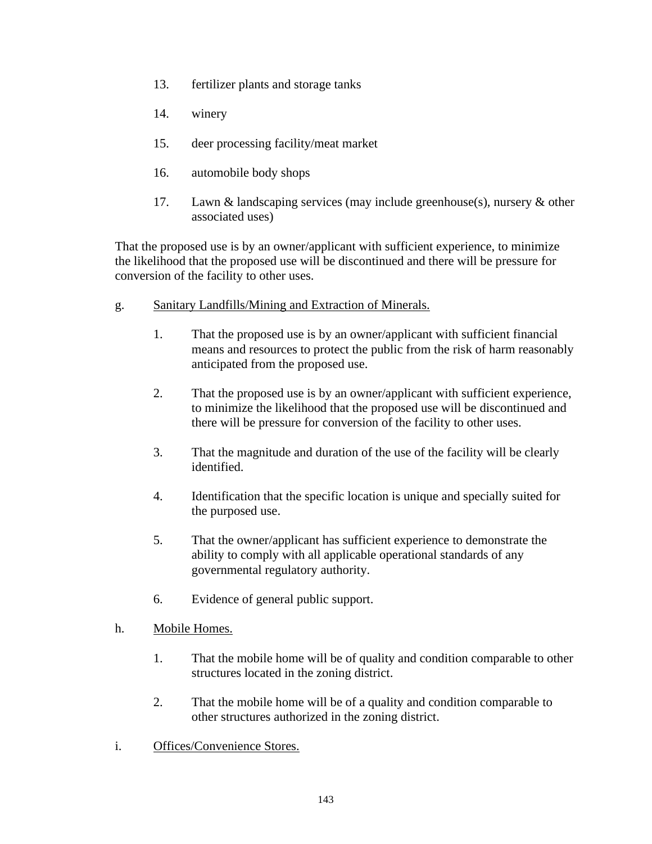- 13. fertilizer plants and storage tanks
- 14. winery
- 15. deer processing facility/meat market
- 16. automobile body shops
- 17. Lawn & landscaping services (may include greenhouse(s), nursery & other associated uses)

That the proposed use is by an owner/applicant with sufficient experience, to minimize the likelihood that the proposed use will be discontinued and there will be pressure for conversion of the facility to other uses.

- g. Sanitary Landfills/Mining and Extraction of Minerals.
	- 1. That the proposed use is by an owner/applicant with sufficient financial means and resources to protect the public from the risk of harm reasonably anticipated from the proposed use.
	- 2. That the proposed use is by an owner/applicant with sufficient experience, to minimize the likelihood that the proposed use will be discontinued and there will be pressure for conversion of the facility to other uses.
	- 3. That the magnitude and duration of the use of the facility will be clearly identified.
	- 4. Identification that the specific location is unique and specially suited for the purposed use.
	- 5. That the owner/applicant has sufficient experience to demonstrate the ability to comply with all applicable operational standards of any governmental regulatory authority.
	- 6. Evidence of general public support.
- h. Mobile Homes.
	- 1. That the mobile home will be of quality and condition comparable to other structures located in the zoning district.
	- 2. That the mobile home will be of a quality and condition comparable to other structures authorized in the zoning district.
- i. Offices/Convenience Stores.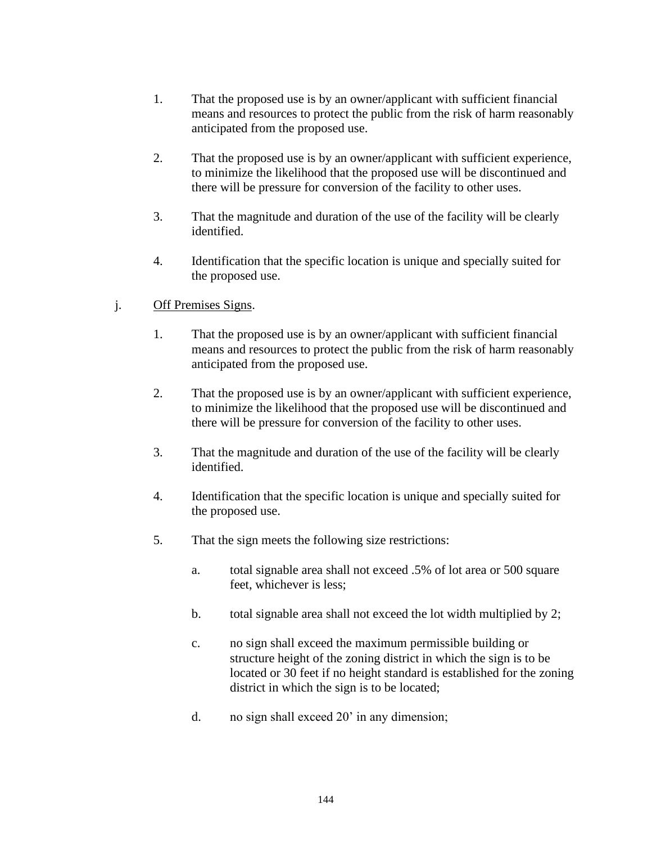- 1. That the proposed use is by an owner/applicant with sufficient financial means and resources to protect the public from the risk of harm reasonably anticipated from the proposed use.
- 2. That the proposed use is by an owner/applicant with sufficient experience, to minimize the likelihood that the proposed use will be discontinued and there will be pressure for conversion of the facility to other uses.
- 3. That the magnitude and duration of the use of the facility will be clearly identified.
- 4. Identification that the specific location is unique and specially suited for the proposed use.
- j. Off Premises Signs.
	- 1. That the proposed use is by an owner/applicant with sufficient financial means and resources to protect the public from the risk of harm reasonably anticipated from the proposed use.
	- 2. That the proposed use is by an owner/applicant with sufficient experience, to minimize the likelihood that the proposed use will be discontinued and there will be pressure for conversion of the facility to other uses.
	- 3. That the magnitude and duration of the use of the facility will be clearly identified.
	- 4. Identification that the specific location is unique and specially suited for the proposed use.
	- 5. That the sign meets the following size restrictions:
		- a. total signable area shall not exceed .5% of lot area or 500 square feet, whichever is less;
		- b. total signable area shall not exceed the lot width multiplied by 2;
		- c. no sign shall exceed the maximum permissible building or structure height of the zoning district in which the sign is to be located or 30 feet if no height standard is established for the zoning district in which the sign is to be located;
		- d. no sign shall exceed 20' in any dimension;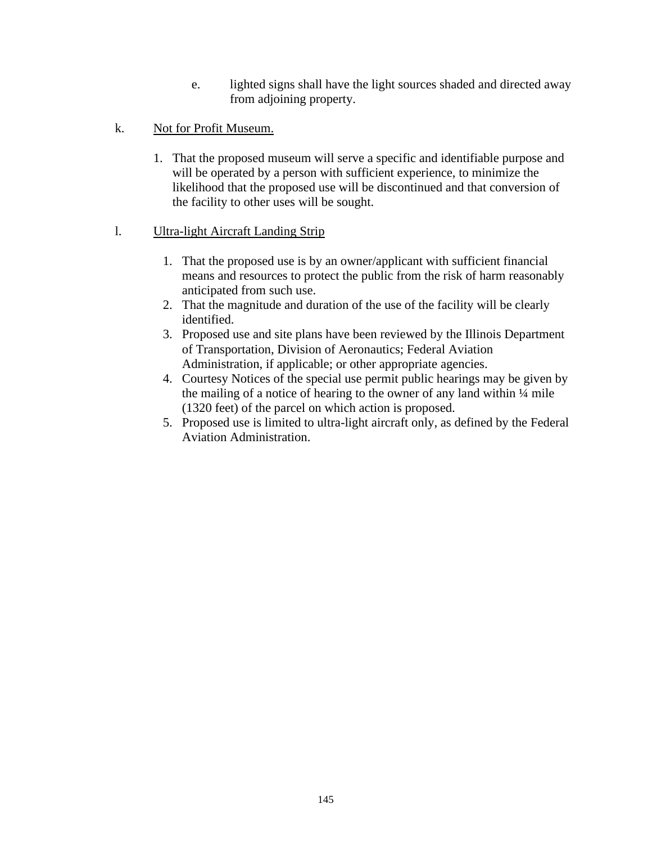- e. lighted signs shall have the light sources shaded and directed away from adjoining property.
- k. Not for Profit Museum.
	- 1. That the proposed museum will serve a specific and identifiable purpose and will be operated by a person with sufficient experience, to minimize the likelihood that the proposed use will be discontinued and that conversion of the facility to other uses will be sought.

# l. Ultra-light Aircraft Landing Strip

- 1. That the proposed use is by an owner/applicant with sufficient financial means and resources to protect the public from the risk of harm reasonably anticipated from such use.
- 2. That the magnitude and duration of the use of the facility will be clearly identified.
- 3. Proposed use and site plans have been reviewed by the Illinois Department of Transportation, Division of Aeronautics; Federal Aviation Administration, if applicable; or other appropriate agencies.
- 4. Courtesy Notices of the special use permit public hearings may be given by the mailing of a notice of hearing to the owner of any land within  $\frac{1}{4}$  mile (1320 feet) of the parcel on which action is proposed.
- 5. Proposed use is limited to ultra-light aircraft only, as defined by the Federal Aviation Administration.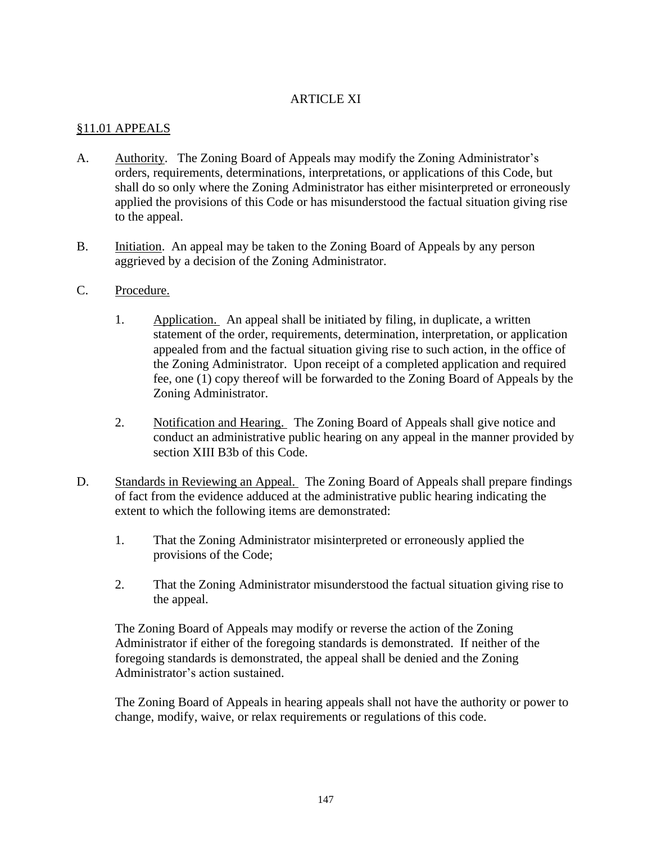# **ARTICLE XI**

# §11.01 APPEALS

- A. Authority. The Zoning Board of Appeals may modify the Zoning Administrator's orders, requirements, determinations, interpretations, or applications of this Code, but shall do so only where the Zoning Administrator has either misinterpreted or erroneously applied the provisions of this Code or has misunderstood the factual situation giving rise to the appeal.
- B. Initiation. An appeal may be taken to the Zoning Board of Appeals by any person aggrieved by a decision of the Zoning Administrator.
- C. Procedure.
	- 1. Application. An appeal shall be initiated by filing, in duplicate, a written statement of the order, requirements, determination, interpretation, or application appealed from and the factual situation giving rise to such action, in the office of the Zoning Administrator. Upon receipt of a completed application and required fee, one (1) copy thereof will be forwarded to the Zoning Board of Appeals by the Zoning Administrator.
	- 2. Notification and Hearing. The Zoning Board of Appeals shall give notice and conduct an administrative public hearing on any appeal in the manner provided by section XIII B3b of this Code.
- D. Standards in Reviewing an Appeal. The Zoning Board of Appeals shall prepare findings of fact from the evidence adduced at the administrative public hearing indicating the extent to which the following items are demonstrated:
	- 1. That the Zoning Administrator misinterpreted or erroneously applied the provisions of the Code;
	- 2. That the Zoning Administrator misunderstood the factual situation giving rise to the appeal.

The Zoning Board of Appeals may modify or reverse the action of the Zoning Administrator if either of the foregoing standards is demonstrated. If neither of the foregoing standards is demonstrated, the appeal shall be denied and the Zoning Administrator's action sustained.

The Zoning Board of Appeals in hearing appeals shall not have the authority or power to change, modify, waive, or relax requirements or regulations of this code.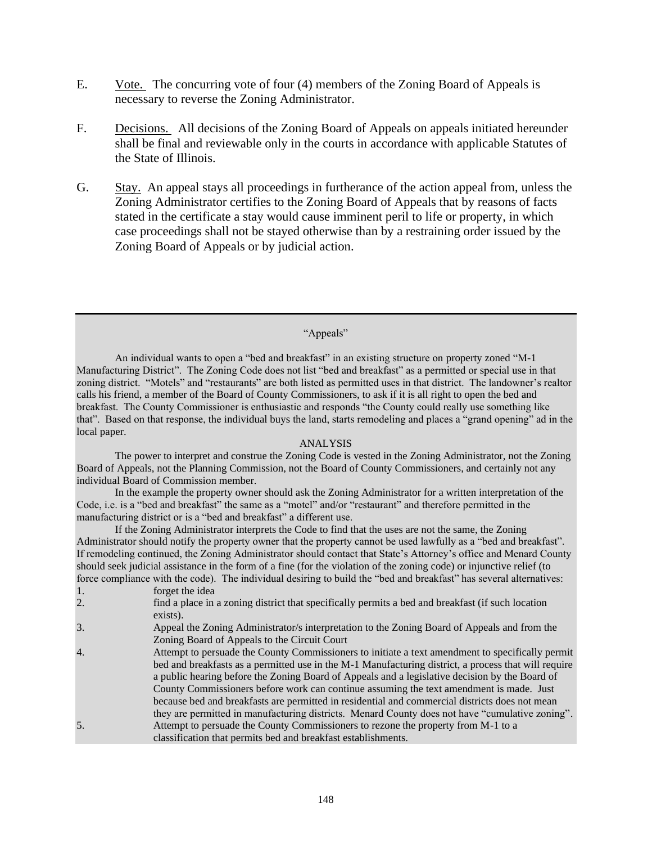- E. Vote. The concurring vote of four (4) members of the Zoning Board of Appeals is necessary to reverse the Zoning Administrator.
- F. Decisions. All decisions of the Zoning Board of Appeals on appeals initiated hereunder shall be final and reviewable only in the courts in accordance with applicable Statutes of the State of Illinois.
- G. Stay. An appeal stays all proceedings in furtherance of the action appeal from, unless the Zoning Administrator certifies to the Zoning Board of Appeals that by reasons of facts stated in the certificate a stay would cause imminent peril to life or property, in which case proceedings shall not be stayed otherwise than by a restraining order issued by the Zoning Board of Appeals or by judicial action.

"Appeals"

An individual wants to open a "bed and breakfast" in an existing structure on property zoned "M-1 Manufacturing District". The Zoning Code does not list "bed and breakfast" as a permitted or special use in that zoning district. "Motels" and "restaurants" are both listed as permitted uses in that district. The landowner's realtor calls his friend, a member of the Board of County Commissioners, to ask if it is all right to open the bed and breakfast. The County Commissioner is enthusiastic and responds "the County could really use something like that". Based on that response, the individual buys the land, starts remodeling and places a "grand opening" ad in the local paper.

#### ANALYSIS

The power to interpret and construe the Zoning Code is vested in the Zoning Administrator, not the Zoning Board of Appeals, not the Planning Commission, not the Board of County Commissioners, and certainly not any individual Board of Commission member.

In the example the property owner should ask the Zoning Administrator for a written interpretation of the Code, i.e. is a "bed and breakfast" the same as a "motel" and/or "restaurant" and therefore permitted in the manufacturing district or is a "bed and breakfast" a different use.

If the Zoning Administrator interprets the Code to find that the uses are not the same, the Zoning Administrator should notify the property owner that the property cannot be used lawfully as a "bed and breakfast". If remodeling continued, the Zoning Administrator should contact that State's Attorney's office and Menard County should seek judicial assistance in the form of a fine (for the violation of the zoning code) or injunctive relief (to force compliance with the code). The individual desiring to build the "bed and breakfast" has several alternatives: 1. forget the idea

- 2. find a place in a zoning district that specifically permits a bed and breakfast (if such location exists).
- 3. Appeal the Zoning Administrator/s interpretation to the Zoning Board of Appeals and from the Zoning Board of Appeals to the Circuit Court
- 4. Attempt to persuade the County Commissioners to initiate a text amendment to specifically permit bed and breakfasts as a permitted use in the M-1 Manufacturing district, a process that will require a public hearing before the Zoning Board of Appeals and a legislative decision by the Board of County Commissioners before work can continue assuming the text amendment is made. Just because bed and breakfasts are permitted in residential and commercial districts does not mean they are permitted in manufacturing districts. Menard County does not have "cumulative zoning". 5. Attempt to persuade the County Commissioners to rezone the property from M-1 to a classification that permits bed and breakfast establishments.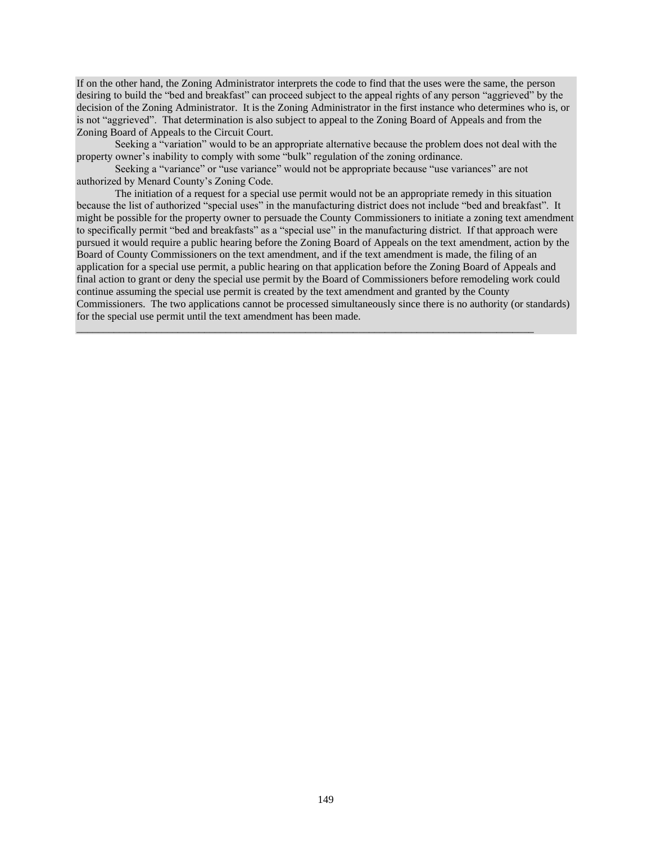If on the other hand, the Zoning Administrator interprets the code to find that the uses were the same, the person desiring to build the "bed and breakfast" can proceed subject to the appeal rights of any person "aggrieved" by the decision of the Zoning Administrator. It is the Zoning Administrator in the first instance who determines who is, or is not "aggrieved". That determination is also subject to appeal to the Zoning Board of Appeals and from the Zoning Board of Appeals to the Circuit Court.

Seeking a "variation" would to be an appropriate alternative because the problem does not deal with the property owner's inability to comply with some "bulk" regulation of the zoning ordinance.

Seeking a "variance" or "use variance" would not be appropriate because "use variances" are not authorized by Menard County's Zoning Code.

 $\_$  , and the set of the set of the set of the set of the set of the set of the set of the set of the set of the set of the set of the set of the set of the set of the set of the set of the set of the set of the set of th

The initiation of a request for a special use permit would not be an appropriate remedy in this situation because the list of authorized "special uses" in the manufacturing district does not include "bed and breakfast". It might be possible for the property owner to persuade the County Commissioners to initiate a zoning text amendment to specifically permit "bed and breakfasts" as a "special use" in the manufacturing district. If that approach were pursued it would require a public hearing before the Zoning Board of Appeals on the text amendment, action by the Board of County Commissioners on the text amendment, and if the text amendment is made, the filing of an application for a special use permit, a public hearing on that application before the Zoning Board of Appeals and final action to grant or deny the special use permit by the Board of Commissioners before remodeling work could continue assuming the special use permit is created by the text amendment and granted by the County Commissioners. The two applications cannot be processed simultaneously since there is no authority (or standards) for the special use permit until the text amendment has been made.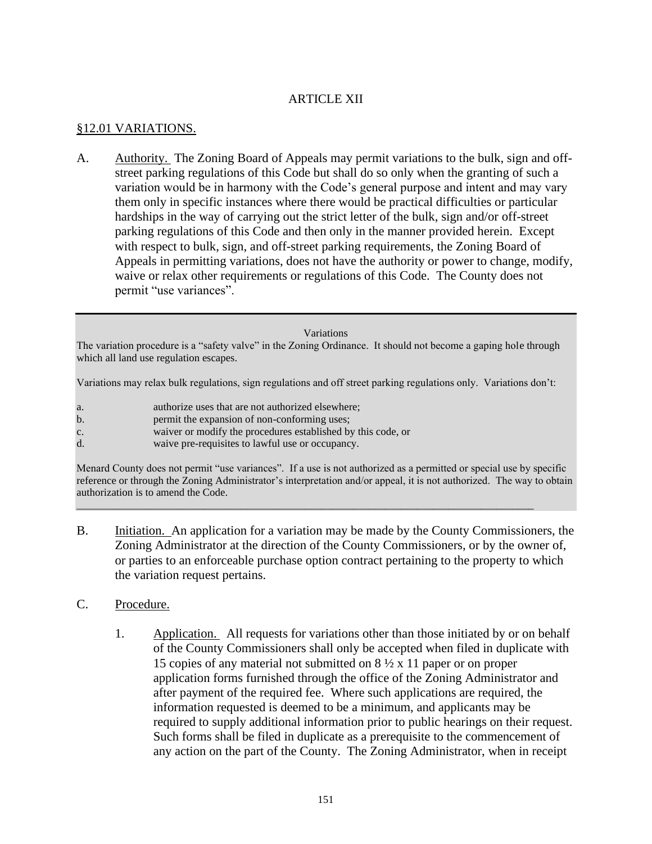# **ARTICLE XII**

# §12.01 VARIATIONS.

A. Authority. The Zoning Board of Appeals may permit variations to the bulk, sign and offstreet parking regulations of this Code but shall do so only when the granting of such a variation would be in harmony with the Code's general purpose and intent and may vary them only in specific instances where there would be practical difficulties or particular hardships in the way of carrying out the strict letter of the bulk, sign and/or off-street parking regulations of this Code and then only in the manner provided herein. Except with respect to bulk, sign, and off-street parking requirements, the Zoning Board of Appeals in permitting variations, does not have the authority or power to change, modify, waive or relax other requirements or regulations of this Code. The County does not permit "use variances".

Variations

The variation procedure is a "safety valve" in the Zoning Ordinance. It should not become a gaping hole through which all land use regulation escapes.

Variations may relax bulk regulations, sign regulations and off street parking regulations only. Variations don't:

- a. authorize uses that are not authorized elsewhere;
- b. **permit the expansion of non-conforming uses:**
- c. waiver or modify the procedures established by this code, or
- d. waive pre-requisites to lawful use or occupancy.

Menard County does not permit "use variances". If a use is not authorized as a permitted or special use by specific reference or through the Zoning Administrator's interpretation and/or appeal, it is not authorized. The way to obtain authorization is to amend the Code.

\_\_\_\_\_\_\_\_\_\_\_\_\_\_\_\_\_\_\_\_\_\_\_\_\_\_\_\_\_\_\_\_\_\_\_\_\_\_\_\_\_\_\_\_\_\_\_\_\_\_\_\_\_\_\_\_\_\_\_\_\_\_\_\_\_\_\_\_\_\_\_\_\_\_\_\_\_\_\_\_\_\_\_\_\_\_

- B. Initiation. An application for a variation may be made by the County Commissioners, the Zoning Administrator at the direction of the County Commissioners, or by the owner of, or parties to an enforceable purchase option contract pertaining to the property to which the variation request pertains.
- C. Procedure.
	- 1. Application. All requests for variations other than those initiated by or on behalf of the County Commissioners shall only be accepted when filed in duplicate with 15 copies of any material not submitted on  $8\frac{1}{2} \times 11$  paper or on proper application forms furnished through the office of the Zoning Administrator and after payment of the required fee. Where such applications are required, the information requested is deemed to be a minimum, and applicants may be required to supply additional information prior to public hearings on their request. Such forms shall be filed in duplicate as a prerequisite to the commencement of any action on the part of the County. The Zoning Administrator, when in receipt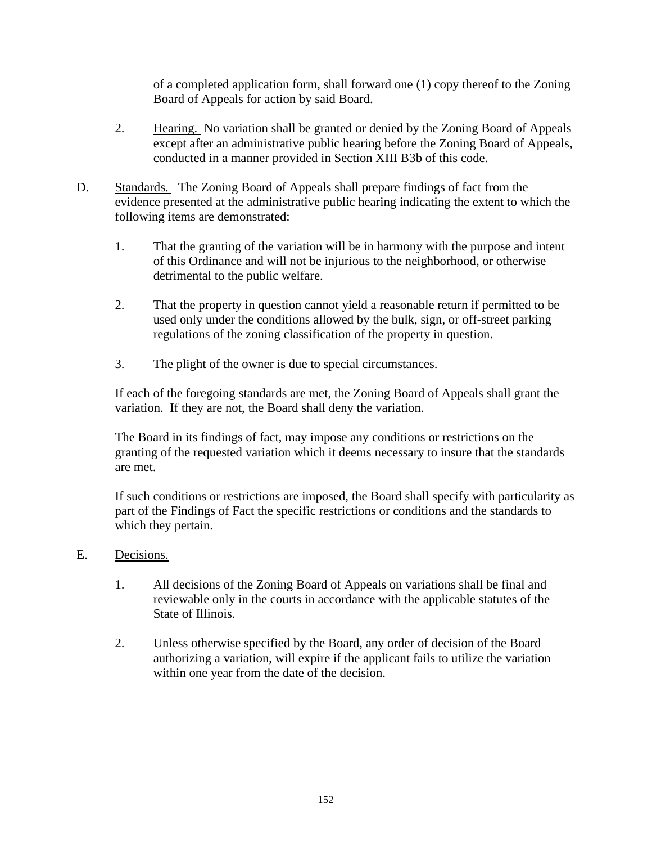of a completed application form, shall forward one (1) copy thereof to the Zoning Board of Appeals for action by said Board.

- 2. Hearing. No variation shall be granted or denied by the Zoning Board of Appeals except after an administrative public hearing before the Zoning Board of Appeals, conducted in a manner provided in Section XIII B3b of this code.
- D. Standards. The Zoning Board of Appeals shall prepare findings of fact from the evidence presented at the administrative public hearing indicating the extent to which the following items are demonstrated:
	- 1. That the granting of the variation will be in harmony with the purpose and intent of this Ordinance and will not be injurious to the neighborhood, or otherwise detrimental to the public welfare.
	- 2. That the property in question cannot yield a reasonable return if permitted to be used only under the conditions allowed by the bulk, sign, or off-street parking regulations of the zoning classification of the property in question.
	- 3. The plight of the owner is due to special circumstances.

If each of the foregoing standards are met, the Zoning Board of Appeals shall grant the variation. If they are not, the Board shall deny the variation.

The Board in its findings of fact, may impose any conditions or restrictions on the granting of the requested variation which it deems necessary to insure that the standards are met.

If such conditions or restrictions are imposed, the Board shall specify with particularity as part of the Findings of Fact the specific restrictions or conditions and the standards to which they pertain.

### E. Decisions.

- 1. All decisions of the Zoning Board of Appeals on variations shall be final and reviewable only in the courts in accordance with the applicable statutes of the State of Illinois.
- 2. Unless otherwise specified by the Board, any order of decision of the Board authorizing a variation, will expire if the applicant fails to utilize the variation within one year from the date of the decision.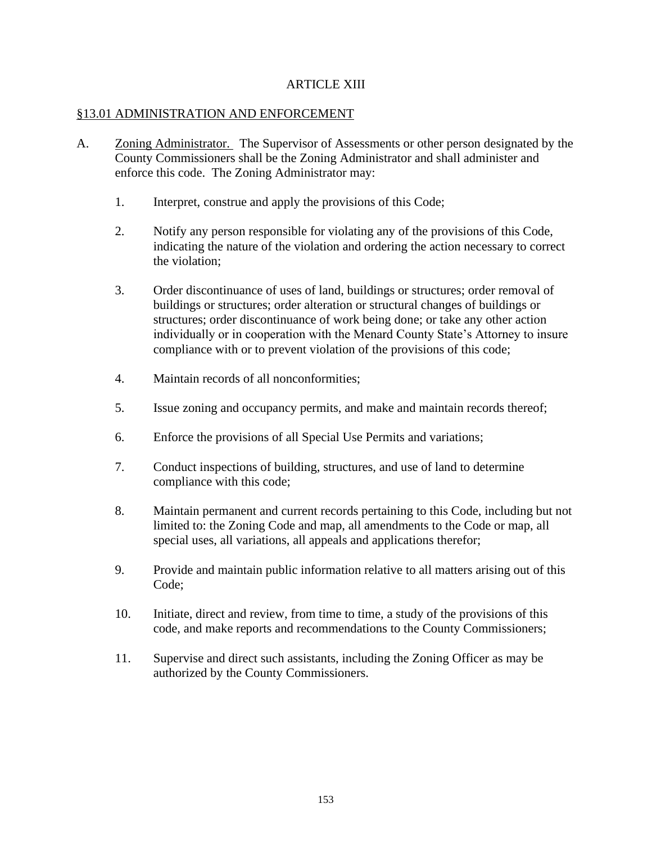## ARTICLE XIII

## §13.01 ADMINISTRATION AND ENFORCEMENT

- A. Zoning Administrator. The Supervisor of Assessments or other person designated by the County Commissioners shall be the Zoning Administrator and shall administer and enforce this code. The Zoning Administrator may:
	- 1. Interpret, construe and apply the provisions of this Code;
	- 2. Notify any person responsible for violating any of the provisions of this Code, indicating the nature of the violation and ordering the action necessary to correct the violation;
	- 3. Order discontinuance of uses of land, buildings or structures; order removal of buildings or structures; order alteration or structural changes of buildings or structures; order discontinuance of work being done; or take any other action individually or in cooperation with the Menard County State's Attorney to insure compliance with or to prevent violation of the provisions of this code;
	- 4. Maintain records of all nonconformities;
	- 5. Issue zoning and occupancy permits, and make and maintain records thereof;
	- 6. Enforce the provisions of all Special Use Permits and variations;
	- 7. Conduct inspections of building, structures, and use of land to determine compliance with this code;
	- 8. Maintain permanent and current records pertaining to this Code, including but not limited to: the Zoning Code and map, all amendments to the Code or map, all special uses, all variations, all appeals and applications therefor;
	- 9. Provide and maintain public information relative to all matters arising out of this Code;
	- 10. Initiate, direct and review, from time to time, a study of the provisions of this code, and make reports and recommendations to the County Commissioners;
	- 11. Supervise and direct such assistants, including the Zoning Officer as may be authorized by the County Commissioners.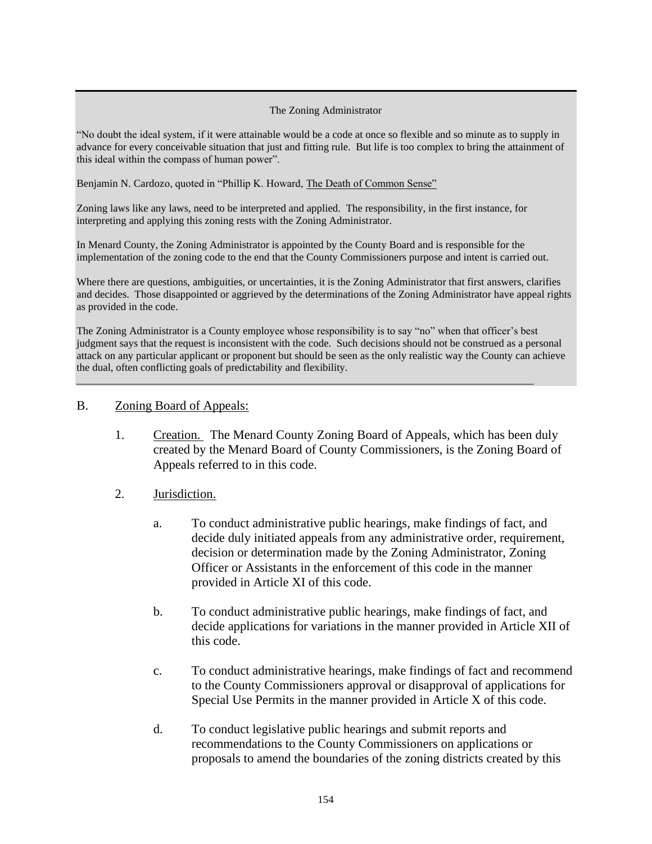#### The Zoning Administrator

"No doubt the ideal system, if it were attainable would be a code at once so flexible and so minute as to supply in advance for every conceivable situation that just and fitting rule. But life is too complex to bring the attainment of this ideal within the compass of human power".

Benjamin N. Cardozo, quoted in "Phillip K. Howard, The Death of Common Sense"

Zoning laws like any laws, need to be interpreted and applied. The responsibility, in the first instance, for interpreting and applying this zoning rests with the Zoning Administrator.

In Menard County, the Zoning Administrator is appointed by the County Board and is responsible for the implementation of the zoning code to the end that the County Commissioners purpose and intent is carried out.

Where there are questions, ambiguities, or uncertainties, it is the Zoning Administrator that first answers, clarifies and decides. Those disappointed or aggrieved by the determinations of the Zoning Administrator have appeal rights as provided in the code.

The Zoning Administrator is a County employee whose responsibility is to say "no" when that officer's best judgment says that the request is inconsistent with the code. Such decisions should not be construed as a personal attack on any particular applicant or proponent but should be seen as the only realistic way the County can achieve the dual, often conflicting goals of predictability and flexibility.

 $\_$  , and the set of the set of the set of the set of the set of the set of the set of the set of the set of the set of the set of the set of the set of the set of the set of the set of the set of the set of the set of th

#### B. Zoning Board of Appeals:

- 1. Creation. The Menard County Zoning Board of Appeals, which has been duly created by the Menard Board of County Commissioners, is the Zoning Board of Appeals referred to in this code.
- 2. Jurisdiction.
	- a. To conduct administrative public hearings, make findings of fact, and decide duly initiated appeals from any administrative order, requirement, decision or determination made by the Zoning Administrator, Zoning Officer or Assistants in the enforcement of this code in the manner provided in Article XI of this code.
	- b. To conduct administrative public hearings, make findings of fact, and decide applications for variations in the manner provided in Article XII of this code.
	- c. To conduct administrative hearings, make findings of fact and recommend to the County Commissioners approval or disapproval of applications for Special Use Permits in the manner provided in Article X of this code.
	- d. To conduct legislative public hearings and submit reports and recommendations to the County Commissioners on applications or proposals to amend the boundaries of the zoning districts created by this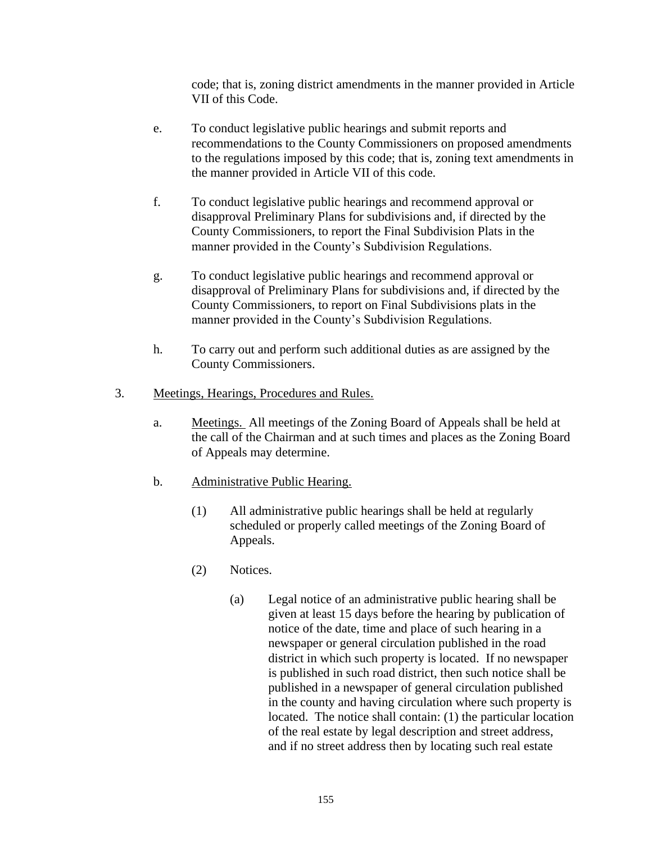code; that is, zoning district amendments in the manner provided in Article VII of this Code.

- e. To conduct legislative public hearings and submit reports and recommendations to the County Commissioners on proposed amendments to the regulations imposed by this code; that is, zoning text amendments in the manner provided in Article VII of this code.
- f. To conduct legislative public hearings and recommend approval or disapproval Preliminary Plans for subdivisions and, if directed by the County Commissioners, to report the Final Subdivision Plats in the manner provided in the County's Subdivision Regulations.
- g. To conduct legislative public hearings and recommend approval or disapproval of Preliminary Plans for subdivisions and, if directed by the County Commissioners, to report on Final Subdivisions plats in the manner provided in the County's Subdivision Regulations.
- h. To carry out and perform such additional duties as are assigned by the County Commissioners.

## 3. Meetings, Hearings, Procedures and Rules.

- a. Meetings. All meetings of the Zoning Board of Appeals shall be held at the call of the Chairman and at such times and places as the Zoning Board of Appeals may determine.
- b. Administrative Public Hearing.
	- (1) All administrative public hearings shall be held at regularly scheduled or properly called meetings of the Zoning Board of Appeals.
	- (2) Notices.
		- (a) Legal notice of an administrative public hearing shall be given at least 15 days before the hearing by publication of notice of the date, time and place of such hearing in a newspaper or general circulation published in the road district in which such property is located. If no newspaper is published in such road district, then such notice shall be published in a newspaper of general circulation published in the county and having circulation where such property is located. The notice shall contain: (1) the particular location of the real estate by legal description and street address, and if no street address then by locating such real estate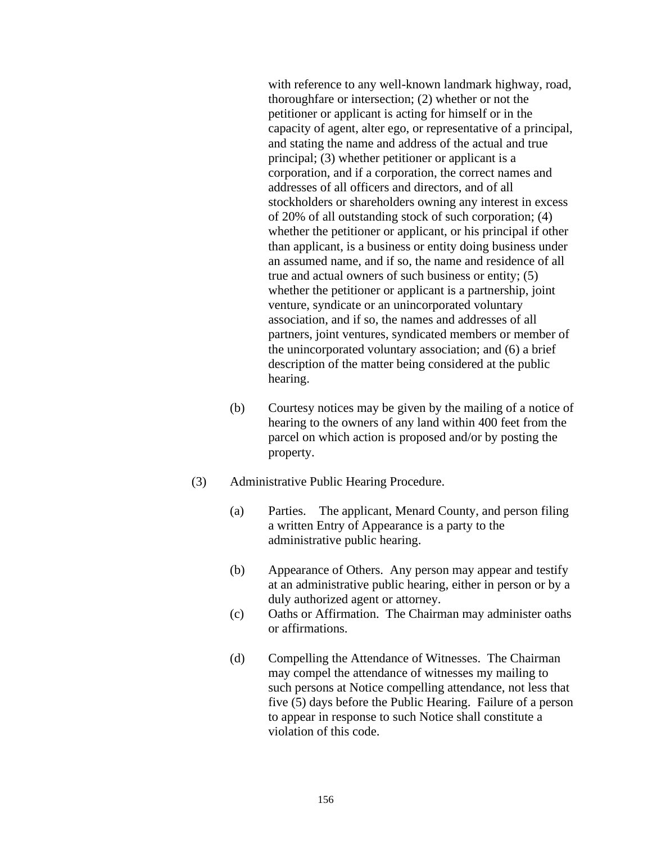with reference to any well-known landmark highway, road, thoroughfare or intersection; (2) whether or not the petitioner or applicant is acting for himself or in the capacity of agent, alter ego, or representative of a principal, and stating the name and address of the actual and true principal; (3) whether petitioner or applicant is a corporation, and if a corporation, the correct names and addresses of all officers and directors, and of all stockholders or shareholders owning any interest in excess of 20% of all outstanding stock of such corporation; (4) whether the petitioner or applicant, or his principal if other than applicant, is a business or entity doing business under an assumed name, and if so, the name and residence of all true and actual owners of such business or entity; (5) whether the petitioner or applicant is a partnership, joint venture, syndicate or an unincorporated voluntary association, and if so, the names and addresses of all partners, joint ventures, syndicated members or member of the unincorporated voluntary association; and (6) a brief description of the matter being considered at the public hearing.

- (b) Courtesy notices may be given by the mailing of a notice of hearing to the owners of any land within 400 feet from the parcel on which action is proposed and/or by posting the property.
- (3) Administrative Public Hearing Procedure.
	- (a) Parties. The applicant, Menard County, and person filing a written Entry of Appearance is a party to the administrative public hearing.
	- (b) Appearance of Others. Any person may appear and testify at an administrative public hearing, either in person or by a duly authorized agent or attorney.
	- (c) Oaths or Affirmation. The Chairman may administer oaths or affirmations.
	- (d) Compelling the Attendance of Witnesses. The Chairman may compel the attendance of witnesses my mailing to such persons at Notice compelling attendance, not less that five (5) days before the Public Hearing. Failure of a person to appear in response to such Notice shall constitute a violation of this code.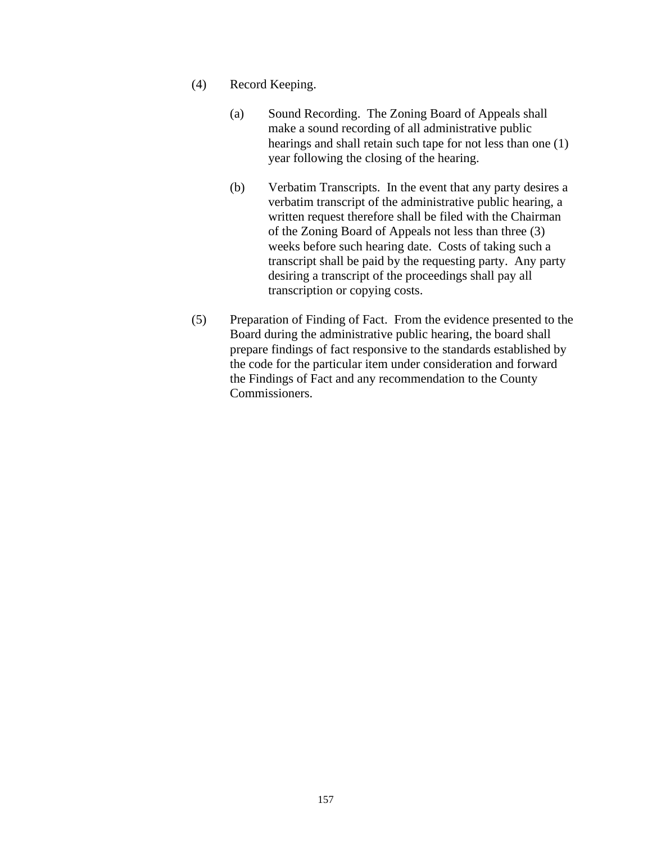- (4) Record Keeping.
	- (a) Sound Recording. The Zoning Board of Appeals shall make a sound recording of all administrative public hearings and shall retain such tape for not less than one (1) year following the closing of the hearing.
	- (b) Verbatim Transcripts. In the event that any party desires a verbatim transcript of the administrative public hearing, a written request therefore shall be filed with the Chairman of the Zoning Board of Appeals not less than three (3) weeks before such hearing date. Costs of taking such a transcript shall be paid by the requesting party. Any party desiring a transcript of the proceedings shall pay all transcription or copying costs.
- (5) Preparation of Finding of Fact. From the evidence presented to the Board during the administrative public hearing, the board shall prepare findings of fact responsive to the standards established by the code for the particular item under consideration and forward the Findings of Fact and any recommendation to the County Commissioners.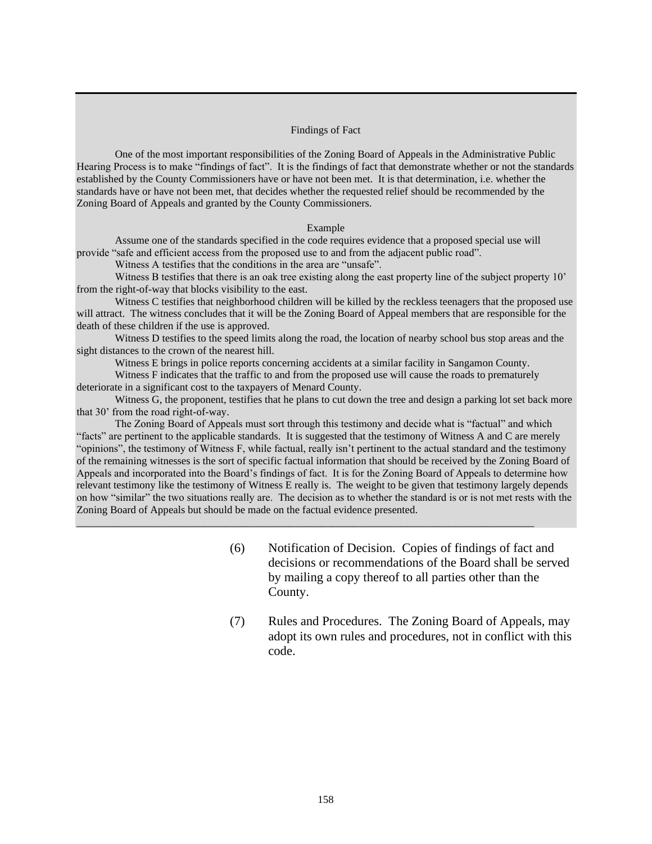#### Findings of Fact

One of the most important responsibilities of the Zoning Board of Appeals in the Administrative Public Hearing Process is to make "findings of fact". It is the findings of fact that demonstrate whether or not the standards established by the County Commissioners have or have not been met. It is that determination, i.e. whether the standards have or have not been met, that decides whether the requested relief should be recommended by the Zoning Board of Appeals and granted by the County Commissioners.

#### Example

Assume one of the standards specified in the code requires evidence that a proposed special use will provide "safe and efficient access from the proposed use to and from the adjacent public road".

Witness A testifies that the conditions in the area are "unsafe".

Witness B testifies that there is an oak tree existing along the east property line of the subject property 10' from the right-of-way that blocks visibility to the east.

Witness C testifies that neighborhood children will be killed by the reckless teenagers that the proposed use will attract. The witness concludes that it will be the Zoning Board of Appeal members that are responsible for the death of these children if the use is approved.

Witness D testifies to the speed limits along the road, the location of nearby school bus stop areas and the sight distances to the crown of the nearest hill.

Witness E brings in police reports concerning accidents at a similar facility in Sangamon County.

Witness F indicates that the traffic to and from the proposed use will cause the roads to prematurely deteriorate in a significant cost to the taxpayers of Menard County.

Witness G, the proponent, testifies that he plans to cut down the tree and design a parking lot set back more that 30' from the road right-of-way.

The Zoning Board of Appeals must sort through this testimony and decide what is "factual" and which "facts" are pertinent to the applicable standards. It is suggested that the testimony of Witness A and C are merely "opinions", the testimony of Witness F, while factual, really isn't pertinent to the actual standard and the testimony of the remaining witnesses is the sort of specific factual information that should be received by the Zoning Board of Appeals and incorporated into the Board's findings of fact. It is for the Zoning Board of Appeals to determine how relevant testimony like the testimony of Witness E really is. The weight to be given that testimony largely depends on how "similar" the two situations really are. The decision as to whether the standard is or is not met rests with the Zoning Board of Appeals but should be made on the factual evidence presented.

 $\_$  , and the set of the set of the set of the set of the set of the set of the set of the set of the set of the set of the set of the set of the set of the set of the set of the set of the set of the set of the set of th

- (6) Notification of Decision. Copies of findings of fact and decisions or recommendations of the Board shall be served by mailing a copy thereof to all parties other than the County.
- (7) Rules and Procedures. The Zoning Board of Appeals, may adopt its own rules and procedures, not in conflict with this code.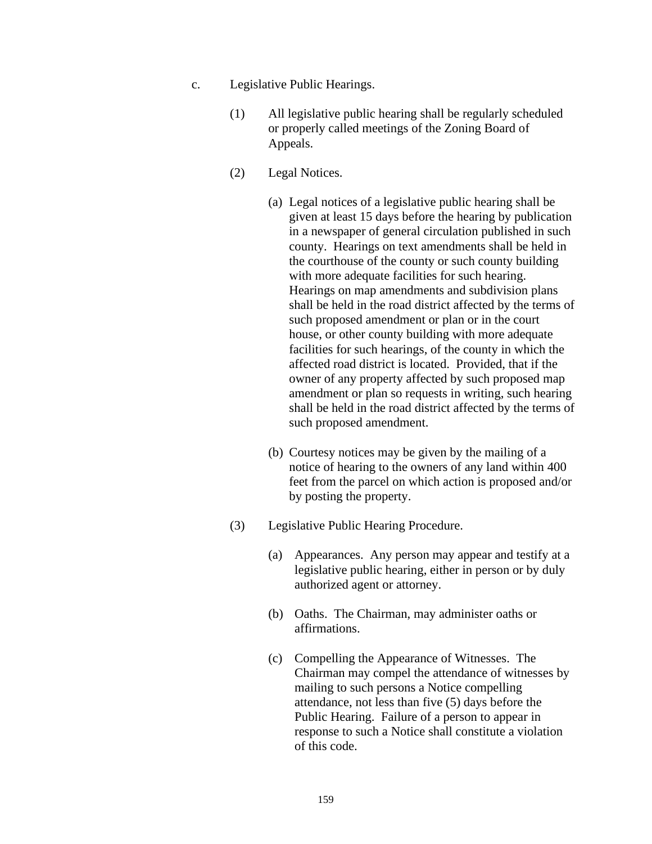- c. Legislative Public Hearings.
	- (1) All legislative public hearing shall be regularly scheduled or properly called meetings of the Zoning Board of Appeals.
	- (2) Legal Notices.
		- (a) Legal notices of a legislative public hearing shall be given at least 15 days before the hearing by publication in a newspaper of general circulation published in such county. Hearings on text amendments shall be held in the courthouse of the county or such county building with more adequate facilities for such hearing. Hearings on map amendments and subdivision plans shall be held in the road district affected by the terms of such proposed amendment or plan or in the court house, or other county building with more adequate facilities for such hearings, of the county in which the affected road district is located. Provided, that if the owner of any property affected by such proposed map amendment or plan so requests in writing, such hearing shall be held in the road district affected by the terms of such proposed amendment.
		- (b) Courtesy notices may be given by the mailing of a notice of hearing to the owners of any land within 400 feet from the parcel on which action is proposed and/or by posting the property.
	- (3) Legislative Public Hearing Procedure.
		- (a) Appearances. Any person may appear and testify at a legislative public hearing, either in person or by duly authorized agent or attorney.
		- (b) Oaths. The Chairman, may administer oaths or affirmations.
		- (c) Compelling the Appearance of Witnesses. The Chairman may compel the attendance of witnesses by mailing to such persons a Notice compelling attendance, not less than five (5) days before the Public Hearing. Failure of a person to appear in response to such a Notice shall constitute a violation of this code.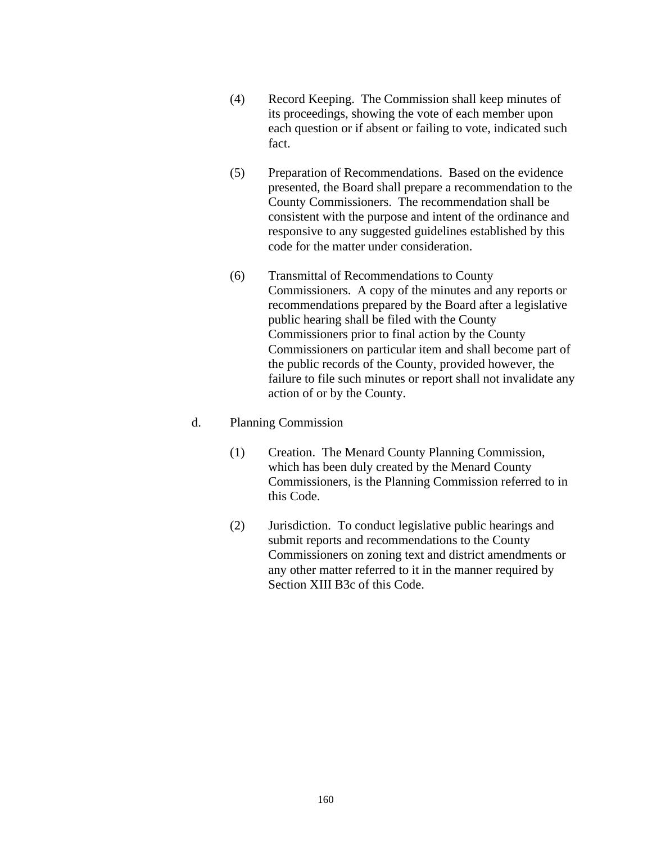- (4) Record Keeping. The Commission shall keep minutes of its proceedings, showing the vote of each member upon each question or if absent or failing to vote, indicated such fact.
- (5) Preparation of Recommendations. Based on the evidence presented, the Board shall prepare a recommendation to the County Commissioners. The recommendation shall be consistent with the purpose and intent of the ordinance and responsive to any suggested guidelines established by this code for the matter under consideration.
- (6) Transmittal of Recommendations to County Commissioners. A copy of the minutes and any reports or recommendations prepared by the Board after a legislative public hearing shall be filed with the County Commissioners prior to final action by the County Commissioners on particular item and shall become part of the public records of the County, provided however, the failure to file such minutes or report shall not invalidate any action of or by the County.

### d. Planning Commission

- (1) Creation. The Menard County Planning Commission, which has been duly created by the Menard County Commissioners, is the Planning Commission referred to in this Code.
- (2) Jurisdiction. To conduct legislative public hearings and submit reports and recommendations to the County Commissioners on zoning text and district amendments or any other matter referred to it in the manner required by Section XIII B3c of this Code.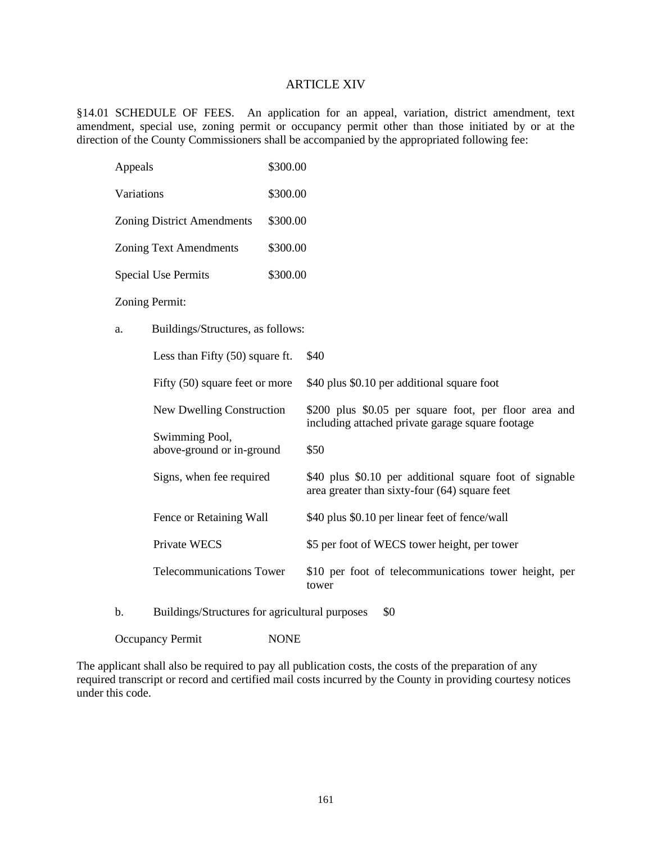### ARTICLE XIV

§14.01 SCHEDULE OF FEES. An application for an appeal, variation, district amendment, text amendment, special use, zoning permit or occupancy permit other than those initiated by or at the direction of the County Commissioners shall be accompanied by the appropriated following fee:

| Appeals                           |                                                                                                                    | \$300.00 |                                                                                                           |
|-----------------------------------|--------------------------------------------------------------------------------------------------------------------|----------|-----------------------------------------------------------------------------------------------------------|
| Variations                        |                                                                                                                    | \$300.00 |                                                                                                           |
| <b>Zoning District Amendments</b> |                                                                                                                    | \$300.00 |                                                                                                           |
| <b>Zoning Text Amendments</b>     |                                                                                                                    | \$300.00 |                                                                                                           |
| <b>Special Use Permits</b>        |                                                                                                                    | \$300.00 |                                                                                                           |
|                                   | Zoning Permit:                                                                                                     |          |                                                                                                           |
| a.                                | Buildings/Structures, as follows:                                                                                  |          |                                                                                                           |
|                                   | Less than Fifty (50) square ft.                                                                                    |          | \$40                                                                                                      |
|                                   | Fifty (50) square feet or more                                                                                     |          | \$40 plus \$0.10 per additional square foot                                                               |
|                                   | New Dwelling Construction                                                                                          |          | \$200 plus \$0.05 per square foot, per floor area and<br>including attached private garage square footage |
|                                   | Swimming Pool,<br>above-ground or in-ground<br>Signs, when fee required<br>Fence or Retaining Wall<br>Private WECS |          | \$50                                                                                                      |
|                                   |                                                                                                                    |          | \$40 plus \$0.10 per additional square foot of signable<br>area greater than sixty-four (64) square feet  |
|                                   |                                                                                                                    |          | \$40 plus \$0.10 per linear feet of fence/wall                                                            |
|                                   |                                                                                                                    |          | \$5 per foot of WECS tower height, per tower                                                              |
|                                   | <b>Telecommunications Tower</b>                                                                                    |          | \$10 per foot of telecommunications tower height, per<br>tower                                            |
| b.                                | Buildings/Structures for agricultural purposes<br>\$0                                                              |          |                                                                                                           |

Occupancy Permit NONE

The applicant shall also be required to pay all publication costs, the costs of the preparation of any required transcript or record and certified mail costs incurred by the County in providing courtesy notices under this code.